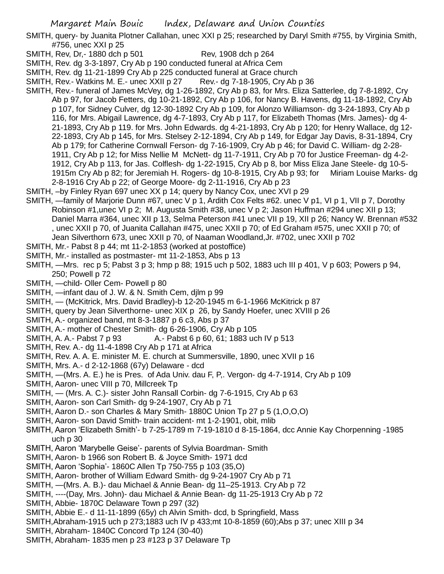- SMITH, query- by Juanita Plotner Callahan, unec XXI p 25; researched by Daryl Smith #755, by Virginia Smith, #756, unec XXI p 25
- SMITH, Rev, Dr,-1880 dch p 501 Rev, 1908 dch p 264
- SMITH, Rev. dg 3-3-1897, Cry Ab p 190 conducted funeral at Africa Cem
- SMITH, Rev. dg 11-21-1899 Cry Ab p 225 conducted funeral at Grace church
- SMITH, Rev.- Watkins M. E.- unec XXII p 27 Rev.- dg 7-18-1905, Cry Ab p 36
- SMITH, Rev.- funeral of James McVey, dg 1-26-1892, Cry Ab p 83, for Mrs. Eliza Satterlee, dg 7-8-1892, Cry Ab p 97, for Jacob Fetters, dg 10-21-1892, Cry Ab p 106, for Nancy B. Havens, dg 11-18-1892, Cry Ab p 107, for Sidney Culver, dg 12-30-1892 Cry Ab p 109, for Alonzo Williamson- dg 3-24-1893, Cry Ab p 116, for Mrs. Abigail Lawrence, dg 4-7-1893, Cry Ab p 117, for Elizabeth Thomas (Mrs. James)- dg 4- 21-1893, Cry Ab p 119. for Mrs. John Edwards. dg 4-21-1893, Cry Ab p 120; for Henry Wallace, dg 12- 22-1893, Cry Ab p 145, for Mrs. Stelsey 2-12-1894, Cry Ab p 149, for Edgar Jay Davis, 8-31-1894, Cry Ab p 179; for Catherine Cornwall Ferson- dg 7-16-1909, Cry Ab p 46; for David C. William- dg 2-28- 1911, Cry Ab p 12; for Miss Nellie M McNett- dg 11-7-1911, Cry Ab p 70 for Justice Freeman- dg 4-2- 1912, Cry Ab p 113, for Jas. Colflesh- dg 1-22-1915, Cry Ab p 8, bor Miss Eliza Jane Steele- dg 10-5- 1915m Cry Ab p 82; for Jeremiah H. Rogers- dg 10-8-1915, Cry Ab p 93; for Miriam Louise Marks- dg 2-8-1916 Cry Ab p 22; of George Moore- dg 2-11-1916, Cry Ab p 23
- SMITH, –by Finley Ryan 697 unec XX p 14; query by Nancy Cox, unec XVI p 29
- SMITH, —family of Marjorie Dunn #67, unec V p 1, Ardith Cox Felts #62. unec V p1, VI p 1, VII p 7, Dorothy Robinson #1, unec VI p 2; M. Augusta Smith #38, unec V p 2; Jason Huffman #294 unec XII p 13; Daniel Marra #364, unec XII p 13, Selma Peterson #41 unec VII p 19, XII p 26; Nancy W. Brennan #532 , unec XXII p 70, of Juanita Callahan #475, unec XXII p 70; of Ed Graham #575, unec XXII p 70; of Jean Silverthorn 673, unec XXII p 70, of Naaman Woodland,Jr. #702, unec XXII p 702
- SMITH, Mr.- Pabst 8 p 44; mt 11-2-1853 (worked at postoffice)
- SMITH, Mr.- installed as postmaster- mt 11-2-1853, Abs p 13
- SMITH, —Mrs. rec p 5; Pabst 3 p 3; hmp p 88; 1915 uch p 502, 1883 uch III p 401, V p 603; Powers p 94, 250; Powell p 72
- SMITH, —child- Oller Cem- Powell p 80
- SMITH, —infant dau of J. W. & N. Smith Cem, dilm p 99
- SMITH, (McKitrick, Mrs. David Bradley)-b 12-20-1945 m 6-1-1966 McKitrick p 87
- SMITH, query by Jean Silverthorne- unec XIX p 26, by Sandy Hoefer, unec XVIII p 26
- SMITH, A.- organized band, mt 8-3-1887 p 6 c3, Abs p 37
- SMITH, A.- mother of Chester Smith- dg 6-26-1906, Cry Ab p 105
- SMITH, A. A.- Pabst 7 p 93 A.- Pabst 6 p 60, 61; 1883 uch IV p 513
- SMITH, Rev. A.- dg 11-4-1898 Cry Ab p 171 at Africa
- SMITH, Rev. A. A. E. minister M. E. church at Summersville, 1890, unec XVII p 16
- SMITH, Mrs. A.- d 2-12-1868 (67y) Delaware dcd
- SMITH, —(Mrs. A. E.) he is Pres. of Ada Univ. dau F, P,. Vergon- dg 4-7-1914, Cry Ab p 109
- SMITH, Aaron- unec VIII p 70, Millcreek Tp
- SMITH, (Mrs. A. C.)- sister John Ransall Corbin- dg 7-6-1915, Cry Ab p 63
- SMITH, Aaron- son Carl Smith- dg 9-24-1907, Cry Ab p 71
- SMITH, Aaron D.- son Charles & Mary Smith- 1880C Union Tp 27 p 5 (1,O,O,O)
- SMITH, Aaron- son David Smith- train accident- mt 1-2-1901, obit, mlib
- SMITH, Aaron 'Elizabeth Smith'- b 7-25-1789 m 7-19-1810 d 8-15-1864, dcc Annie Kay Chorpenning -1985 uch p 30
- SMITH, Aaron 'Marybelle Geise'- parents of Sylvia Boardman- Smith
- SMITH, Aaron- b 1966 son Robert B. & Joyce Smith- 1971 dcd
- SMITH, Aaron 'Sophia'- 1860C Allen Tp 750-755 p 103 (35,O)
- SMITH, Aaron- brother of William Edward Smith- dg 9-24-1907 Cry Ab p 71
- SMITH, —(Mrs. A. B.)- dau Michael & Annie Bean- dg 11–25-1913. Cry Ab p 72
- SMITH, ----(Day, Mrs. John)- dau Michael & Annie Bean- dg 11-25-1913 Cry Ab p 72
- SMITH, Abbie- 1870C Delaware Town p 297 (32)
- SMITH, Abbie E.- d 11-11-1899 (65y) ch Alvin Smith- dcd, b Springfield, Mass
- SMITH,Abraham-1915 uch p 273;1883 uch IV p 433;mt 10-8-1859 (60);Abs p 37; unec XIII p 34
- SMITH, Abraham- 1840C Concord Tp 124 (30-40)
- SMITH, Abraham- 1835 men p 23 #123 p 37 Delaware Tp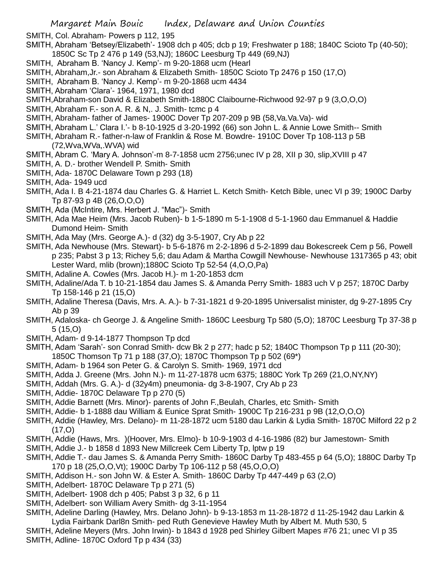SMITH, Col. Abraham- Powers p 112, 195

- SMITH, Abraham 'Betsey/Elizabeth'- 1908 dch p 405; dcb p 19; Freshwater p 188; 1840C Scioto Tp (40-50); 1850C Sc Tp 2 476 p 149 (53,NJ); 1860C Leesburg Tp 449 (69,NJ)
- SMITH, Abraham B. 'Nancy J. Kemp'- m 9-20-1868 ucm (Hearl
- SMITH, Abraham,Jr.- son Abraham & Elizabeth Smith- 1850C Scioto Tp 2476 p 150 (17,O)
- SMITH, Abraham B. 'Nancy J. Kemp'- m 9-20-1868 ucm 4434
- SMITH, Abraham 'Clara'- 1964, 1971, 1980 dcd
- SMITH,Abraham-son David & Elizabeth Smith-1880C Claibourne-Richwood 92-97 p 9 (3,O,O,O)
- SMITH, Abraham F.- son A. R. & N,. J. Smith- tcmc p 4
- SMITH, Abraham- father of James- 1900C Dover Tp 207-209 p 9B (58,Va.Va.Va)- wid
- SMITH, Abraham L.' Clara I.'- b 8-10-1925 d 3-20-1992 (66) son John L. & Annie Lowe Smith-- Smith
- SMITH, Abraham R.- father-n-law of Franklin & Rose M. Bowdre- 1910C Dover Tp 108-113 p 5B (72,Wva,WVa,.WVA) wid
- SMITH, Abram C. 'Mary A. Johnson'-m 8-7-1858 ucm 2756;unec IV p 28, XII p 30, slip,XVIII p 47
- SMITH, A. D.- brother Wendell P. Smith- Smith
- SMITH, Ada- 1870C Delaware Town p 293 (18)
- SMITH, Ada- 1949 ucd
- SMITH, Ada I. B 4-21-1874 dau Charles G. & Harriet L. Ketch Smith- Ketch Bible, unec VI p 39; 1900C Darby Tp 87-93 p 4B (26,O,O,O)
- SMITH, Ada (McIntire, Mrs. Herbert J. "Mac")- Smith
- SMITH, Ada Mae Heim (Mrs. Jacob Ruben)- b 1-5-1890 m 5-1-1908 d 5-1-1960 dau Emmanuel & Haddie Dumond Heim- Smith
- SMITH, Ada May (Mrs. George A.)- d (32) dg 3-5-1907, Cry Ab p 22
- SMITH, Ada Newhouse (Mrs. Stewart)- b 5-6-1876 m 2-2-1896 d 5-2-1899 dau Bokescreek Cem p 56, Powell p 235; Pabst 3 p 13; Richey 5,6; dau Adam & Martha Cowgill Newhouse- Newhouse 1317365 p 43; obit Lester Ward, mlib (brown);1880C Scioto Tp 52-54 (4,O,O,Pa)
- SMITH, Adaline A. Cowles (Mrs. Jacob H.)- m 1-20-1853 dcm
- SMITH, Adaline/Ada T. b 10-21-1854 dau James S. & Amanda Perry Smith- 1883 uch V p 257; 1870C Darby Tp 158-146 p 21 (15,O)
- SMITH, Adaline Theresa (Davis, Mrs. A. A.)- b 7-31-1821 d 9-20-1895 Universalist minister, dg 9-27-1895 Cry Ab p 39
- SMITH, Adaloska- ch George J. & Angeline Smith- 1860C Leesburg Tp 580 (5,O); 1870C Leesburg Tp 37-38 p 5 (15,O)
- SMITH, Adam- d 9-14-1877 Thompson Tp dcd
- SMITH, Adam 'Sarah'- son Conrad Smith- dcw Bk 2 p 277; hadc p 52; 1840C Thompson Tp p 111 (20-30); 1850C Thomson Tp 71 p 188 (37,O); 1870C Thompson Tp p 502 (69\*)
- SMITH, Adam- b 1964 son Peter G. & Carolyn S. Smith- 1969, 1971 dcd
- SMITH, Adda J. Greene (Mrs. John N.)- m 11-27-1878 ucm 6375; 1880C York Tp 269 (21,O,NY,NY)
- SMITH, Addah (Mrs. G. A.)- d (32y4m) pneumonia- dg 3-8-1907, Cry Ab p 23
- SMITH, Addie- 1870C Delaware Tp p 270 (5)
- SMITH, Addie Barnett (Mrs. Minor)- parents of John F.,Beulah, Charles, etc Smith- Smith
- SMITH, Addie- b 1-1888 dau William & Eunice Sprat Smith- 1900C Tp 216-231 p 9B (12,O,O,O)
- SMITH, Addie (Hawley, Mrs. Delano)- m 11-28-1872 ucm 5180 dau Larkin & Lydia Smith- 1870C Milford 22 p 2  $(17, 0)$
- SMITH, Addie (Haws, Mrs. )(Hoover, Mrs. Elmo)- b 10-9-1903 d 4-16-1986 (82) bur Jamestown- Smith
- SMITH, Addie J.- b 1858 d 1893 New Millcreek Cem Liberty Tp, lptw p 19
- SMITH, Addie T.- dau James S. & Amanda Perry Smith- 1860C Darby Tp 483-455 p 64 (5,O); 1880C Darby Tp 170 p 18 (25,O,O,Vt); 1900C Darby Tp 106-112 p 58 (45,O,O,O)
- SMITH, Addison H.- son John W. & Ester A. Smith- 1860C Darby Tp 447-449 p 63 (2,O)
- SMITH, Adelbert- 1870C Delaware Tp p 271 (5)
- SMITH, Adelbert- 1908 dch p 405; Pabst 3 p 32, 6 p 11
- SMITH, Adelbert- son William Avery Smith- dg 3-11-1954
- SMITH, Adeline Darling (Hawley, Mrs. Delano John)- b 9-13-1853 m 11-28-1872 d 11-25-1942 dau Larkin & Lydia Fairbank Darl8n Smith- ped Ruth Genevieve Hawley Muth by Albert M. Muth 530, 5
- SMITH, Adeline Meyers (Mrs. John Irwin)- b 1843 d 1928 ped Shirley Gilbert Mapes #76 21; unec VI p 35 SMITH, Adline- 1870C Oxford Tp p 434 (33)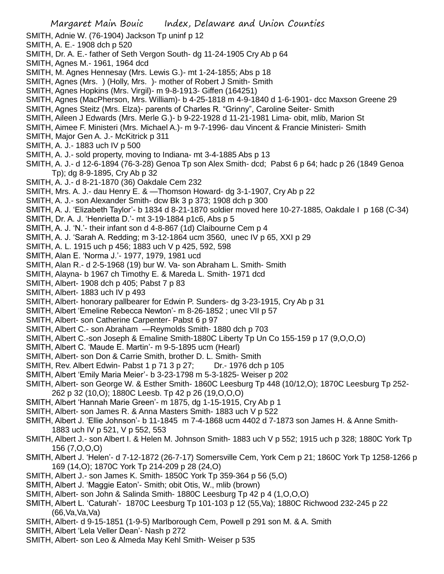SMITH, Adnie W. (76-1904) Jackson Tp uninf p 12

- SMITH, A. E.- 1908 dch p 520
- SMITH, Dr. A. E.- father of Seth Vergon South- dg 11-24-1905 Cry Ab p 64
- SMITH, Agnes M.- 1961, 1964 dcd
- SMITH, M. Agnes Hennesay (Mrs. Lewis G.)- mt 1-24-1855; Abs p 18
- SMITH, Agnes (Mrs. ) (Holly, Mrs. )- mother of Robert J Smith- Smith
- SMITH, Agnes Hopkins (Mrs. Virgil)- m 9-8-1913- Giffen (164251)
- SMITH, Agnes (MacPherson, Mrs. William)- b 4-25-1818 m 4-9-1840 d 1-6-1901- dcc Maxson Greene 29
- SMITH, Agnes Steitz (Mrs. Elza)- parents of Charles R. "Grinny", Caroline Seiter- Smith
- SMITH, Aileen J Edwards (Mrs. Merle G.)- b 9-22-1928 d 11-21-1981 Lima- obit, mlib, Marion St
- SMITH, Aimee F. Ministeri (Mrs. Michael A.)- m 9-7-1996- dau Vincent & Francie Ministeri- Smith
- SMITH, Major Gen A. J.- McKitrick p 311
- SMITH, A. J.- 1883 uch IV p 500
- SMITH, A. J.- sold property, moving to Indiana- mt 3-4-1885 Abs p 13
- SMITH, A. J.- d 12-6-1894 (76-3-28) Genoa Tp son Alex Smith- dcd; Pabst 6 p 64; hadc p 26 (1849 Genoa Tp); dg 8-9-1895, Cry Ab p 32
- SMITH, A. J.- d 8-21-1870 (36) Oakdale Cem 232
- SMITH, Mrs. A. J.- dau Henry E. & —Thomson Howard- dg 3-1-1907, Cry Ab p 22
- SMITH, A. J.- son Alexander Smith- dcw Bk 3 p 373; 1908 dch p 300
- SMITH, A. J. 'Elizabeth Taylor'- b 1834 d 8-21-1870 soldier moved here 10-27-1885, Oakdale I p 168 (C-34)
- SMITH, Dr. A. J. 'Henrietta D.'- mt 3-19-1884 p1c6, Abs p 5
- SMITH, A. J. 'N.'- their infant son d 4-8-867 (1d) Claibourne Cem p 4
- SMITH, A. J. 'Sarah A. Redding; m 3-12-1864 ucm 3560, unec IV p 65, XXI p 29
- SMITH, A. L. 1915 uch p 456; 1883 uch V p 425, 592, 598
- SMITH, Alan E. 'Norma J.'- 1977, 1979, 1981 ucd
- SMITH, Alan R.- d 2-5-1968 (19) bur W. Va- son Abraham L. Smith- Smith
- SMITH, Alayna- b 1967 ch Timothy E. & Mareda L. Smith- 1971 dcd
- SMITH, Albert- 1908 dch p 405; Pabst 7 p 83
- SMITH, Albert- 1883 uch IV p 493
- SMITH, Albert- honorary pallbearer for Edwin P. Sunders- dg 3-23-1915, Cry Ab p 31
- SMITH, Albert 'Emeline Rebecca Newton'- m 8-26-1852 ; unec VII p 57
- SMITH, Albert- son Catherine Carpenter- Pabst 6 p 97
- SMITH, Albert C.- son Abraham —Reymolds Smith- 1880 dch p 703
- SMITH, Albert C.-son Joseph & Emaline Smith-1880C Liberty Tp Un Co 155-159 p 17 (9,O,O,O)
- SMITH, Albert C. 'Maude E. Martin'- m 9-5-1895 ucm (Hearl)
- SMITH, Albert- son Don & Carrie Smith, brother D. L. Smith- Smith
- SMITH, Rev. Albert Edwin- Pabst 1 p 71 3 p 27; Dr.- 1976 dch p 105
- SMITH, Albert 'Emily Maria Meier'- b 3-23-1798 m 5-3-1825- Weiser p 202
- SMITH, Albert- son George W. & Esther Smith- 1860C Leesburg Tp 448 (10/12,O); 1870C Leesburg Tp 252- 262 p 32 (10,O); 1880C Leesb. Tp 42 p 26 (19,O,O,O)
- SMITH, Albert 'Hannah Marie Green'- m 1875, dg 1-15-1915, Cry Ab p 1
- SMITH, Albert- son James R. & Anna Masters Smith- 1883 uch V p 522
- SMITH, Albert J. 'Ellie Johnson'- b 11-1845 m 7-4-1868 ucm 4402 d 7-1873 son James H. & Anne Smith-1883 uch IV p 521, V p 552, 553
- SMITH, Albert J.- son Albert I. & Helen M. Johnson Smith- 1883 uch V p 552; 1915 uch p 328; 1880C York Tp 156 (7,O,O,O)
- SMITH, Albert J. 'Helen'- d 7-12-1872 (26-7-17) Somersville Cem, York Cem p 21; 1860C York Tp 1258-1266 p 169 (14,O); 1870C York Tp 214-209 p 28 (24,O)
- SMITH, Albert J.- son James K. Smith- 1850C York Tp 359-364 p 56 (5,O)
- SMITH, Albert J. 'Maggie Eaton'- Smith; obit Otis, W., mlib (brown)
- SMITH, Albert- son John & Salinda Smith- 1880C Leesburg Tp 42 p 4 (1,O,O,O)
- SMITH, Albert L. 'Caturah'- 1870C Leesburg Tp 101-103 p 12 (55,Va); 1880C Richwood 232-245 p 22  $(66$ .Va.Va.Va $)$
- SMITH, Albert- d 9-15-1851 (1-9-5) Marlborough Cem, Powell p 291 son M. & A. Smith
- SMITH, Albert 'Lela Veller Dean'- Nash p 272
- SMITH, Albert- son Leo & Almeda May Kehl Smith- Weiser p 535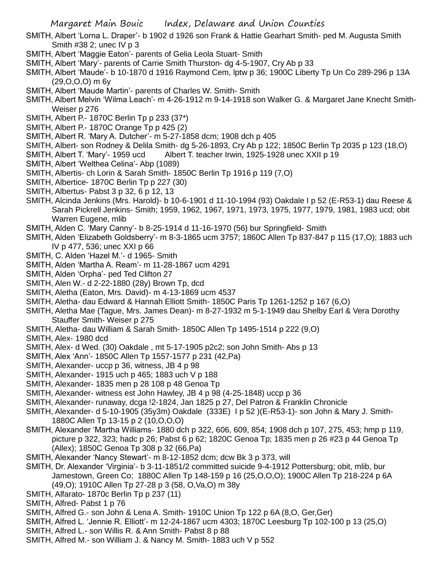- SMITH, Albert 'Lorna L. Draper'- b 1902 d 1926 son Frank & Hattie Gearhart Smith- ped M. Augusta Smith Smith #38 2; unec IV p 3
- SMITH, Albert 'Maggie Eaton'- parents of Gelia Leola Stuart- Smith
- SMITH, Albert 'Mary'- parents of Carrie Smith Thurston- dg 4-5-1907, Cry Ab p 33
- SMITH, Albert 'Maude'- b 10-1870 d 1916 Raymond Cem, lptw p 36; 1900C Liberty Tp Un Co 289-296 p 13A (29,O,O,O) m 6y
- SMITH, Albert 'Maude Martin'- parents of Charles W. Smith- Smith
- SMITH, Albert Melvin 'Wilma Leach'- m 4-26-1912 m 9-14-1918 son Walker G. & Margaret Jane Knecht Smith-Weiser p 276
- SMITH, Albert P.- 1870C Berlin Tp p 233 (37\*)
- SMITH, Albert P.- 1870C Orange Tp p 425 (2)
- SMITH, Albert R. 'Mary A. Dutcher'- m 5-27-1858 dcm; 1908 dch p 405
- SMITH, Albert- son Rodney & Delila Smith- dg 5-26-1893, Cry Ab p 122; 1850C Berlin Tp 2035 p 123 (18,O)
- SMITH, Albert T. 'Mary'- 1959 ucd Albert T. teacher Irwin, 1925-1928 unec XXII p 19
- SMITH, Albert 'Welthea Celina'- Abp (1089)
- SMITH, Albertis- ch Lorin & Sarah Smith- 1850C Berlin Tp 1916 p 119 (7,O)
- SMITH, Albertice- 1870C Berlin Tp p 227 (30)
- SMITH, Albertus- Pabst 3 p 32, 6 p 12, 13
- SMITH, Alcinda Jenkins (Mrs. Harold)- b 10-6-1901 d 11-10-1994 (93) Oakdale I p 52 (E-R53-1) dau Reese & Sarah Pickrell Jenkins- Smith; 1959, 1962, 1967, 1971, 1973, 1975, 1977, 1979, 1981, 1983 ucd; obit Warren Eugene, mlib
- SMITH, Alden C. 'Mary Canny'- b 8-25-1914 d 11-16-1970 (56) bur Springfield- Smith
- SMITH, Alden 'Elizabeth Goldsberry'- m 8-3-1865 ucm 3757; 1860C Allen Tp 837-847 p 115 (17,O); 1883 uch IV p 477, 536; unec XXI p 66
- SMITH, C. Alden 'Hazel M.'- d 1965- Smith
- SMITH, Alden 'Martha A. Ream'- m 11-28-1867 ucm 4291
- SMITH, Alden 'Orpha'- ped Ted Clifton 27
- SMITH, Alen W.- d 2-22-1880 (28y) Brown Tp, dcd
- SMITH, Aletha (Eaton, Mrs. David)- m 4-13-1869 ucm 4537
- SMITH, Aletha- dau Edward & Hannah Elliott Smith- 1850C Paris Tp 1261-1252 p 167 (6,O)
- SMITH, Aletha Mae (Tague, Mrs. James Dean)- m 8-27-1932 m 5-1-1949 dau Shelby Earl & Vera Dorothy Stauffer Smith- Weiser p 275
- SMITH, Aletha- dau William & Sarah Smith- 1850C Allen Tp 1495-1514 p 222 (9,O)
- SMITH, Alex- 1980 dcd
- SMITH, Alex- d Wed. (30) Oakdale , mt 5-17-1905 p2c2; son John Smith- Abs p 13
- SMITH, Alex 'Ann'- 1850C Allen Tp 1557-1577 p 231 (42,Pa)
- SMITH, Alexander- uccp p 36, witness, JB 4 p 98
- SMITH, Alexander- 1915 uch p 465; 1883 uch V p 188
- SMITH, Alexander- 1835 men p 28 108 p 48 Genoa Tp
- SMITH, Alexander- witness est John Hawley, JB 4 p 98 (4-25-1848) uccp p 36
- SMITH, Alexander- runaway, dcga !2-1824, Jan 1825 p 27, Del Patron & Franklin Chronicle
- SMITH, Alexander- d 5-10-1905 (35y3m) Oakdale (333E) I p 52 )(E-R53-1)- son John & Mary J. Smith-1880C Allen Tp 13-15 p 2 (10,O,O,O)
- SMITH, Alexander 'Martha Williams- 1880 dch p 322, 606, 609, 854; 1908 dch p 107, 275, 453; hmp p 119, picture p 322, 323; hadc p 26; Pabst 6 p 62; 1820C Genoa Tp; 1835 men p 26 #23 p 44 Genoa Tp (Allex); 1850C Genoa Tp 308 p 32 (66,Pa)
- SMITH, Alexander 'Nancy Stewart'- m 8-12-1852 dcm; dcw Bk 3 p 373, will
- SMITH, Dr. Alexander 'Virginia'- b 3-11-1851/2 committed suicide 9-4-1912 Pottersburg; obit, mlib, bur Jamestown, Green Co; 1880C Allen Tp 148-159 p 16 (25,O,O,O); 1900C Allen Tp 218-224 p 6A (49,O); 1910C Allen Tp 27-28 p 3 (58, O,Va,O) m 38y
- SMITH, Alfarato- 1870c Berlin Tp p 237 (11)
- SMITH, Alfred- Pabst 1 p 76
- SMITH, Alfred G.- son John & Lena A. Smith- 1910C Union Tp 122 p 6A (8,O, Ger,Ger)
- SMITH, Alfred L. 'Jennie R. Elliott'- m 12-24-1867 ucm 4303; 1870C Leesburg Tp 102-100 p 13 (25,O)
- SMITH, Alfred L.- son Willis R. & Ann Smith- Pabst 8 p 88
- SMITH, Alfred M.- son William J. & Nancy M. Smith- 1883 uch V p 552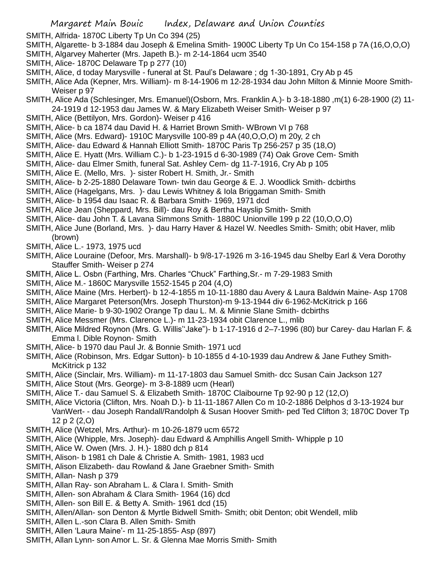- SMITH, Alfrida- 1870C Liberty Tp Un Co 394 (25)
- SMITH, Algarette- b 3-1884 dau Joseph & Emelina Smith- 1900C Liberty Tp Un Co 154-158 p 7A (16,O,O,O)
- SMITH, Algarvey Maherter (Mrs. Japeth B.)- m 2-14-1864 ucm 3540
- SMITH, Alice- 1870C Delaware Tp p 277 (10)
- SMITH, Alice, d today Marysville funeral at St. Paul's Delaware ; dg 1-30-1891, Cry Ab p 45
- SMITH, Alice Ada (Kepner, Mrs. William)- m 8-14-1906 m 12-28-1934 dau John Milton & Minnie Moore Smith-Weiser p 97
- SMITH, Alice Ada (Schlesinger, Mrs. Emanuel)(Osborn, Mrs. Franklin A.)- b 3-18-1880 ,m(1) 6-28-1900 (2) 11- 24-1919 d 12-1953 dau James W. & Mary Elizabeth Weiser Smith- Weiser p 97
- SMITH, Alice (Bettilyon, Mrs. Gordon)- Weiser p 416
- SMITH, Alice- b ca 1874 dau David H. & Harriet Brown Smith- WBrown VI p 768
- SMITH, Alice (Mrs. Edward)- 1910C Marysville 100-89 p 4A (40,O,O,O) m 20y, 2 ch
- SMITH, Alice- dau Edward & Hannah Elliott Smith- 1870C Paris Tp 256-257 p 35 (18,O)
- SMITH, Alice E. Hyatt (Mrs. William C.)- b 1-23-1915 d 6-30-1989 (74) Oak Grove Cem- Smith
- SMITH, Alice- dau Elmer Smith, funeral Sat. Ashley Cem- dg 11-7-1916, Cry Ab p 105
- SMITH, Alice E. (Mello, Mrs. )- sister Robert H. Smith, Jr.- Smith
- SMITH, Alice- b 2-25-1880 Delaware Town- twin dau George & E. J. Woodlick Smith- dcbirths
- SMITH, Alice (Hagelgans, Mrs. )- dau Lewis Whitney & Iola Briggaman Smith- Smith
- SMITH, Alice- b 1954 dau Isaac R. & Barbara Smith- 1969, 1971 dcd
- SMITH, Alice Jean (Sheppard, Mrs. Bill)- dau Roy & Bertha Hayslip Smith- Smith
- SMITH, Alice- dau John T. & Lavana Simmons Smith- 1880C Unionville 199 p 22 (10,O,O,O)
- SMITH, Alice June (Borland, Mrs. )- dau Harry Haver & Hazel W. Needles Smith- Smith; obit Haver, mlib (brown)
- SMITH, Alice L.- 1973, 1975 ucd
- SMITH, Alice Louraine (Defoor, Mrs. Marshall)- b 9/8-17-1926 m 3-16-1945 dau Shelby Earl & Vera Dorothy Stauffer Smith- Weiser p 274
- SMITH, Alice L. Osbn (Farthing, Mrs. Charles "Chuck" Farthing,Sr.- m 7-29-1983 Smith
- SMITH, Alice M.- 1860C Marysville 1552-1545 p 204 (4,O)
- SMITH, Alice Maine (Mrs. Herbert)- b 12-4-1855 m 10-11-1880 dau Avery & Laura Baldwin Maine- Asp 1708
- SMITH, Alice Margaret Peterson(Mrs. Joseph Thurston)-m 9-13-1944 div 6-1962-McKitrick p 166
- SMITH, Alice Marie- b 9-30-1902 Orange Tp dau L. M. & Minnie Slane Smith- dcbirths
- SMITH, Alice Messmer (Mrs. Clarence L.)- m 11-23-1934 obit Clarence L., mlib
- SMITH, Alice Mildred Roynon (Mrs. G. Willis''Jake")- b 1-17-1916 d 2–7-1996 (80) bur Carey- dau Harlan F. & Emma l. Dible Roynon- Smith
- SMITH, Alice- b 1970 dau Paul Jr. & Bonnie Smith- 1971 ucd
- SMITH, Alice (Robinson, Mrs. Edgar Sutton)- b 10-1855 d 4-10-1939 dau Andrew & Jane Futhey Smith-McKitrick p 132
- SMITH, Alice (Sinclair, Mrs. William)- m 11-17-1803 dau Samuel Smith- dcc Susan Cain Jackson 127
- SMITH, Alice Stout (Mrs. George)- m 3-8-1889 ucm (Hearl)
- SMITH, Alice T.- dau Samuel S. & Elizabeth Smith- 1870C Claibourne Tp 92-90 p 12 (12,O)
- SMITH, Alice Victoria (Clifton, Mrs. Noah D.)- b 11-11-1867 Allen Co m 10-2-1886 Delphos d 3-13-1924 bur VanWert- - dau Joseph Randall/Randolph & Susan Hoover Smith- ped Ted Clifton 3; 1870C Dover Tp 12 p 2 (2,O)
- SMITH, Alice (Wetzel, Mrs. Arthur)- m 10-26-1879 ucm 6572
- SMITH, Alice (Whipple, Mrs. Joseph)- dau Edward & Amphillis Angell Smith- Whipple p 10
- SMITH, Alice W. Owen (Mrs. J. H.)- 1880 dch p 814
- SMITH, Alison- b 1981 ch Dale & Christie A. Smith- 1981, 1983 ucd
- SMITH, Alison Elizabeth- dau Rowland & Jane Graebner Smith- Smith
- SMITH, Allan- Nash p 379
- SMITH, Allan Ray- son Abraham L. & Clara I. Smith- Smith
- SMITH, Allen- son Abraham & Clara Smith- 1964 (16) dcd
- SMITH, Allen- son Bill E. & Betty A. Smith- 1961 dcd (15)
- SMITH, Allen/Allan- son Denton & Myrtle Bidwell Smith- Smith; obit Denton; obit Wendell, mlib
- SMITH, Allen L.-son Clara B. Allen Smith- Smith
- SMITH, Allen 'Laura Maine'- m 11-25-1855- Asp (897)
- SMITH, Allan Lynn- son Amor L. Sr. & Glenna Mae Morris Smith- Smith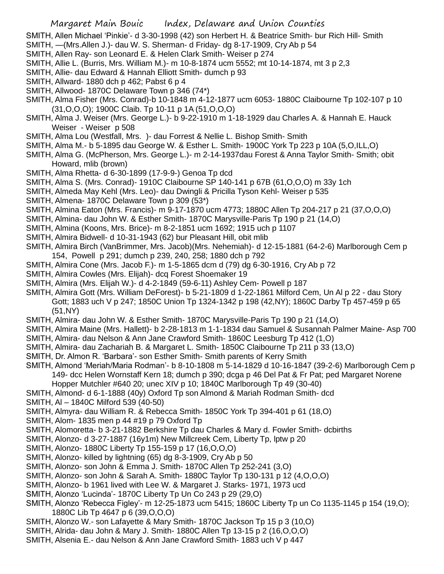SMITH, Allen Michael 'Pinkie'- d 3-30-1998 (42) son Herbert H. & Beatrice Smith- bur Rich Hill- Smith SMITH, —(Mrs.Allen J.)- dau W. S. Sherman- d Friday- dg 8-17-1909, Cry Ab p 54

- SMITH, Allen Ray- son Leonard E. & Helen Clark Smith- Weiser p 274
- SMITH, Allie L. (Burris, Mrs. William M.)- m 10-8-1874 ucm 5552; mt 10-14-1874, mt 3 p 2,3
- SMITH, Allie- dau Edward & Hannah Elliott Smith- dumch p 93
- SMITH, Allward- 1880 dch p 462; Pabst 6 p 4
- SMITH, Allwood- 1870C Delaware Town p 346 (74\*)
- SMITH, Alma Fisher (Mrs. Conrad)-b 10-1848 m 4-12-1877 ucm 6053- 1880C Claibourne Tp 102-107 p 10 (31,O,O,O); 1900C Claib. Tp 10-11 p 1A (51,O,O,O)
- SMITH, Alma J. Weiser (Mrs. George L.)- b 9-22-1910 m 1-18-1929 dau Charles A. & Hannah E. Hauck Weiser - Weiser p 508
- SMITH, Alma Lou (Westfall, Mrs. )- dau Forrest & Nellie L. Bishop Smith- Smith
- SMITH, Alma M.- b 5-1895 dau George W. & Esther L. Smith- 1900C York Tp 223 p 10A (5,O,ILL,O)
- SMITH, Alma G. (McPherson, Mrs. George L.)- m 2-14-1937dau Forest & Anna Taylor Smith- Smith; obit Howard, mlib (brown)
- SMITH, Alma Rhetta- d 6-30-1899 (17-9-9-) Genoa Tp dcd
- SMITH, Alma S. (Mrs. Conrad)- 1910C Claibourne SP 140-141 p 67B (61,O,O,O) m 33y 1ch
- SMITH, Almeda May Kehl (Mrs. Leo)- dau Dwingli & Pricilla Tyson Kehl- Weiser p 535
- SMITH, Almena- 1870C Delaware Town p 309 (53\*)
- SMITH, Almina Eaton (Mrs. Francis)- m 9-17-1870 ucm 4773; 1880C Allen Tp 204-217 p 21 (37,O,O,O)
- SMITH, Almina- dau John W. & Esther Smith- 1870C Marysville-Paris Tp 190 p 21 (14,O)
- SMITH, Almina (Koons, Mrs. Brice)- m 8-2-1851 ucm 1692; 1915 uch p 1107
- SMITH, Almira Bidwell- d 10-31-1943 (62) bur Pleasant Hill, obit mlib
- SMITH, Almira Birch (VanBrimmer, Mrs. Jacob)(Mrs. Nehemiah)- d 12-15-1881 (64-2-6) Marlborough Cem p 154, Powell p 291; dumch p 239, 240, 258; 1880 dch p 792
- SMITH, Almira Cone (Mrs. Jacob F.)- m 1-5-1865 dcm d (79) dg 6-30-1916, Cry Ab p 72
- SMITH, Almira Cowles (Mrs. Elijah)- dcq Forest Shoemaker 19
- SMITH, Almira (Mrs. Elijah W.)- d 4-2-1849 (59-6-11) Ashley Cem- Powell p 187
- SMITH, Almira Gott (Mrs. William DeForest)- b 5-21-1809 d 1-22-1861 Milford Cem, Un Al p 22 dau Story Gott; 1883 uch V p 247; 1850C Union Tp 1324-1342 p 198 (42,NY); 1860C Darby Tp 457-459 p 65 (51,NY)
- SMITH, Almira- dau John W. & Esther Smith- 1870C Marysville-Paris Tp 190 p 21 (14,O)
- SMITH, Almira Maine (Mrs. Hallett)- b 2-28-1813 m 1-1-1834 dau Samuel & Susannah Palmer Maine- Asp 700 SMITH, Almira- dau Nelson & Ann Jane Crawford Smith- 1860C Leesburg Tp 412 (1,O)
- SMITH, Almira- dau Zachariah B. & Margaret L. Smith- 1850C Claibourne Tp 211 p 33 (13,O)
- SMITH, Dr. Almon R. 'Barbara'- son Esther Smith- Smith parents of Kerry Smith
- SMITH, Almond 'Meriah/Maria Rodman'- b 8-10-1808 m 5-14-1829 d 10-16-1847 (39-2-6) Marlborough Cem p 149- dcc Helen Wornstaff Kern 18; dumch p 390; dcga p 46 Del Pat & Fr Pat; ped Margaret Norene
	- Hopper Mutchler #640 20; unec XIV p 10; 1840C Marlborough Tp 49 (30-40)
- SMITH, Almond- d 6-1-1888 (40y) Oxford Tp son Almond & Mariah Rodman Smith- dcd
- SMITH, Al 1840C Milford 539 (40-50)
- SMITH, Almyra- dau William R. & Rebecca Smith- 1850C York Tp 394-401 p 61 (18,O)
- SMITH, Alom- 1835 men p 44 #19 p 79 Oxford Tp
- SMITH, Alomoretta- b 3-21-1882 Berkshire Tp dau Charles & Mary d. Fowler Smith- dcbirths
- SMITH, Alonzo- d 3-27-1887 (16y1m) New Millcreek Cem, Liberty Tp, lptw p 20
- SMITH, Alonzo- 1880C Liberty Tp 155-159 p 17 (16,O,O,O)
- SMITH, Alonzo- killed by lightning (65) dg 8-3-1909, Cry Ab p 50
- SMITH, Alonzo- son John & Emma J. Smith- 1870C Allen Tp 252-241 (3,O)
- SMITH, Alonzo- son John & Sarah A. Smith- 1880C Taylor Tp 130-131 p 12 (4,O,O,O)
- SMITH, Alonzo- b 1961 lived with Lee W. & Margaret J. Starks- 1971, 1973 ucd
- SMITH, Alonzo 'Lucinda'- 1870C Liberty Tp Un Co 243 p 29 (29,O)
- SMITH, Alonzo 'Rebecca Figley'- m 12-25-1873 ucm 5415; 1860C Liberty Tp un Co 1135-1145 p 154 (19,O); 1880C Lib Tp 4647 p 6 (39,O,O,O)
- SMITH, Alonzo W.- son Lafayette & Mary Smith- 1870C Jackson Tp 15 p 3 (10,O)
- SMITH, Alrida- dau John & Mary J. Smith- 1880C Allen Tp 13-15 p 2 (16,O,O,O)
- SMITH, Alsenia E.- dau Nelson & Ann Jane Crawford Smith- 1883 uch V p 447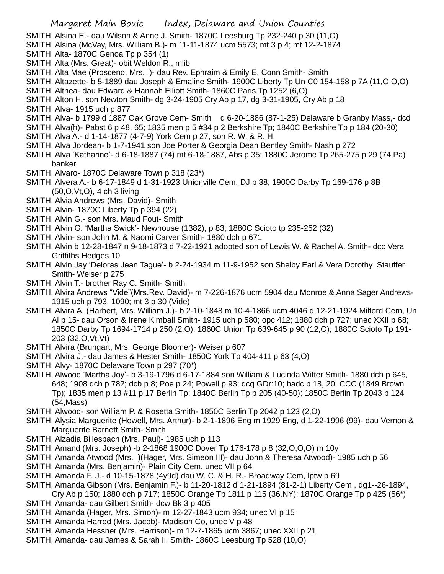SMITH, Alsina E.- dau Wilson & Anne J. Smith- 1870C Leesburg Tp 232-240 p 30 (11,O)

- SMITH, Alsina (McVay, Mrs. William B.)- m 11-11-1874 ucm 5573; mt 3 p 4; mt 12-2-1874
- SMITH, Alta- 1870C Genoa Tp p 354 (1)
- SMITH, Alta (Mrs. Great)- obit Weldon R., mlib
- SMITH, Alta Mae (Prosceno, Mrs. )- dau Rev. Ephraim & Emily E. Conn Smith- Smith
- SMITH, Altazette- b 5-1889 dau Joseph & Emaline Smith- 1900C Liberty Tp Un C0 154-158 p 7A (11,O,O,O)
- SMITH, Althea- dau Edward & Hannah Elliott Smith- 1860C Paris Tp 1252 (6,O)
- SMITH, Alton H. son Newton Smith- dg 3-24-1905 Cry Ab p 17, dg 3-31-1905, Cry Ab p 18
- SMITH, Alva- 1915 uch p 877
- SMITH, Alva- b 1799 d 1887 Oak Grove Cem- Smith d 6-20-1886 (87-1-25) Delaware b Granby Mass,- dcd
- SMITH, Alva(h)- Pabst 6 p 48, 65; 1835 men p 5 #34 p 2 Berkshire Tp; 1840C Berkshire Tp p 184 (20-30)
- SMITH, Alva A.- d 1-14-1877 (4-7-9) York Cem p 27, son R. W. & R. H.
- SMITH, Alva Jordean- b 1-7-1941 son Joe Porter & Georgia Dean Bentley Smith- Nash p 272
- SMITH, Alva 'Katharine'- d 6-18-1887 (74) mt 6-18-1887, Abs p 35; 1880C Jerome Tp 265-275 p 29 (74,Pa) banker
- SMITH, Alvaro- 1870C Delaware Town p 318 (23\*)
- SMITH, Alvera A.- b 6-17-1849 d 1-31-1923 Unionville Cem, DJ p 38; 1900C Darby Tp 169-176 p 8B (50,O,Vt,O), 4 ch 3 living
- SMITH, Alvia Andrews (Mrs. David)- Smith
- SMITH, Alvin- 1870C Liberty Tp p 394 (22)
- SMITH, Alvin G.- son Mrs. Maud Fout- Smith
- SMITH, Alvin G. 'Martha Swick'- Newhouse (1382), p 83; 1880C Scioto tp 235-252 (32)
- SMITH, Alvin- son John M. & Naomi Carver Smith- 1880 dch p 671
- SMITH, Alvin b 12-28-1847 n 9-18-1873 d 7-22-1921 adopted son of Lewis W. & Rachel A. Smith- dcc Vera Griffiths Hedges 10
- SMITH, Alvin Jay 'Deloras Jean Tague'- b 2-24-1934 m 11-9-1952 son Shelby Earl & Vera Dorothy Stauffer Smith- Weiser p 275
- SMITH, Alvin T.- brother Ray C. Smith- Smith
- SMITH, Alvira Andrews "Vide"(Mrs.Rev. David)- m 7-226-1876 ucm 5904 dau Monroe & Anna Sager Andrews-1915 uch p 793, 1090; mt 3 p 30 (Vide)
- SMITH, Alvira A. (Harbert, Mrs. William J.)- b 2-10-1848 m 10-4-1866 ucm 4046 d 12-21-1924 Milford Cem, Un Al p 15- dau Orson & Irene Kimball Smith- 1915 uch p 580; opc 412; 1880 dch p 727; unec XXII p 68; 1850C Darby Tp 1694-1714 p 250 (2,O); 1860C Union Tp 639-645 p 90 (12,O); 1880C Scioto Tp 191- 203 (32,O,Vt,Vt)
- SMITH, Alvira (Brungart, Mrs. George Bloomer)- Weiser p 607
- SMITH, Alvira J.- dau James & Hester Smith- 1850C York Tp 404-411 p 63 (4,O)
- SMITH, Alvy- 1870C Delaware Town p 297 (70\*)
- SMITH, Alwood 'Martha Joy'- b 3-19-1796 d 6-17-1884 son William & Lucinda Witter Smith- 1880 dch p 645, 648; 1908 dch p 782; dcb p 8; Poe p 24; Powell p 93; dcq GDr:10; hadc p 18, 20; CCC (1849 Brown Tp); 1835 men p 13 #11 p 17 Berlin Tp; 1840C Berlin Tp p 205 (40-50); 1850C Berlin Tp 2043 p 124 (54,Mass)
- SMITH, Alwood- son William P. & Rosetta Smith- 1850C Berlin Tp 2042 p 123 (2,O)
- SMITH, Alysia Marguerite (Howell, Mrs. Arthur)- b 2-1-1896 Eng m 1929 Eng, d 1-22-1996 (99)- dau Vernon & Marguerite Barnett Smith- Smith
- SMITH, Alzadia Billesbach (Mrs. Paul)- 1985 uch p 113
- SMITH, Amand (Mrs. Joseph) -b 2-1868 1900C Dover Tp 176-178 p 8 (32,O,O,O) m 10y
- SMITH, Amanda Atwood (Mrs. )(Hager, Mrs. Simeon III)- dau John & Theresa Atwood)- 1985 uch p 56
- SMITH, Amanda (Mrs. Benjamin)- Plain City Cem, unec VII p 64
- SMITH, Amanda F. J.- d 10-15-1878 (4y9d) dau W. C. & H. R.- Broadway Cem, lptw p 69
- SMITH, Amanda Gibson (Mrs. Benjamin F.)- b 11-20-1812 d 1-21-1894 (81-2-1) Liberty Cem , dg1--26-1894,
- Cry Ab p 150; 1880 dch p 717; 1850C Orange Tp 1811 p 115 (36,NY); 1870C Orange Tp p 425 (56\*) SMITH, Amanda- dau Gilbert Smith- dcw Bk 3 p 405
- SMITH, Amanda (Hager, Mrs. Simon)- m 12-27-1843 ucm 934; unec VI p 15
- SMITH, Amanda Harrod (Mrs. Jacob)- Madison Co, unec V p 48
- SMITH, Amanda Hessner (Mrs. Harrison)- m 12-7-1865 ucm 3867; unec XXII p 21
- SMITH, Amanda- dau James & Sarah Il. Smith- 1860C Leesburg Tp 528 (10,O)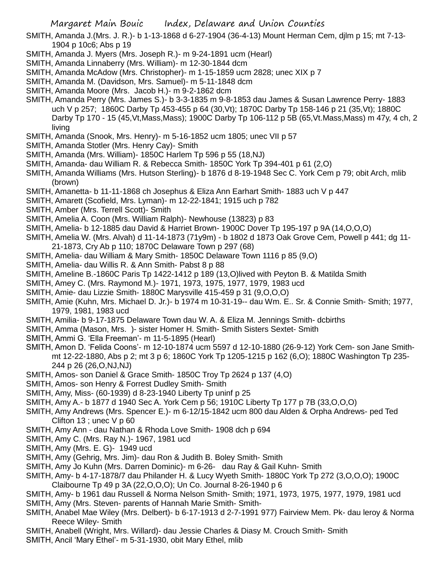SMITH, Amanda J.(Mrs. J. R.)- b 1-13-1868 d 6-27-1904 (36-4-13) Mount Herman Cem, djlm p 15; mt 7-13- 1904 p 10c6; Abs p 19

- SMITH, Amanda J. Myers (Mrs. Joseph R.)- m 9-24-1891 ucm (Hearl)
- SMITH, Amanda Linnaberry (Mrs. William)- m 12-30-1844 dcm
- SMITH, Amanda McAdow (Mrs. Christopher)- m 1-15-1859 ucm 2828; unec XIX p 7
- SMITH, Amanda M. (Davidson, Mrs. Samuel)- m 5-11-1848 dcm
- SMITH, Amanda Moore (Mrs. Jacob H.)- m 9-2-1862 dcm
- SMITH, Amanda Perry (Mrs. James S.)- b 3-3-1835 m 9-8-1853 dau James & Susan Lawrence Perry- 1883 uch V p 257; 1860C Darby Tp 453-455 p 64 (30,Vt); 1870C Darby Tp 158-146 p 21 (35,Vt); 1880C Darby Tp 170 - 15 (45,Vt,Mass,Mass); 1900C Darby Tp 106-112 p 5B (65,Vt.Mass,Mass) m 47y, 4 ch, 2 living
- SMITH, Amanda (Snook, Mrs. Henry)- m 5-16-1852 ucm 1805; unec VII p 57
- SMITH, Amanda Stotler (Mrs. Henry Cay)- Smith
- SMITH, Amanda (Mrs. William)- 1850C Harlem Tp 596 p 55 (18,NJ)
- SMITH, Amanda- dau William R. & Rebecca Smith- 1850C York Tp 394-401 p 61 (2,O)
- SMITH, Amanda Williams (Mrs. Hutson Sterling)- b 1876 d 8-19-1948 Sec C. York Cem p 79; obit Arch, mlib (brown)
- SMITH, Amanetta- b 11-11-1868 ch Josephus & Eliza Ann Earhart Smith- 1883 uch V p 447
- SMITH, Amarett (Scofield, Mrs. Lyman)- m 12-22-1841; 1915 uch p 782
- SMITH, Amber (Mrs. Terrell Scott)- Smith
- SMITH, Amelia A. Coon (Mrs. William Ralph)- Newhouse (13823) p 83
- SMITH, Amelia- b 12-1885 dau David & Harriet Brown- 1900C Dover Tp 195-197 p 9A (14,O,O,O)
- SMITH, Amelia W. (Mrs. Alvah) d 11-14-1873 (71y9m) b 1802 d 1873 Oak Grove Cem, Powell p 441; dg 11- 21-1873, Cry Ab p 110; 1870C Delaware Town p 297 (68)
- SMITH, Amelia- dau William & Mary Smith- 1850C Delaware Town 1116 p 85 (9,O)
- SMITH, Amelia- dau Willis R. & Ann Smith- Pabst 8 p 88
- SMITH, Ameline B.-1860C Paris Tp 1422-1412 p 189 (13,O)lived with Peyton B. & Matilda Smith
- SMITH, Amey C. (Mrs. Raymond M.)- 1971, 1973, 1975, 1977, 1979, 1983 ucd
- SMITH, Amie- dau Lizzie Smith- 1880C Marysville 415-459 p 31 (9,O,O,O)
- SMITH, Amie (Kuhn, Mrs. Michael D. Jr.)- b 1974 m 10-31-19-- dau Wm. E.. Sr. & Connie Smith- Smith; 1977, 1979, 1981, 1983 ucd
- SMITH, Amilia- b 9-17-1875 Delaware Town dau W. A. & Eliza M. Jennings Smith- dcbirths
- SMITH, Amma (Mason, Mrs. )- sister Homer H. Smith- Smith Sisters Sextet- Smith
- SMITH, Ammi G. 'Ella Freeman'- m 11-5-1895 (Hearl)
- SMITH, Amon D. 'Felida Coons'- m 12-10-1874 ucm 5597 d 12-10-1880 (26-9-12) York Cem- son Jane Smithmt 12-22-1880, Abs p 2; mt 3 p 6; 1860C York Tp 1205-1215 p 162 (6,O); 1880C Washington Tp 235- 244 p 26 (26,O,NJ,NJ)
- SMITH, Amos- son Daniel & Grace Smith- 1850C Troy Tp 2624 p 137 (4,O)
- SMITH, Amos- son Henry & Forrest Dudley Smith- Smith
- SMITH, Amy, Miss- (60-1939) d 8-23-1940 Liberty Tp uninf p 25
- SMITH, Amy A.- b 1877 d 1940 Sec A. York Cem p 56; 1910C Liberty Tp 177 p 7B (33,O,O,O)
- SMITH, Amy Andrews (Mrs. Spencer E.)- m 6-12/15-1842 ucm 800 dau Alden & Orpha Andrews- ped Ted Clifton 13 ; unec V p 60
- SMITH, Amy Ann dau Nathan & Rhoda Love Smith- 1908 dch p 694
- SMITH, Amy C. (Mrs. Ray N.)- 1967, 1981 ucd
- SMITH, Amy (Mrs. E. G)- 1949 ucd
- SMITH, Amy (Gehrig, Mrs. Jim)- dau Ron & Judith B. Boley Smith- Smith
- SMITH, Amy Jo Kuhn (Mrs. Darren Dominic)- m 6-26- dau Ray & Gail Kuhn- Smith
- SMITH, Amy- b 4-17-1878/7 dau Philander H. & Lucy Wyeth Smith- 1880C York Tp 272 (3,O,O,O); 1900C
- Claibourne Tp 49 p 3A (22,O,O,O); Un Co. Journal 8-26-1940 p 6
- SMITH, Amy- b 1961 dau Russell & Norma Nelson Smith- Smith; 1971, 1973, 1975, 1977, 1979, 1981 ucd SMITH, Amy (Mrs. Steven- parents of Hannah Marie Smith- Smith-
- SMITH, Anabel Mae Wiley (Mrs. Delbert)- b 6-17-1913 d 2-7-1991 977) Fairview Mem. Pk- dau leroy & Norma Reece Wiley- Smith
- SMITH, Anabell (Wright, Mrs. Willard)- dau Jessie Charles & Diasy M. Crouch Smith- Smith
- SMITH, Ancil 'Mary Ethel'- m 5-31-1930, obit Mary Ethel, mlib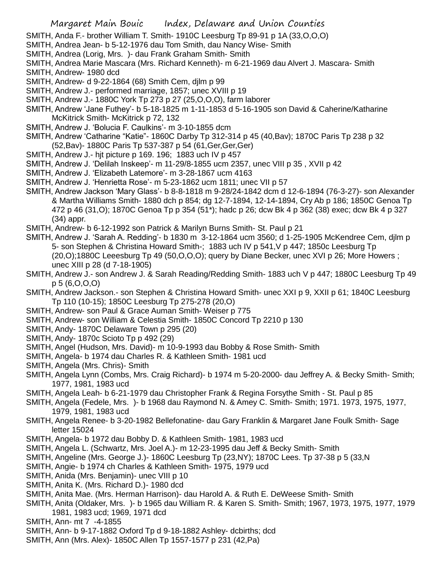SMITH, Anda F.- brother William T. Smith- 1910C Leesburg Tp 89-91 p 1A (33,O,O,O)

- SMITH, Andrea Jean- b 5-12-1976 dau Tom Smith, dau Nancy Wise- Smith
- SMITH, Andrea (Lorig, Mrs. )- dau Frank Graham Smith- Smith
- SMITH, Andrea Marie Mascara (Mrs. Richard Kenneth)- m 6-21-1969 dau Alvert J. Mascara- Smith SMITH, Andrew- 1980 dcd
- SMITH, Andrew- d 9-22-1864 (68) Smith Cem, djlm p 99
- SMITH, Andrew J.- performed marriage, 1857; unec XVIII p 19
- SMITH, Andrew J.- 1880C York Tp 273 p 27 (25,O,O,O), farm laborer
- SMITH, Andrew 'Jane Futhey'- b 5-18-1825 m 1-11-1853 d 5-16-1905 son David & Caherine/Katharine McKitrick Smith- McKitrick p 72, 132
- SMITH, Andrew J. 'Bolucia F. Caulkins'- m 3-10-1855 dcm
- SMITH, Andrew 'Catharine "Katie"- 1860C Darby Tp 312-314 p 45 (40,Bav); 1870C Paris Tp 238 p 32 (52,Bav)- 1880C Paris Tp 537-387 p 54 (61,Ger,Ger,Ger)
- SMITH, Andrew J.- hjt picture p 169. 196; 1883 uch IV p 457
- SMITH, Andrew J. 'Delilah Inskeep'- m 11-29/8-1855 ucm 2357, unec VIII p 35 , XVII p 42
- SMITH, Andrew J. 'Elizabeth Latemore'- m 3-28-1867 ucm 4163
- SMITH, Andrew J. 'Henrietta Rose'- m 5-23-1862 ucm 1811; unec VII p 57
- SMITH, Andrew Jackson 'Mary Glass'- b 8-8-1818 m 9-28/24-1842 dcm d 12-6-1894 (76-3-27)- son Alexander & Martha Williams Smith- 1880 dch p 854; dg 12-7-1894, 12-14-1894, Cry Ab p 186; 1850C Genoa Tp 472 p 46 (31,O); 1870C Genoa Tp p 354 (51\*); hadc p 26; dcw Bk 4 p 362 (38) exec; dcw Bk 4 p 327 (34) appr.
- SMITH, Andrew- b 6-12-1992 son Patrick & Marilyn Burns Smith- St. Paul p 21
- SMITH, Andrew J. 'Sarah A. Redding'- b 1830 m 3-12-1864 ucm 3560; d 1-25-1905 McKendree Cem, djlm p 5- son Stephen & Christina Howard Smith-; 1883 uch IV p 541,V p 447; 1850c Leesburg Tp (20,O);1880C Leeesburg Tp 49 (50,O,O,O); query by Diane Becker, unec XVI p 26; More Howers ; unec XIII p 28 (d 7-18-1905)
- SMITH, Andrew J.- son Andrew J. & Sarah Reading/Redding Smith- 1883 uch V p 447; 1880C Leesburg Tp 49 p 5 (6,O,O,O)
- SMITH, Andrew Jackson.- son Stephen & Christina Howard Smith- unec XXI p 9, XXII p 61; 1840C Leesburg Tp 110 (10-15); 1850C Leesburg Tp 275-278 (20,O)
- SMITH, Andrew- son Paul & Grace Auman Smith- Weiser p 775
- SMITH, Andrew- son William & Celestia Smith- 1850C Concord Tp 2210 p 130
- SMITH, Andy- 1870C Delaware Town p 295 (20)
- SMITH, Andy- 1870c Scioto Tp p 492 (29)
- SMITH, Angel (Hudson, Mrs. David)- m 10-9-1993 dau Bobby & Rose Smith- Smith
- SMITH, Angela- b 1974 dau Charles R. & Kathleen Smith- 1981 ucd
- SMITH, Angela (Mrs. Chris)- Smith
- SMITH, Angela Lynn (Combs, Mrs. Craig Richard)- b 1974 m 5-20-2000- dau Jeffrey A. & Becky Smith- Smith; 1977, 1981, 1983 ucd
- SMITH, Angela Leah- b 6-21-1979 dau Christopher Frank & Regina Forsythe Smith St. Paul p 85
- SMITH, Angela (Fedele, Mrs. )- b 1968 dau Raymond N. & Amey C. Smith- Smith; 1971. 1973, 1975, 1977, 1979, 1981, 1983 ucd
- SMITH, Angela Renee- b 3-20-1982 Bellefonatine- dau Gary Franklin & Margaret Jane Foulk Smith- Sage letter 15024
- SMITH, Angela- b 1972 dau Bobby D. & Kathleen Smith- 1981, 1983 ucd
- SMITH, Angela L. (Schwartz, Mrs. Joel A.)- m 12-23-1995 dau Jeff & Becky Smith- Smith
- SMITH, Angeline (Mrs. George J.)- 1860C Leesburg Tp (23,NY); 1870C Lees. Tp 37-38 p 5 (33,N
- SMITH, Angie- b 1974 ch Charles & Kathleen Smith- 1975, 1979 ucd
- SMITH, Anida (Mrs. Benjamin)- unec VIII p 10
- SMITH, Anita K. (Mrs. Richard D.)- 1980 dcd
- SMITH, Anita Mae. (Mrs. Herman Harrison)- dau Harold A. & Ruth E. DeWeese Smith- Smith
- SMITH, Anita (Oldaker, Mrs. )- b 1965 dau William R. & Karen S. Smith- Smith; 1967, 1973, 1975, 1977, 1979 1981, 1983 ucd; 1969, 1971 dcd
- SMITH, Ann- mt 7 -4-1855
- SMITH, Ann- b 9-17-1882 Oxford Tp d 9-18-1882 Ashley- dcbirths; dcd
- SMITH, Ann (Mrs. Alex)- 1850C Allen Tp 1557-1577 p 231 (42,Pa)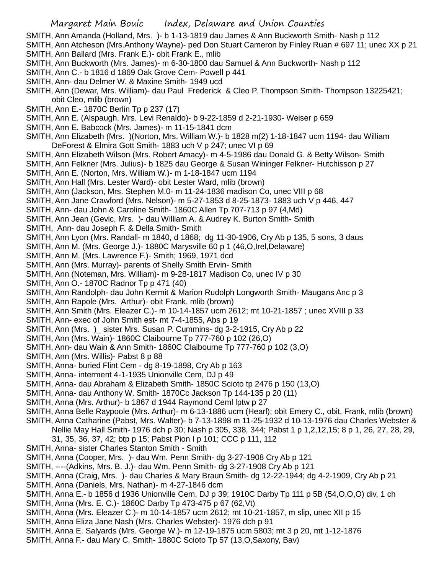SMITH, Ann Amanda (Holland, Mrs. )- b 1-13-1819 dau James & Ann Buckworth Smith- Nash p 112

SMITH, Ann Atcheson (Mrs.Anthony Wayne)- ped Don Stuart Cameron by Finley Ruan # 697 11; unec XX p 21 SMITH, Ann Ballard (Mrs. Frank E.)- obit Frank E., mlib

- SMITH, Ann Buckworth (Mrs. James)- m 6-30-1800 dau Samuel & Ann Buckworth- Nash p 112
- SMITH, Ann C.- b 1816 d 1869 Oak Grove Cem- Powell p 441
- SMITH, Ann- dau Delmer W. & Maxine Smith- 1949 ucd
- SMITH, Ann (Dewar, Mrs. William)- dau Paul Frederick & Cleo P. Thompson Smith- Thompson 13225421; obit Cleo, mlib (brown)
- SMITH, Ann E.- 1870C Berlin Tp p 237 (17)
- SMITH, Ann E. (Alspaugh, Mrs. Levi Renaldo)- b 9-22-1859 d 2-21-1930- Weiser p 659
- SMITH, Ann E. Babcock (Mrs. James)- m 11-15-1841 dcm
- SMITH, Ann Elizabeth (Mrs. )(Norton, Mrs. William W.)- b 1828 m(2) 1-18-1847 ucm 1194- dau William DeForest & Elmira Gott Smith- 1883 uch V p 247; unec VI p 69
- SMITH, Ann Elizabeth Wilson (Mrs. Robert Amacy)- m 4-5-1986 dau Donald G. & Betty Wilson- Smith
- SMITH, Ann Felkner (Mrs. Julius)- b 1825 dau George & Susan Wininger Felkner- Hutchisson p 27
- SMITH, Ann E. (Norton, Mrs. William W.)- m 1-18-1847 ucm 1194
- SMITH, Ann Hall (Mrs. Lester Ward)- obit Lester Ward, mlib (brown)
- SMITH, Ann (Jackson, Mrs. Stephen M.0- m 11-24-1836 madison Co, unec VIII p 68
- SMITH, Ann Jane Crawford (Mrs. Nelson)- m 5-27-1853 d 8-25-1873- 1883 uch V p 446, 447
- SMITH, Ann- dau John & Caroline Smith- 1860C Allen Tp 707-713 p 97 (4,Md)
- SMITH, Ann Jean (Gevic, Mrs. )- dau William A. & Audrey K. Burton Smith- Smith
- SMITH, Ann- dau Joseph F. & Della Smith- Smith
- SMITH, Ann Lyon (Mrs. Randall- m 1840, d 1868; dg 11-30-1906, Cry Ab p 135, 5 sons, 3 daus
- SMITH, Ann M. (Mrs. George J.)- 1880C Marysville 60 p 1 (46,O,Irel,Delaware)
- SMITH, Ann M. (Mrs. Lawrence F.)- Smith; 1969, 1971 dcd
- SMITH, Ann (Mrs. Murray)- parents of Shelly Smith Ervin- Smith
- SMITH, Ann (Noteman, Mrs. William)- m 9-28-1817 Madison Co, unec IV p 30
- SMITH, Ann O.- 1870C Radnor Tp p 471 (40)
- SMITH, Ann Randolph- dau John Kermit & Marion Rudolph Longworth Smith- Maugans Anc p 3
- SMITH, Ann Rapole (Mrs. Arthur)- obit Frank, mlib (brown)
- SMITH, Ann Smith (Mrs. Eleazer C.)- m 10-14-1857 ucm 2612; mt 10-21-1857 ; unec XVIII p 33
- SMITH, Ann- exec of John Smith est- mt 7-4-1855, Abs p 19
- SMITH, Ann (Mrs. )\_ sister Mrs. Susan P. Cummins- dg 3-2-1915, Cry Ab p 22
- SMITH, Ann (Mrs. Wain)- 1860C Claibourne Tp 777-760 p 102 (26,O)
- SMITH, Ann- dau Wain & Ann Smith- 1860C Claibourne Tp 777-760 p 102 (3,O)
- SMITH, Ann (Mrs. Willis)- Pabst 8 p 88
- SMITH, Anna- buried Flint Cem dg 8-19-1898, Cry Ab p 163
- SMITH, Anna- interment 4-1-1935 Unionville Cem, DJ p 49
- SMITH, Anna- dau Abraham & Elizabeth Smith- 1850C Scioto tp 2476 p 150 (13,O)
- SMITH, Anna- dau Anthony W. Smith- 1870Cc Jackson Tp 144-135 p 20 (11)
- SMITH, Anna (Mrs. Arthur)- b 1867 d 1944 Raymond Ceml lptw p 27
- SMITH, Anna Belle Raypoole (Mrs. Arthur)- m 6-13-1886 ucm (Hearl); obit Emery C., obit, Frank, mlib (brown)
- SMITH, Anna Catharine (Pabst, Mrs. Walter)- b 7-13-1898 m 11-25-1932 d 10-13-1976 dau Charles Webster & Nellie May Hall Smith- 1976 dch p 30; Nash p 305, 338, 344; Pabst 1 p 1,2,12,15; 8 p 1, 26, 27, 28, 29,
	- 31, 35, 36, 37, 42; btp p 15; Pabst Pion I p 101; CCC p 111, 112
- SMITH, Anna- sister Charles Stanton Smith Smith
- SMITH, Anna (Cooper, Mrs. )- dau Wm. Penn Smith- dg 3-27-1908 Cry Ab p 121
- SMITH, ----(Adkins, Mrs. B. J.)- dau Wm. Penn Smith- dg 3-27-1908 Cry Ab p 121
- SMITH, Anna (Craig, Mrs. )- dau Charles & Mary Braun Smith- dg 12-22-1944; dg 4-2-1909, Cry Ab p 21
- SMITH, Anna (Daniels, Mrs. Nathan)- m 4-27-1846 dcm
- SMITH, Anna E.- b 1856 d 1936 Unionville Cem, DJ p 39; 1910C Darby Tp 111 p 5B (54,O,O,O) div, 1 ch
- SMITH, Anna (Mrs. E. C.)- 1860C Darby Tp 473-475 p 67 (62,Vt)
- SMITH, Anna (Mrs. Eleazer C.)- m 10-14-1857 ucm 2612; mt 10-21-1857, m slip, unec XII p 15
- SMITH, Anna Eliza Jane Nash (Mrs. Charles Webster)- 1976 dch p 91
- SMITH, Anna E. Salyards (Mrs. George W.)- m 12-19-1875 ucm 5803; mt 3 p 20, mt 1-12-1876
- SMITH, Anna F.- dau Mary C. Smith- 1880C Scioto Tp 57 (13,O,Saxony, Bav)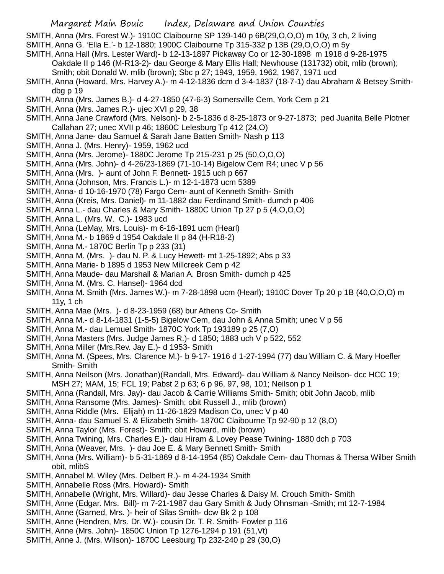SMITH, Anna (Mrs. Forest W.)- 1910C Claibourne SP 139-140 p 6B(29,O,O,O) m 10y, 3 ch, 2 living

- SMITH, Anna G. 'Ella E.'- b 12-1880; 1900C Claibourne Tp 315-332 p 13B (29,O,O,O) m 5y
- SMITH, Anna Hall (Mrs. Lester Ward)- b 12-13-1897 Pickaway Co or 12-30-1898 m 1918 d 9-28-1975 Oakdale II p 146 (M-R13-2)- dau George & Mary Ellis Hall; Newhouse (131732) obit, mlib (brown);
	- Smith; obit Donald W. mlib (brown); Sbc p 27; 1949, 1959, 1962, 1967, 1971 ucd
- SMITH, Anna (Howard, Mrs. Harvey A.)- m 4-12-1836 dcm d 3-4-1837 (18-7-1) dau Abraham & Betsey Smithdbg p 19
- SMITH, Anna (Mrs. James B.)- d 4-27-1850 (47-6-3) Somersville Cem, York Cem p 21
- SMITH, Anna (Mrs. James R.)- ujec XVI p 29, 38
- SMITH, Anna Jane Crawford (Mrs. Nelson)- b 2-5-1836 d 8-25-1873 or 9-27-1873; ped Juanita Belle Plotner Callahan 27; unec XVII p 46; 1860C Lelesburg Tp 412 (24,O)
- SMITH, Anna Jane- dau Samuel & Sarah Jane Batten Smith- Nash p 113
- SMITH, Anna J. (Mrs. Henry)- 1959, 1962 ucd
- SMITH, Anna (Mrs. Jerome)- 1880C Jerome Tp 215-231 p 25 (50,O,O,O)
- SMITH, Anna (Mrs. John)- d 4-26/23-1869 (71-10-14) Bigelow Cem R4; unec V p 56
- SMITH, Anna (Mrs. )- aunt of John F. Bennett- 1915 uch p 667
- SMITH, Anna (Johnson, Mrs. Francis L.)- m 12-1-1873 ucm 5389
- SMITH, Anna- d 10-16-1970 (78) Fargo Cem- aunt of Kenneth Smith- Smith
- SMITH, Anna (Kreis, Mrs. Daniel)- m 11-1882 dau Ferdinand Smith- dumch p 406
- SMITH, Anna L.- dau Charles & Mary Smith- 1880C Union Tp 27 p 5 (4,O,O,O)
- SMITH, Anna L. (Mrs. W. C.)- 1983 ucd
- SMITH, Anna (LeMay, Mrs. Louis)- m 6-16-1891 ucm (Hearl)
- SMITH, Anna M.- b 1869 d 1954 Oakdale II p 84 (H-R18-2)
- SMITH, Anna M.- 1870C Berlin Tp p 233 (31)
- SMITH, Anna M. (Mrs. )- dau N. P. & Lucy Hewett- mt 1-25-1892; Abs p 33
- SMITH, Anna Marie- b 1895 d 1953 New Millcreek Cem p 42
- SMITH, Anna Maude- dau Marshall & Marian A. Brosn Smith- dumch p 425
- SMITH, Anna M. (Mrs. C. Hansel)- 1964 dcd
- SMITH, Anna M. Smith (Mrs. James W.)- m 7-28-1898 ucm (Hearl); 1910C Dover Tp 20 p 1B (40,O,O,O) m 11y, 1 ch
- SMITH, Anna Mae (Mrs. )- d 8-23-1959 (68) bur Athens Co- Smith
- SMITH, Anna M.- d 8-14-1831 (1-5-5) Bigelow Cem, dau John & Anna Smith; unec V p 56
- SMITH, Anna M.- dau Lemuel Smith- 1870C York Tp 193189 p 25 (7,O)
- SMITH, Anna Masters (Mrs. Judge James R.)- d 1850; 1883 uch V p 522, 552
- SMITH, Anna Miller (Mrs.Rev. Jay E.)- d 1953- Smith
- SMITH, Anna M. (Spees, Mrs. Clarence M.)- b 9-17- 1916 d 1-27-1994 (77) dau William C. & Mary Hoefler Smith- Smith
- SMITH, Anna Neilson (Mrs. Jonathan)(Randall, Mrs. Edward)- dau William & Nancy Neilson- dcc HCC 19; MSH 27; MAM, 15; FCL 19; Pabst 2 p 63; 6 p 96, 97, 98, 101; Neilson p 1
- SMITH, Anna (Randall, Mrs. Jay)- dau Jacob & Carrie Williams Smith- Smith; obit John Jacob, mlib
- SMITH, Anna Ransome (Mrs. James)- Smith; obit Russell J., mlib (brown)
- SMITH, Anna Riddle (Mrs. Elijah) m 11-26-1829 Madison Co, unec V p 40
- SMITH, Anna- dau Samuel S. & Elizabeth Smith- 1870C Claibourne Tp 92-90 p 12 (8,O)
- SMITH, Anna Taylor (Mrs. Forest)- Smith; obit Howard, mlib (brown)
- SMITH, Anna Twining, Mrs. Charles E.)- dau Hiram & Lovey Pease Twining- 1880 dch p 703
- SMITH, Anna (Weaver, Mrs. )- dau Joe E. & Mary Bennett Smith- Smith
- SMITH, Anna (Mrs. William)- b 5-31-1869 d 8-14-1954 (85) Oakdale Cem- dau Thomas & Thersa Wilber Smith obit, mlibS
- SMITH, Annabel M. Wiley (Mrs. Delbert R.)- m 4-24-1934 Smith
- SMITH, Annabelle Ross (Mrs. Howard)- Smith
- SMITH, Annabelle (Wright, Mrs. Willard)- dau Jesse Charles & Daisy M. Crouch Smith- Smith
- SMITH, Anne (Edgar. Mrs. Bill)- m 7-21-1987 dau Gary Smith & Judy Ohnsman -Smith; mt 12-7-1984
- SMITH, Anne (Garned, Mrs. )- heir of Silas Smith- dcw Bk 2 p 108
- SMITH, Anne (Hendren, Mrs. Dr. W.)- cousin Dr. T. R. Smith- Fowler p 116
- SMITH, Anne (Mrs. John)- 1850C Union Tp 1276-1294 p 191 (51,Vt)
- SMITH, Anne J. (Mrs. Wilson)- 1870C Leesburg Tp 232-240 p 29 (30,O)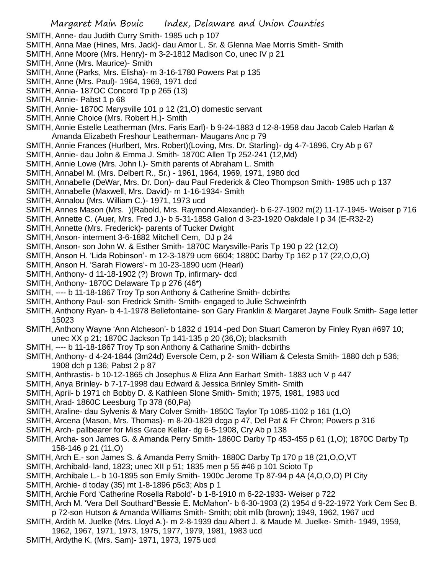SMITH, Anne- dau Judith Curry Smith- 1985 uch p 107

- SMITH, Anna Mae (Hines, Mrs. Jack)- dau Amor L. Sr. & Glenna Mae Morris Smith- Smith
- SMITH, Anne Moore (Mrs. Henry)- m 3-2-1812 Madison Co, unec IV p 21
- SMITH, Anne (Mrs. Maurice)- Smith
- SMITH, Anne (Parks, Mrs. Elisha)- m 3-16-1780 Powers Pat p 135
- SMITH, Anne (Mrs. Paul)- 1964, 1969, 1971 dcd
- SMITH, Annia- 187OC Concord Tp p 265 (13)
- SMITH, Annie- Pabst 1 p 68
- SMITH, Annie- 1870C Marysville 101 p 12 (21,O) domestic servant
- SMITH, Annie Choice (Mrs. Robert H.)- Smith
- SMITH, Annie Estelle Leatherman (Mrs. Faris Earl)- b 9-24-1883 d 12-8-1958 dau Jacob Caleb Harlan & Amanda Elizabeth Freshour Leatherman- Maugans Anc p 79
- SMITH, Annie Frances (Hurlbert, Mrs. Robert)(Loving, Mrs. Dr. Starling)- dg 4-7-1896, Cry Ab p 67
- SMITH, Annie- dau John & Emma J. Smith- 1870C Allen Tp 252-241 (12,Md)
- SMITH, Annie Lowe (Mrs. John l.)- Smith parents of Abraham L. Smith
- SMITH, Annabel M. (Mrs. Delbert R., Sr.) 1961, 1964, 1969, 1971, 1980 dcd
- SMITH, Annabelle (DeWar, Mrs. Dr. Don)- dau Paul Frederick & Cleo Thompson Smith- 1985 uch p 137
- SMITH, Annabelle (Maxwell, Mrs. David)- m 1-16-1934- Smith
- SMITH, Annalou (Mrs. William C.)- 1971, 1973 ucd
- SMITH, Annes Mason (Mrs. )(Rabold, Mrs. Raymond Alexander)- b 6-27-1902 m(2) 11-17-1945- Weiser p 716
- SMITH, Annette C. (Auer, Mrs. Fred J.)- b 5-31-1858 Galion d 3-23-1920 Oakdale I p 34 (E-R32-2)
- SMITH, Annette (Mrs. Frederick)- parents of Tucker Dwight
- SMITH, Anson- interment 3-6-1882 Mitchell Cem, DJ p 24
- SMITH, Anson- son John W. & Esther Smith- 1870C Marysville-Paris Tp 190 p 22 (12,O)
- SMITH, Anson H. 'Lida Robinson'- m 12-3-1879 ucm 6604; 1880C Darby Tp 162 p 17 (22,O,O,O)
- SMITH, Anson H. 'Sarah Flowers'- m 10-23-1890 ucm (Hearl)
- SMITH, Anthony- d 11-18-1902 (?) Brown Tp, infirmary- dcd
- SMITH, Anthony- 1870C Delaware Tp p 276 (46\*)
- SMITH, ---- b 11-18-1867 Troy Tp son Anthony & Catherine Smith- dcbirths
- SMITH, Anthony Paul- son Fredrick Smith- Smith- engaged to Julie Schweinfrth
- SMITH, Anthony Ryan- b 4-1-1978 Bellefontaine- son Gary Franklin & Margaret Jayne Foulk Smith- Sage letter 15023
- SMITH, Anthony Wayne 'Ann Atcheson'- b 1832 d 1914 -ped Don Stuart Cameron by Finley Ryan #697 10; unec XX p 21; 1870C Jackson Tp 141-135 p 20 (36,O); blacksmith
- SMITH, ---- b 11-18-1867 Troy Tp son Anthony & Catharine Smith- dcbirths
- SMITH, Anthony- d 4-24-1844 (3m24d) Eversole Cem, p 2- son William & Celesta Smith- 1880 dch p 536; 1908 dch p 136; Pabst 2 p 87
- SMITH, Anthrastis- b 10-12-1865 ch Josephus & Eliza Ann Earhart Smith- 1883 uch V p 447
- SMITH, Anya Brinley- b 7-17-1998 dau Edward & Jessica Brinley Smith- Smith
- SMITH, April- b 1971 ch Bobby D. & Kathleen Slone Smith- Smith; 1975, 1981, 1983 ucd
- SMITH, Arad- 1860C Leesburg Tp 378 (60,Pa)
- SMITH, Araline- dau Sylvenis & Mary Colver Smith- 1850C Taylor Tp 1085-1102 p 161 (1,O)
- SMITH, Arcena (Mason, Mrs. Thomas)- m 8-20-1829 dcga p 47, Del Pat & Fr Chron; Powers p 316
- SMITH, Arch- pallbearer for Miss Grace Kellar- dg 6-5-1908, Cry Ab p 138
- SMITH, Archa- son James G. & Amanda Perry Smith- 1860C Darby Tp 453-455 p 61 (1,O); 1870C Darby Tp 158-146 p 21 (11,O)
- SMITH, Arch E.- son James S. & Amanda Perry Smith- 1880C Darby Tp 170 p 18 (21,O,O,VT
- SMITH, Archibald- land, 1823; unec XII p 51; 1835 men p 55 #46 p 101 Scioto Tp
- SMITH, Archibale L.- b 10-1895 son Emily Smith- 1900c Jerome Tp 87-94 p 4A (4,O,O,O) Pl City
- SMITH, Archie- d today (35) mt 1-8-1896 p5c3; Abs p 1
- SMITH, Archie Ford 'Catherine Rosella Rabold'- b 1-8-1910 m 6-22-1933- Weiser p 722
- SMITH, Arch M. 'Vera Dell Southard''Bessie E. McMahon'- b 6-30-1903 (2) 1954 d 9-22-1972 York Cem Sec B. p 72-son Hutson & Amanda Williams Smith- Smith; obit mlib (brown); 1949, 1962, 1967 ucd
- SMITH, Ardith M. Juelke (Mrs. Lloyd A.)- m 2-8-1939 dau Albert J. & Maude M. Juelke- Smith- 1949, 1959,
- 1962, 1967, 1971, 1973, 1975, 1977, 1979, 1981, 1983 ucd
- SMITH, Ardythe K. (Mrs. Sam)- 1971, 1973, 1975 ucd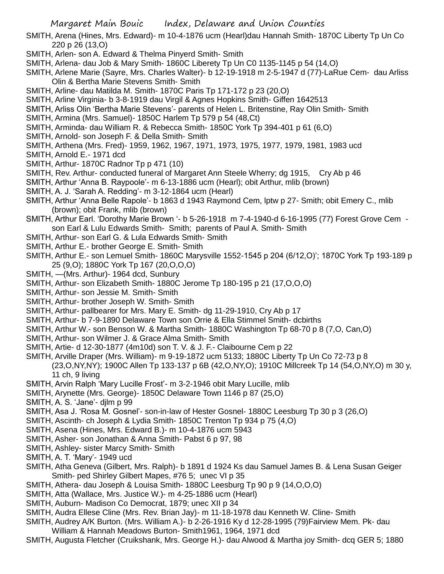- SMITH, Arena (Hines, Mrs. Edward)- m 10-4-1876 ucm (Hearl)dau Hannah Smith- 1870C Liberty Tp Un Co 220 p 26 (13,O)
- SMITH, Arlen- son A. Edward & Thelma Pinyerd Smith- Smith
- SMITH, Arlena- dau Job & Mary Smith- 1860C Liberety Tp Un C0 1135-1145 p 54 (14,O)
- SMITH, Arlene Marie (Sayre, Mrs. Charles Walter)- b 12-19-1918 m 2-5-1947 d (77)-LaRue Cem- dau Arliss Olin & Bertha Marie Stevens Smith- Smith
- SMITH, Arline- dau Matilda M. Smith- 1870C Paris Tp 171-172 p 23 (20,O)
- SMITH, Arline Virginia- b 3-8-1919 dau Virgil & Agnes Hopkins Smith- Giffen 1642513
- SMITH, Arliss Olin 'Bertha Marie Stevens'- parents of Helen L. Britenstine, Ray Olin Smith- Smith
- SMITH, Armina (Mrs. Samuel)- 1850C Harlem Tp 579 p 54 (48,Ct)
- SMITH, Arminda- dau William R. & Rebecca Smith- 1850C York Tp 394-401 p 61 (6,O)
- SMITH, Arnold- son Joseph F. & Della Smith- Smith
- SMITH, Arthena (Mrs. Fred)- 1959, 1962, 1967, 1971, 1973, 1975, 1977, 1979, 1981, 1983 ucd
- SMITH, Arnold E.- 1971 dcd
- SMITH, Arthur- 1870C Radnor Tp p 471 (10)
- SMITH, Rev. Arthur- conducted funeral of Margaret Ann Steele Wherry; dg 1915, Cry Ab p 46
- SMITH, Arthur 'Anna B. Raypoole'- m 6-13-1886 ucm (Hearl); obit Arthur, mlib (brown)
- SMITH, A. J. 'Sarah A. Redding'- m 3-12-1864 ucm (Hearl)
- SMITH, Arthur 'Anna Belle Rapole'- b 1863 d 1943 Raymond Cem, lptw p 27- Smith; obit Emery C., mlib (brown); obit Frank, mlib (brown)
- SMITH, Arthur Earl. 'Dorothy Marie Brown '- b 5-26-1918 m 7-4-1940-d 6-16-1995 (77) Forest Grove Cem son Earl & Lulu Edwards Smith- Smith; parents of Paul A. Smith- Smith
- SMITH, Arthur- son Earl G. & Lula Edwards Smith- Smith
- SMITH, Arthur E.- brother George E. Smith- Smith
- SMITH, Arthur E.- son Lemuel Smith- 1860C Marysville 1552-1545 p 204 (6/12,O)'; 1870C York Tp 193-189 p 25 (9,O); 1880C York Tp 167 (20,O,O,O)
- SMITH, —(Mrs. Arthur)- 1964 dcd, Sunbury
- SMITH, Arthur- son Elizabeth Smith- 1880C Jerome Tp 180-195 p 21 (17,O,O,O)
- SMITH, Arthur- son Jessie M. Smith- Smith
- SMITH, Arthur- brother Joseph W. Smith- Smith
- SMITH, Arthur- pallbearer for Mrs. Mary E. Smith- dg 11-29-1910, Cry Ab p 17
- SMITH, Arthur- b 7-9-1890 Delaware Town son Orrie & Ella Stimmel Smith- dcbirths
- SMITH, Arthur W.- son Benson W. & Martha Smith- 1880C Washington Tp 68-70 p 8 (7,O, Can,O)
- SMITH, Arthur- son Wilmer J. & Grace Alma Smith- Smith
- SMITH, Artie- d 12-30-1877 (4m10d) son T. V. & J. F.- Claibourne Cem p 22
- SMITH, Arville Draper (Mrs. William)- m 9-19-1872 ucm 5133; 1880C Liberty Tp Un Co 72-73 p 8 (23,O,NY,NY); 1900C Allen Tp 133-137 p 6B (42,O,NY,O); 1910C Millcreek Tp 14 (54,O,NY,O) m 30 y, 11 ch, 9 living
- SMITH, Arvin Ralph 'Mary Lucille Frost'- m 3-2-1946 obit Mary Lucille, mlib
- SMITH, Arynette (Mrs. George)- 1850C Delaware Town 1146 p 87 (25,O)
- SMITH, A. S. 'Jane'- djlm p 99
- SMITH, Asa J. 'Rosa M. Gosnel'- son-in-law of Hester Gosnel- 1880C Leesburg Tp 30 p 3 (26,O)
- SMITH, Ascinth- ch Joseph & Lydia Smith- 1850C Trenton Tp 934 p 75 (4,O)
- SMITH, Asena (Hines, Mrs. Edward B.)- m 10-4-1876 ucm 5943
- SMITH, Asher- son Jonathan & Anna Smith- Pabst 6 p 97, 98
- SMITH, Ashley- sister Marcy Smith- Smith
- SMITH, A. T. 'Mary'- 1949 ucd
- SMITH, Atha Geneva (Gilbert, Mrs. Ralph)- b 1891 d 1924 Ks dau Samuel James B. & Lena Susan Geiger Smith- ped Shirley Gilbert Mapes, #76 5; unec VI p 35
- SMITH, Athera- dau Joseph & Louisa Smith- 1880C Leesburg Tp 90 p 9 (14,O,O,O)
- SMITH, Atta (Wallace, Mrs. Justice W.)- m 4-25-1886 ucm (Hearl)
- SMITH, Auburn- Madison Co Democrat, 1879; unec XII p 34
- SMITH, Audra Ellese Cline (Mrs. Rev. Brian Jay)- m 11-18-1978 dau Kenneth W. Cline- Smith
- SMITH, Audrey A/K Burton. (Mrs. William A.)- b 2-26-1916 Ky d 12-28-1995 (79)Fairview Mem. Pk- dau William & Hannah Meadows Burton- Smith1961, 1964, 1971 dcd
- SMITH, Augusta Fletcher (Cruikshank, Mrs. George H.)- dau Alwood & Martha joy Smith- dcq GER 5; 1880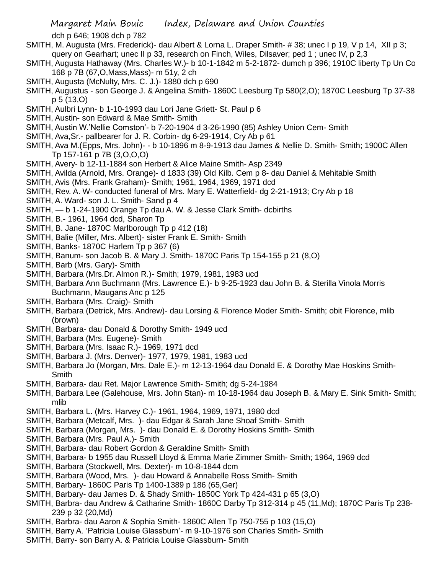dch p 646; 1908 dch p 782

- SMITH, M. Augusta (Mrs. Frederick)- dau Albert & Lorna L. Draper Smith- # 38; unec I p 19, V p 14, XII p 3; query on Gearhart; unec II p 33, research on Finch, Wiles, Dilsaver; ped 1 ; unec IV, p 2,3
- SMITH, Augusta Hathaway (Mrs. Charles W.)- b 10-1-1842 m 5-2-1872- dumch p 396; 1910C liberty Tp Un Co 168 p 7B (67,O,Mass,Mass)- m 51y, 2 ch
- SMITH, Augusta (McNulty, Mrs. C. J.)- 1880 dch p 690
- SMITH, Augustus son George J. & Angelina Smith- 1860C Leesburg Tp 580(2,O); 1870C Leesburg Tp 37-38 p 5 (13,O)
- SMITH, Aulbri Lynn- b 1-10-1993 dau Lori Jane Griett- St. Paul p 6
- SMITH, Austin- son Edward & Mae Smith- Smith
- SMITH, Austin W.'Nellie Comston'- b 7-20-1904 d 3-26-1990 (85) Ashley Union Cem- Smith
- SMITH, Ava,Sr.- pallbearer for J. R. Corbin- dg 6-29-1914, Cry Ab p 61
- SMITH, Ava M.(Epps, Mrs. John)- b 10-1896 m 8-9-1913 dau James & Nellie D. Smith- Smith; 1900C Allen Tp 157-161 p 7B (3,O,O,O)
- SMITH, Avery- b 12-11-1884 son Herbert & Alice Maine Smith- Asp 2349
- SMITH, Avilda (Arnold, Mrs. Orange)- d 1833 (39) Old Kilb. Cem p 8- dau Daniel & Mehitable Smith
- SMITH, Avis (Mrs. Frank Graham)- Smith; 1961, 1964, 1969, 1971 dcd
- SMITH, Rev. A. W- conducted funeral of Mrs. Mary E. Watterfield- dg 2-21-1913; Cry Ab p 18
- SMITH, A. Ward- son J. L. Smith- Sand p 4
- SMITH, b 1-24-1900 Orange Tp dau A. W. & Jesse Clark Smith- dcbirths
- SMITH, B.- 1961, 1964 dcd, Sharon Tp
- SMITH, B. Jane- 1870C Marlborough Tp p 412 (18)
- SMITH, Balie (Miller, Mrs. Albert)- sister Frank E. Smith- Smith
- SMITH, Banks- 1870C Harlem Tp p 367 (6)
- SMITH, Banum- son Jacob B. & Mary J. Smith- 1870C Paris Tp 154-155 p 21 (8,O)
- SMITH, Barb (Mrs. Gary)- Smith
- SMITH, Barbara (Mrs.Dr. Almon R.)- Smith; 1979, 1981, 1983 ucd
- SMITH, Barbara Ann Buchmann (Mrs. Lawrence E.)- b 9-25-1923 dau John B. & Sterilla Vinola Morris Buchmann, Maugans Anc p 125
- SMITH, Barbara (Mrs. Craig)- Smith
- SMITH, Barbara (Detrick, Mrs. Andrew)- dau Lorsing & Florence Moder Smith- Smith; obit Florence, mlib (brown)
- SMITH, Barbara- dau Donald & Dorothy Smith- 1949 ucd
- SMITH, Barbara (Mrs. Eugene)- Smith
- SMITH, Barbara (Mrs. Isaac R.)- 1969, 1971 dcd
- SMITH, Barbara J. (Mrs. Denver)- 1977, 1979, 1981, 1983 ucd
- SMITH, Barbara Jo (Morgan, Mrs. Dale E.)- m 12-13-1964 dau Donald E. & Dorothy Mae Hoskins Smith-**Smith**
- SMITH, Barbara- dau Ret. Major Lawrence Smith- Smith; dg 5-24-1984
- SMITH, Barbara Lee (Galehouse, Mrs. John Stan)- m 10-18-1964 dau Joseph B. & Mary E. Sink Smith- Smith; mlib
- SMITH, Barbara L. (Mrs. Harvey C.)- 1961, 1964, 1969, 1971, 1980 dcd
- SMITH, Barbara (Metcalf, Mrs. )- dau Edgar & Sarah Jane Shoaf Smith- Smith
- SMITH, Barbara (Morgan, Mrs. )- dau Donald E. & Dorothy Hoskins Smith- Smith
- SMITH, Barbara (Mrs. Paul A.)- Smith
- SMITH, Barbara- dau Robert Gordon & Geraldine Smith- Smith
- SMITH, Barbara- b 1955 dau Russell Lloyd & Emma Marie Zimmer Smith- Smith; 1964, 1969 dcd
- SMITH, Barbara (Stockwell, Mrs. Dexter)- m 10-8-1844 dcm
- SMITH, Barbara (Wood, Mrs. )- dau Howard & Annabelle Ross Smith- Smith
- SMITH, Barbary- 1860C Paris Tp 1400-1389 p 186 (65,Ger)
- SMITH, Barbary- dau James D. & Shady Smith- 1850C York Tp 424-431 p 65 (3,O)
- SMITH, Barbra- dau Andrew & Catharine Smith- 1860C Darby Tp 312-314 p 45 (11,Md); 1870C Paris Tp 238- 239 p 32 (20,Md)
- SMITH, Barbra- dau Aaron & Sophia Smith- 1860C Allen Tp 750-755 p 103 (15,O)
- SMITH, Barry A. 'Patricia Louise Glassburn'- m 9-10-1976 son Charles Smith- Smith
- SMITH, Barry- son Barry A. & Patricia Louise Glassburn- Smith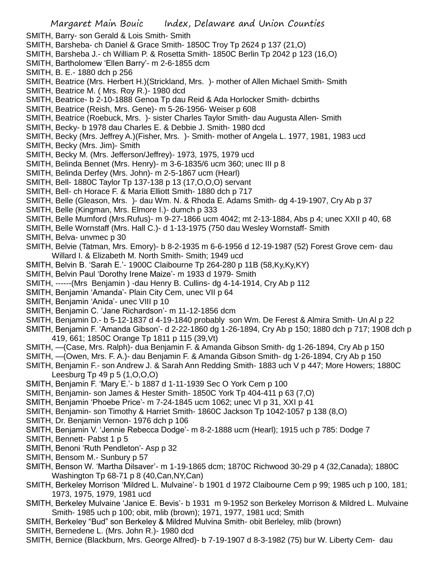- SMITH, Barry- son Gerald & Lois Smith- Smith
- SMITH, Barsheba- ch Daniel & Grace Smith- 1850C Troy Tp 2624 p 137 (21,O)
- SMITH, Barsheba J.- ch William P. & Rosetta Smith- 1850C Berlin Tp 2042 p 123 (16,O)
- SMITH, Bartholomew 'Ellen Barry'- m 2-6-1855 dcm
- SMITH, B. E.- 1880 dch p 256
- SMITH, Beatrice (Mrs. Herbert H.)(Strickland, Mrs. )- mother of Allen Michael Smith- Smith
- SMITH, Beatrice M. ( Mrs. Roy R.)- 1980 dcd
- SMITH, Beatrice- b 2-10-1888 Genoa Tp dau Reid & Ada Horlocker Smith- dcbirths
- SMITH, Beatrice (Reish, Mrs. Gene)- m 5-26-1956- Weiser p 608
- SMITH, Beatrice (Roebuck, Mrs. )- sister Charles Taylor Smith- dau Augusta Allen- Smith
- SMITH, Becky- b 1978 dau Charles E. & Debbie J. Smith- 1980 dcd
- SMITH, Becky (Mrs. Jeffrey A.)(Fisher, Mrs. )- Smith- mother of Angela L. 1977, 1981, 1983 ucd
- SMITH, Becky (Mrs. Jim)- Smith
- SMITH, Becky M. (Mrs. Jefferson/Jeffrey)- 1973, 1975, 1979 ucd
- SMITH, Belinda Bennet (Mrs. Henry)- m 3-6-1835/6 ucm 360; unec III p 8
- SMITH, Belinda Derfey (Mrs. John)- m 2-5-1867 ucm (Hearl)
- SMITH, Bell- 1880C Taylor Tp 137-138 p 13 (17,O,O,O) servant
- SMITH, Bell- ch Horace F. & Maria Elliott Smith- 1880 dch p 717
- SMITH, Belle (Gleason, Mrs. )- dau Wm. N. & Rhoda E. Adams Smith- dg 4-19-1907, Cry Ab p 37
- SMITH, Belle (Kingman, Mrs. Elmore I.)- dumch p 333
- SMITH, Belle Mumford (Mrs.Rufus)- m 9-27-1866 ucm 4042; mt 2-13-1884, Abs p 4; unec XXII p 40, 68
- SMITH, Belle Wornstaff (Mrs. Hall C.)- d 1-13-1975 (750 dau Wesley Wornstaff- Smith
- SMITH, Belva- unvmec p 30
- SMITH, Belvie (Tatman, Mrs. Emory)- b 8-2-1935 m 6-6-1956 d 12-19-1987 (52) Forest Grove cem- dau Willard I. & Elizabeth M. North Smith- Smith; 1949 ucd
- SMITH, Belvin B. 'Sarah E.'- 1900C Claibourne Tp 264-280 p 11B (58,Ky,Ky,KY)
- SMITH, Belvin Paul 'Dorothy Irene Maize'- m 1933 d 1979- Smith
- SMITH, ------(Mrs Benjamin ) -dau Henry B. Cullins- dg 4-14-1914, Cry Ab p 112
- SMITH, Benjamin 'Amanda'- Plain City Cem, unec VII p 64
- SMITH, Benjamin 'Anida'- unec VIII p 10
- SMITH, Benjamin C. 'Jane Richardson'- m 11-12-1856 dcm
- SMITH, Benjamin D.- b 5-12-1837 d 4-19-1840 probably son Wm. De Ferest & Almira Smith- Un Al p 22
- SMITH, Benjamin F. 'Amanda Gibson'- d 2-22-1860 dg 1-26-1894, Cry Ab p 150; 1880 dch p 717; 1908 dch p 419, 661; 1850C Orange Tp 1811 p 115 (39,Vt)
- SMITH, —(Case, Mrs. Ralph)- dua Benjamin F. & Amanda Gibson Smith- dg 1-26-1894, Cry Ab p 150
- SMITH, —(Owen, Mrs. F. A.)- dau Benjamin F. & Amanda Gibson Smith- dg 1-26-1894, Cry Ab p 150
- SMITH, Benjamin F.- son Andrew J. & Sarah Ann Redding Smith- 1883 uch V p 447; More Howers; 1880C Leesburg Tp 49 p 5 (1,O,O,O)
- SMITH, Benjamin F. 'Mary E.'- b 1887 d 1-11-1939 Sec O York Cem p 100
- SMITH, Benjamin- son James & Hester Smith- 1850C York Tp 404-411 p 63 (7,O)
- SMITH, Benjamin 'Phoebe Price'- m 7-24-1845 ucm 1062; unec VI p 31, XXI p 41
- SMITH, Benjamin- son Timothy & Harriet Smith- 1860C Jackson Tp 1042-1057 p 138 (8,O)
- SMITH, Dr. Benjamin Vernon- 1976 dch p 106
- SMITH, Benjamin V. 'Jennie Rebecca Dodge'- m 8-2-1888 ucm (Hearl); 1915 uch p 785: Dodge 7
- SMITH, Bennett- Pabst 1 p 5
- SMITH, Benoni 'Ruth Pendleton'- Asp p 32
- SMITH, Bensom M.- Sunbury p 57
- SMITH, Benson W. 'Martha Dilsaver'- m 1-19-1865 dcm; 1870C Richwood 30-29 p 4 (32,Canada); 1880C Washington Tp 68-71 p 8 (40,Can,NY,Can)
- SMITH, Berkeley Morrison 'Mildred L. Mulvaine'- b 1901 d 1972 Claibourne Cem p 99; 1985 uch p 100, 181; 1973, 1975, 1979, 1981 ucd
- SMITH, Berkeley Mulvaine 'Janice E. Bevis'- b 1931 m 9-1952 son Berkeley Morrison & Mildred L. Mulvaine Smith- 1985 uch p 100; obit, mlib (brown); 1971, 1977, 1981 ucd; Smith
- SMITH, Berkeley "Bud" son Berkeley & Mildred Mulvina Smith- obit Berleley, mlib (brown)
- SMITH, Bernedene L. (Mrs. John R.)- 1980 dcd
- SMITH, Bernice (Blackburn, Mrs. George Alfred)- b 7-19-1907 d 8-3-1982 (75) bur W. Liberty Cem- dau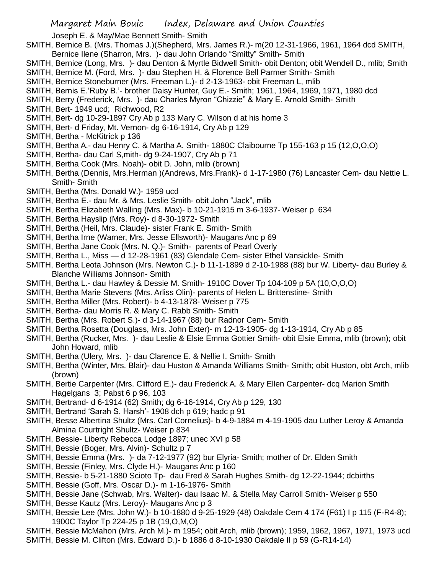Joseph E. & May/Mae Bennett Smith- Smith

- SMITH, Bernice B. (Mrs. Thomas J.)(Shepherd, Mrs. James R.)- m(20 12-31-1966, 1961, 1964 dcd SMITH,
- Bernice Ilene (Sharron, Mrs. )- dau John Orlando "Smitty" Smith- Smith
- SMITH, Bernice (Long, Mrs. )- dau Denton & Myrtle Bidwell Smith- obit Denton; obit Wendell D., mlib; Smith
- SMITH, Bernice M. (Ford, Mrs. )- dau Stephen H. & Florence Bell Parmer Smith- Smith
- SMITH, Bernice Stoneburner (Mrs. Freeman L.)- d 2-13-1963- obit Freeman L, mlib
- SMITH, Bernis E.'Ruby B.'- brother Daisy Hunter, Guy E.- Smith; 1961, 1964, 1969, 1971, 1980 dcd
- SMITH, Berry (Frederick, Mrs. )- dau Charles Myron "Chizzie" & Mary E. Arnold Smith- Smith
- SMITH, Bert- 1949 ucd; Richwood, R2
- SMITH, Bert- dg 10-29-1897 Cry Ab p 133 Mary C. Wilson d at his home 3
- SMITH, Bert- d Friday, Mt. Vernon- dg 6-16-1914, Cry Ab p 129
- SMITH, Bertha McKitrick p 136
- SMITH, Bertha A.- dau Henry C. & Martha A. Smith- 1880C Claibourne Tp 155-163 p 15 (12,O,O,O)
- SMITH, Bertha- dau Carl S,mith- dg 9-24-1907, Cry Ab p 71
- SMITH, Bertha Cook (Mrs. Noah)- obit D. John, mlib (brown)
- SMITH, Bertha (Dennis, Mrs.Herman )(Andrews, Mrs.Frank)- d 1-17-1980 (76) Lancaster Cem- dau Nettie L. Smith- Smith
- SMITH, Bertha (Mrs. Donald W.)- 1959 ucd
- SMITH, Bertha E.- dau Mr. & Mrs. Leslie Smith- obit John "Jack", mlib
- SMITH, Bertha Elizabeth Walling (Mrs. Max)- b 10-21-1915 m 3-6-1937- Weiser p 634
- SMITH, Bertha Hayslip (Mrs. Roy)- d 8-30-1972- Smith
- SMITH, Bertha (Heil, Mrs. Claude)- sister Frank E. Smith- Smith
- SMITH, Bertha Irne (Warner, Mrs. Jesse Ellsworth)- Maugans Anc p 69
- SMITH, Bertha Jane Cook (Mrs. N. Q.)- Smith- parents of Pearl Overly
- SMITH, Bertha L., Miss d 12-28-1961 (83) Glendale Cem- sister Ethel Vansickle- Smith
- SMITH, Bertha Leota Johnson (Mrs. Newton C.)- b 11-1-1899 d 2-10-1988 (88) bur W. Liberty- dau Burley & Blanche Williams Johnson- Smith
- SMITH, Bertha L.- dau Hawley & Dessie M. Smith- 1910C Dover Tp 104-109 p 5A (10,O,O,O)
- SMITH, Bertha Marie Stevens (Mrs. Arliss Olin)- parents of Helen L. Brittenstine- Smith
- SMITH, Bertha Miller (Mrs. Robert)- b 4-13-1878- Weiser p 775
- SMITH, Bertha- dau Morris R. & Mary C. Rabb Smith- Smith
- SMITH, Bertha (Mrs. Robert S.)- d 3-14-1967 (88) bur Radnor Cem- Smith
- SMITH, Bertha Rosetta (Douglass, Mrs. John Exter)- m 12-13-1905- dg 1-13-1914, Cry Ab p 85
- SMITH, Bertha (Rucker, Mrs. )- dau Leslie & Elsie Emma Gottier Smith- obit Elsie Emma, mlib (brown); obit John Howard, mlib
- SMITH, Bertha (Ulery, Mrs. )- dau Clarence E. & Nellie I. Smith- Smith
- SMITH, Bertha (Winter, Mrs. Blair)- dau Huston & Amanda Williams Smith- Smith; obit Huston, obt Arch, mlib (brown)
- SMITH, Bertie Carpenter (Mrs. Clifford E.)- dau Frederick A. & Mary Ellen Carpenter- dcq Marion Smith Hagelgans 3; Pabst 6 p 96, 103
- SMITH, Bertrand- d 6-1914 (62) Smith; dg 6-16-1914, Cry Ab p 129, 130
- SMITH, Bertrand 'Sarah S. Harsh'- 1908 dch p 619; hadc p 91
- SMITH, Besse Albertina Shultz (Mrs. Carl Cornelius)- b 4-9-1884 m 4-19-1905 dau Luther Leroy & Amanda Almina Courtright Shultz- Weiser p 834
- SMITH, Bessie- Liberty Rebecca Lodge 1897; unec XVI p 58
- SMITH, Bessie (Boger, Mrs. Alvin)- Schultz p 7
- SMITH, Bessie Emma (Mrs. )- da 7-12-1977 (92) bur Elyria- Smith; mother of Dr. Elden Smith
- SMITH, Bessie (Finley, Mrs. Clyde H.)- Maugans Anc p 160
- SMITH, Bessie- b 5-21-1880 Scioto Tp- dau Fred & Sarah Hughes Smith- dg 12-22-1944; dcbirths
- SMITH, Bessie (Goff, Mrs. Oscar D.)- m 1-16-1976- Smith
- SMITH, Bessie Jane (Schwab, Mrs. Walter)- dau Isaac M. & Stella May Carroll Smith- Weiser p 550
- SMITH, Besse Kautz (Mrs. Leroy)- Maugans Anc p 3
- SMITH, Bessie Lee (Mrs. John W.)- b 10-1880 d 9-25-1929 (48) Oakdale Cem 4 174 (F61) I p 115 (F-R4-8); 1900C Taylor Tp 224-25 p 1B (19,O,M,O)
- SMITH, Bessie McMahon (Mrs. Arch M.)- m 1954; obit Arch, mlib (brown); 1959, 1962, 1967, 1971, 1973 ucd
- SMITH, Bessie M. Clifton (Mrs. Edward D.)- b 1886 d 8-10-1930 Oakdale II p 59 (G-R14-14)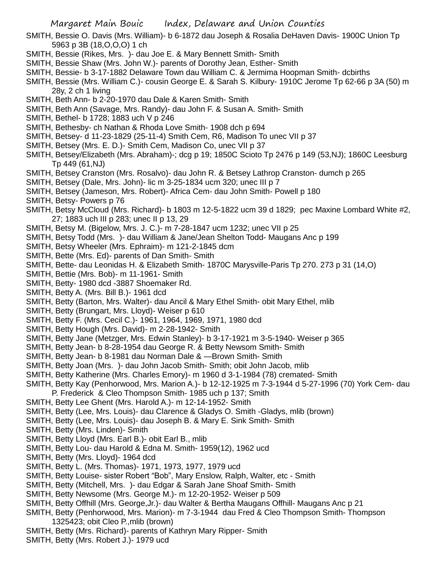- SMITH, Bessie O. Davis (Mrs. William)- b 6-1872 dau Joseph & Rosalia DeHaven Davis- 1900C Union Tp 5963 p 3B (18,O,O,O) 1 ch
- SMITH, Bessie (Rikes, Mrs. )- dau Joe E. & Mary Bennett Smith- Smith
- SMITH, Bessie Shaw (Mrs. John W.)- parents of Dorothy Jean, Esther- Smith
- SMITH, Bessie- b 3-17-1882 Delaware Town dau William C. & Jermima Hoopman Smith- dcbirths
- SMITH, Bessie (Mrs. William C.)- cousin George E. & Sarah S. Kilbury- 1910C Jerome Tp 62-66 p 3A (50) m 28y, 2 ch 1 living
- SMITH, Beth Ann- b 2-20-1970 dau Dale & Karen Smith- Smith
- SMITH, Beth Ann (Savage, Mrs. Randy)- dau John F. & Susan A. Smith- Smith
- SMITH, Bethel- b 1728; 1883 uch V p 246
- SMITH, Bethesby- ch Nathan & Rhoda Love Smith- 1908 dch p 694
- SMITH, Betsey- d 11-23-1829 (25-11-4) Smith Cem, R6, Madison To unec VII p 37
- SMITH, Betsey (Mrs. E. D.)- Smith Cem, Madison Co, unec VII p 37
- SMITH, Betsey/Elizabeth (Mrs. Abraham)-; dcg p 19; 1850C Scioto Tp 2476 p 149 (53,NJ); 1860C Leesburg Tp 449 (61,NJ)
- SMITH, Betsey Cranston (Mrs. Rosalvo)- dau John R. & Betsey Lathrop Cranston- dumch p 265
- SMITH, Betsey (Dale, Mrs. John)- lic m 3-25-1834 ucm 320; unec III p 7
- SMITH, Betsey (Jameson, Mrs. Robert)- Africa Cem- dau John Smith- Powell p 180
- SMITH, Betsy- Powers p 76
- SMITH, Betsy McCloud (Mrs. Richard)- b 1803 m 12-5-1822 ucm 39 d 1829; pec Maxine Lombard White #2, 27; 1883 uch III p 283; unec II p 13, 29
- SMITH, Betsy M. (Bigelow, Mrs. J. C.)- m 7-28-1847 ucm 1232; unec VII p 25
- SMITH, Betsy Todd (Mrs. )- dau William & Jane/Jean Shelton Todd- Maugans Anc p 199
- SMITH, Betsy Wheeler (Mrs. Ephraim)- m 121-2-1845 dcm
- SMITH, Bette (Mrs. Ed)- parents of Dan Smith- Smith
- SMITH, Bette- dau Leonidas H. & Elizabeth Smith- 1870C Marysville-Paris Tp 270. 273 p 31 (14,O)
- SMITH, Bettie (Mrs. Bob)- m 11-1961- Smith
- SMITH, Betty- 1980 dcd -3887 Shoemaker Rd.
- SMITH, Betty A. (Mrs. Bill B.)- 1961 dcd
- SMITH, Betty (Barton, Mrs. Walter)- dau Ancil & Mary Ethel Smith- obit Mary Ethel, mlib
- SMITH, Betty (Brungart, Mrs. Lloyd)- Weiser p 610
- SMITH, Betty F. (Mrs. Cecil C.)- 1961, 1964, 1969, 1971, 1980 dcd
- SMITH, Betty Hough (Mrs. David)- m 2-28-1942- Smith
- SMITH, Betty Jane (Metzger, Mrs. Edwin Stanley)- b 3-17-1921 m 3-5-1940- Weiser p 365
- SMITH, Betty Jean- b 8-28-1954 dau George R. & Betty Newsom Smith- Smith
- SMITH, Betty Jean- b 8-1981 dau Norman Dale & —Brown Smith- Smith
- SMITH, Betty Joan (Mrs. )- dau John Jacob Smith- Smith; obit John Jacob, mlib
- SMITH, Betty Katherine (Mrs. Charles Emory)- m 1960 d 3-1-1984 (78) cremated- Smith
- SMITH, Betty Kay (Penhorwood, Mrs. Marion A.)- b 12-12-1925 m 7-3-1944 d 5-27-1996 (70) York Cem- dau P. Frederick & Cleo Thompson Smith- 1985 uch p 137; Smith
- SMITH, Betty Lee Ghent (Mrs. Harold A.)- m 12-14-1952- Smith
- SMITH, Betty (Lee, Mrs. Louis)- dau Clarence & Gladys O. Smith -Gladys, mlib (brown)
- SMITH, Betty (Lee, Mrs. Louis)- dau Joseph B. & Mary E. Sink Smith- Smith
- SMITH, Betty (Mrs. Linden)- Smith
- SMITH, Betty Lloyd (Mrs. Earl B.)- obit Earl B., mlib
- SMITH, Betty Lou- dau Harold & Edna M. Smith- 1959(12), 1962 ucd
- SMITH, Betty (Mrs. Lloyd)- 1964 dcd
- SMITH, Betty L. (Mrs. Thomas)- 1971, 1973, 1977, 1979 ucd
- SMITH, Betty Louise- sister Robert "Bob", Mary Enslow, Ralph, Walter, etc Smith
- SMITH, Betty (Mitchell, Mrs. )- dau Edgar & Sarah Jane Shoaf Smith- Smith
- SMITH, Betty Newsome (Mrs. George M.)- m 12-20-1952- Weiser p 509
- SMITH, Betty Offhill (Mrs. George,Jr.)- dau Walter & Bertha Maugans Offhill- Maugans Anc p 21
- SMITH, Betty (Penhorwood, Mrs. Marion)- m 7-3-1944 dau Fred & Cleo Thompson Smith- Thompson 1325423; obit Cleo P.,mlib (brown)
- SMITH, Betty (Mrs. Richard)- parents of Kathryn Mary Ripper- Smith
- SMITH, Betty (Mrs. Robert J.)- 1979 ucd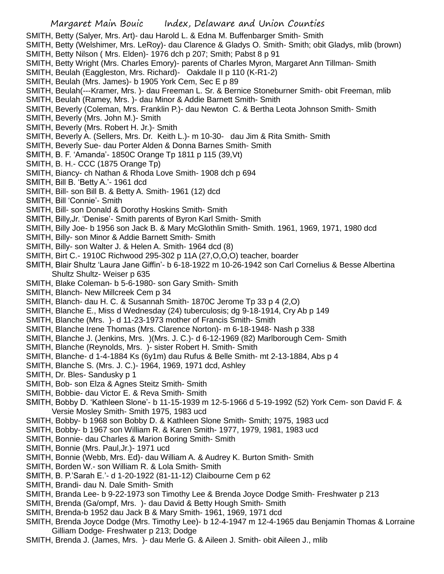- SMITH, Betty (Salyer, Mrs. Art)- dau Harold L. & Edna M. Buffenbarger Smith- Smith
- SMITH, Betty (Welshimer, Mrs. LeRoy)- dau Clarence & Gladys O. Smith- Smith; obit Gladys, mlib (brown)
- SMITH, Betty Nilson ( Mrs. Elden)- 1976 dch p 207; Smith; Pabst 8 p 91
- SMITH, Betty Wright (Mrs. Charles Emory)- parents of Charles Myron, Margaret Ann Tillman- Smith
- SMITH, Beulah (Eaggleston, Mrs. Richard)- Oakdale II p 110 (K-R1-2)
- SMITH, Beulah (Mrs. James)- b 1905 York Cem, Sec E p 89
- SMITH, Beulah(---Kramer, Mrs. )- dau Freeman L. Sr. & Bernice Stoneburner Smith- obit Freeman, mlib
- SMITH, Beulah (Ramey, Mrs. )- dau Minor & Addie Barnett Smith- Smith
- SMITH, Beverly (Coleman, Mrs. Franklin P.)- dau Newton C. & Bertha Leota Johnson Smith- Smith
- SMITH, Beverly (Mrs. John M.)- Smith
- SMITH, Beverly (Mrs. Robert H. Jr.)- Smith
- SMITH, Beverly A. (Sellers, Mrs. Dr. Keith L.)- m 10-30- dau Jim & Rita Smith- Smith
- SMITH, Beverly Sue- dau Porter Alden & Donna Barnes Smith- Smith
- SMITH, B. F. 'Amanda'- 1850C Orange Tp 1811 p 115 (39,Vt)
- SMITH, B. H.- CCC (1875 Orange Tp)
- SMITH, Biancy- ch Nathan & Rhoda Love Smith- 1908 dch p 694
- SMITH, Bill B. 'Betty A.'- 1961 dcd
- SMITH, Bill- son Bill B. & Betty A. Smith- 1961 (12) dcd
- SMITH, Bill 'Connie'- Smith
- SMITH, Bill- son Donald & Dorothy Hoskins Smith- Smith
- SMITH, Billy,Jr. 'Denise'- Smith parents of Byron Karl Smith- Smith
- SMITH, Billy Joe- b 1956 son Jack B. & Mary McGlothlin Smith- Smith. 1961, 1969, 1971, 1980 dcd
- SMITH, Billy- son Minor & Addie Barnett Smith- Smith
- SMITH, Billy- son Walter J. & Helen A. Smith- 1964 dcd (8)
- SMITH, Birt C.- 1910C Richwood 295-302 p 11A (27,O,O,O) teacher, boarder
- SMITH, Blair Shultz 'Laura Jane Giffin'- b 6-18-1922 m 10-26-1942 son Carl Cornelius & Besse Albertina Shultz Shultz- Weiser p 635
- SMITH, Blake Coleman- b 5-6-1980- son Gary Smith- Smith
- SMITH, Blanch- New Millcreek Cem p 34
- SMITH, Blanch- dau H. C. & Susannah Smith- 1870C Jerome Tp 33 p 4 (2,O)
- SMITH, Blanche E., Miss d Wednesday (24) tuberculosis; dg 9-18-1914, Cry Ab p 149
- SMITH, Blanche (Mrs. )- d 11-23-1973 mother of Francis Smith- Smith
- SMITH, Blanche Irene Thomas (Mrs. Clarence Norton)- m 6-18-1948- Nash p 338
- SMITH, Blanche J. (Jenkins, Mrs. )(Mrs. J. C.)- d 6-12-1969 (82) Marlborough Cem- Smith
- SMITH, Blanche (Reynolds, Mrs. )- sister Robert H. Smith- Smith
- SMITH, Blanche- d 1-4-1884 Ks (6y1m) dau Rufus & Belle Smith- mt 2-13-1884, Abs p 4
- SMITH, Blanche S. (Mrs. J. C.)- 1964, 1969, 1971 dcd, Ashley
- SMITH, Dr. Bles- Sandusky p 1
- SMITH, Bob- son Elza & Agnes Steitz Smith- Smith
- SMITH, Bobbie- dau Victor E. & Reva Smith- Smith
- SMITH, Bobby D. 'Kathleen Slone'- b 11-15-1939 m 12-5-1966 d 5-19-1992 (52) York Cem- son David F. & Versie Mosley Smith- Smith 1975, 1983 ucd
- SMITH, Bobby- b 1968 son Bobby D. & Kathleen Slone Smith- Smith; 1975, 1983 ucd
- SMITH, Bobby- b 1967 son William R. & Karen Smith- 1977, 1979, 1981, 1983 ucd
- SMITH, Bonnie- dau Charles & Marion Boring Smith- Smith
- SMITH, Bonnie (Mrs. Paul,Jr.)- 1971 ucd
- SMITH, Bonnie (Webb, Mrs. Ed)- dau William A. & Audrey K. Burton Smith- Smith
- SMITH, Borden W.- son William R. & Lola Smith- Smith
- SMITH, B. P.'Sarah E.'- d 1-20-1922 (81-11-12) Claibourne Cem p 62
- SMITH, Brandi- dau N. Dale Smith- Smith
- SMITH, Branda Lee- b 9-22-1973 son Timothy Lee & Brenda Joyce Dodge Smith- Freshwater p 213
- SMITH, Brenda (Ga/ompf, Mrs. )- dau David & Betty Hough Smith- Smith
- SMITH, Brenda-b 1952 dau Jack B & Mary Smith- 1961, 1969, 1971 dcd
- SMITH, Brenda Joyce Dodge (Mrs. Timothy Lee)- b 12-4-1947 m 12-4-1965 dau Benjamin Thomas & Lorraine Gilliam Dodge- Freshwater p 213; Dodge
- SMITH, Brenda J. (James, Mrs. )- dau Merle G. & Aileen J. Smith- obit Aileen J., mlib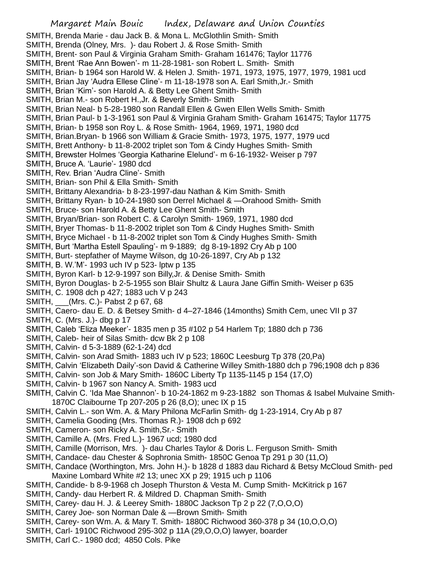Margaret Main Bouic Index, Delaware and Union Counties SMITH, Brenda Marie - dau Jack B. & Mona L. McGlothlin Smith- Smith SMITH, Brenda (Olney, Mrs. )- dau Robert J. & Rose Smith- Smith SMITH, Brent- son Paul & Virginia Graham Smith- Graham 161476; Taylor 11776 SMITH, Brent 'Rae Ann Bowen'- m 11-28-1981- son Robert L. Smith- Smith SMITH, Brian- b 1964 son Harold W. & Helen J. Smith- 1971, 1973, 1975, 1977, 1979, 1981 ucd SMITH, Brian Jay 'Audra Ellese Cline'- m 11-18-1978 son A. Earl Smith,Jr.- Smith SMITH, Brian 'Kim'- son Harold A. & Betty Lee Ghent Smith- Smith SMITH, Brian M.- son Robert H.,Jr. & Beverly Smith- Smith SMITH, Brian Neal- b 5-28-1980 son Randall Ellen & Gwen Ellen Wells Smith- Smith SMITH, Brian Paul- b 1-3-1961 son Paul & Virginia Graham Smith- Graham 161475; Taylor 11775 SMITH, Brian- b 1958 son Roy L. & Rose Smith- 1964, 1969, 1971, 1980 dcd SMITH, Brian.Bryan- b 1966 son William & Gracie Smith- 1973, 1975, 1977, 1979 ucd SMITH, Brett Anthony- b 11-8-2002 triplet son Tom & Cindy Hughes Smith- Smith SMITH, Brewster Holmes 'Georgia Katharine Elelund'- m 6-16-1932- Weiser p 797 SMITH, Bruce A. 'Laurie'- 1980 dcd SMITH, Rev. Brian 'Audra Cline'- Smith SMITH, Brian- son Phil & Ella Smith- Smith SMITH, Brittany Alexandria- b 8-23-1997-dau Nathan & Kim Smith- Smith SMITH, Brittany Ryan- b 10-24-1980 son Derrel Michael & —Orahood Smith- Smith SMITH, Bruce- son Harold A. & Betty Lee Ghent Smith- Smith SMITH, Bryan/Brian- son Robert C. & Carolyn Smith- 1969, 1971, 1980 dcd SMITH, Bryer Thomas- b 11-8-2002 triplet son Tom & Cindy Hughes Smith- Smith SMITH, Bryce Michael - b 11-8-2002 triplet son Tom & Cindy Hughes Smith- Smith SMITH, Burt 'Martha Estell Spauling'- m 9-1889; dg 8-19-1892 Cry Ab p 100 SMITH, Burt- stepfather of Mayme Wilson, dg 10-26-1897, Cry Ab p 132 SMITH, B. W.'M'- 1993 uch IV p 523- lptw p 135 SMITH, Byron Karl- b 12-9-1997 son Billy,Jr. & Denise Smith- Smith SMITH, Byron Douglas- b 2-5-1955 son Blair Shultz & Laura Jane Giffin Smith- Weiser p 635 SMITH, C. 1908 dch p 427; 1883 uch V p 243 SMITH, \_\_\_(Mrs. C.)- Pabst 2 p 67, 68 SMITH, Caero- dau E. D. & Betsey Smith- d 4–27-1846 (14months) Smith Cem, unec VII p 37 SMITH, C. (Mrs. J.)- dbg p 17 SMITH, Caleb 'Eliza Meeker'- 1835 men p 35 #102 p 54 Harlem Tp; 1880 dch p 736 SMITH, Caleb- heir of Silas Smith- dcw Bk 2 p 108 SMITH, Calvin- d 5-3-1889 (62-1-24) dcd SMITH, Calvin- son Arad Smith- 1883 uch IV p 523; 1860C Leesburg Tp 378 (20,Pa) SMITH, Calvin 'Elizabeth Daily'-son David & Catherine Willey Smith-1880 dch p 796;1908 dch p 836 SMITH, Calvin- son Job & Mary Smith- 1860C Liberty Tp 1135-1145 p 154 (17,O) SMITH, Calvin- b 1967 son Nancy A. Smith- 1983 ucd SMITH, Calvin C. 'Ida Mae Shannon'- b 10-24-1862 m 9-23-1882 son Thomas & Isabel Mulvaine Smith-1870C Claibourne Tp 207-205 p 26 (8,O); unec IX p 15 SMITH, Calvin L.- son Wm. A. & Mary Philona McFarlin Smith- dg 1-23-1914, Cry Ab p 87 SMITH, Camelia Gooding (Mrs. Thomas R.)- 1908 dch p 692 SMITH, Cameron- son Ricky A. Smith,Sr.- Smith SMITH, Camille A. (Mrs. Fred L.)- 1967 ucd; 1980 dcd SMITH, Camille (Morrison, Mrs. )- dau Charles Taylor & Doris L. Ferguson Smith- Smith SMITH, Candace- dau Chester & Sophronia Smith- 1850C Genoa Tp 291 p 30 (11,O) SMITH, Candace (Worthington, Mrs. John H.)- b 1828 d 1883 dau Richard & Betsy McCloud Smith- ped Maxine Lombard White #2 13; unec XX p 29; 1915 uch p 1106 SMITH, Candide- b 8-9-1968 ch Joseph Thurston & Vesta M. Cump Smith- McKitrick p 167 SMITH, Candy- dau Herbert R. & Mildred D. Chapman Smith- Smith SMITH, Carey- dau H. J. & Leerey Smith- 1880C Jackson Tp 2 p 22 (7,O,O,O) SMITH, Carey Joe- son Norman Dale & —Brown Smith- Smith

- SMITH, Carey- son Wm. A. & Mary T. Smith- 1880C Richwood 360-378 p 34 (10,O,O,O)
- SMITH, Carl- 1910C Richwood 295-302 p 11A (29,O,O,O) lawyer, boarder
- SMITH, Carl C.- 1980 dcd; 4850 Cols. Pike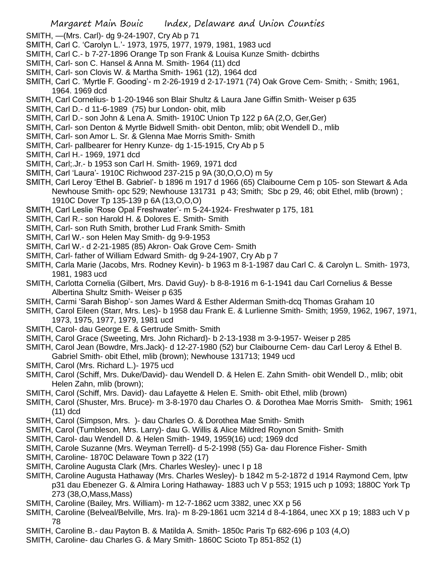- SMITH, —(Mrs. Carl)- dg 9-24-1907, Cry Ab p 71
- SMITH, Carl C. 'Carolyn L.'- 1973, 1975, 1977, 1979, 1981, 1983 ucd
- SMITH, Carl C.- b 7-27-1896 Orange Tp son Frank & Louisa Kunze Smith- dcbirths
- SMITH, Carl- son C. Hansel & Anna M. Smith- 1964 (11) dcd
- SMITH, Carl- son Clovis W. & Martha Smith- 1961 (12), 1964 dcd
- SMITH, Carl C. 'Myrtle F. Gooding'- m 2-26-1919 d 2-17-1971 (74) Oak Grove Cem- Smith; Smith; 1961, 1964. 1969 dcd
- SMITH, Carl Cornelius- b 1-20-1946 son Blair Shultz & Laura Jane Giffin Smith- Weiser p 635
- SMITH, Carl D.- d 11-6-1989 (75) bur London- obit, mlib
- SMITH, Carl D.- son John & Lena A. Smith- 1910C Union Tp 122 p 6A (2,O, Ger,Ger)
- SMITH, Carl- son Denton & Myrtle Bidwell Smith- obit Denton, mlib; obit Wendell D., mlib
- SMITH, Carl- son Amor L. Sr. & Glenna Mae Morris Smith- Smith
- SMITH, Carl- pallbearer for Henry Kunze- dg 1-15-1915, Cry Ab p 5
- SMITH, Carl H.- 1969, 1971 dcd
- SMITH, Carl;.Jr.- b 1953 son Carl H. Smith- 1969, 1971 dcd
- SMITH, Carl 'Laura'- 1910C Richwood 237-215 p 9A (30,O,O,O) m 5y
- SMITH, Carl Leroy 'Ethel B. Gabriel'- b 1896 m 1917 d 1966 (65) Claibourne Cem p 105- son Stewart & Ada Newhouse Smith- opc 529; Newhouse 131731 p 43; Smith; Sbc p 29, 46; obit Ethel, mlib (brown) ; 1910C Dover Tp 135-139 p 6A (13,O,O,O)
- SMITH, Carl Leslie 'Rose Opal Freshwater'- m 5-24-1924- Freshwater p 175, 181
- SMITH, Carl R.- son Harold H. & Dolores E. Smith- Smith
- SMITH, Carl- son Ruth Smith, brother Lud Frank Smith- Smith
- SMITH, Carl W.- son Helen May Smith- dg 9-9-1953
- SMITH, Carl W.- d 2-21-1985 (85) Akron- Oak Grove Cem- Smith
- SMITH, Carl- father of William Edward Smith- dg 9-24-1907, Cry Ab p 7
- SMITH, Carla Marie (Jacobs, Mrs. Rodney Kevin)- b 1963 m 8-1-1987 dau Carl C. & Carolyn L. Smith- 1973, 1981, 1983 ucd
- SMITH, Carlotta Cornelia (Gilbert, Mrs. David Guy)- b 8-8-1916 m 6-1-1941 dau Carl Cornelius & Besse Albertina Shultz Smith- Weiser p 635
- SMITH, Carmi 'Sarah Bishop'- son James Ward & Esther Alderman Smith-dcq Thomas Graham 10
- SMITH, Carol Eileen (Starr, Mrs. Les)- b 1958 dau Frank E. & Lurlienne Smith- Smith; 1959, 1962, 1967, 1971, 1973, 1975, 1977, 1979, 1981 ucd
- SMITH, Carol- dau George E. & Gertrude Smith- Smith
- SMITH, Carol Grace (Sweeting, Mrs. John Richard)- b 2-13-1938 m 3-9-1957- Weiser p 285
- SMITH, Carol Jean (Bowdre, Mrs.Jack)- d 12-27-1980 (52) bur Claibourne Cem- dau Carl Leroy & Ethel B. Gabriel Smith- obit Ethel, mlib (brown); Newhouse 131713; 1949 ucd
- SMITH, Carol (Mrs. Richard L.)- 1975 ucd
- SMITH, Carol (Schiff, Mrs. Duke/David)- dau Wendell D. & Helen E. Zahn Smith- obit Wendell D., mlib; obit Helen Zahn, mlib (brown);
- SMITH, Carol (Schiff, Mrs. David)- dau Lafayette & Helen E. Smith- obit Ethel, mlib (brown)
- SMITH, Carol (Shuster, Mrs. Bruce)- m 3-8-1970 dau Charles O. & Dorothea Mae Morris Smith- Smith; 1961 (11) dcd
- SMITH, Carol (Simpson, Mrs. )- dau Charles O. & Dorothea Mae Smith- Smith
- SMITH, Carol (Tumbleson, Mrs. Larry)- dau G. Willis & Alice Mildred Roynon Smith- Smith
- SMITH, Carol- dau Wendell D. & Helen Smith- 1949, 1959(16) ucd; 1969 dcd
- SMITH, Carole Suzanne (Mrs. Weyman Terrell)- d 5-2-1998 (55) Ga- dau Florence Fisher- Smith
- SMITH, Caroline- 1870C Delaware Town p 322 (17)
- SMITH, Caroline Augusta Clark (Mrs. Charles Wesley)- unec I p 18
- SMITH, Caroline Augusta Hathaway (Mrs. Charles Wesley)- b 1842 m 5-2-1872 d 1914 Raymond Cem, lptw p31 dau Ebenezer G. & Almira Loring Hathaway- 1883 uch V p 553; 1915 uch p 1093; 1880C York Tp 273 (38,O,Mass,Mass)
- SMITH, Caroline (Bailey, Mrs. William)- m 12-7-1862 ucm 3382, unec XX p 56
- SMITH, Caroline (Belveal/Belville, Mrs. Ira)- m 8-29-1861 ucm 3214 d 8-4-1864, unec XX p 19; 1883 uch V p 78
- SMITH, Caroline B.- dau Payton B. & Matilda A. Smith- 1850c Paris Tp 682-696 p 103 (4,O)
- SMITH, Caroline- dau Charles G. & Mary Smith- 1860C Scioto Tp 851-852 (1)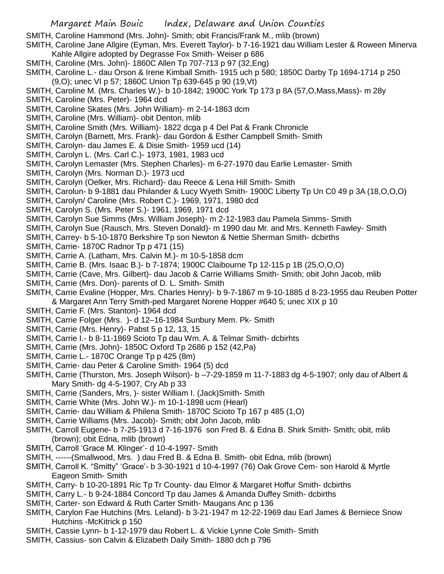SMITH, Caroline Hammond (Mrs. John)- Smith; obit Francis/Frank M., mlib (brown)

- SMITH, Caroline Jane Allgire (Eyman, Mrs. Everett Taylor)- b 7-16-1921 dau William Lester & Roween Minerva Kahle Allgire adopted by Degrasse Fox Smith- Weiser p 686
- SMITH, Caroline (Mrs. John)- 1860C Allen Tp 707-713 p 97 (32,Eng)
- SMITH, Caroline L.- dau Orson & Irene Kimball Smith- 1915 uch p 580; 1850C Darby Tp 1694-1714 p 250 (9,O); unec VI p 57; 1860C Union Tp 639-645 p 90 (19,Vt)
- SMITH, Caroline M. (Mrs. Charles W.)- b 10-1842; 1900C York Tp 173 p 8A (57,O,Mass,Mass)- m 28y
- SMITH, Caroline (Mrs. Peter)- 1964 dcd
- SMITH, Caroline Skates (Mrs. John William)- m 2-14-1863 dcm
- SMITH, Caroline (Mrs. William)- obit Denton, mlib
- SMITH, Caroline Smith (Mrs. William)- 1822 dcga p 4 Del Pat & Frank Chronicle
- SMITH, Carolyn (Barnett, Mrs. Frank)- dau Gordon & Esther Campbell Smith- Smith
- SMITH, Carolyn- dau James E. & Disie Smith- 1959 ucd (14)
- SMITH, Carolyn L. (Mrs. Carl C.)- 1973, 1981, 1983 ucd
- SMITH, Carolyn Lemaster (Mrs. Stephen Charles)- m 6-27-1970 dau Earlie Lemaster- Smith
- SMITH, Carolyn (Mrs. Norman D.)- 1973 ucd
- SMITH, Carolyn (Oelker, Mrs. Richard)- dau Reece & Lena Hill Smith- Smith
- SMITH, Carolun- b 9-1881 dau Philander & Lucy Wyeth Smith- 1900C Liberty Tp Un C0 49 p 3A (18,O,O,O)
- SMITH, Carolyn/ Caroline (Mrs. Robert C.)- 1969, 1971, 1980 dcd
- SMITH, Carolyn S. (Mrs. Peter S.)- 1961, 1969, 1971 dcd
- SMITH, Carolyn Sue Simms (Mrs. William Joseph)- m 2-12-1983 dau Pamela Simms- Smith
- SMITH, Carolyn Sue (Rausch, Mrs. Steven Donald)- m 1990 dau Mr. and Mrs. Kenneth Fawley- Smith
- SMITH, Carrey- b 5-10-1870 Berkshire Tp son Newton & Nettie Sherman Smith- dcbirths
- SMITH, Carrie- 1870C Radnor Tp p 471 (15)
- SMITH, Carrie A. (Latham, Mrs. Calvin M.)- m 10-5-1858 dcm
- SMITH, Carrie B. (Mrs. Isaac B.)- b 7-1874; 1900C Claibourne Tp 12-115 p 1B (25,O,O,O)
- SMITH, Carrie (Cave, Mrs. Gilbert)- dau Jacob & Carrie Williams Smith- Smith; obit John Jacob, mlib
- SMITH, Carrie (Mrs. Don)- parents of D. L. Smith- Smith
- SMITH, Carrie Evaline (Hopper, Mrs. Charles Henry)- b 9-7-1867 m 9-10-1885 d 8-23-1955 dau Reuben Potter & Margaret Ann Terry Smith-ped Margaret Norene Hopper #640 5; unec XIX p 10
- SMITH, Carrie F. (Mrs. Stanton)- 1964 dcd
- SMITH, Carrie Folger (Mrs. )- d 12–16-1984 Sunbury Mem. Pk- Smith
- SMITH, Carrie (Mrs. Henry)- Pabst 5 p 12, 13, 15
- SMITH, Carrie I.- b 8-11-1869 Scioto Tp dau Wm. A. & Telmar Smith- dcbirhts
- SMITH, Carrie (Mrs. John)- 1850C Oxford Tp 2686 p 152 (42,Pa)
- SMITH, Carrie L.- 1870C Orange Tp p 425 (8m)
- SMITH, Carrie- dau Peter & Caroline Smith- 1964 (5) dcd
- SMITH, Carrie (Thurston, Mrs. Joseph Wilson)- b -7-29-1859 m 11-7-1883 dg 4-5-1907; only dau of Albert & Mary Smith- dg 4-5-1907, Cry Ab p 33
- SMITH, Carrie (Sanders, Mrs, )- sister William I. (Jack)Smith- Smith
- SMITH, Carrie White (Mrs. John W.)- m 10-1-1898 ucm (Hearl)
- SMITH, Carrie- dau William & Philena Smith- 1870C Scioto Tp 167 p 485 (1,O)
- SMITH, Carrie Williams (Mrs. Jacob)- Smith; obit John Jacob, mlib
- SMITH, Carroll Eugene- b 7-25-1913 d 7-16-1976 son Fred B. & Edna B. Shirk Smith- Smith; obit, mlib (brown); obit Edna, mlib (brown)
- SMITH, Carroll 'Grace M. Klinger'- d 10-4-1997- Smith
- SMITH, ------(Smallwood, Mrs. ) dau Fred B. & Edna B. Smith- obit Edna, mlib (brown)
- SMITH, Carroll K. "Smitty" 'Grace'- b 3-30-1921 d 10-4-1997 (76) Oak Grove Cem- son Harold & Myrtle Eageon Smith- Smith
- SMITH, Carry- b 10-20-1891 Ric Tp Tr County- dau Elmor & Margaret Hoffur Smith- dcbirths
- SMITH, Carry L.- b 9-24-1884 Concord Tp dau James & Amanda Duffey Smith- dcbirths
- SMITH, Carter- son Edward & Ruth Carter Smith- Maugans Anc p 136
- SMITH, Carylon Fae Hutchins (Mrs. Leland)- b 3-21-1947 m 12-22-1969 dau Earl James & Berniece Snow Hutchins -McKitrick p 150
- SMITH, Cassie Lynn- b 1-12-1979 dau Robert L. & Vickie Lynne Cole Smith- Smith
- SMITH, Cassius- son Calvin & Elizabeth Daily Smith- 1880 dch p 796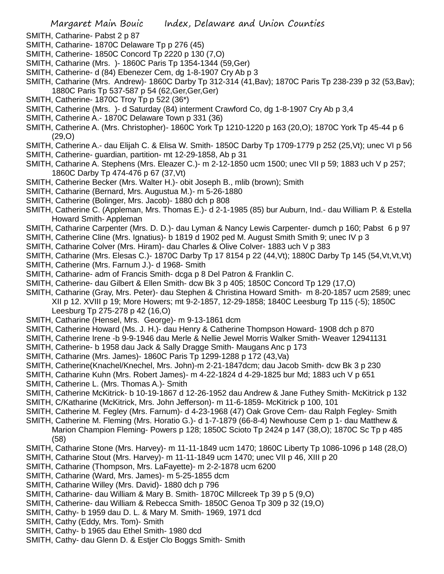- SMITH, Catharine- Pabst 2 p 87
- SMITH, Catharine- 1870C Delaware Tp p 276 (45)
- SMITH, Catherine- 1850C Concord Tp 2220 p 130 (7,O)
- SMITH, Catharine (Mrs. )- 1860C Paris Tp 1354-1344 (59,Ger)
- SMITH, Catherine- d (84) Ebenezer Cem, dg 1-8-1907 Cry Ab p 3
- SMITH, Catharine (Mrs. Andrew)- 1860C Darby Tp 312-314 (41,Bav); 1870C Paris Tp 238-239 p 32 (53,Bav); 1880C Paris Tp 537-587 p 54 (62,Ger,Ger,Ger)
- SMITH, Catherine- 1870C Troy Tp p 522 (36\*)
- SMITH, Catherine (Mrs. )- d Saturday (84) interment Crawford Co, dg 1-8-1907 Cry Ab p 3,4
- SMITH, Catherine A.- 1870C Delaware Town p 331 (36)
- SMITH, Catherine A. (Mrs. Christopher)- 1860C York Tp 1210-1220 p 163 (20,O); 1870C York Tp 45-44 p 6 (29,O)
- SMITH, Catherine A.- dau Elijah C. & Elisa W. Smith- 1850C Darby Tp 1709-1779 p 252 (25,Vt); unec VI p 56
- SMITH, Catherine- guardian, partition- mt 12-29-1858, Ab p 31
- SMITH, Catharine A. Stephens (Mrs. Eleazer C.)- m 2-12-1850 ucm 1500; unec VII p 59; 1883 uch V p 257; 1860C Darby Tp 474-476 p 67 (37,Vt)
- SMITH, Catherine Becker (Mrs. Walter H.)- obit Joseph B., mlib (brown); Smith
- SMITH, Catharine (Bernard, Mrs. Augustua M.)- m 5-26-1880
- SMITH, Catherine (Bolinger, Mrs. Jacob)- 1880 dch p 808
- SMITH, Catherine C. (Appleman, Mrs. Thomas E.)- d 2-1-1985 (85) bur Auburn, Ind.- dau William P. & Estella Howard Smith- Appleman
- SMITH, Catharine Carpenter (Mrs. D. D.)- dau Lyman & Nancy Lewis Carpenter- dumch p 160; Pabst 6 p 97
- SMITH, Catherine Cline (Mrs. Ignatius)- b 1819 d 1902 ped M. August Smith Smith 9; unec IV p 3
- SMITH, Catharine Colver (Mrs. Hiram)- dau Charles & Olive Colver- 1883 uch V p 383
- SMITH, Catharine (Mrs. Elesas C.)- 1870C Darby Tp 17 8154 p 22 (44,Vt); 1880C Darby Tp 145 (54,Vt,Vt,Vt)
- SMITH, Catherine (Mrs. Farnum J.)- d 1968- Smith
- SMITH, Catharine- adm of Francis Smith- dcga p 8 Del Patron & Franklin C.
- SMITH, Catherine- dau Gilbert & Ellen Smith- dcw Bk 3 p 405; 1850C Concord Tp 129 (17,O)
- SMITH, Catharine (Gray, Mrs. Peter)- dau Stephen & Christina Howard Smith- m 8-20-1857 ucm 2589; unec XII p 12. XVIII p 19; More Howers; mt 9-2-1857, 12-29-1858; 1840C Leesburg Tp 115 (-5); 1850C Leesburg Tp 275-278 p 42 (16,O)
- SMITH, Catharine (Hensel, Mrs. George)- m 9-13-1861 dcm
- SMITH, Catherine Howard (Ms. J. H.)- dau Henry & Catherine Thompson Howard- 1908 dch p 870
- SMITH, Catherine Irene -b 9-9-1946 dau Merle & Nellie Jewel Morris Walker Smith- Weaver 12941131
- SMITH, Catherine- b 1958 dau Jack & Sally Dragge Smith- Maugans Anc p 173
- SMITH, Catharine (Mrs. James)- 1860C Paris Tp 1299-1288 p 172 (43,Va)
- SMITH, Catherine(Knachel/Knechel, Mrs. John)-m 2-21-1847dcm; dau Jacob Smith- dcw Bk 3 p 230
- SMITH, Catharine Kuhn (Mrs. Robert James)- m 4-22-1824 d 4-29-1825 bur Md; 1883 uch V p 651
- SMITH, Catherine L. (Mrs. Thomas A.)- Smith
- SMITH, Catherine McKitrick- b 10-19-1867 d 12-26-1952 dau Andrew & Jane Futhey Smith- McKitrick p 132
- SMITH, C/Katharine (McKitrick, Mrs. John Jefferson)- m 11-6-1859- McKitrick p 100, 101
- SMITH, Catherine M. Fegley (Mrs. Farnum)- d 4-23-1968 (47) Oak Grove Cem- dau Ralph Fegley- Smith
- SMITH, Catherine M. Fleming (Mrs. Horatio G.)- d 1-7-1879 (66-8-4) Newhouse Cem p 1- dau Matthew & Marion Champion Fleming- Powers p 128; 1850C Scioto Tp 2424 p 147 (38,O); 1870C Sc Tp p 485 (58)
- SMITH, Catharine Stone (Mrs. Harvey)- m 11-11-1849 ucm 1470; 1860C Liberty Tp 1086-1096 p 148 (28,O)
- SMITH, Catharine Stout (Mrs. Harvey)- m 11-11-1849 ucm 1470; unec VII p 46, XIII p 20
- SMITH, Catharine (Thompson, Mrs. LaFayette)- m 2-2-1878 ucm 6200
- SMITH, Catharine (Ward, Mrs. James)- m 5-25-1855 dcm
- SMITH, Catharine Willey (Mrs. David)- 1880 dch p 796
- SMITH, Catharine- dau William & Mary B. Smith- 1870C Millcreek Tp 39 p 5 (9,O)
- SMITH, Catherine- dau William & Rebecca Smith- 1850C Genoa Tp 309 p 32 (19,O)
- SMITH, Cathy- b 1959 dau D. L. & Mary M. Smith- 1969, 1971 dcd
- SMITH, Cathy (Eddy, Mrs. Tom)- Smith
- SMITH, Cathy- b 1965 dau Ethel Smith- 1980 dcd
- SMITH, Cathy- dau Glenn D. & Estjer Clo Boggs Smith- Smith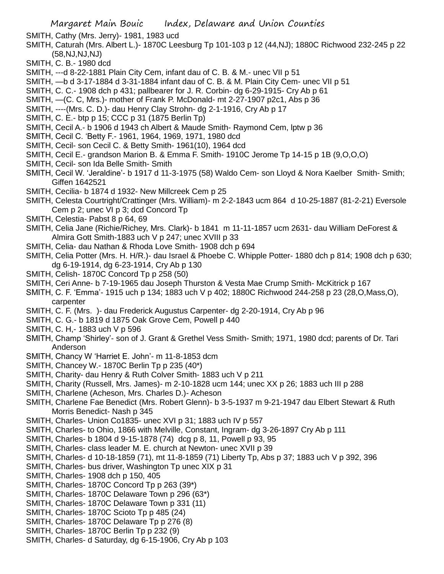SMITH, Cathy (Mrs. Jerry)- 1981, 1983 ucd

- SMITH, Caturah (Mrs. Albert L.)- 1870C Leesburg Tp 101-103 p 12 (44,NJ); 1880C Richwood 232-245 p 22 (58,NJ,NJ,NJ)
- SMITH, C. B.- 1980 dcd
- SMITH, ---d 8-22-1881 Plain City Cem, infant dau of C. B. & M.- unec VII p 51
- SMITH, —b d 3-17-1884 d 3-31-1884 infant dau of C. B. & M. Plain City Cem- unec VII p 51
- SMITH, C. C.- 1908 dch p 431; pallbearer for J. R. Corbin- dg 6-29-1915- Cry Ab p 61
- SMITH, —(C. C, Mrs.)- mother of Frank P. McDonald- mt 2-27-1907 p2c1, Abs p 36
- SMITH, ----(Mrs. C. D.)- dau Henry Clay Strohn- dg 2-1-1916, Cry Ab p 17
- SMITH, C. E.- btp p 15; CCC p 31 (1875 Berlin Tp)
- SMITH, Cecil A.- b 1906 d 1943 ch Albert & Maude Smith- Raymond Cem, lptw p 36
- SMITH, Cecil C. 'Betty F.- 1961, 1964, 1969, 1971, 1980 dcd
- SMITH, Cecil- son Cecil C. & Betty Smith- 1961(10), 1964 dcd
- SMITH, Cecil E.- grandson Marion B. & Emma F. Smith- 1910C Jerome Tp 14-15 p 1B (9,O,O,O)
- SMITH, Cecil- son Ida Belle Smith- Smith
- SMITH, Cecil W. 'Jeraldine'- b 1917 d 11-3-1975 (58) Waldo Cem- son Lloyd & Nora Kaelber Smith- Smith; Giffen 1642521
- SMITH, Cecilia- b 1874 d 1932- New Millcreek Cem p 25
- SMITH, Celesta Courtright/Crattinger (Mrs. William)- m 2-2-1843 ucm 864 d 10-25-1887 (81-2-21) Eversole Cem p 2; unec VI p 3; dcd Concord Tp
- SMITH, Celestia- Pabst 8 p 64, 69
- SMITH, Celia Jane (Richie/Richey, Mrs. Clark)- b 1841 m 11-11-1857 ucm 2631- dau William DeForest & Almira Gott Smith-1883 uch V p 247; unec XVIII p 33
- SMITH, Celia- dau Nathan & Rhoda Love Smith- 1908 dch p 694
- SMITH, Celia Potter (Mrs. H. H/R.)- dau Israel & Phoebe C. Whipple Potter- 1880 dch p 814; 1908 dch p 630; dg 6-19-1914, dg 6-23-1914, Cry Ab p 130
- SMITH, Celish- 1870C Concord Tp p 258 (50)
- SMITH, Ceri Anne- b 7-19-1965 dau Joseph Thurston & Vesta Mae Crump Smith- McKitrick p 167
- SMITH, C. F. 'Emma'- 1915 uch p 134; 1883 uch V p 402; 1880C Richwood 244-258 p 23 (28,O,Mass,O), carpenter
- SMITH, C. F. (Mrs. )- dau Frederick Augustus Carpenter- dg 2-20-1914, Cry Ab p 96
- SMITH, C. G.- b 1819 d 1875 Oak Grove Cem, Powell p 440
- SMITH, C. H,- 1883 uch V p 596
- SMITH, Champ 'Shirley'- son of J. Grant & Grethel Vess Smith- Smith; 1971, 1980 dcd; parents of Dr. Tari Anderson
- SMITH, Chancy W 'Harriet E. John'- m 11-8-1853 dcm
- SMITH, Chancey W.- 1870C Berlin Tp p 235 (40\*)
- SMITH, Charity- dau Henry & Ruth Colver Smith- 1883 uch V p 211
- SMITH, Charity (Russell, Mrs. James)- m 2-10-1828 ucm 144; unec XX p 26; 1883 uch III p 288
- SMITH, Charlene (Acheson, Mrs. Charles D.)- Acheson
- SMITH, Charlene Fae Benedict (Mrs. Robert Glenn)- b 3-5-1937 m 9-21-1947 dau Elbert Stewart & Ruth Morris Benedict- Nash p 345
- SMITH, Charles- Union Co1835- unec XVI p 31; 1883 uch IV p 557
- SMITH, Charles- to Ohio, 1866 with Melville, Constant, Ingram- dg 3-26-1897 Cry Ab p 111
- SMITH, Charles- b 1804 d 9-15-1878 (74) dcg p 8, 11, Powell p 93, 95
- SMITH, Charles- class leader M. E. church at Newton- unec XVII p 39
- SMITH, Charles- d 10-18-1859 (71), mt 11-8-1859 (71) Liberty Tp, Abs p 37; 1883 uch V p 392, 396
- SMITH, Charles- bus driver, Washington Tp unec XIX p 31
- SMITH, Charles- 1908 dch p 150, 405
- SMITH, Charles- 1870C Concord Tp p 263 (39\*)
- SMITH, Charles- 1870C Delaware Town p 296 (63\*)
- SMITH, Charles- 1870C Delaware Town p 331 (11)
- SMITH, Charles- 1870C Scioto Tp p 485 (24)
- SMITH, Charles- 1870C Delaware Tp p 276 (8)
- SMITH, Charles- 1870C Berlin Tp p 232 (9)
- SMITH, Charles- d Saturday, dg 6-15-1906, Cry Ab p 103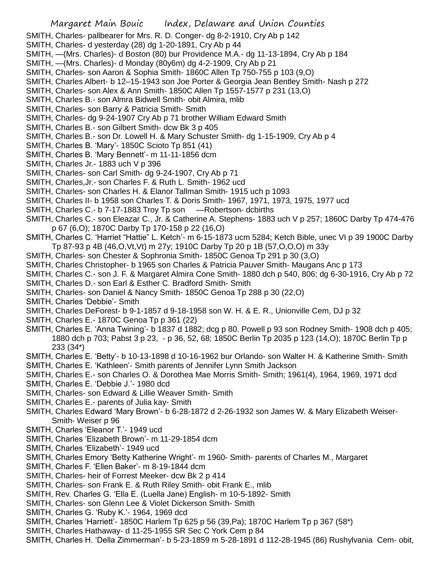SMITH, Charles- pallbearer for Mrs. R. D. Conger- dg 8-2-1910, Cry Ab p 142

- SMITH, Charles- d yesterday (28) dg 1-20-1891, Cry Ab p 44
- SMITH, —(Mrs. Charles)- d Boston (80) bur Providence M.A.- dg 11-13-1894, Cry Ab p 184
- SMITH, —(Mrs. Charles)- d Monday (80y6m) dg 4-2-1909, Cry Ab p 21
- SMITH, Charles- son Aaron & Sophia Smith- 1860C Allen Tp 750-755 p 103 (9,O)
- SMITH, Charles Albert- b 12–15-1943 son Joe Porter & Georgia Jean Bentley Smith- Nash p 272
- SMITH, Charles- son Alex & Ann Smith- 1850C Allen Tp 1557-1577 p 231 (13,O)
- SMITH, Charles B.- son Almra Bidwell Smith- obit Almira, mlib
- SMITH, Charles- son Barry & Patricia Smith- Smith
- SMITH, Charles- dg 9-24-1907 Cry Ab p 71 brother William Edward Smith
- SMITH, Charles B.- son Gilbert Smith- dcw Bk 3 p 405
- SMITH, Charles B.- son Dr. Lowell H. & Mary Schuster Smith- dg 1-15-1909, Cry Ab p 4
- SMITH, Charles B. 'Mary'- 1850C Scioto Tp 851 (41)
- SMITH, Charles B. 'Mary Bennett'- m 11-11-1856 dcm
- SMITH, Charles Jr.- 1883 uch V p 396
- SMITH, Charles- son Carl Smith- dg 9-24-1907, Cry Ab p 71
- SMITH, Charles,Jr.- son Charles F. & Ruth L. Smith- 1962 ucd
- SMITH, Charles- son Charles H. & Elanor Tallman Smith- 1915 uch p 1093
- SMITH, Charles II- b 1958 son Charles T. & Doris Smith- 1967, 1971, 1973, 1975, 1977 ucd
- SMITH, Charles C.- b 7-17-1883 Troy Tp son —Robertson- dcbirths
- SMITH, Charles C.- son Eleazar C., Jr. & Catherine A. Stephens- 1883 uch V p 257; 1860C Darby Tp 474-476 p 67 (6,O); 1870C Darby Tp 170-158 p 22 (16,O)
- SMITH, Charles C. 'Harriet "Hattie" L. Ketch'- m 6-15-1873 ucm 5284; Ketch Bible, unec VI p 39 1900C Darby Tp 87-93 p 4B (46,O,Vt,Vt) m 27y; 1910C Darby Tp 20 p 1B (57,O,O,O) m 33y
- SMITH, Charles- son Chester & Sophronia Smith- 1850C Genoa Tp 291 p 30 (3,O)
- SMITH, Charles Christopher- b 1965 son Charles & Patricia Pauver Smith- Maugans Anc p 173
- SMITH, Charles C.- son J. F. & Margaret Almira Cone Smith- 1880 dch p 540, 806; dg 6-30-1916, Cry Ab p 72
- SMITH, Charles D.- son Earl & Esther C. Bradford Smith- Smith
- SMITH, Charles- son Daniel & Nancy Smith- 1850C Genoa Tp 288 p 30 (22,O)
- SMITH, Charles 'Debbie'- Smith
- SMITH, Charles DeForest- b 9-1-1857 d 9-18-1958 son W. H. & E. R., Unionville Cem, DJ p 32
- SMITH, Charles E.- 1870C Genoa Tp p 361 (22)
- SMITH, Charles E. 'Anna Twining'- b 1837 d 1882; dcg p 80. Powell p 93 son Rodney Smith- 1908 dch p 405; 1880 dch p 703; Pabst 3 p 23, - p 36, 52, 68; 1850C Berlin Tp 2035 p 123 (14,O); 1870C Berlin Tp p 233 (34\*)
- SMITH, Charles E. 'Betty'- b 10-13-1898 d 10-16-1962 bur Orlando- son Walter H. & Katherine Smith- Smith
- SMITH, Charles E. 'Kathleen'- Smith parents of Jennifer Lynn Smith Jackson
- SMITH, Charles E.- son Charles O. & Dorothea Mae Morris Smith- Smith; 1961(4), 1964, 1969, 1971 dcd
- SMITH, Charles E. 'Debbie J.'- 1980 dcd
- SMITH, Charles- son Edward & Lillie Weaver Smith- Smith
- SMITH, Charles E.- parents of Julia kay- Smith
- SMITH, Charles Edward 'Mary Brown'- b 6-28-1872 d 2-26-1932 son James W. & Mary Elizabeth Weiser-Smith- Weiser p 96
- SMITH, Charles 'Eleanor T.'- 1949 ucd
- SMITH, Charles 'Elizabeth Brown'- m 11-29-1854 dcm
- SMITH, Charles 'Elizabeth'- 1949 ucd
- SMITH, Charles Emory 'Betty Katherine Wright'- m 1960- Smith- parents of Charles M., Margaret
- SMITH, Charles F. 'Ellen Baker'- m 8-19-1844 dcm
- SMITH, Charles- heir of Forrest Meeker- dcw Bk 2 p 414
- SMITH, Charles- son Frank E. & Ruth Riley Smith- obit Frank E., mlib
- SMITH, Rev. Charles G. 'Ella E. (Luella Jane) English- m 10-5-1892- Smith
- SMITH, Charles- son Glenn Lee & Violet Dickerson Smith- Smith
- SMITH, Charles G. 'Ruby K.'- 1964, 1969 dcd
- SMITH, Charles 'Harriett'- 1850C Harlem Tp 625 p 56 (39,Pa); 1870C Harlem Tp p 367 (58\*)
- SMITH, Charles Hathaway- d 11-25-1955 SR Sec C York Cem p 84
- SMITH, Charles H. 'Della Zimmerman'- b 5-23-1859 m 5-28-1891 d 112-28-1945 (86) Rushylvania Cem- obit,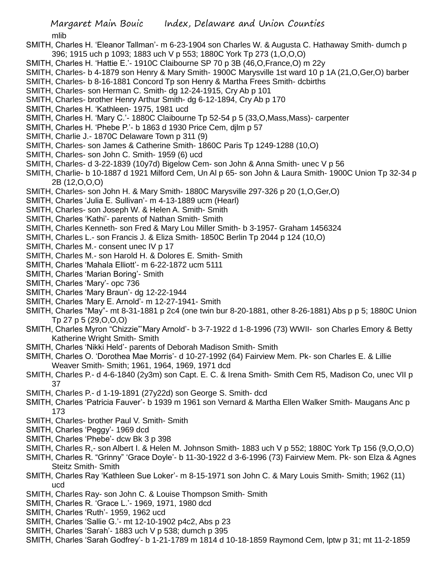mlib

- SMITH, Charles H. 'Eleanor Tallman'- m 6-23-1904 son Charles W. & Augusta C. Hathaway Smith- dumch p 396; 1915 uch p 1093; 1883 uch V p 553; 1880C York Tp 273 (1,O,O,O)
- SMITH, Charles H. 'Hattie E.'- 1910C Claibourne SP 70 p 3B (46,O,France,O) m 22y
- SMITH, Charles- b 4-1879 son Henry & Mary Smith- 1900C Marysville 1st ward 10 p 1A (21,O,Ger,O) barber
- SMITH, Charles- b 8-16-1881 Concord Tp son Henry & Martha Frees Smith- dcbirths
- SMITH, Charles- son Herman C. Smith- dg 12-24-1915, Cry Ab p 101
- SMITH, Charles- brother Henry Arthur Smith- dg 6-12-1894, Cry Ab p 170
- SMITH, Charles H. 'Kathleen- 1975, 1981 ucd
- SMITH, Charles H. 'Mary C.'- 1880C Claibourne Tp 52-54 p 5 (33,O,Mass,Mass)- carpenter
- SMITH, Charles H. 'Phebe P.'- b 1863 d 1930 Price Cem, djlm p 57
- SMITH, Charlie J.- 1870C Delaware Town p 311 (9)
- SMITH, Charles- son James & Catherine Smith- 1860C Paris Tp 1249-1288 (10,O)
- SMITH, Charles- son John C. Smith- 1959 (6) ucd
- SMITH, Charles- d 3-22-1839 (10y7d) Bigelow Cem- son John & Anna Smith- unec V p 56
- SMITH, Charlie- b 10-1887 d 1921 Milford Cem, Un Al p 65- son John & Laura Smith- 1900C Union Tp 32-34 p 2B (12,O,O,O)
- SMITH, Charles- son John H. & Mary Smith- 1880C Marysville 297-326 p 20 (1,O,Ger,O)
- SMITH, Charles 'Julia E. Sullivan'- m 4-13-1889 ucm (Hearl)
- SMITH, Charles- son Joseph W. & Helen A. Smith- Smith
- SMITH, Charles 'Kathi'- parents of Nathan Smith- Smith
- SMITH, Charles Kenneth- son Fred & Mary Lou Miller Smith- b 3-1957- Graham 1456324
- SMITH, Charles L.- son Francis J. & Eliza Smith- 1850C Berlin Tp 2044 p 124 (10,O)
- SMITH, Charles M.- consent unec IV p 17
- SMITH, Charles M.- son Harold H. & Dolores E. Smith- Smith
- SMITH, Charles 'Mahala Elliott'- m 6-22-1872 ucm 5111
- SMITH, Charles 'Marian Boring'- Smith
- SMITH, Charles 'Mary'- opc 736
- SMITH, Charles 'Mary Braun'- dg 12-22-1944
- SMITH, Charles 'Mary E. Arnold'- m 12-27-1941- Smith
- SMITH, Charles "May"- mt 8-31-1881 p 2c4 (one twin bur 8-20-1881, other 8-26-1881) Abs p p 5; 1880C Union Tp 27 p 5 (29,O,O,O)
- SMITH, Charles Myron "Chizzie"'Mary Arnold'- b 3-7-1922 d 1-8-1996 (73) WWII- son Charles Emory & Betty Katherine Wright Smith- Smith
- SMITH, Charles 'Nikki Held'- parents of Deborah Madison Smith- Smith
- SMITH, Charles O. 'Dorothea Mae Morris'- d 10-27-1992 (64) Fairview Mem. Pk- son Charles E. & Lillie Weaver Smith- Smith; 1961, 1964, 1969, 1971 dcd
- SMITH, Charles P.- d 4-6-1840 (2y3m) son Capt. E. C. & Irena Smith- Smith Cem R5, Madison Co, unec VII p 37
- SMITH, Charles P.- d 1-19-1891 (27y22d) son George S. Smith- dcd
- SMITH, Charles 'Patricia Fauver'- b 1939 m 1961 son Vernard & Martha Ellen Walker Smith- Maugans Anc p 173
- SMITH, Charles- brother Paul V. Smith- Smith
- SMITH, Charles 'Peggy'- 1969 dcd
- SMITH, Charles 'Phebe'- dcw Bk 3 p 398
- SMITH, Charles R,- son Albert I. & Helen M. Johnson Smith- 1883 uch V p 552; 1880C York Tp 156 (9,O,O,O)
- SMITH, Charles R. "Grinny" 'Grace Doyle'- b 11-30-1922 d 3-6-1996 (73) Fairview Mem. Pk- son Elza & Agnes Steitz Smith- Smith
- SMITH, Charles Ray 'Kathleen Sue Loker'- m 8-15-1971 son John C. & Mary Louis Smith- Smith; 1962 (11) ucd
- SMITH, Charles Ray- son John C. & Louise Thompson Smith- Smith
- SMITH, Charles R. 'Grace L.'- 1969, 1971, 1980 dcd
- SMITH, Charles 'Ruth'- 1959, 1962 ucd
- SMITH, Charles 'Sallie G.'- mt 12-10-1902 p4c2, Abs p 23
- SMITH, Charles 'Sarah'- 1883 uch V p 538; dumch p 395
- SMITH, Charles 'Sarah Godfrey'- b 1-21-1789 m 1814 d 10-18-1859 Raymond Cem, lptw p 31; mt 11-2-1859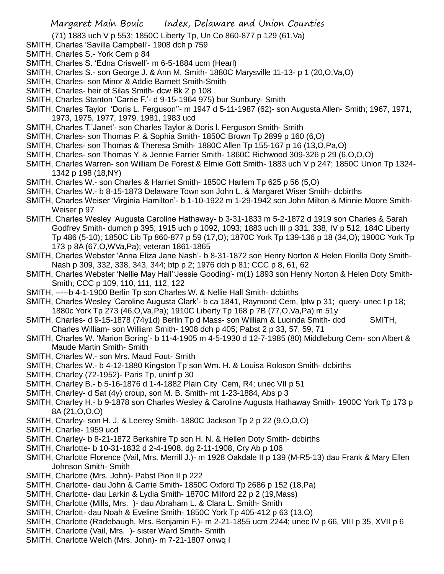(71) 1883 uch V p 553; 1850C Liberty Tp, Un Co 860-877 p 129 (61,Va)

- SMITH, Charles 'Savilla Campbell'- 1908 dch p 759
- SMITH, Charles S.- York Cem p 84
- SMITH, Charles S. 'Edna Criswell'- m 6-5-1884 ucm (Hearl)
- SMITH, Charles S.- son George J. & Ann M. Smith- 1880C Marysville 11-13- p 1 (20,O,Va,O)
- SMITH, Charles- son Minor & Addie Barnett Smith-Smith
- SMITH, Charles- heir of Silas Smith- dcw Bk 2 p 108
- SMITH, Charles Stanton 'Carrie F.'- d 9-15-1964 975) bur Sunbury- Smith
- SMITH, Charles Taylor 'Doris L. Ferguson''- m 1947 d 5-11-1987 (62)- son Augusta Allen- Smith; 1967, 1971, 1973, 1975, 1977, 1979, 1981, 1983 ucd
- SMITH, Charles T.'Janet'- son Charles Taylor & Doris l. Ferguson Smith- Smith
- SMITH, Charles- son Thomas P. & Sophia Smith- 1850C Brown Tp 2899 p 160 (6,O)
- SMITH, Charles- son Thomas & Theresa Smith- 1880C Allen Tp 155-167 p 16 (13,O,Pa,O)
- SMITH, Charles- son Thomas Y. & Jennie Farrier Smith- 1860C Richwood 309-326 p 29 (6,O,O,O)
- SMITH, Charles Warren- son William De Forest & Elmie Gott Smith- 1883 uch V p 247; 1850C Union Tp 1324- 1342 p 198 (18,NY)
- SMITH, Charles W.- son Charles & Harriet Smith- 1850C Harlem Tp 625 p 56 (5,O)
- SMITH, Charles W.- b 8-15-1873 Delaware Town son John L. & Margaret Wiser Smith- dcbirths
- SMITH, Charles Weiser 'Virginia Hamilton'- b 1-10-1922 m 1-29-1942 son John Milton & Minnie Moore Smith-Weiser p 97
- SMITH, Charles Wesley 'Augusta Caroline Hathaway- b 3-31-1833 m 5-2-1872 d 1919 son Charles & Sarah Godfrey Smith- dumch p 395; 1915 uch p 1092, 1093; 1883 uch III p 331, 338, IV p 512, 184C Liberty Tp 486 (5-10); 1850C Lib Tp 860-877 p 59 (17,O); 1870C York Tp 139-136 p 18 (34,O); 1900C York Tp 173 p 8A (67,O,WVa,Pa); veteran 1861-1865
- SMITH, Charles Webster 'Anna Eliza Jane Nash'- b 8-31-1872 son Henry Norton & Helen Florilla Doty Smith-Nash p 309, 332, 338, 343, 344; btp p 2; 1976 dch p 81; CCC p 8, 61, 62
- SMITH, Charles Webster 'Nellie May Hall''Jessie Gooding'- m(1) 1893 son Henry Norton & Helen Doty Smith-Smith; CCC p 109, 110, 111, 112, 122
- SMITH, -----b 4-1-1900 Berlin Tp son Charles W. & Nellie Hall Smith- dcbirths
- SMITH, Charles Wesley 'Caroline Augusta Clark'- b ca 1841, Raymond Cem, lptw p 31; query- unec I p 18; 1880c York Tp 273 (46,O,Va,Pa); 1910C Liberty Tp 168 p 7B (77,O,Va,Pa) m 51y
- SMITH, Charles- d 9-15-1878 (74y1d) Berlin Tp d Mass- son William & Lucinda Smith- dcd SMITH, Charles William- son William Smith- 1908 dch p 405; Pabst 2 p 33, 57, 59, 71
- SMITH, Charles W. 'Marion Boring'- b 11-4-1905 m 4-5-1930 d 12-7-1985 (80) Middleburg Cem- son Albert & Maude Martin Smith- Smith
- SMITH, Charles W.- son Mrs. Maud Fout- Smith
- SMITH, Charles W.- b 4-12-1880 Kingston Tp son Wm. H. & Louisa Roloson Smith- dcbirths
- SMITH, Charley (72-1952) Paris Tp, uninf p 30
- SMITH, Charley B.- b 5-16-1876 d 1-4-1882 Plain City Cem, R4; unec VII p 51
- SMITH, Charley- d Sat (4y) croup, son M. B. Smith- mt 1-23-1884, Abs p 3
- SMITH, Charley H.- b 9-1878 son Charles Wesley & Caroline Augusta Hathaway Smith- 1900C York Tp 173 p 8A (21,O,O,O)
- SMITH, Charley- son H. J. & Leerey Smith- 1880C Jackson Tp 2 p 22 (9,O,O,O)
- SMITH, Charlie- 1959 ucd
- SMITH, Charley- b 8-21-1872 Berkshire Tp son H. N. & Hellen Doty Smith- dcbirths
- SMITH, Charlotte- b 10-31-1832 d 2-4-1908, dg 2-11-1908, Cry Ab p 106
- SMITH, Charlotte Florence (Vail, Mrs. Merrill J.)- m 1928 Oakdale II p 139 (M-R5-13) dau Frank & Mary Ellen Johnson Smith- Smith
- SMITH, Charlotte (Mrs. John)- Pabst Pion II p 222
- SMITH, Charlotte- dau John & Carrie Smith- 1850C Oxford Tp 2686 p 152 (18,Pa)
- SMITH, Charlotte- dau Larkin & Lydia Smith- 1870C Milford 22 p 2 (19,Mass)
- SMITH, Charlotte (Mills, Mrs. )- dau Abraham L. & Clara L. Smith- Smith
- SMITH, Charlott- dau Noah & Eveline Smith- 1850C York Tp 405-412 p 63 (13,O)
- SMITH, Charlotte (Radebaugh, Mrs. Benjamin F.)- m 2-21-1855 ucm 2244; unec IV p 66, VIII p 35, XVII p 6
- SMITH, Charlotte (Vail, Mrs. )- sister Ward Smith- Smith
- SMITH, Charlotte Welch (Mrs. John)- m 7-21-1807 onwq I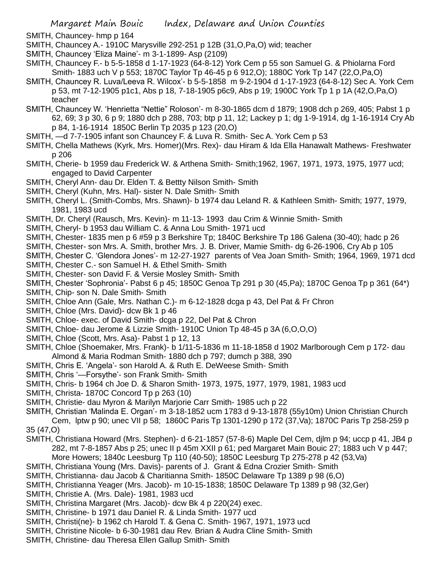- SMITH, Chauncey- hmp p 164
- SMITH, Chauncey A.- 1910C Marysville 292-251 p 12B (31,O,Pa,O) wid; teacher
- SMITH, Chauncey 'Eliza Maine'- m 3-1-1899- Asp (2109)
- SMITH, Chauncey F.- b 5-5-1858 d 1-17-1923 (64-8-12) York Cem p 55 son Samuel G. & Phiolarna Ford Smith- 1883 uch V p 553; 1870C Taylor Tp 46-45 p 6 912,O); 1880C York Tp 147 (22,O,Pa,O)
- SMITH, Chauncey R. Luva/Leeva R. Wilcox'- b 5-5-1858 m 9-2-1904 d 1-17-1923 (64-8-12) Sec A. York Cem p 53, mt 7-12-1905 p1c1, Abs p 18, 7-18-1905 p6c9, Abs p 19; 1900C York Tp 1 p 1A (42,O,Pa,O) teacher
- SMITH, Chauncey W. 'Henrietta "Nettie" Roloson'- m 8-30-1865 dcm d 1879; 1908 dch p 269, 405; Pabst 1 p 62, 69; 3 p 30, 6 p 9; 1880 dch p 288, 703; btp p 11, 12; Lackey p 1; dg 1-9-1914, dg 1-16-1914 Cry Ab p 84, 1-16-1914 1850C Berlin Tp 2035 p 123 (20,O)
- SMITH, —d 7-7-1905 infant son Chauncey F. & Luva R. Smith- Sec A. York Cem p 53
- SMITH, Chella Mathews (Kyrk, Mrs. Homer)(Mrs. Rex)- dau Hiram & Ida Ella Hanawalt Mathews- Freshwater p 206
- SMITH, Cherie- b 1959 dau Frederick W. & Arthena Smith- Smith;1962, 1967, 1971, 1973, 1975, 1977 ucd; engaged to David Carpenter
- SMITH, Cheryl Ann- dau Dr. Elden T. & Bettty Nilson Smith- Smith
- SMITH, Cheryl (Kuhn, Mrs. Hal)- sister N. Dale Smith- Smith
- SMITH, Cheryl L. (Smith-Combs, Mrs. Shawn)- b 1974 dau Leland R. & Kathleen Smith- Smith; 1977, 1979, 1981, 1983 ucd
- SMITH, Dr. Cheryl (Rausch, Mrs. Kevin)- m 11-13- 1993 dau Crim & Winnie Smith- Smith
- SMITH, Cheryl- b 1953 dau William C. & Anna Lou Smith- 1971 ucd
- SMITH, Chester- 1835 men p 6 #59 p 3 Berkshire Tp; 1840C Berkshire Tp 186 Galena (30-40); hadc p 26
- SMITH, Chester- son Mrs. A. Smith, brother Mrs. J. B. Driver, Mamie Smith- dg 6-26-1906, Cry Ab p 105
- SMITH, Chester C. 'Glendora Jones'- m 12-27-1927 parents of Vea Joan Smith- Smith; 1964, 1969, 1971 dcd
- SMITH, Chester C.- son Samuel H. & Ethel Smith- Smith
- SMITH, Chester- son David F. & Versie Mosley Smith- Smith
- SMITH, Chester 'Sophronia'- Pabst 6 p 45; 1850C Genoa Tp 291 p 30 (45,Pa); 1870C Genoa Tp p 361 (64\*)
- SMITH, Chip- son N. Dale Smith- Smith
- SMITH, Chloe Ann (Gale, Mrs. Nathan C.)- m 6-12-1828 dcga p 43, Del Pat & Fr Chron
- SMITH, Chloe (Mrs. David)- dcw Bk 1 p 46
- SMITH, Chloe- exec. of David Smith- dcga p 22, Del Pat & Chron
- SMITH, Chloe- dau Jerome & Lizzie Smith- 1910C Union Tp 48-45 p 3A (6,O,O,O)
- SMITH, Chloe (Scott, Mrs. Asa)- Pabst 1 p 12, 13
- SMITH, Chloe (Shoemaker, Mrs. Frank)- b 1/11-5-1836 m 11-18-1858 d 1902 Marlborough Cem p 172- dau Almond & Maria Rodman Smith- 1880 dch p 797; dumch p 388, 390
- SMITH, Chris E. 'Angela'- son Harold A. & Ruth E. DeWeese Smith- Smith
- SMITH, Chris '—Forsythe'- son Frank Smith- Smith
- SMITH, Chris- b 1964 ch Joe D. & Sharon Smith- 1973, 1975, 1977, 1979, 1981, 1983 ucd
- SMITH, Christa- 1870C Concord Tp p 263 (10)
- SMITH, Christie- dau Myron & Marilyn Marjorie Carr Smith- 1985 uch p 22
- SMITH, Christian 'Malinda E. Organ'- m 3-18-1852 ucm 1783 d 9-13-1878 (55y10m) Union Christian Church Cem, lptw p 90; unec VII p 58; 1860C Paris Tp 1301-1290 p 172 (37,Va); 1870C Paris Tp 258-259 p 35 (47,O)
- SMITH, Christiana Howard (Mrs. Stephen)- d 6-21-1857 (57-8-6) Maple Del Cem, djlm p 94; uccp p 41, JB4 p 282, mt 7-8-1857 Abs p 25; unec II p 45m XXII p 61; ped Margaret Main Bouic 27; 1883 uch V p 447; More Howers; 1840c Leesburg Tp 110 (40-50); 1850C Leesburg Tp 275-278 p 42 (53,Va)
- SMITH, Christiana Young (Mrs. Davis)- parents of J. Grant & Edna Crozier Smith- Smith
- SMITH, Christianna- dau Jacob & Charitianna Smith- 1850C Delaware Tp 1389 p 98 (6,O)
- SMITH, Christianna Yeager (Mrs. Jacob)- m 10-15-1838; 1850C Delaware Tp 1389 p 98 (32,Ger)
- SMITH, Christie A. (Mrs. Dale)- 1981, 1983 ucd
- SMITH, Christina Margaret (Mrs. Jacob)- dcw Bk 4 p 220(24) exec.
- SMITH, Christine- b 1971 dau Daniel R. & Linda Smith- 1977 ucd
- SMITH, Christi(ne)- b 1962 ch Harold T. & Gena C. Smith- 1967, 1971, 1973 ucd
- SMITH, Christine Nicole- b 6-30-1981 dau Rev. Brian & Audra Cline Smith- Smith
- SMITH, Christine- dau Theresa Ellen Gallup Smith- Smith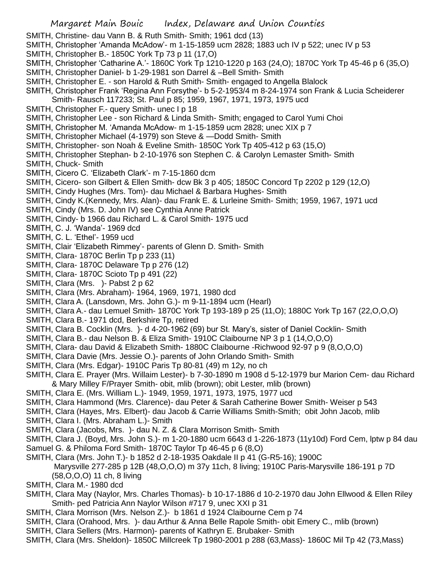- SMITH, Christine- dau Vann B. & Ruth Smith- Smith; 1961 dcd (13)
- SMITH, Christopher 'Amanda McAdow'- m 1-15-1859 ucm 2828; 1883 uch IV p 522; unec IV p 53
- SMITH, Christopher B.- 1850C York Tp 73 p 11 (17,O)
- SMITH, Christopher 'Catharine A.'- 1860C York Tp 1210-1220 p 163 (24,O); 1870C York Tp 45-46 p 6 (35,O)
- SMITH, Christopher Daniel- b 1-29-1981 son Darrel & –Bell Smith- Smith
- SMITH, Christopher E. son Harold & Ruth Smith- Smith- engaged to Angella Blalock
- SMITH, Christopher Frank 'Regina Ann Forsythe'- b 5-2-1953/4 m 8-24-1974 son Frank & Lucia Scheiderer
- Smith- Rausch 117233; St. Paul p 85; 1959, 1967, 1971, 1973, 1975 ucd
- SMITH, Christopher F.- query Smith- unec I p 18
- SMITH, Christopher Lee son Richard & Linda Smith- Smith; engaged to Carol Yumi Choi
- SMITH, Christopher M. 'Amanda McAdow- m 1-15-1859 ucm 2828; unec XIX p 7
- SMITH, Christopher Michael (4-1979) son Steve & —Dodd Smith- Smith
- SMITH, Christopher- son Noah & Eveline Smith- 1850C York Tp 405-412 p 63 (15,O)
- SMITH, Christopher Stephan- b 2-10-1976 son Stephen C. & Carolyn Lemaster Smith- Smith
- SMITH, Chuck- Smith
- SMITH, Cicero C. 'Elizabeth Clark'- m 7-15-1860 dcm
- SMITH, Cicero- son Gilbert & Ellen Smith- dcw Bk 3 p 405; 1850C Concord Tp 2202 p 129 (12,O)
- SMITH, Cindy Hughes (Mrs. Tom)- dau Michael & Barbara Hughes- Smith
- SMITH, Cindy K.(Kennedy, Mrs. Alan)- dau Frank E. & Lurleine Smith- Smith; 1959, 1967, 1971 ucd
- SMITH, Cindy (Mrs. D. John IV) see Cynthia Anne Patrick
- SMITH, Cindy- b 1966 dau Richard L. & Carol Smith- 1975 ucd
- SMITH, C. J. 'Wanda'- 1969 dcd
- SMITH, C. L. 'Ethel'- 1959 ucd
- SMITH, Clair 'Elizabeth Rimmey'- parents of Glenn D. Smith- Smith
- SMITH, Clara- 1870C Berlin Tp p 233 (11)
- SMITH, Clara- 1870C Delaware Tp p 276 (12)
- SMITH, Clara- 1870C Scioto Tp p 491 (22)
- SMITH, Clara (Mrs. )- Pabst 2 p 62
- SMITH, Clara (Mrs. Abraham)- 1964, 1969, 1971, 1980 dcd
- SMITH, Clara A. (Lansdown, Mrs. John G.)- m 9-11-1894 ucm (Hearl)
- SMITH, Clara A.- dau Lemuel Smith- 1870C York Tp 193-189 p 25 (11,O); 1880C York Tp 167 (22,O,O,O)
- SMITH, Clara B.- 1971 dcd, Berkshire Tp, retired
- SMITH, Clara B. Cocklin (Mrs. )- d 4-20-1962 (69) bur St. Mary's, sister of Daniel Cocklin- Smith
- SMITH, Clara B.- dau Nelson B. & Eliza Smith- 1910C Claibourne NP 3 p 1 (14,O,O,O)
- SMITH, Clara- dau David & Elizabeth Smith- 1880C Claibourne -Richwood 92-97 p 9 (8,O,O,O)
- SMITH, Clara Davie (Mrs. Jessie O.)- parents of John Orlando Smith- Smith
- SMITH, Clara (Mrs. Edgar)- 1910C Paris Tp 80-81 (49) m 12y, no ch
- SMITH, Clara E. Prayer (Mrs. Willaim Lester)- b 7-30-1890 m 1908 d 5-12-1979 bur Marion Cem- dau Richard & Mary Milley F/Prayer Smith- obit, mlib (brown); obit Lester, mlib (brown)
- SMITH, Clara E. (Mrs. William L.)- 1949, 1959, 1971, 1973, 1975, 1977 ucd
- SMITH, Clara Hammond (Mrs. Clarence)- dau Peter & Sarah Catherine Bower Smith- Weiser p 543
- SMITH, Clara (Hayes, Mrs. Elbert)- dau Jacob & Carrie Williams Smith-Smith; obit John Jacob, mlib
- SMITH, Clara I. (Mrs. Abraham L.)- Smith
- SMITH, Clara (Jacobs, Mrs. )- dau N. Z. & Clara Morrison Smith- Smith
- SMITH, Clara J. (Boyd, Mrs. John S.)- m 1-20-1880 ucm 6643 d 1-226-1873 (11y10d) Ford Cem, lptw p 84 dau
- Samuel G. & Philoma Ford Smith- 1870C Taylor Tp 46-45 p 6 (8,O)
- SMITH, Clara (Mrs. John T.)- b 1852 d 2-18-1935 Oakdale II p 41 (G-R5-16); 1900C Marysville 277-285 p 12B (48,O,O,O) m 37y 11ch, 8 living; 1910C Paris-Marysville 186-191 p 7D (58,O,O,O) 11 ch, 8 living
- SMITH, Clara M.- 1980 dcd
- SMITH, Clara May (Naylor, Mrs. Charles Thomas)- b 10-17-1886 d 10-2-1970 dau John Ellwood & Ellen Riley Smith- ped Patricia Ann Naylor Wilson #717 9, unec XXI p 31
- SMITH, Clara Morrison (Mrs. Nelson Z.)- b 1861 d 1924 Claibourne Cem p 74
- SMITH, Clara (Orahood, Mrs. )- dau Arthur & Anna Belle Rapole Smith- obit Emery C., mlib (brown)
- SMITH, Clara Sellers (Mrs. Harmon)- parents of Kathryn E. Brubaker- Smith
- SMITH, Clara (Mrs. Sheldon)- 1850C Millcreek Tp 1980-2001 p 288 (63,Mass)- 1860C Mil Tp 42 (73,Mass)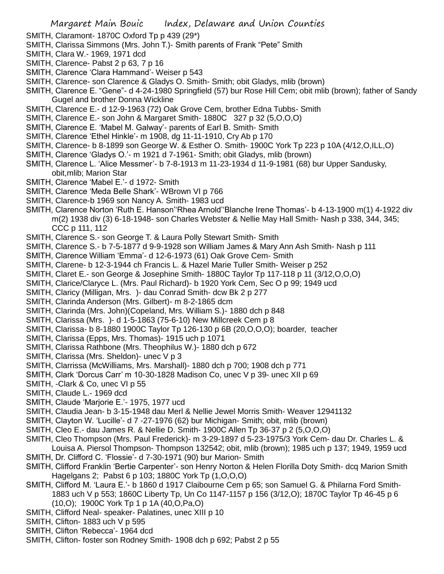- SMITH, Claramont- 1870C Oxford Tp p 439 (29\*)
- SMITH, Clarissa Simmons (Mrs. John T.)- Smith parents of Frank "Pete" Smith
- SMITH, Clara W.- 1969, 1971 dcd
- SMITH, Clarence- Pabst 2 p 63, 7 p 16
- SMITH, Clarence 'Clara Hammand'- Weiser p 543
- SMITH, Clarence- son Clarence & Gladys O. Smith- Smith; obit Gladys, mlib (brown)
- SMITH, Clarence E. "Gene"- d 4-24-1980 Springfield (57) bur Rose Hill Cem; obit mlib (brown); father of Sandy Gugel and brother Donna Wickline
- SMITH, Clarence E.- d 12-9-1963 (72) Oak Grove Cem, brother Edna Tubbs- Smith
- SMITH, Clarence E.- son John & Margaret Smith- 1880C 327 p 32 (5,O,O,O)
- SMITH, Clarence E. 'Mabel M. Galway'- parents of Earl B. Smith- Smith
- SMITH, Clarence 'Ethel Hinkle'- m 1908, dg 11-11-1910, Cry Ab p 170
- SMITH, Clarence- b 8-1899 son George W. & Esther O. Smith- 1900C York Tp 223 p 10A (4/12,O,ILL,O)
- SMITH, Clarence 'Gladys O.'- m 1921 d 7-1961- Smith; obit Gladys, mlib (brown)
- SMITH, Clarence L. 'Alice Messmer'- b 7-8-1913 m 11-23-1934 d 11-9-1981 (68) bur Upper Sandusky, obit,mlib; Marion Star
- SMITH, Clarence 'Mabel E.'- d 1972- Smith
- SMITH, Clarence 'Meda Belle Shark'- WBrown VI p 766
- SMITH, Clarence-b 1969 son Nancy A. Smith- 1983 ucd
- SMITH, Clarence Norton 'Ruth E. Hanson''Rhea Arnold''Blanche Irene Thomas'- b 4-13-1900 m(1) 4-1922 div m(2) 1938 div (3) 6-18-1948- son Charles Webster & Nellie May Hall Smith- Nash p 338, 344, 345; CCC p 111, 112
- SMITH, Clarence S.- son George T. & Laura Polly Stewart Smith- Smith
- SMITH, Clarence S.- b 7-5-1877 d 9-9-1928 son William James & Mary Ann Ash Smith- Nash p 111
- SMITH, Clarence William 'Emma'- d 12-6-1973 (61) Oak Grove Cem- Smith
- SMITH, Clarene- b 12-3-1944 ch Francis L. & Hazel Marie Tuller Smith- Weiser p 252
- SMITH, Claret E.- son George & Josephine Smith- 1880C Taylor Tp 117-118 p 11 (3/12,O,O,O)
- SMITH, Clarice/Claryce L. (Mrs. Paul Richard)- b 1920 York Cem, Sec O p 99; 1949 ucd
- SMITH, Claricy (Milligan, Mrs. )- dau Conrad Smith- dcw Bk 2 p 277
- SMITH, Clarinda Anderson (Mrs. Gilbert)- m 8-2-1865 dcm
- SMITH, Clarinda (Mrs. John)(Copeland, Mrs. William S.)- 1880 dch p 848
- SMITH, Clarissa (Mrs. )- d 1-5-1863 (75-6-10) New Millcreek Cem p 8
- SMITH, Clarissa- b 8-1880 1900C Taylor Tp 126-130 p 6B (20,O,O,O); boarder, teacher
- SMITH, Clarissa (Epps, Mrs. Thomas)- 1915 uch p 1071
- SMITH, Clarissa Rathbone (Mrs. Theophilus W.)- 1880 dch p 672
- SMITH, Clarissa (Mrs. Sheldon)- unec V p 3
- SMITH, Clarrissa (McWilliams, Mrs. Marshall)- 1880 dch p 700; 1908 dch p 771
- SMITH, Clark 'Dorcus Carr' m 10-30-1828 Madison Co, unec V p 39- unec XII p 69
- SMITH, -Clark & Co, unec VI p 55
- SMITH, Claude L.- 1969 dcd
- SMITH, Claude 'Marjorie E.'- 1975, 1977 ucd
- SMITH, Claudia Jean- b 3-15-1948 dau Merl & Nellie Jewel Morris Smith- Weaver 12941132
- SMITH, Clayton W. 'Lucille'- d 7 -27-1976 (62) bur Michigan- Smith; obit, mlib (brown)
- SMITH, Cleo E.- dau James R. & Nellie D. Smith- 1900C Allen Tp 36-37 p 2 (5,O,O,O)
- SMITH, Cleo Thompson (Mrs. Paul Frederick)- m 3-29-1897 d 5-23-1975/3 York Cem- dau Dr. Charles L. & Louisa A. Piersol Thompson- Thompson 132542; obit, mlib (brown); 1985 uch p 137; 1949, 1959 ucd
- SMITH, Dr. Clifford C. 'Flossie'- d 7-30-1971 (90) bur Marion- Smith
- SMITH, Clifford Franklin 'Bertie Carpenter'- son Henry Norton & Helen Florilla Doty Smith- dcq Marion Smith Hagelgans 2; Pabst 6 p 103; 1880C York Tp (1,O,O,O)
- SMITH, Clifford M. 'Laura E.'- b 1860 d 1917 Claibourne Cem p 65; son Samuel G. & Philarna Ford Smith-1883 uch V p 553; 1860C Liberty Tp, Un Co 1147-1157 p 156 (3/12,O); 1870C Taylor Tp 46-45 p 6 (10,O); 1900C York Tp 1 p 1A (40,O,Pa,O)
- SMITH, Clifford Neal- speaker- Palatines, unec XIII p 10
- SMITH, Clifton- 1883 uch V p 595
- SMITH, Clifton 'Rebecca'- 1964 dcd
- SMITH, Clifton- foster son Rodney Smith- 1908 dch p 692; Pabst 2 p 55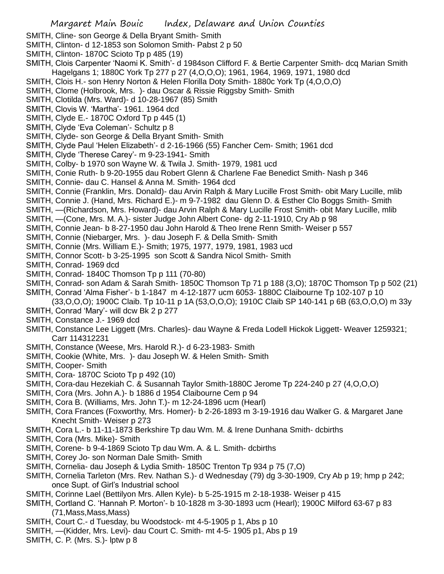- SMITH, Cline- son George & Della Bryant Smith- Smith
- SMITH, Clinton- d 12-1853 son Solomon Smith- Pabst 2 p 50
- SMITH, Clinton- 1870C Scioto Tp p 485 (19)
- SMITH, Clois Carpenter 'Naomi K. Smith'- d 1984son Clifford F. & Bertie Carpenter Smith- dcq Marian Smith Hagelgans 1; 1880C York Tp 277 p 27 (4,O,O,O); 1961, 1964, 1969, 1971, 1980 dcd
- SMITH, Clois H.- son Henry Norton & Helen Florilla Doty Smith- 1880c York Tp (4,O,O,O)
- SMITH, Clome (Holbrook, Mrs. )- dau Oscar & Rissie Riggsby Smith- Smith
- SMITH, Clotilda (Mrs. Ward)- d 10-28-1967 (85) Smith
- SMITH, Clovis W. 'Martha'- 1961. 1964 dcd
- SMITH, Clyde E.- 1870C Oxford Tp p 445 (1)
- SMITH, Clyde 'Eva Coleman'- Schultz p 8
- SMITH, Clyde- son George & Della Bryant Smith- Smith
- SMITH, Clyde Paul 'Helen Elizabeth'- d 2-16-1966 (55) Fancher Cem- Smith; 1961 dcd
- SMITH, Clyde 'Therese Carey'- m 9-23-1941- Smith
- SMITH, Colby- b 1970 son Wayne W. & Twila J. Smith- 1979, 1981 ucd
- SMITH, Conie Ruth- b 9-20-1955 dau Robert Glenn & Charlene Fae Benedict Smith- Nash p 346
- SMITH, Connie- dau C. Hansel & Anna M. Smith- 1964 dcd
- SMITH, Connie (Franklin, Mrs. Donald)- dau Arvin Ralph & Mary Lucille Frost Smith- obit Mary Lucille, mlib
- SMITH, Connie J. (Hand, Mrs. Richard E.)- m 9-7-1982 dau Glenn D. & Esther Clo Boggs Smith- Smith
- SMITH, —(Richardson, Mrs. Howard)- dau Arvin Ralph & Mary Lucille Frost Smith- obit Mary Lucille, mlib
- SMITH, —(Cone, Mrs. M. A.)- sister Judge John Albert Cone- dg 2-11-1910, Cry Ab p 98
- SMITH, Connie Jean- b 8-27-1950 dau John Harold & Theo Irene Renn Smith- Weiser p 557
- SMITH, Connie (Niebarger, Mrs. )- dau Joseph F. & Della Smith- Smith
- SMITH, Connie (Mrs. William E.)- Smith; 1975, 1977, 1979, 1981, 1983 ucd
- SMITH, Connor Scott- b 3-25-1995 son Scott & Sandra Nicol Smith- Smith
- SMITH, Conrad- 1969 dcd
- SMITH, Conrad- 1840C Thomson Tp p 111 (70-80)
- SMITH, Conrad- son Adam & Sarah Smith- 1850C Thomson Tp 71 p 188 (3,O); 1870C Thomson Tp p 502 (21) SMITH, Conrad 'Alma Fisher'- b 1-1847 m 4-12-1877 ucm 6053- 1880C Claibourne Tp 102-107 p 10
	- (33,O,O,O); 1900C Claib. Tp 10-11 p 1A (53,O,O,O); 1910C Claib SP 140-141 p 6B (63,O,O,O) m 33y
- SMITH, Conrad 'Mary'- will dcw Bk 2 p 277
- SMITH, Constance J.- 1969 dcd
- SMITH, Constance Lee Liggett (Mrs. Charles)- dau Wayne & Freda Lodell Hickok Liggett- Weaver 1259321; Carr 114312231
- SMITH, Constance (Weese, Mrs. Harold R.)- d 6-23-1983- Smith
- SMITH, Cookie (White, Mrs. )- dau Joseph W. & Helen Smith- Smith
- SMITH, Cooper- Smith
- SMITH, Cora- 1870C Scioto Tp p 492 (10)
- SMITH, Cora-dau Hezekiah C. & Susannah Taylor Smith-1880C Jerome Tp 224-240 p 27 (4,O,O,O)
- SMITH, Cora (Mrs. John A.)- b 1886 d 1954 Claibourne Cem p 94
- SMITH, Cora B. (Williams, Mrs. John T.)- m 12-24-1896 ucm (Hearl)
- SMITH, Cora Frances (Foxworthy, Mrs. Homer)- b 2-26-1893 m 3-19-1916 dau Walker G. & Margaret Jane Knecht Smith- Weiser p 273
- SMITH, Cora L.- b 11-11-1873 Berkshire Tp dau Wm. M. & Irene Dunhana Smith- dcbirths
- SMITH, Cora (Mrs. Mike)- Smith
- SMITH, Corene- b 9-4-1869 Scioto Tp dau Wm. A. & L. Smith- dcbirths
- SMITH, Corey Jo- son Norman Dale Smith- Smith
- SMITH, Cornelia- dau Joseph & Lydia Smith- 1850C Trenton Tp 934 p 75 (7,O)
- SMITH, Cornelia Tarleton (Mrs. Rev. Nathan S.)- d Wednesday (79) dg 3-30-1909, Cry Ab p 19; hmp p 242; once Supt. of Girl's Industrial school
- SMITH, Corinne Lael (Bettilyon Mrs. Allen Kyle)- b 5-25-1915 m 2-18-1938- Weiser p 415
- SMITH, Cortland C. 'Hannah P. Morton'- b 10-1828 m 3-30-1893 ucm (Hearl); 1900C Milford 63-67 p 83 (71,Mass,Mass,Mass)
- SMITH, Court C.- d Tuesday, bu Woodstock- mt 4-5-1905 p 1, Abs p 10
- SMITH, —(Kidder, Mrs. Levi)- dau Court C. Smith- mt 4-5- 1905 p1, Abs p 19
- SMITH, C. P. (Mrs. S.)- lptw p 8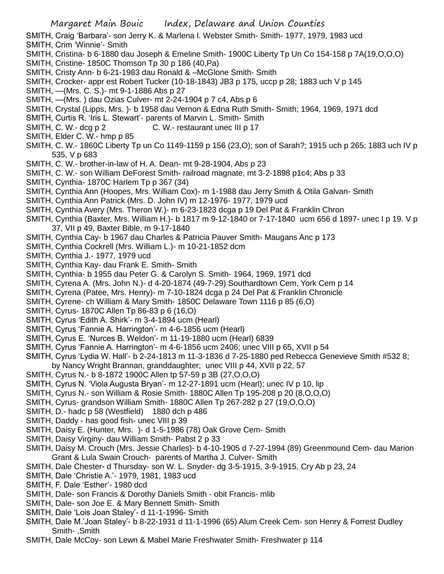SMITH, Craig 'Barbara'- son Jerry K. & Marlena l. Webster Smith- Smith- 1977, 1979, 1983 ucd SMITH, Crim 'Winnie'- Smith

- SMITH, Cristina- b 6-1880 dau Joseph & Emeline Smith- 1900C Liberty Tp Un Co 154-158 p 7A(19,O,O,O)
- SMITH, Cristine- 1850C Thomson Tp 30 p 186 (40,Pa)
- SMITH, Cristy Ann- b 6-21-1983 dau Ronald & –McGlone Smith- Smith
- SMITH, Crocker- appr est Robert Tucker (10-18-1843) JB3 p 175, uccp p 28; 1883 uch V p 145
- SMITH, —(Mrs. C. S.)- mt 9-1-1886 Abs p 27
- SMITH, —(Mrs. ) dau Ozias Culver- mt 2-24-1904 p 7 c4, Abs p 6
- SMITH, Crystal (Lipps, Mrs. )- b 1958 dau Vernon & Edna Ruth Smith- Smith; 1964, 1969, 1971 dcd
- SMITH, Curtis R. 'Iris L. Stewart'- parents of Marvin L. Smith- Smith
- SMITH, C. W.- dcg p 2 C. W.- restaurant unec III p 17
- SMITH, Elder C. W.- hmp p 85
- SMITH, C. W.- 1860C Liberty Tp un Co 1149-1159 p 156 (23,O); son of Sarah?; 1915 uch p 265; 1883 uch IV p 535, V p 683
- SMITH, C. W.- brother-in-law of H. A. Dean- mt 9-28-1904, Abs p 23
- SMITH, C. W.- son William DeForest Smith- railroad magnate, mt 3-2-1898 p1c4; Abs p 33
- SMITH, Cynthia- 1870C Harlem Tp p 367 (34)
- SMITH, Cynthia Ann (Hoopes, Mrs. William Cox)- m 1-1988 dau Jerry Smith & Otila Galvan- Smith
- SMITH, Cynthia Ann Patrick (Mrs. D. John IV) m 12-1976- 1977, 1979 ucd
- SMITH, Cynthia Avery (Mrs. Theron W.)- m 6-23-1823 dcga p 19 Del Pat & Franklin Chron
- SMITH, Cynthia (Baxter, Mrs. William H.)- b 1817 m 9-12-1840 or 7-17-1840 ucm 656 d 1897- unec I p 19. V p 37, VII p 49, Baxter Bible, m 9-17-1840
- SMITH, Cynthia Cay- b 1967 dau Charles & Patricia Pauver Smith- Maugans Anc p 173
- SMITH, Cynthia Cockrell (Mrs. William L.)- m 10-21-1852 dcm
- SMITH, Cynthia J.- 1977, 1979 ucd
- SMITH, Cynthia Kay- dau Frank E. Smith- Smith
- SMITH, Cynthia- b 1955 dau Peter G. & Carolyn S. Smith- 1964, 1969, 1971 dcd
- SMITH, Cyrena A. (Mrs. John N.)- d 4-20-1874 (49-7-29) Southardtown Cem, York Cem p 14
- SMITH, Cyrena (Patee, Mrs. Henry)- m 7-10-1824 dcga p 24 Del Pat & Franklin Chronicle
- SMITH, Cyrene- ch William & Mary Smith- 1850C Delaware Town 1116 p 85 (6,O)
- SMITH, Cyrus- 1870C Allen Tp 86-83 p 6 (16,O)
- SMITH, Cyrus 'Edith A. Shirk'- m 3-4-1894 ucm (Hearl)
- SMITH, Cyrus 'Fannie A. Harrington'- m 4-6-1856 ucm (Hearl)
- SMITH, Cyrus E. 'Nurces B. Weldon'- m 11-19-1880 ucm (Hearl) 6839
- SMITH, Cyrus 'Fannie A. Harrington'- m 4-6-1856 ucm 2406; unec VIII p 65, XVII p 54
- SMITH, Cyrus 'Lydia W. Hall'- b 2-24-1813 m 11-3-1836 d 7-25-1880 ped Rebecca Genevieve Smith #532 8; by Nancy Wright Brannan, granddaughter; unec VIII p 44, XVII p 22, 57
- SMITH, Cyrus N.- b 8-1872 1900C Allen tp 57-59 p 3B (27,O,O,O)
- SMITH, Cyrus N. 'Viola Augusta Bryan'- m 12-27-1891 ucm (Hearl); unec IV p 10, lip
- SMITH, Cyrus N.- son William & Rosie Smith- 1880C Allen Tp 195-208 p 20 (8,O,O,O)
- SMITH, Cyrus- grandson William Smith- 1880C Allen Tp 267-282 p 27 (19,O,O,O)
- SMITH, D.- hadc p 58 (Westfield) 1880 dch p 486
- SMITH, Daddy has good fish- unec VIII p 39
- SMITH, Daisy E. (Hunter, Mrs. )- d 1-5-1986 (78) Oak Grove Cem- Smith
- SMITH, Daisy Virginy- dau William Smith- Pabst 2 p 33
- SMITH, Daisy M. Crouch (Mrs. Jessie Charles)- b 4-10-1905 d 7-27-1994 (89) Greenmound Cem- dau Marion Grant & Lula Swain Crouch- parents of Martha J. Culver- Smith
- SMITH, Dale Chester- d Thursday- son W. L. Snyder- dg 3-5-1915, 3-9-1915, Cry Ab p 23, 24
- SMITH, Dale 'Christie A.'- 1979, 1981, 1983 ucd
- SMITH, F. Dale 'Esther'- 1980 dcd
- SMITH, Dale- son Francis & Dorothy Daniels Smith obit Francis- mlib
- SMITH, Dale- son Joe E. & Mary Bennett Smith- Smith
- SMITH, Dale 'Lois Joan Staley'- d 11-1-1996- Smith
- SMITH, Dale M.'Joan Staley'- b 8-22-1931 d 11-1-1996 (65) Alum Creek Cem- son Henry & Forrest Dudley Smith- ,Smith
- SMITH, Dale McCoy- son Lewn & Mabel Marie Freshwater Smith- Freshwater p 114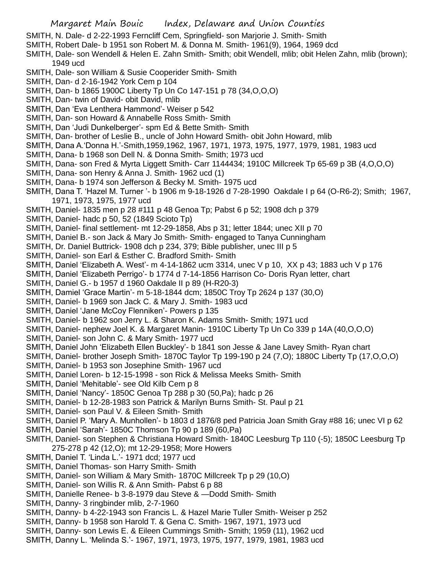- SMITH, N. Dale- d 2-22-1993 Ferncliff Cem, Springfield- son Marjorie J. Smith- Smith
- SMITH, Robert Dale- b 1951 son Robert M. & Donna M. Smith- 1961(9), 1964, 1969 dcd
- SMITH, Dale- son Wendell & Helen E. Zahn Smith- Smith; obit Wendell, mlib; obit Helen Zahn, mlib (brown); 1949 ucd
- SMITH, Dale- son William & Susie Cooperider Smith- Smith
- SMITH, Dan- d 2-16-1942 York Cem p 104
- SMITH, Dan- b 1865 1900C Liberty Tp Un Co 147-151 p 78 (34,O,O,O)
- SMITH, Dan- twin of David- obit David, mlib
- SMITH, Dan 'Eva Lenthera Hammond'- Weiser p 542
- SMITH, Dan- son Howard & Annabelle Ross Smith- Smith
- SMITH, Dan 'Judi Dunkelberger'- spm Ed & Bette Smith- Smith
- SMITH, Dan- brother of Leslie B., uncle of John Howard Smith- obit John Howard, mlib
- SMITH, Dana A.'Donna H.'-Smith,1959,1962, 1967, 1971, 1973, 1975, 1977, 1979, 1981, 1983 ucd
- SMITH, Dana- b 1968 son Dell N. & Donna Smith- Smith; 1973 ucd
- SMITH, Dana- son Fred & Myrta Liggett Smith- Carr 1144434; 1910C Millcreek Tp 65-69 p 3B (4,O,O,O)
- SMITH, Dana- son Henry & Anna J. Smith- 1962 ucd (1)
- SMITH, Dana- b 1974 son Jefferson & Becky M. Smith- 1975 ucd
- SMITH, Dana T. 'Hazel M. Turner '- b 1906 m 9-18-1926 d 7-28-1990 Oakdale I p 64 (O-R6-2); Smith; 1967, 1971, 1973, 1975, 1977 ucd
- SMITH, Daniel- 1835 men p 28 #111 p 48 Genoa Tp; Pabst 6 p 52; 1908 dch p 379
- SMITH, Daniel- hadc p 50, 52 (1849 Scioto Tp)
- SMITH, Daniel- final settlement- mt 12-29-1858, Abs p 31; letter 1844; unec XII p 70
- SMITH, Daniel B.- son Jack & Mary Jo Smith- Smith- engaged to Tanya Cunningham
- SMITH, Dr. Daniel Buttrick- 1908 dch p 234, 379; Bible publisher, unec III p 5
- SMITH, Daniel- son Earl & Esther C. Bradford Smith- Smith
- SMITH, Daniel 'Elizabeth A. West'- m 4-14-1862 ucm 3314, unec V p 10, XX p 43; 1883 uch V p 176
- SMITH, Daniel 'Elizabeth Perrigo'- b 1774 d 7-14-1856 Harrison Co- Doris Ryan letter, chart
- SMITH, Daniel G.- b 1957 d 1960 Oakdale II p 89 (H-R20-3)
- SMITH, Damiel 'Grace Martin'- m 5-18-1844 dcm; 1850C Troy Tp 2624 p 137 (30,O)
- SMITH, Daniel- b 1969 son Jack C. & Mary J. Smith- 1983 ucd
- SMITH, Daniel 'Jane McCoy Flenniken'- Powers p 135
- SMITH, Daniel- b 1962 son Jerry L. & Sharon K. Adams Smith- Smith; 1971 ucd
- SMITH, Daniel- nephew Joel K. & Margaret Manin- 1910C Liberty Tp Un Co 339 p 14A (40,O,O,O)
- SMITH, Daniel- son John C. & Mary Smith- 1977 ucd
- SMITH, Daniel John 'Elizabeth Ellen Buckley'- b 1841 son Jesse & Jane Lavey Smith- Ryan chart
- SMITH, Daniel- brother Joseph Smith- 1870C Taylor Tp 199-190 p 24 (7,O); 1880C Liberty Tp (17,O,O,O)
- SMITH, Daniel- b 1953 son Josephine Smith- 1967 ucd
- SMITH, Daniel Loren- b 12-15-1998 son Rick & Melissa Meeks Smith- Smith
- SMITH, Daniel 'Mehitable'- see Old Kilb Cem p 8
- SMITH, Daniel 'Nancy'- 1850C Genoa Tp 288 p 30 (50,Pa); hadc p 26
- SMITH, Daniel- b 12-28-1983 son Patrick & Marilyn Burns Smith- St. Paul p 21
- SMITH, Daniel- son Paul V. & Eileen Smith- Smith
- SMITH, Daniel P. 'Mary A. Munhollen'- b 1803 d 1876/8 ped Patricia Joan Smith Gray #88 16; unec VI p 62
- SMITH, Daniel 'Sarah'- 1850C Thomson Tp 90 p 189 (60,Pa)
- SMITH, Daniel- son Stephen & Christiana Howard Smith- 1840C Leesburg Tp 110 (-5); 1850C Leesburg Tp 275-278 p 42 (12,O); mt 12-29-1958; More Howers
- SMITH, Daniel T. 'Linda L.'- 1971 dcd; 1977 ucd
- SMITH, Daniel Thomas- son Harry Smith- Smith
- SMITH, Daniel- son William & Mary Smith- 1870C Millcreek Tp p 29 (10,O)
- SMITH, Daniel- son Willis R. & Ann Smith- Pabst 6 p 88
- SMITH, Danielle Renee- b 3-8-1979 dau Steve & —Dodd Smith- Smith
- SMITH, Danny- 3 ringbinder mlib, 2-7-1960
- SMITH, Danny- b 4-22-1943 son Francis L. & Hazel Marie Tuller Smith- Weiser p 252
- SMITH, Danny- b 1958 son Harold T. & Gena C. Smith- 1967, 1971, 1973 ucd
- SMITH, Danny- son Lewis E. & Eileen Cummings Smith- Smith; 1959 (11), 1962 ucd
- SMITH, Danny L. 'Melinda S.'- 1967, 1971, 1973, 1975, 1977, 1979, 1981, 1983 ucd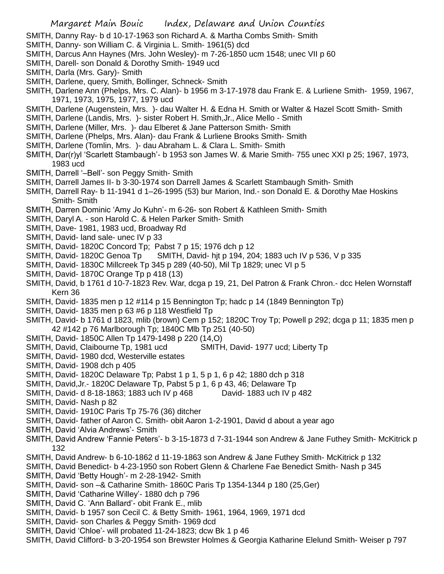- SMITH, Danny Ray- b d 10-17-1963 son Richard A. & Martha Combs Smith- Smith
- SMITH, Danny- son William C. & Virginia L. Smith- 1961(5) dcd
- SMITH, Darcus Ann Haynes (Mrs. John Wesley)- m 7-26-1850 ucm 1548; unec VII p 60
- SMITH, Darell- son Donald & Dorothy Smith- 1949 ucd
- SMITH, Darla (Mrs. Gary)- Smith
- SMITH, Darlene, query, Smith, Bollinger, Schneck- Smith
- SMITH, Darlene Ann (Phelps, Mrs. C. Alan)- b 1956 m 3-17-1978 dau Frank E. & Lurliene Smith- 1959, 1967, 1971, 1973, 1975, 1977, 1979 ucd
- SMITH, Darlene (Augenstein, Mrs. )- dau Walter H. & Edna H. Smith or Walter & Hazel Scott Smith- Smith
- SMITH, Darlene (Landis, Mrs. )- sister Robert H. Smith,Jr., Alice Mello Smith
- SMITH, Darlene (Miller, Mrs. )- dau Elberet & Jane Patterson Smith- Smith
- SMITH, Darlene (Phelps, Mrs. Alan)- dau Frank & Lurliene Brooks Smith- Smith
- SMITH, Darlene (Tomlin, Mrs. )- dau Abraham L. & Clara L. Smith- Smith
- SMITH, Dar(r)yl 'Scarlett Stambaugh'- b 1953 son James W. & Marie Smith- 755 unec XXI p 25; 1967, 1973, 1983 ucd
- SMITH, Darrell '–Bell'- son Peggy Smith- Smith
- SMITH, Darrell James II- b 3-30-1974 son Darrell James & Scarlett Stambaugh Smith- Smith
- SMITH, Darrell Ray- b 11-1941 d 1–26-1995 (53) bur Marion, Ind.- son Donald E. & Dorothy Mae Hoskins Smith- Smith
- SMITH, Darren Dominic 'Amy Jo Kuhn'- m 6-26- son Robert & Kathleen Smith- Smith
- SMITH, Daryl A. son Harold C. & Helen Parker Smith- Smith
- SMITH, Dave- 1981, 1983 ucd, Broadway Rd
- SMITH, David- land sale- unec IV p 33
- SMITH, David- 1820C Concord Tp; Pabst 7 p 15; 1976 dch p 12
- SMITH, David- 1820C Genoa Tp SMITH, David- hit p 194, 204; 1883 uch IV p 536, V p 335
- SMITH, David- 1830C Millcreek Tp 345 p 289 (40-50), Mil Tp 1829; unec VI p 5
- SMITH, David- 1870C Orange Tp p 418 (13)
- SMITH, David, b 1761 d 10-7-1823 Rev. War, dcga p 19, 21, Del Patron & Frank Chron.- dcc Helen Wornstaff Kern 36
- SMITH, David- 1835 men p 12 #114 p 15 Bennington Tp; hadc p 14 (1849 Bennington Tp)
- SMITH, David- 1835 men p 63 #6 p 118 Westfield Tp
- SMITH, David- b 1761 d 1823, mlib (brown) Cem p 152; 1820C Troy Tp; Powell p 292; dcga p 11; 1835 men p 42 #142 p 76 Marlborough Tp; 1840C Mlb Tp 251 (40-50)
- SMITH, David- 1850C Allen Tp 1479-1498 p 220 (14,O)
- SMITH, David, Claibourne Tp, 1981 ucd SMITH, David- 1977 ucd; Liberty Tp
- SMITH, David- 1980 dcd, Westerville estates
- SMITH, David- 1908 dch p 405
- SMITH, David- 1820C Delaware Tp; Pabst 1 p 1, 5 p 1, 6 p 42; 1880 dch p 318
- SMITH, David,Jr.- 1820C Delaware Tp, Pabst 5 p 1, 6 p 43, 46; Delaware Tp
- SMITH, David- d 8-18-1863; 1883 uch IV p 468 David- 1883 uch IV p 482
- SMITH, David- Nash p 82
- SMITH, David- 1910C Paris Tp 75-76 (36) ditcher
- SMITH, David- father of Aaron C. Smith- obit Aaron 1-2-1901, David d about a year ago
- SMITH, David 'Alvia Andrews'- Smith
- SMITH, David Andrew 'Fannie Peters'- b 3-15-1873 d 7-31-1944 son Andrew & Jane Futhey Smith- McKitrick p 132
- SMITH, David Andrew- b 6-10-1862 d 11-19-1863 son Andrew & Jane Futhey Smith- McKitrick p 132
- SMITH, David Benedict- b 4-23-1950 son Robert Glenn & Charlene Fae Benedict Smith- Nash p 345
- SMITH, David 'Betty Hough'- m 2-28-1942- Smith
- SMITH, David- son –& Catharine Smith- 1860C Paris Tp 1354-1344 p 180 (25,Ger)
- SMITH, David 'Catharine Willey'- 1880 dch p 796
- SMITH, David C. 'Ann Ballard'- obit Frank E., mlib
- SMITH, David- b 1957 son Cecil C. & Betty Smith- 1961, 1964, 1969, 1971 dcd
- SMITH, David- son Charles & Peggy Smith- 1969 dcd
- SMITH, David 'Chloe'- will probated 11-24-1823; dcw Bk 1 p 46
- SMITH, David Clifford- b 3-20-1954 son Brewster Holmes & Georgia Katharine Elelund Smith- Weiser p 797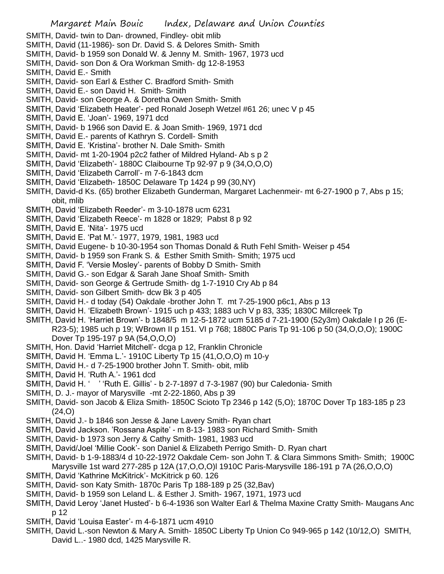- SMITH, David- twin to Dan- drowned, Findley- obit mlib
- SMITH, David (11-1986)- son Dr. David S. & Delores Smith- Smith
- SMITH, David- b 1959 son Donald W. & Jenny M. Smith- 1967, 1973 ucd
- SMITH, David- son Don & Ora Workman Smith- dg 12-8-1953
- SMITH, David E.- Smith
- SMITH, David- son Earl & Esther C. Bradford Smith- Smith
- SMITH, David E.- son David H. Smith- Smith
- SMITH, David- son George A. & Doretha Owen Smith- Smith
- SMITH, David 'Elizabeth Heater'- ped Ronald Joseph Wetzel #61 26; unec V p 45
- SMITH, David E. 'Joan'- 1969, 1971 dcd
- SMITH, David- b 1966 son David E. & Joan Smith- 1969, 1971 dcd
- SMITH, David E.- parents of Kathryn S. Cordell- Smith
- SMITH, David E. 'Kristina'- brother N. Dale Smith- Smith
- SMITH, David- mt 1-20-1904 p2c2 father of Mildred Hyland- Ab s p 2
- SMITH, David 'Elizabeth'- 1880C Claibourne Tp 92-97 p 9 (34,O,O,O)
- SMITH, David 'Elizabeth Carroll'- m 7-6-1843 dcm
- SMITH, David 'Elizabeth- 1850C Delaware Tp 1424 p 99 (30,NY)
- SMITH, David-d Ks. (65) brother Elizabeth Gunderman, Margaret Lachenmeir- mt 6-27-1900 p 7, Abs p 15; obit, mlib
- SMITH, David 'Elizabeth Reeder'- m 3-10-1878 ucm 6231
- SMITH, David 'Elizabeth Reece'- m 1828 or 1829; Pabst 8 p 92
- SMITH, David E. 'Nita'- 1975 ucd
- SMITH, David E. 'Pat M.'- 1977, 1979, 1981, 1983 ucd
- SMITH, David Eugene- b 10-30-1954 son Thomas Donald & Ruth Fehl Smith- Weiser p 454
- SMITH, David- b 1959 son Frank S. & Esther Smith Smith- Smith; 1975 ucd
- SMITH, David F. 'Versie Mosley'- parents of Bobby D Smith- Smith
- SMITH, David G.- son Edgar & Sarah Jane Shoaf Smith- Smith
- SMITH, David- son George & Gertrude Smith- dg 1-7-1910 Cry Ab p 84
- SMITH, David- son Gilbert Smith- dcw Bk 3 p 405
- SMITH, David H.- d today (54) Oakdale -brother John T. mt 7-25-1900 p6c1, Abs p 13
- SMITH, David H. 'Elizabeth Brown'- 1915 uch p 433; 1883 uch V p 83, 335; 1830C Millcreek Tp
- SMITH, David H. 'Harriet Brown'- b 1848/5 m 12-5-1872 ucm 5185 d 7-21-1900 (52y3m) Oakdale I p 26 (E-R23-5); 1985 uch p 19; WBrown II p 151. VI p 768; 1880C Paris Tp 91-106 p 50 (34,O,O,O); 1900C Dover Tp 195-197 p 9A (54,O,O,O)
- SMITH, Hon. David 'Harriet Mitchell'- dcga p 12, Franklin Chronicle
- SMITH, David H. 'Emma L.'- 1910C Liberty Tp 15 (41,O,O,O) m 10-y
- SMITH, David H.- d 7-25-1900 brother John T. Smith- obit, mlib
- SMITH, David H. 'Ruth A.'- 1961 dcd
- SMITH, David H. ' ' 'Ruth E. Gillis' b 2-7-1897 d 7-3-1987 (90) bur Caledonia- Smith
- SMITH, D. J.- mayor of Marysville -mt 2-22-1860, Abs p 39
- SMITH, David- son Jacob & Eliza Smith- 1850C Scioto Tp 2346 p 142 (5,O); 1870C Dover Tp 183-185 p 23 (24,O)
- SMITH, David J.- b 1846 son Jesse & Jane Lavery Smith- Ryan chart
- SMITH, David Jackson. 'Rossana Aspite' m 8-13- 1983 son Richard Smith- Smith
- SMITH, David- b 1973 son Jerry & Cathy Smith- 1981, 1983 ucd
- SMITH, David/Joel 'Millie Cook'- son Daniel & Elizabeth Perrigo Smith- D. Ryan chart
- SMITH, David- b 1-9-1883/4 d 10-22-1972 Oakdale Cem- son John T. & Clara Simmons Smith- Smith; 1900C Marysville 1st ward 277-285 p 12A (17,O,O,O)l 1910C Paris-Marysville 186-191 p 7A (26,O,O,O)
- SMITH, David 'Kathrine McKitrick'- McKitrick p 60. 126
- SMITH, David- son Katy Smith- 1870c Paris Tp 188-189 p 25 (32,Bav)
- SMITH, David- b 1959 son Leland L. & Esther J. Smith- 1967, 1971, 1973 ucd
- SMITH, David Leroy 'Janet Husted'- b 6-4-1936 son Walter Earl & Thelma Maxine Cratty Smith- Maugans Anc p 12
- SMITH, David 'Louisa Easter'- m 4-6-1871 ucm 4910
- SMITH, David L.-son Newton & Mary A. Smith- 1850C Liberty Tp Union Co 949-965 p 142 (10/12,O) SMITH, David L..- 1980 dcd, 1425 Marysville R.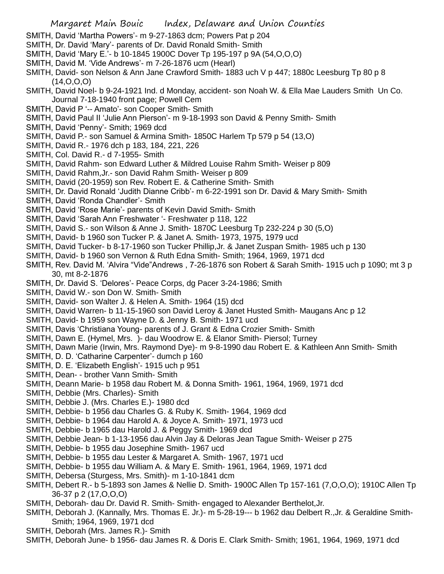- SMITH, David 'Martha Powers'- m 9-27-1863 dcm; Powers Pat p 204
- SMITH, Dr. David 'Mary'- parents of Dr. David Ronald Smith- Smith
- SMITH, David 'Mary E.'- b 10-1845 1900C Dover Tp 195-197 p 9A (54,O,O,O)
- SMITH, David M. 'Vide Andrews'- m 7-26-1876 ucm (Hearl)
- SMITH, David- son Nelson & Ann Jane Crawford Smith- 1883 uch V p 447; 1880c Leesburg Tp 80 p 8  $(14, 0, 0, 0)$
- SMITH, David Noel- b 9-24-1921 Ind. d Monday, accident- son Noah W. & Ella Mae Lauders Smith Un Co. Journal 7-18-1940 front page; Powell Cem
- SMITH, David P '-- Amato'- son Cooper Smith- Smith
- SMITH, David Paul II 'Julie Ann Pierson'- m 9-18-1993 son David & Penny Smith- Smith
- SMITH, David 'Penny'- Smith; 1969 dcd
- SMITH, David P.- son Samuel & Armina Smith- 1850C Harlem Tp 579 p 54 (13,O)
- SMITH, David R.- 1976 dch p 183, 184, 221, 226
- SMITH, Col. David R.- d 7-1955- Smith
- SMITH, David Rahm- son Edward Luther & Mildred Louise Rahm Smith- Weiser p 809
- SMITH, David Rahm,Jr.- son David Rahm Smith- Weiser p 809
- SMITH, David (20-1959) son Rev. Robert E. & Catherine Smith- Smith
- SMITH, Dr. David Ronald 'Judith Dianne Cribb'- m 6-22-1991 son Dr. David & Mary Smith- Smith
- SMITH, David 'Ronda Chandler'- Smith
- SMITH, David 'Rose Marie'- parents of Kevin David Smith- Smith
- SMITH, David 'Sarah Ann Freshwater '- Freshwater p 118, 122
- SMITH, David S.- son Wilson & Anne J. Smith- 1870C Leesburg Tp 232-224 p 30 (5,O)
- SMITH, David- b 1960 son Tucker P. & Janet A. Smith- 1973, 1975, 1979 ucd
- SMITH, David Tucker- b 8-17-1960 son Tucker Phillip,Jr. & Janet Zuspan Smith- 1985 uch p 130
- SMITH, David- b 1960 son Vernon & Ruth Edna Smith- Smith; 1964, 1969, 1971 dcd
- SMITH, Rev. David M. 'Alvira "Vide"Andrews , 7-26-1876 son Robert & Sarah Smith- 1915 uch p 1090; mt 3 p 30, mt 8-2-1876
- SMITH, Dr. David S. 'Delores'- Peace Corps, dg Pacer 3-24-1986; Smith
- SMITH, David W.- son Don W. Smith- Smith
- SMITH, David- son Walter J. & Helen A. Smith- 1964 (15) dcd
- SMITH, David Warren- b 11-15-1960 son David Leroy & Janet Husted Smith- Maugans Anc p 12
- SMITH, David- b 1959 son Wayne D. & Jenny B. Smith- 1971 ucd
- SMITH, Davis 'Christiana Young- parents of J. Grant & Edna Crozier Smith- Smith
- SMITH, Dawn E. (Hymel, Mrs. )- dau Woodrow E. & Elanor Smith- Piersol; Turney
- SMITH, Dawn Marie (Irwin, Mrs. Raymond Dye)- m 9-8-1990 dau Robert E. & Kathleen Ann Smith- Smith
- SMITH, D. D. 'Catharine Carpenter'- dumch p 160
- SMITH, D. E. 'Elizabeth English'- 1915 uch p 951
- SMITH, Dean- brother Vann Smith- Smith
- SMITH, Deann Marie- b 1958 dau Robert M. & Donna Smith- 1961, 1964, 1969, 1971 dcd
- SMITH, Debbie (Mrs. Charles)- Smith
- SMITH, Debbie J. (Mrs. Charles E.)- 1980 dcd
- SMITH, Debbie- b 1956 dau Charles G. & Ruby K. Smith- 1964, 1969 dcd
- SMITH, Debbie- b 1964 dau Harold A. & Joyce A. Smith- 1971, 1973 ucd
- SMITH, Debbie- b 1965 dau Harold J. & Peggy Smith- 1969 dcd
- SMITH, Debbie Jean- b 1-13-1956 dau Alvin Jay & Deloras Jean Tague Smith- Weiser p 275
- SMITH, Debbie- b 1955 dau Josephine Smith- 1967 ucd
- SMITH, Debbie- b 1955 dau Lester & Margaret A. Smith- 1967, 1971 ucd
- SMITH, Debbie- b 1955 dau William A. & Mary E. Smith- 1961, 1964, 1969, 1971 dcd
- SMITH, Debersa (Sturgess, Mrs. Smith)- m 1-10-1841 dcm
- SMITH, Debert R.- b 5-1893 son James & Nellie D. Smith- 1900C Allen Tp 157-161 (7,O,O,O); 1910C Allen Tp 36-37 p 2 (17,O,O,O)
- SMITH, Deborah- dau Dr. David R. Smith- Smith- engaged to Alexander Berthelot,Jr.
- SMITH, Deborah J. (Kannally, Mrs. Thomas E. Jr.)- m 5-28-19--- b 1962 dau Delbert R.,Jr. & Geraldine Smith-Smith; 1964, 1969, 1971 dcd
- SMITH, Deborah (Mrs. James R.)- Smith
- SMITH, Deborah June- b 1956- dau James R. & Doris E. Clark Smith- Smith; 1961, 1964, 1969, 1971 dcd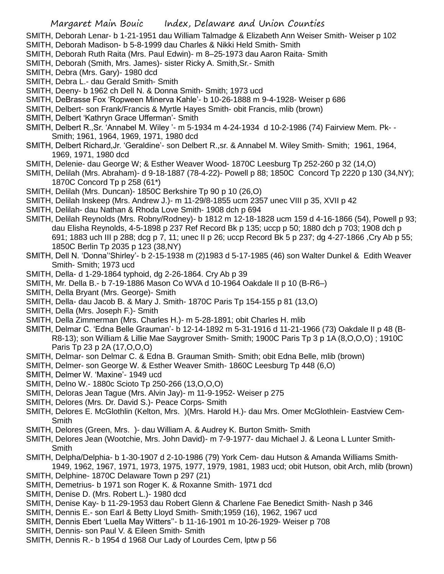SMITH, Deborah Lenar- b 1-21-1951 dau William Talmadge & Elizabeth Ann Weiser Smith- Weiser p 102 SMITH, Deborah Madison- b 5-8-1999 dau Charles & Nikki Held Smith- Smith

- SMITH, Deborah Ruth Raita (Mrs. Paul Edwin)- m 8–25-1973 dau Aaron Raita- Smith
- SMITH, Deborah (Smith, Mrs. James)- sister Ricky A. Smith,Sr.- Smith
- SMITH, Debra (Mrs. Gary)- 1980 dcd

SMITH, Debra L.- dau Gerald Smith- Smith

- SMITH, Deeny- b 1962 ch Dell N. & Donna Smith- Smith; 1973 ucd
- SMITH, DeBrasse Fox 'Ropween Minerva Kahle'- b 10-26-1888 m 9-4-1928- Weiser p 686
- SMITH, Delbert- son Frank/Francis & Myrtle Hayes Smith- obit Francis, mlib (brown)
- SMITH, Delbert 'Kathryn Grace Ufferman'- Smith
- SMITH, Delbert R.,Sr. 'Annabel M. Wiley '- m 5-1934 m 4-24-1934 d 10-2-1986 (74) Fairview Mem. Pk- Smith; 1961, 1964, 1969, 1971, 1980 dcd
- SMITH, Delbert Richard,Jr. 'Geraldine'- son Delbert R.,sr. & Annabel M. Wiley Smith- Smith; 1961, 1964, 1969, 1971, 1980 dcd
- SMITH, Delenie- dau George W; & Esther Weaver Wood- 1870C Leesburg Tp 252-260 p 32 (14,O)
- SMITH, Delilah (Mrs. Abraham)- d 9-18-1887 (78-4-22)- Powell p 88; 1850C Concord Tp 2220 p 130 (34,NY); 1870C Concord Tp p 258 (61\*)
- SMITH, Delilah (Mrs. Duncan)- 1850C Berkshire Tp 90 p 10 (26,O)
- SMITH, Delilah Inskeep (Mrs. Andrew J.)- m 11-29/8-1855 ucm 2357 unec VIII p 35, XVII p 42
- SMITH, Delilah- dau Nathan & Rhoda Love Smith- 1908 dch p 694
- SMITH, Delilah Reynolds (Mrs. Robny/Rodney)- b 1812 m 12-18-1828 ucm 159 d 4-16-1866 (54), Powell p 93; dau Elisha Reynolds, 4-5-1898 p 237 Ref Record Bk p 135; uccp p 50; 1880 dch p 703; 1908 dch p 691; 1883 uch III p 288; dcg p 7, 11; unec II p 26; uccp Record Bk 5 p 237; dg 4-27-1866 ,Cry Ab p 55; 1850C Berlin Tp 2035 p 123 (38,NY)
- SMITH, Dell N. 'Donna''Shirley'- b 2-15-1938 m (2)1983 d 5-17-1985 (46) son Walter Dunkel & Edith Weaver Smith- Smith; 1973 ucd
- SMITH, Della- d 1-29-1864 typhoid, dg 2-26-1864. Cry Ab p 39
- SMITH, Mr. Della B.- b 7-19-1886 Mason Co WVA d 10-1964 Oakdale II p 10 (B-R6–)
- SMITH, Della Bryant (Mrs. George)- Smith
- SMITH, Della- dau Jacob B. & Mary J. Smith- 1870C Paris Tp 154-155 p 81 (13,O)
- SMITH, Della (Mrs. Joseph F.)- Smith
- SMITH, Della Zimmerman (Mrs. Charles H.)- m 5-28-1891; obit Charles H. mlib
- SMITH, Delmar C. 'Edna Belle Grauman'- b 12-14-1892 m 5-31-1916 d 11-21-1966 (73) Oakdale II p 48 (B-R8-13); son William & Lillie Mae Saygrover Smith- Smith; 1900C Paris Tp 3 p 1A (8,O,O,O) ; 1910C Paris Tp 23 p 2A (17,O,O,O)
- SMITH, Delmar- son Delmar C. & Edna B. Grauman Smith- Smith; obit Edna Belle, mlib (brown)
- SMITH, Delmer- son George W. & Esther Weaver Smith- 1860C Leesburg Tp 448 (6,O)
- SMITH, Delmer W. 'Maxine'- 1949 ucd
- SMITH, Delno W.- 1880c Scioto Tp 250-266 (13,O,O,O)
- SMITH, Deloras Jean Tague (Mrs. Alvin Jay)- m 11-9-1952- Weiser p 275
- SMITH, Delores (Mrs. Dr. David S.)- Peace Corps- Smith
- SMITH, Delores E. McGlothlin (Kelton, Mrs. )(Mrs. Harold H.)- dau Mrs. Omer McGlothlein- Eastview Cem-**Smith**
- SMITH, Delores (Green, Mrs. )- dau William A. & Audrey K. Burton Smith- Smith
- SMITH, Delores Jean (Wootchie, Mrs. John David)- m 7-9-1977- dau Michael J. & Leona L Lunter Smith-Smith
- SMITH, Delpha/Delphia- b 1-30-1907 d 2-10-1986 (79) York Cem- dau Hutson & Amanda Williams Smith-1949, 1962, 1967, 1971, 1973, 1975, 1977, 1979, 1981, 1983 ucd; obit Hutson, obit Arch, mlib (brown)
- SMITH, Delphine- 1870C Delaware Town p 297 (21)
- SMITH, Demetrius- b 1971 son Roger K. & Roxanne Smith- 1971 dcd
- SMITH, Denise D. (Mrs. Robert L.)- 1980 dcd
- SMITH, Denise Kay- b 11-29-1953 dau Robert Glenn & Charlene Fae Benedict Smith- Nash p 346
- SMITH, Dennis E.- son Earl & Betty Lloyd Smith- Smith;1959 (16), 1962, 1967 ucd
- SMITH, Dennis Ebert 'Luella May Witters''- b 11-16-1901 m 10-26-1929- Weiser p 708
- SMITH, Dennis- son Paul V. & Eileen Smith- Smith
- SMITH, Dennis R.- b 1954 d 1968 Our Lady of Lourdes Cem, lptw p 56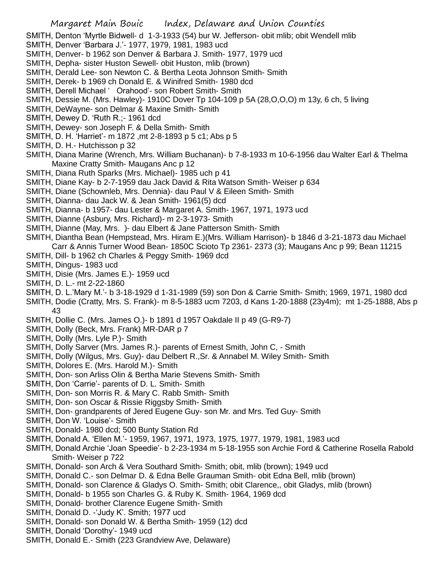SMITH, Denton 'Myrtle Bidwell- d 1-3-1933 (54) bur W. Jefferson- obit mlib; obit Wendell mlib

- SMITH, Denver 'Barbara J.'- 1977, 1979, 1981, 1983 ucd
- SMITH, Denver- b 1962 son Denver & Barbara J. Smith- 1977, 1979 ucd
- SMITH, Depha- sister Huston Sewell- obit Huston, mlib (brown)
- SMITH, Derald Lee- son Newton C. & Bertha Leota Johnson Smith- Smith
- SMITH, Derek- b 1969 ch Donald E. & Winifred Smith- 1980 dcd
- SMITH, Derell Michael ' Orahood'- son Robert Smith- Smith
- SMITH, Dessie M. (Mrs. Hawley)- 1910C Dover Tp 104-109 p 5A (28,O,O,O) m 13y, 6 ch, 5 living
- SMITH, DeWayne- son Delmar & Maxine Smith- Smith
- SMITH, Dewey D. 'Ruth R.;- 1961 dcd
- SMITH, Dewey- son Joseph F. & Della Smith- Smith
- SMITH, D. H. 'Harriet'- m 1872 ,mt 2-8-1893 p 5 c1; Abs p 5
- SMITH, D. H.- Hutchisson p 32
- SMITH, Diana Marine (Wrench, Mrs. William Buchanan)- b 7-8-1933 m 10-6-1956 dau Walter Earl & Thelma Maxine Cratty Smith- Maugans Anc p 12
- SMITH, Diana Ruth Sparks (Mrs. Michael)- 1985 uch p 41
- SMITH, Diane Kay- b 2-7-1959 dau Jack David & Rita Watson Smith- Weiser p 634
- SMITH, Diane (Schownleb, Mrs. Dennia)- dau Paul V & Eileen Smith- Smith
- SMITH, Dianna- dau Jack W. & Jean Smith- 1961(5) dcd
- SMITH, Dianna- b 1957- dau Lester & Margaret A. Smith- 1967, 1971, 1973 ucd
- SMITH, Dianne (Asbury, Mrs. Richard)- m 2-3-1973- Smith
- SMITH, Dianne (May, Mrs. )- dau Elbert & Jane Patterson Smith- Smith
- SMITH, Diantha Bean (Hempstead, Mrs. Hiram E.)(Mrs. William Harrison)- b 1846 d 3-21-1873 dau Michael
- Carr & Annis Turner Wood Bean- 1850C Scioto Tp 2361- 2373 (3); Maugans Anc p 99; Bean 11215
- SMITH, Dill- b 1962 ch Charles & Peggy Smith- 1969 dcd
- SMITH, Dingus- 1983 ucd
- SMITH, Disie (Mrs. James E.)- 1959 ucd
- SMITH, D. L.- mt 2-22-1860
- SMITH, D. L.'Mary M.'- b 3-18-1929 d 1-31-1989 (59) son Don & Carrie Smith- Smith; 1969, 1971, 1980 dcd
- SMITH, Dodie (Cratty, Mrs. S. Frank)- m 8-5-1883 ucm 7203, d Kans 1-20-1888 (23y4m); mt 1-25-1888, Abs p 43
- SMITH, Dollie C. (Mrs. James O.)- b 1891 d 1957 Oakdale II p 49 (G-R9-7)
- SMITH, Dolly (Beck, Mrs. Frank) MR-DAR p 7
- SMITH, Dolly (Mrs. Lyle P.)- Smith
- SMITH, Dolly Sarver (Mrs. James R.)- parents of Ernest Smith, John C, Smith
- SMITH, Dolly (Wilgus, Mrs. Guy)- dau Delbert R.,Sr. & Annabel M. Wiley Smith- Smith
- SMITH, Dolores E. (Mrs. Harold M.)- Smith
- SMITH, Don- son Arliss Olin & Bertha Marie Stevens Smith- Smith
- SMITH, Don 'Carrie'- parents of D. L. Smith- Smith
- SMITH, Don- son Morris R. & Mary C. Rabb Smith- Smith
- SMITH, Don- son Oscar & Rissie Riggsby Smith- Smith
- SMITH, Don- grandparents of Jered Eugene Guy- son Mr. and Mrs. Ted Guy- Smith
- SMITH, Don W. 'Louise'- Smith
- SMITH, Donald- 1980 dcd; 500 Bunty Station Rd
- SMITH, Donald A. 'Ellen M.'- 1959, 1967, 1971, 1973, 1975, 1977, 1979, 1981, 1983 ucd
- SMITH, Donald Archie 'Joan Speedie'- b 2-23-1934 m 5-18-1955 son Archie Ford & Catherine Rosella Rabold Smith- Weiser p 722
- SMITH, Donald- son Arch & Vera Southard Smith- Smith; obit, mlib (brown); 1949 ucd
- SMITH, Donald C.- son Delmar D. & Edna Belle Grauman Smith- obit Edna Bell, mlib (brown)
- SMITH, Donald- son Clarence & Gladys O. Smith- Smith; obit Clarence,, obit Gladys, mlib (brown)
- SMITH, Donald- b 1955 son Charles G. & Ruby K. Smith- 1964, 1969 dcd
- SMITH, Donald- brother Clarence Eugene Smith- Smith
- SMITH, Donald D. -'Judy K'. Smith; 1977 ucd
- SMITH, Donald- son Donald W. & Bertha Smith- 1959 (12) dcd
- SMITH, Donald 'Dorothy'- 1949 ucd
- SMITH, Donald E.- Smith (223 Grandview Ave, Delaware)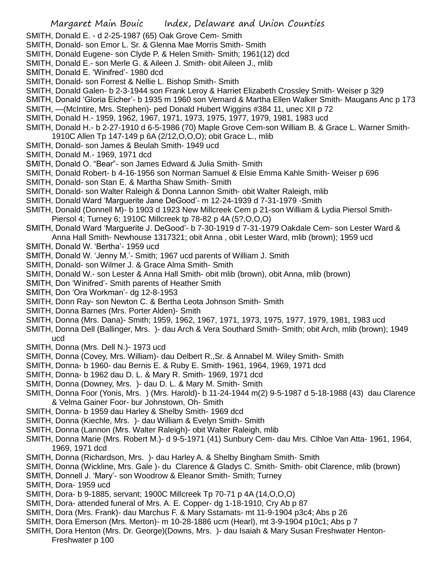- SMITH, Donald E. d 2-25-1987 (65) Oak Grove Cem- Smith
- SMITH, Donald- son Emor L. Sr. & Glenna Mae Morris Smith- Smith
- SMITH, Donald Eugene- son Clyde P. & Helen Smith- Smith; 1961(12) dcd
- SMITH, Donald E.- son Merle G. & Aileen J. Smith- obit Aileen J., mlib
- SMITH, Donald E. 'Winifred'- 1980 dcd
- SMITH, Donald- son Forrest & Nellie L. Bishop Smith- Smith
- SMITH, Donald Galen- b 2-3-1944 son Frank Leroy & Harriet Elizabeth Crossley Smith- Weiser p 329
- SMITH, Donald 'Gloria Eicher'- b 1935 m 1960 son Vernard & Martha Ellen Walker Smith- Maugans Anc p 173
- SMITH, —(McIntire, Mrs. Stephen)- ped Donald Hubert Wiggins #384 11, unec XII p 72
- SMITH, Donald H.- 1959, 1962, 1967, 1971, 1973, 1975, 1977, 1979, 1981, 1983 ucd
- SMITH, Donald H.- b 2-27-1910 d 6-5-1986 (70) Maple Grove Cem-son William B. & Grace L. Warner Smith-1910C Allen Tp 147-149 p 6A (2/12,O,O,O); obit Grace L., mlib
- SMITH, Donald- son James & Beulah Smith- 1949 ucd
- SMITH, Donald M.- 1969, 1971 dcd
- SMITH, Donald O. "Bear"- son James Edward & Julia Smith- Smith
- SMITH, Donald Robert- b 4-16-1956 son Norman Samuel & Elsie Emma Kahle Smith- Weiser p 696
- SMITH, Donald- son Stan E. & Martha Shaw Smith- Smith
- SMITH, Donald- son Walter Raleigh & Donna Lannon Smith- obit Walter Raleigh, mlib
- SMITH, Donald Ward 'Marguerite Jane DeGood'- m 12-24-1939 d 7-31-1979 -Smith
- SMITH, Donald (Donnell M)- b 1903 d 1923 New Millcreek Cem p 21-son William & Lydia Piersol Smith-Piersol 4; Turney 6; 1910C Millcreek tp 78-82 p 4A (5?,O,O,O)
- SMITH, Donald Ward 'Marguerite J. DeGood'- b 7-30-1919 d 7-31-1979 Oakdale Cem- son Lester Ward & Anna Hall Smith- Newhouse 1317321; obit Anna , obit Lester Ward, mlib (brown); 1959 ucd
- SMITH, Donald W. 'Bertha'- 1959 ucd
- SMITH, Donald W. 'Jenny M.'- Smith; 1967 ucd parents of William J. Smith
- SMITH, Donald- son Wilmer J. & Grace Alma Smith- Smith
- SMITH, Donald W.- son Lester & Anna Hall Smith- obit mlib (brown), obit Anna, mlib (brown)
- SMITH, Don 'Winifred'- Smith parents of Heather Smith
- SMITH, Don 'Ora Workman'- dg 12-8-1953
- SMITH, Donn Ray- son Newton C. & Bertha Leota Johnson Smith- Smith
- SMITH, Donna Barnes (Mrs. Porter Alden)- Smith
- SMITH, Donna (Mrs. Dana)- Smith; 1959, 1962, 1967, 1971, 1973, 1975, 1977, 1979, 1981, 1983 ucd
- SMITH, Donna Dell (Ballinger, Mrs. )- dau Arch & Vera Southard Smith- Smith; obit Arch, mlib (brown); 1949 ucd
- SMITH, Donna (Mrs. Dell N.)- 1973 ucd
- SMITH, Donna (Covey, Mrs. William)- dau Delbert R.,Sr. & Annabel M. Wiley Smith- Smith
- SMITH, Donna- b 1960- dau Bernis E. & Ruby E. Smith- 1961, 1964, 1969, 1971 dcd
- SMITH, Donna- b 1962 dau D. L. & Mary R. Smith- 1969, 1971 dcd
- SMITH, Donna (Downey, Mrs. )- dau D. L. & Mary M. Smith- Smith
- SMITH, Donna Foor (Yonis, Mrs. ) (Mrs. Harold)- b 11-24-1944 m(2) 9-5-1987 d 5-18-1988 (43) dau Clarence & Velma Gainer Foor- bur Johnstown, Oh- Smith
- SMITH, Donna- b 1959 dau Harley & Shelby Smith- 1969 dcd
- SMITH, Donna (Kiechle, Mrs. )- dau William & Evelyn Smith- Smith
- SMITH, Donna (Lannon (Mrs. Walter Raleigh)- obit Walter Raleigh, mlib
- SMITH, Donna Marie (Mrs. Robert M.)- d 9-5-1971 (41) Sunbury Cem- dau Mrs. Clhloe Van Atta- 1961, 1964, 1969, 1971 dcd
- SMITH, Donna (Richardson, Mrs. )- dau Harley A. & Shelby Bingham Smith- Smith
- SMITH, Donna (Wickline, Mrs. Gale )- du Clarence & Gladys C. Smith- Smith- obit Clarence, mlib (brown)
- SMITH, Donnell J. 'Mary'- son Woodrow & Eleanor Smith- Smith; Turney
- SMITH, Dora- 1959 ucd
- SMITH, Dora- b 9-1885, servant; 1900C Millcreek Tp 70-71 p 4A (14,O,O,O)
- SMITH, Dora- attended funeral of Mrs. A. E. Copper- dg 1-18-1910, Cry Ab p 87
- SMITH, Dora (Mrs. Frank)- dau Marchus F. & Mary Sstamats- mt 11-9-1904 p3c4; Abs p 26
- SMITH, Dora Emerson (Mrs. Merton)- m 10-28-1886 ucm (Hearl), mt 3-9-1904 p10c1; Abs p 7
- SMITH, Dora Henton (Mrs. Dr. George)(Downs, Mrs. )- dau Isaiah & Mary Susan Freshwater Henton-Freshwater p 100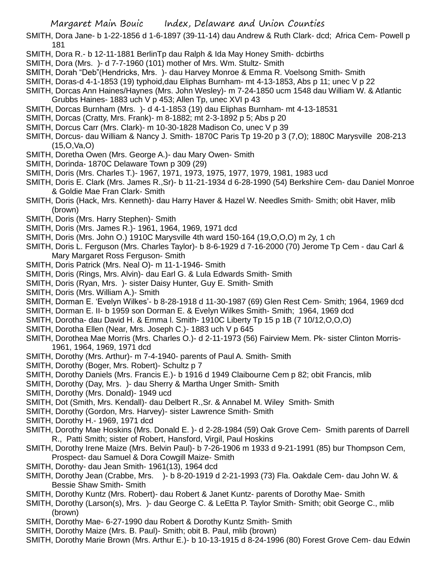SMITH, Dora Jane- b 1-22-1856 d 1-6-1897 (39-11-14) dau Andrew & Ruth Clark- dcd; Africa Cem- Powell p 181

- SMITH, Dora R.- b 12-11-1881 BerlinTp dau Ralph & Ida May Honey Smith- dcbirths
- SMITH, Dora (Mrs. )- d 7-7-1960 (101) mother of Mrs. Wm. Stultz- Smith
- SMITH, Dorah "Deb"(Hendricks, Mrs. )- dau Harvey Monroe & Emma R. Voelsong Smith- Smith
- SMITH, Doras-d 4-1-1853 (19) typhoid,dau Eliphas Burnham- mt 4-13-1853, Abs p 11; unec V p 22
- SMITH, Dorcas Ann Haines/Haynes (Mrs. John Wesley)- m 7-24-1850 ucm 1548 dau William W. & Atlantic Grubbs Haines- 1883 uch V p 453; Allen Tp, unec XVI p 43
- SMITH, Dorcas Burnham (Mrs. )- d 4-1-1853 (19) dau Eliphas Burnham- mt 4-13-18531
- SMITH, Dorcas (Cratty, Mrs. Frank)- m 8-1882; mt 2-3-1892 p 5; Abs p 20
- SMITH, Dorcus Carr (Mrs. Clark)- m 10-30-1828 Madison Co, unec V p 39
- SMITH, Dorcus- dau William & Nancy J. Smith- 1870C Paris Tp 19-20 p 3 (7,O); 1880C Marysville 208-213 (15,O,Va,O)
- SMITH, Doretha Owen (Mrs. George A.)- dau Mary Owen- Smith
- SMITH, Dorinda- 1870C Delaware Town p 309 (29)
- SMITH, Doris (Mrs. Charles T.)- 1967, 1971, 1973, 1975, 1977, 1979, 1981, 1983 ucd
- SMITH, Doris E. Clark (Mrs. James R.,Sr)- b 11-21-1934 d 6-28-1990 (54) Berkshire Cem- dau Daniel Monroe & Goldie Mae Fran Clark- Smith
- SMITH, Doris (Hack, Mrs. Kenneth)- dau Harry Haver & Hazel W. Needles Smith- Smith; obit Haver, mlib (brown)
- SMITH, Doris (Mrs. Harry Stephen)- Smith
- SMITH, Doris (Mrs. James R.)- 1961, 1964, 1969, 1971 dcd
- SMITH, Doris (Mrs. John O.) 1910C Marysville 4th ward 150-164 (19,O,O,O) m 2y, 1 ch
- SMITH, Doris L. Ferguson (Mrs. Charles Taylor)- b 8-6-1929 d 7-16-2000 (70) Jerome Tp Cem dau Carl & Mary Margaret Ross Ferguson- Smith
- SMITH, Doris Patrick (Mrs. Neal O)- m 11-1-1946- Smith
- SMITH, Doris (Rings, Mrs. Alvin)- dau Earl G. & Lula Edwards Smith- Smith
- SMITH, Doris (Ryan, Mrs. )- sister Daisy Hunter, Guy E. Smith- Smith
- SMITH, Doris (Mrs. William A.)- Smith
- SMITH, Dorman E. 'Evelyn Wilkes'- b 8-28-1918 d 11-30-1987 (69) Glen Rest Cem- Smith; 1964, 1969 dcd
- SMITH, Dorman E. II- b 1959 son Dorman E. & Evelyn Wilkes Smith- Smith; 1964, 1969 dcd
- SMITH, Dorotha- dau David H. & Emma l. Smith- 1910C Liberty Tp 15 p 1B (7 10/12,O,O,O)
- SMITH, Dorotha Ellen (Near, Mrs. Joseph C.)- 1883 uch V p 645
- SMITH, Dorothea Mae Morris (Mrs. Charles O.)- d 2-11-1973 (56) Fairview Mem. Pk- sister Clinton Morris-1961, 1964, 1969, 1971 dcd
- SMITH, Dorothy (Mrs. Arthur)- m 7-4-1940- parents of Paul A. Smith- Smith
- SMITH, Dorothy (Boger, Mrs. Robert)- Schultz p 7
- SMITH, Dorothy Daniels (Mrs. Francis E.)- b 1916 d 1949 Claibourne Cem p 82; obit Francis, mlib
- SMITH, Dorothy (Day, Mrs. )- dau Sherry & Martha Unger Smith- Smith
- SMITH, Dorothy (Mrs. Donald)- 1949 ucd
- SMITH, Dot (Smith, Mrs. Kendall)- dau Delbert R.,Sr. & Annabel M. Wiley Smith- Smith
- SMITH, Dorothy (Gordon, Mrs. Harvey)- sister Lawrence Smith- Smith
- SMITH, Dorothy H.- 1969, 1971 dcd
- SMITH, Dorothy Mae Hoskins (Mrs. Donald E. )- d 2-28-1984 (59) Oak Grove Cem- Smith parents of Darrell R., Patti Smith; sister of Robert, Hansford, Virgil, Paul Hoskins
- SMITH, Dorothy Irene Maize (Mrs. Belvin Paul)- b 7-26-1906 m 1933 d 9-21-1991 (85) bur Thompson Cem, Prospect- dau Samuel & Dora Cowgill Maize- Smith
- SMITH, Dorothy- dau Jean Smith- 1961(13), 1964 dcd
- SMITH, Dorothy Jean (Crabbe, Mrs. )- b 8-20-1919 d 2-21-1993 (73) Fla. Oakdale Cem- dau John W. & Bessie Shaw Smith- Smith
- SMITH, Dorothy Kuntz (Mrs. Robert)- dau Robert & Janet Kuntz- parents of Dorothy Mae- Smith
- SMITH, Dorothy (Larson(s), Mrs. )- dau George C. & LeEtta P. Taylor Smith- Smith; obit George C., mlib (brown)
- SMITH, Dorothy Mae- 6-27-1990 dau Robert & Dorothy Kuntz Smith- Smith
- SMITH, Dorothy Maize (Mrs. B. Paul)- Smith; obit B. Paul, mlib (brown)
- SMITH, Dorothy Marie Brown (Mrs. Arthur E.)- b 10-13-1915 d 8-24-1996 (80) Forest Grove Cem- dau Edwin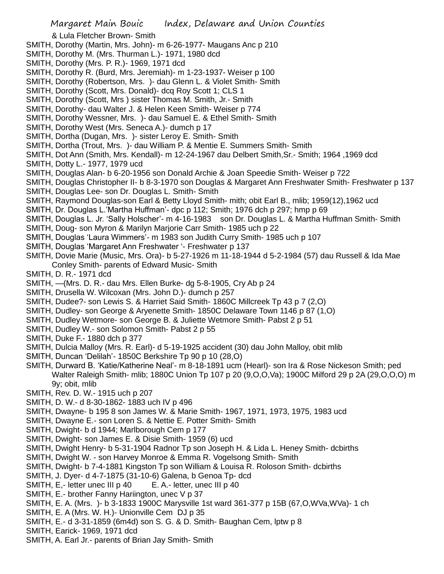& Lula Fletcher Brown- Smith

- SMITH, Dorothy (Martin, Mrs. John)- m 6-26-1977- Maugans Anc p 210
- SMITH, Dorothy M. (Mrs. Thurman L.)- 1971, 1980 dcd
- SMITH, Dorothy (Mrs. P. R.)- 1969, 1971 dcd
- SMITH, Dorothy R. (Burd, Mrs. Jeremiah)- m 1-23-1937- Weiser p 100
- SMITH, Dorothy (Robertson, Mrs. )- dau Glenn L. & Violet Smith- Smith
- SMITH, Dorothy (Scott, Mrs. Donald)- dcq Roy Scott 1; CLS 1
- SMITH, Dorothy (Scott, Mrs ) sister Thomas M. Smith, Jr.- Smith
- SMITH, Dorothy- dau Walter J. & Helen Keen Smith- Weiser p 774
- SMITH, Dorothy Wessner, Mrs. )- dau Samuel E. & Ethel Smith- Smith
- SMITH, Dorothy West (Mrs. Seneca A.)- dumch p 17
- SMITH, Dortha (Dugan, Mrs. )- sister Leroy E. Smith- Smith
- SMITH, Dortha (Trout, Mrs. )- dau William P. & Mentie E. Summers Smith- Smith
- SMITH, Dot Ann (Smith, Mrs. Kendall)- m 12-24-1967 dau Delbert Smith,Sr.- Smith; 1964 ,1969 dcd
- SMITH, Dotty L.- 1977, 1979 ucd
- SMITH, Douglas Alan- b 6-20-1956 son Donald Archie & Joan Speedie Smith- Weiser p 722
- SMITH, Douglas Christopher II- b 8-3-1970 son Douglas & Margaret Ann Freshwater Smith- Freshwater p 137 SMITH, Douglas Lee- son Dr. Douglas L. Smith- Smith
- SMITH, Raymond Douglas-son Earl & Betty Lloyd Smith- mith; obit Earl B., mlib; 1959(12),1962 ucd
- SMITH, Dr. Douglas L.'Martha Huffman'- dpc p 112; Smith; 1976 dch p 297; hmp p 69
- SMITH, Douglas L. Jr. 'Sally Holscher'- m 4-16-1983 son Dr. Douglas L. & Martha Huffman Smith- Smith
- SMITH, Doug- son Myron & Marilyn Marjorie Carr Smith- 1985 uch p 22
- SMITH, Douglas 'Laura Wimmers'- m 1983 son Judith Curry Smith- 1985 uch p 107
- SMITH, Douglas 'Margaret Ann Freshwater '- Freshwater p 137
- SMITH, Dovie Marie (Music, Mrs. Ora)- b 5-27-1926 m 11-18-1944 d 5-2-1984 (57) dau Russell & Ida Mae Conley Smith- parents of Edward Music- Smith
- SMITH, D. R.- 1971 dcd
- SMITH, —(Mrs. D. R.- dau Mrs. Ellen Burke- dg 5-8-1905, Cry Ab p 24
- SMITH, Drusella W. Wilcoxan (Mrs. John D.)- dumch p 257
- SMITH, Dudee?- son Lewis S. & Harriet Said Smith- 1860C Millcreek Tp 43 p 7 (2,O)
- SMITH, Dudley- son George & Aryenette Smith- 1850C Delaware Town 1146 p 87 (1,O)
- SMITH, Dudley Wetmore- son George B. & Juliette Wetmore Smith- Pabst 2 p 51
- SMITH, Dudley W.- son Solomon Smith- Pabst 2 p 55
- SMITH, Duke F.- 1880 dch p 377
- SMITH, Dulcia Malloy (Mrs. R. Earl)- d 5-19-1925 accident (30) dau John Malloy, obit mlib
- SMITH, Duncan 'Delilah'- 1850C Berkshire Tp 90 p 10 (28,O)
- SMITH, Durward B. 'Katie/Katherine Neal'- m 8-18-1891 ucm (Hearl)- son Ira & Rose Nickeson Smith; ped Walter Raleigh Smith- mlib; 1880C Union Tp 107 p 20 (9,O,O,Va); 1900C Milford 29 p 2A (29,O,O,O) m 9y; obit, mlib
- SMITH, Rev. D. W.- 1915 uch p 207
- SMITH, D. W.- d 8-30-1862- 1883 uch IV p 496
- SMITH, Dwayne- b 195 8 son James W. & Marie Smith- 1967, 1971, 1973, 1975, 1983 ucd
- SMITH, Dwayne E.- son Loren S. & Nettie E. Potter Smith- Smith
- SMITH, Dwight- b d 1944; Marlborough Cem p 177
- SMITH, Dwight- son James E. & Disie Smith- 1959 (6) ucd
- SMITH, Dwight Henry- b 5-31-1904 Radnor Tp son Joseph H. & Lida L. Heney Smith- dcbirths
- SMITH, Dwight W. son Harvey Monroe & Emma R. Vogelsong Smith- Smith
- SMITH, Dwight- b 7-4-1881 Kingston Tp son William & Louisa R. Roloson Smith- dcbirths
- SMITH, J. Dyer- d 4-7-1875 (31-10-6) Galena, b Genoa Tp- dcd
- SMITH, E,- letter unec III p 40 E. A.- letter, unec III p 40
- SMITH, E.- brother Fanny Hariington, unec V p 37
- SMITH, E. A. (Mrs. )- b 3-1833 1900C Marysville 1st ward 361-377 p 15B (67,O,WVa,WVa)- 1 ch
- SMITH, E. A (Mrs. W. H.)- Unionville Cem DJ p 35
- SMITH, E.- d 3-31-1859 (6m4d) son S. G. & D. Smith- Baughan Cem, lptw p 8
- SMITH, Earick- 1969, 1971 dcd
- SMITH, A. Earl Jr.- parents of Brian Jay Smith- Smith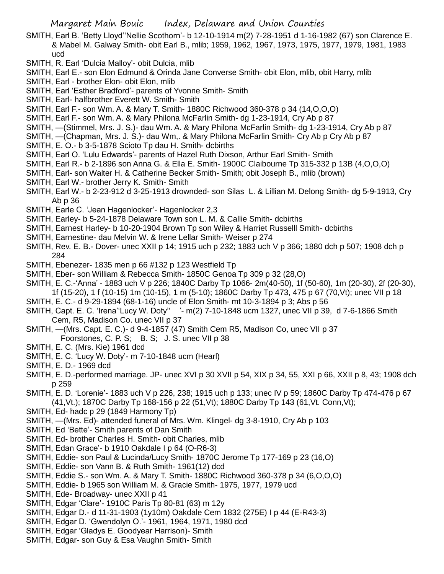- SMITH, Earl B. 'Betty Lloyd''Nellie Scothorn'- b 12-10-1914 m(2) 7-28-1951 d 1-16-1982 (67) son Clarence E. & Mabel M. Galway Smith- obit Earl B., mlib; 1959, 1962, 1967, 1973, 1975, 1977, 1979, 1981, 1983 ucd
- SMITH, R. Earl 'Dulcia Malloy'- obit Dulcia, mlib
- SMITH, Earl E.- son Elon Edmund & Orinda Jane Converse Smith- obit Elon, mlib, obit Harry, mlib
- SMITH, Earl brother Elon- obit Elon, mlib
- SMITH, Earl 'Esther Bradford'- parents of Yvonne Smith- Smith
- SMITH, Earl- halfbrother Everett W. Smith- Smith
- SMITH, Earl F.- son Wm. A. & Mary T. Smith- 1880C Richwood 360-378 p 34 (14,O,O,O)
- SMITH, Earl F.- son Wm. A. & Mary Philona McFarlin Smith- dg 1-23-1914, Cry Ab p 87
- SMITH, —(Stimmel, Mrs. J. S.)- dau Wm. A. & Mary Philona McFarlin Smith- dg 1-23-1914, Cry Ab p 87
- SMITH, —(Chapman, Mrs. J. S.)- dau Wm,. & Mary Philona McFarlin Smith- Cry Ab p Cry Ab p 87
- SMITH, E. O.- b 3-5-1878 Scioto Tp dau H. Smith- dcbirths
- SMITH, Earl O. 'Lulu Edwards'- parents of Hazel Ruth Dixson, Arthur Earl Smith- Smith
- SMITH, Earl R.- b 2-1896 son Anna G. & Ella E. Smith- 1900C Claibourne Tp 315-332 p 13B (4,O,O,O)
- SMITH, Earl- son Walter H. & Catherine Becker Smith- Smith; obit Joseph B., mlib (brown)
- SMITH, Earl W.- brother Jerry K. Smith- Smith
- SMITH, Earl W.- b 2-23-912 d 3-25-1913 drownded- son Silas L. & Lillian M. Delong Smith- dg 5-9-1913, Cry Ab p 36
- SMITH, Earle C. 'Jean Hagenlocker'- Hagenlocker 2,3
- SMITH, Earley- b 5-24-1878 Delaware Town son L. M. & Callie Smith- dcbirths
- SMITH, Earnest Harley- b 10-20-1904 Brown Tp son Wiley & Harriet Russelll Smith- dcbirths
- SMITH, Earnestine- dau Melvin W. & Irene Lellar Smith- Weiser p 274
- SMITH, Rev. E. B.- Dover- unec XXII p 14; 1915 uch p 232; 1883 uch V p 366; 1880 dch p 507; 1908 dch p 284
- SMITH, Ebenezer- 1835 men p 66 #132 p 123 Westfield Tp
- SMITH, Eber- son William & Rebecca Smith- 1850C Genoa Tp 309 p 32 (28,O)
- SMITH, E. C.-'Anna' 1883 uch V p 226; 1840C Darby Tp 1066- 2m(40-50), 1f (50-60), 1m (20-30), 2f (20-30),
- 1f (15-20), 1 f (10-15) 1m (10-15), 1 m (5-10); 1860C Darby Tp 473, 475 p 67 (70,Vt); unec VII p 18
- SMITH, E. C.- d 9-29-1894 (68-1-16) uncle of Elon Smith- mt 10-3-1894 p 3; Abs p 56
- SMITH, Capt. E. C. 'Irena''Lucy W. Doty'' '- m(2) 7-10-1848 ucm 1327, unec VII p 39, d 7-6-1866 Smith Cem, R5, Madison Co. unec VII p 37
- SMITH, —(Mrs. Capt. E. C.)- d 9-4-1857 (47) Smith Cem R5, Madison Co, unec VII p 37

Foorstones, C. P. S; B. S; J. S. unec VII p 38

- SMITH, E. C. (Mrs. Kie) 1961 dcd
- SMITH, E. C. 'Lucy W. Doty'- m 7-10-1848 ucm (Hearl)
- SMITH, E. D.- 1969 dcd
- SMITH, E. D.-performed marriage. JP- unec XVI p 30 XVII p 54, XIX p 34, 55, XXI p 66, XXII p 8, 43; 1908 dch p 259
- SMITH, E. D. 'Lorenie'- 1883 uch V p 226, 238; 1915 uch p 133; unec IV p 59; 1860C Darby Tp 474-476 p 67 (41,Vt.); 1870C Darby Tp 168-156 p 22 (51,Vt); 1880C Darby Tp 143 (61,Vt. Conn,Vt);
- SMITH, Ed- hadc p 29 (1849 Harmony Tp)
- SMITH, —(Mrs. Ed)- attended funeral of Mrs. Wm. Klingel- dg 3-8-1910, Cry Ab p 103
- SMITH, Ed 'Bette'- Smith parents of Dan Smith
- SMITH, Ed- brother Charles H. Smith- obit Charles, mlib
- SMITH, Edan Grace'- b 1910 Oakdale I p 64 (O-R6-3)
- SMITH, Eddie- son Paul & Lucinda/Lucy Smith- 1870C Jerome Tp 177-169 p 23 (16,O)
- SMITH, Eddie- son Vann B. & Ruth Smith- 1961(12) dcd
- SMITH, Eddie S.- son Wm. A. & Mary T. Smith- 1880C Richwood 360-378 p 34 (6,O,O,O)
- SMITH, Eddie- b 1965 son William M. & Gracie Smith- 1975, 1977, 1979 ucd
- SMITH, Ede- Broadway- unec XXII p 41
- SMITH, Edgar 'Clare'- 1910C Paris Tp 80-81 (63) m 12y
- SMITH, Edgar D.- d 11-31-1903 (1y10m) Oakdale Cem 1832 (275E) I p 44 (E-R43-3)
- SMITH, Edgar D. 'Gwendolyn O.'- 1961, 1964, 1971, 1980 dcd
- SMITH, Edgar 'Gladys E. Goodyear Harrison)- Smith
- SMITH, Edgar- son Guy & Esa Vaughn Smith- Smith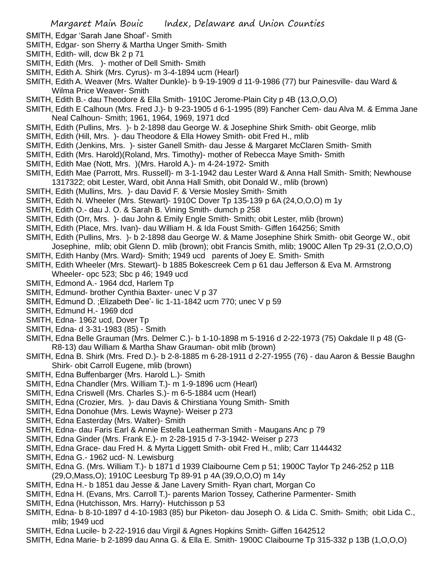- SMITH, Edgar 'Sarah Jane Shoaf'- Smith
- SMITH, Edgar- son Sherry & Martha Unger Smith- Smith
- SMITH, Edith- will, dcw Bk 2 p 71
- SMITH, Edith (Mrs. )- mother of Dell Smith- Smith
- SMITH, Edith A. Shirk (Mrs. Cyrus)- m 3-4-1894 ucm (Hearl)
- SMITH, Edith A. Weaver (Mrs. Walter Dunkle)- b 9-19-1909 d 11-9-1986 (77) bur Painesville- dau Ward & Wilma Price Weaver- Smith
- SMITH, Edith B.- dau Theodore & Ella Smith- 1910C Jerome-Plain City p 4B (13,O,O,O)
- SMITH, Edith E Calhoun (Mrs. Fred J.)- b 9-23-1905 d 6-1-1995 (89) Fancher Cem- dau Alva M. & Emma Jane Neal Calhoun- Smith; 1961, 1964, 1969, 1971 dcd
- SMITH, Edith (Pullins, Mrs. )- b 2-1898 dau George W. & Josephine Shirk Smith- obit George, mlib
- SMITH, Edith (Hill, Mrs. )- dau Theodore & Ella Howey Smith- obit Fred H., mlib
- SMITH, Edith (Jenkins, Mrs. )- sister Ganell Smith- dau Jesse & Margaret McClaren Smith- Smith
- SMITH, Edith (Mrs. Harold)(Roland, Mrs. Timothy)- mother of Rebecca Maye Smith- Smith
- SMITH, Edith Mae (Nott, Mrs. )(Mrs. Harold A.)- m 4-24-1972- Smith
- SMITH, Edith Mae (Parrott, Mrs. Russell)- m 3-1-1942 dau Lester Ward & Anna Hall Smith- Smith; Newhouse 1317322; obit Lester, Ward, obit Anna Hall Smith, obit Donald W., mlib (brown)
- SMITH, Edith (Mullins, Mrs. )- dau David F. & Versie Mosley Smith- Smith
- SMITH, Edith N. Wheeler (Mrs. Stewart)- 1910C Dover Tp 135-139 p 6A (24,O,O,O) m 1y
- SMITH, Edith O.- dau J. O. & Sarah B. Vining Smith- dumch p 258
- SMITH, Edith (Orr, Mrs. )- dau John & Emily Engle Smith- Smith; obit Lester, mlib (brown)
- SMITH, Edith (Place, Mrs. Ivan)- dau William H. & Ida Foust Smith- Giffen 164256; Smith
- SMITH, Edith (Pullins, Mrs. )- b 2-1898 dau George W. & Mame Josephine Shirk Smith- obit George W., obit
- Josephine, mlib; obit Glenn D. mlib (brown); obit Francis Smith, mlib; 1900C Allen Tp 29-31 (2,O,O,O)
- SMITH, Edith Hanby (Mrs. Ward)- Smith; 1949 ucd parents of Joey E. Smith- Smith
- SMITH, Edith Wheeler (Mrs. Stewart)- b 1885 Bokescreek Cem p 61 dau Jefferson & Eva M. Armstrong Wheeler- opc 523; Sbc p 46; 1949 ucd
- SMITH, Edmond A.- 1964 dcd, Harlem Tp
- SMITH, Edmund- brother Cynthia Baxter- unec V p 37
- SMITH, Edmund D. ;Elizabeth Dee'- lic 1-11-1842 ucm 770; unec V p 59
- SMITH, Edmund H.- 1969 dcd
- SMITH, Edna- 1962 ucd, Dover Tp
- SMITH, Edna- d 3-31-1983 (85) Smith
- SMITH, Edna Belle Grauman (Mrs. Delmer C.)- b 1-10-1898 m 5-1916 d 2-22-1973 (75) Oakdale II p 48 (G-R8-13) dau William & Martha Shaw Grauman- obit mlib (brown)
- SMITH, Edna B. Shirk (Mrs. Fred D.)- b 2-8-1885 m 6-28-1911 d 2-27-1955 (76) dau Aaron & Bessie Baughn Shirk- obit Carroll Eugene, mlib (brown)
- SMITH, Edna Buffenbarger (Mrs. Harold L.)- Smith
- SMITH, Edna Chandler (Mrs. William T.)- m 1-9-1896 ucm (Hearl)
- SMITH, Edna Criswell (Mrs. Charles S.)- m 6-5-1884 ucm (Hearl)
- SMITH, Edna (Crozier, Mrs. )- dau Davis & Chirstiana Young Smith- Smith
- SMITH, Edna Donohue (Mrs. Lewis Wayne)- Weiser p 273
- SMITH, Edna Easterday (Mrs. Walter)- Smith
- SMITH, Edna- dau Faris Earl & Annie Estella Leatherman Smith Maugans Anc p 79
- SMITH, Edna Ginder (Mrs. Frank E.)- m 2-28-1915 d 7-3-1942- Weiser p 273
- SMITH, Edna Grace- dau Fred H. & Myrta Liggett Smith- obit Fred H., mlib; Carr 1144432
- SMITH, Edna G.- 1962 ucd- N. Lewisburg
- SMITH, Edna G. (Mrs. William T.)- b 1871 d 1939 Claibourne Cem p 51; 1900C Taylor Tp 246-252 p 11B (29,O,Mass,O); 1910C Leesburg Tp 89-91 p 4A (39,O,O,O) m 14y
- SMITH, Edna H.- b 1851 dau Jesse & Jane Lavery Smith- Ryan chart, Morgan Co
- SMITH, Edna H. (Evans, Mrs. Carroll T.)- parents Marion Tossey, Catherine Parmenter- Smith
- SMITH, Edna (Hutchisson, Mrs. Harry)- Hutchisson p 53
- SMITH, Edna- b 8-10-1897 d 4-10-1983 (85) bur Piketon- dau Joseph O. & Lida C. Smith- Smith; obit Lida C., mlib; 1949 ucd
- SMITH, Edna Lucile- b 2-22-1916 dau Virgil & Agnes Hopkins Smith- Giffen 1642512
- SMITH, Edna Marie- b 2-1899 dau Anna G. & Ella E. Smith- 1900C Claibourne Tp 315-332 p 13B (1,O,O,O)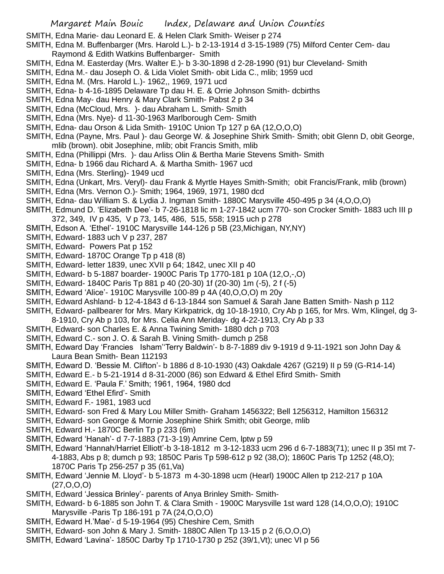- SMITH, Edna Marie- dau Leonard E. & Helen Clark Smith- Weiser p 274
- SMITH, Edna M. Buffenbarger (Mrs. Harold L.)- b 2-13-1914 d 3-15-1989 (75) Milford Center Cem- dau Raymond & Edith Watkins Buffenbarger- Smith
- SMITH, Edna M. Easterday (Mrs. Walter E.)- b 3-30-1898 d 2-28-1990 (91) bur Cleveland- Smith
- SMITH, Edna M.- dau Joseph O. & Lida Violet Smith- obit Lida C., mlib; 1959 ucd
- SMITH, Edna M. (Mrs. Harold L.)- 1962,, 1969, 1971 ucd
- SMITH, Edna- b 4-16-1895 Delaware Tp dau H. E. & Orrie Johnson Smith- dcbirths
- SMITH, Edna May- dau Henry & Mary Clark Smith- Pabst 2 p 34
- SMITH, Edna (McCloud, Mrs. )- dau Abraham L. Smith- Smith
- SMITH, Edna (Mrs. Nye)- d 11-30-1963 Marlborough Cem- Smith
- SMITH, Edna- dau Orson & Lida Smith- 1910C Union Tp 127 p 6A (12,O,O,O)
- SMITH, Edna (Payne, Mrs. Paul )- dau George W. & Josephine Shirk Smith- Smith; obit Glenn D, obit George, mlib (brown). obit Josephine, mlib; obit Francis Smith, mlib
- SMITH, Edna (Phillippi (Mrs. )- dau Arliss Olin & Bertha Marie Stevens Smith- Smith
- SMITH, Edna- b 1966 dau Richard A. & Martha Smith- 1967 ucd
- SMITH, Edna (Mrs. Sterling)- 1949 ucd
- SMITH, Edna (Unkart, Mrs. Veryl)- dau Frank & Myrtle Hayes Smith-Smith; obit Francis/Frank, mlib (brown)
- SMITH, Edna (Mrs. Vernon O.)- Smith; 1964, 1969, 1971, 1980 dcd
- SMITH, Edna- dau William S. & Lydia J. Ingman Smith- 1880C Marysville 450-495 p 34 (4,O,O,O)
- SMITH, Edmund D. 'Elizabeth Dee'- b 7-26-1818 lic m 1-27-1842 ucm 770- son Crocker Smith- 1883 uch III p 372, 349, IV p 435, V p 73, 145, 486, 515, 558; 1915 uch p 278
- SMITH, Edson A. 'Ethel'- 1910C Marysville 144-126 p 5B (23,Michigan, NY,NY)
- SMITH, Edward- 1883 uch V p 237, 287
- SMITH, Edward- Powers Pat p 152
- SMITH, Edward- 1870C Orange Tp p 418 (8)
- SMITH, Edward- letter 1839, unec XVII p 64; 1842, unec XII p 40
- SMITH, Edward- b 5-1887 boarder- 1900C Paris Tp 1770-181 p 10A (12,O,-,O)
- SMITH, Edward- 1840C Paris Tp 881 p 40 (20-30) 1f (20-30) 1m (-5), 2 f (-5)
- SMITH, Edward 'Alice'- 1910C Marysville 100-89 p 4A (40,O,O,O) m 20y
- SMITH, Edward Ashland- b 12-4-1843 d 6-13-1844 son Samuel & Sarah Jane Batten Smith- Nash p 112
- SMITH, Edward- pallbearer for Mrs. Mary Kirkpatrick, dg 10-18-1910, Cry Ab p 165, for Mrs. Wm, Klingel, dg 3- 8-1910, Cry Ab p 103, for Mrs. Celia Ann Meriday- dg 4-22-1913, Cry Ab p 33
- SMITH, Edward- son Charles E. & Anna Twining Smith- 1880 dch p 703
- SMITH, Edward C.- son J. O. & Sarah B. Vining Smith- dumch p 258
- SMITH, Edward Day 'Francies Isham''Terry Baldwin'- b 8-7-1889 div 9-1919 d 9-11-1921 son John Day & Laura Bean Smith- Bean 112193
- SMITH, Edward D. 'Bessie M. Clifton'- b 1886 d 8-10-1930 (43) Oakdale 4267 (G219) II p 59 (G-R14-14)
- SMITH, Edward E.- b 5-21-1914 d 8-31-2000 (86) son Edward & Ethel Efird Smith- Smith
- SMITH, Edward E. 'Paula F.' Smith; 1961, 1964, 1980 dcd
- SMITH, Edward 'Ethel Efird'- Smith
- SMITH, Edward F.- 1981, 1983 ucd
- SMITH, Edward- son Fred & Mary Lou Miller Smith- Graham 1456322; Bell 1256312, Hamilton 156312
- SMITH, Edward- son George & Mornie Josephine Shirk Smith; obit George, mlib
- SMITH, Edward H.- 1870C Berlin Tp p 233 (6m)
- SMITH, Edward 'Hanah'- d 7-7-1883 (71-3-19) Amrine Cem, lptw p 59
- SMITH, Edward 'Hannah/Harriet Elliott'-b 3-18-1812 m 3-12-1833 ucm 296 d 6-7-1883(71); unec II p 35l mt 7- 4-1883, Abs p 8; dumch p 93; 1850C Paris Tp 598-612 p 92 (38,O); 1860C Paris Tp 1252 (48,O); 1870C Paris Tp 256-257 p 35 (61,Va)
- SMITH, Edward 'Jennie M. Lloyd'- b 5-1873 m 4-30-1898 ucm (Hearl) 1900C Allen tp 212-217 p 10A (27,O,O,O)
- SMITH, Edward 'Jessica Brinley'- parents of Anya Brinley Smith- Smith-
- SMITH, Edward- b 6-1885 son John T. & Clara Smith 1900C Marysville 1st ward 128 (14,O,O,O); 1910C Marysville -Paris Tp 186-191 p 7A (24,O,O,O)
- SMITH, Edward H.'Mae'- d 5-19-1964 (95) Cheshire Cem, Smith
- SMITH, Edward- son John & Mary J. Smith- 1880C Allen Tp 13-15 p 2 (6,O,O,O)
- SMITH, Edward 'Lavina'- 1850C Darby Tp 1710-1730 p 252 (39/1,Vt); unec VI p 56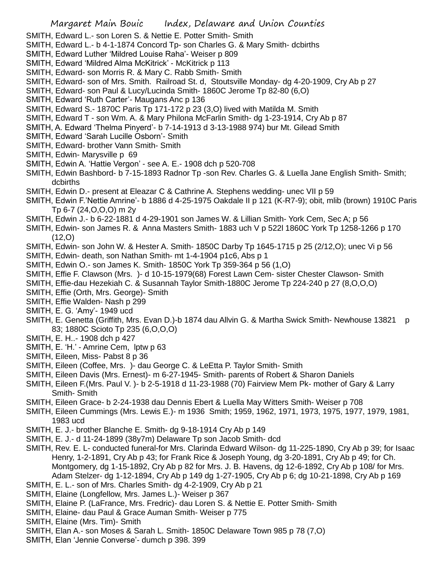- SMITH, Edward L.- son Loren S. & Nettie E. Potter Smith- Smith
- SMITH, Edward L.- b 4-1-1874 Concord Tp- son Charles G. & Mary Smith- dcbirths
- SMITH, Edward Luther 'Mildred Louise Raha'- Weiser p 809
- SMITH, Edward 'Mildred Alma McKitrick' McKitrick p 113
- SMITH, Edward- son Morris R. & Mary C. Rabb Smith- Smith
- SMITH, Edward- son of Mrs. Smith. Railroad St. d, Stoutsville Monday- dg 4-20-1909, Cry Ab p 27
- SMITH, Edward- son Paul & Lucy/Lucinda Smith- 1860C Jerome Tp 82-80 (6,O)
- SMITH, Edward 'Ruth Carter'- Maugans Anc p 136
- SMITH, Edward S.- 1870C Paris Tp 171-172 p 23 (3,O) lived with Matilda M. Smith
- SMITH, Edward T son Wm. A. & Mary Philona McFarlin Smith- dg 1-23-1914, Cry Ab p 87
- SMITH, A. Edward 'Thelma Pinyerd'- b 7-14-1913 d 3-13-1988 974) bur Mt. Gilead Smith
- SMITH, Edward 'Sarah Lucille Osborn'- Smith
- SMITH, Edward- brother Vann Smith- Smith
- SMITH, Edwin- Marysville p 69
- SMITH, Edwin A. 'Hattie Vergon' see A. E.- 1908 dch p 520-708
- SMITH, Edwin Bashbord- b 7-15-1893 Radnor Tp -son Rev. Charles G. & Luella Jane English Smith- Smith; dcbirths
- SMITH, Edwin D.- present at Eleazar C & Cathrine A. Stephens wedding- unec VII p 59
- SMITH, Edwin F.'Nettie Amrine'- b 1886 d 4-25-1975 Oakdale II p 121 (K-R7-9); obit, mlib (brown) 1910C Paris Tp 6-7 (24,O,O,O) m 2y
- SMITH, Edwin J.- b 6-22-1881 d 4-29-1901 son James W. & Lillian Smith- York Cem, Sec A; p 56
- SMITH, Edwin- son James R. & Anna Masters Smith- 1883 uch V p 522l 1860C York Tp 1258-1266 p 170 (12,O)
- SMITH, Edwin- son John W. & Hester A. Smith- 1850C Darby Tp 1645-1715 p 25 (2/12,O); unec Vi p 56
- SMITH, Edwin- death, son Nathan Smith- mt 1-4-1904 p1c6, Abs p 1
- SMITH, Edwin O.- son James K. Smith- 1850C York Tp 359-364 p 56 (1,O)
- SMITH, Effie F. Clawson (Mrs. )- d 10-15-1979(68) Forest Lawn Cem- sister Chester Clawson- Smith
- SMITH, Effie-dau Hezekiah C. & Susannah Taylor Smith-1880C Jerome Tp 224-240 p 27 (8,O,O,O)
- SMITH, Effie (Orth, Mrs. George)- Smith
- SMITH, Effie Walden- Nash p 299
- SMITH, E. G. 'Amy'- 1949 ucd
- SMITH, E. Genetta (Griffith, Mrs. Evan D.)-b 1874 dau Allvin G. & Martha Swick Smith- Newhouse 13821 p 83; 1880C Scioto Tp 235 (6,O,O,O)
- SMITH, E. H..- 1908 dch p 427
- SMITH, E. 'H.' Amrine Cem, lptw p 63
- SMITH, Eileen, Miss- Pabst 8 p 36
- SMITH, Eileen (Coffee, Mrs. )- dau George C. & LeEtta P. Taylor Smith- Smith
- SMITH, Eileen Davis (Mrs. Ernest)- m 6-27-1945- Smith- parents of Robert & Sharon Daniels
- SMITH, Eileen F.(Mrs. Paul V. )- b 2-5-1918 d 11-23-1988 (70) Fairview Mem Pk- mother of Gary & Larry Smith- Smith
- SMITH, Eileen Grace- b 2-24-1938 dau Dennis Ebert & Luella May Witters Smith- Weiser p 708
- SMITH, Eileen Cummings (Mrs. Lewis E.)- m 1936 Smith; 1959, 1962, 1971, 1973, 1975, 1977, 1979, 1981, 1983 ucd
- SMITH, E. J.- brother Blanche E. Smith- dg 9-18-1914 Cry Ab p 149
- SMITH, E. J.- d 11-24-1899 (38y7m) Delaware Tp son Jacob Smith- dcd
- SMITH, Rev. E. L- conducted funeral-for Mrs. Clarinda Edward Wilson- dg 11-225-1890, Cry Ab p 39; for Isaac Henry, 1-2-1891, Cry Ab p 43; for Frank Rice & Joseph Young, dg 3-20-1891, Cry Ab p 49; for Ch. Montgomery, dg 1-15-1892, Cry Ab p 82 for Mrs. J. B. Havens, dg 12-6-1892, Cry Ab p 108/ for Mrs. Adam Stelzer- dg 1-12-1894, Cry Ab p 149 dg 1-27-1905, Cry Ab p 6; dg 10-21-1898, Cry Ab p 169
- SMITH, E. L.- son of Mrs. Charles Smith- dg 4-2-1909, Cry Ab p 21
- SMITH, Elaine (Longfellow, Mrs. James L.)- Weiser p 367
- SMITH, Elaine P. (LaFrance, Mrs. Fredric)- dau Loren S. & Nettie E. Potter Smith- Smith
- SMITH, Elaine- dau Paul & Grace Auman Smith- Weiser p 775
- SMITH, Elaine (Mrs. Tim)- Smith
- SMITH, Elan A.- son Moses & Sarah L. Smith- 1850C Delaware Town 985 p 78 (7,O)
- SMITH, Elan 'Jennie Converse'- dumch p 398. 399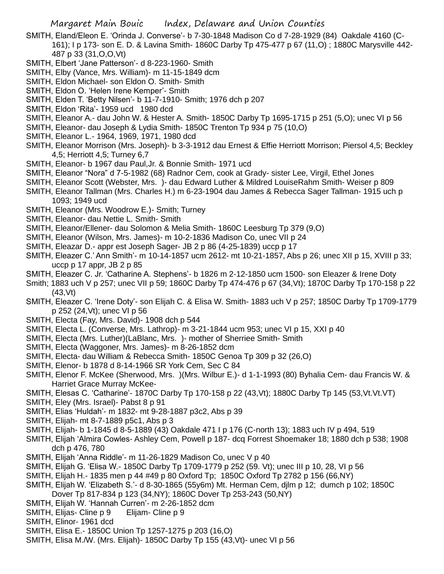- SMITH, Eland/Eleon E. 'Orinda J. Converse'- b 7-30-1848 Madison Co d 7-28-1929 (84) Oakdale 4160 (C-161); I p 173- son E. D. & Lavina Smith- 1860C Darby Tp 475-477 p 67 (11,O) ; 1880C Marysville 442- 487 p 33 (31,O,O,Vt)
- SMITH, Elbert 'Jane Patterson'- d 8-223-1960- Smith
- SMITH, Elby (Vance, Mrs. William)- m 11-15-1849 dcm
- SMITH, Eldon Michael- son Eldon O. Smith- Smith
- SMITH, Eldon O. 'Helen Irene Kemper'- Smith
- SMITH, Elden T. 'Betty Nilsen'- b 11-7-1910- Smith; 1976 dch p 207
- SMITH, Eldon 'Rita'- 1959 ucd 1980 dcd
- SMITH, Eleanor A.- dau John W. & Hester A. Smith- 1850C Darby Tp 1695-1715 p 251 (5,O); unec VI p 56
- SMITH, Eleanor- dau Joseph & Lydia Smith- 1850C Trenton Tp 934 p 75 (10,O)
- SMITH, Eleanor L.- 1964, 1969, 1971, 1980 dcd
- SMITH, Eleanor Morrison (Mrs. Joseph)- b 3-3-1912 dau Ernest & Effie Herriott Morrison; Piersol 4,5; Beckley 4,5; Herriott 4,5; Turney 6,7
- SMITH, Eleanor- b 1967 dau Paul,Jr. & Bonnie Smith- 1971 ucd
- SMITH, Eleanor "Nora" d 7-5-1982 (68) Radnor Cem, cook at Grady- sister Lee, Virgil, Ethel Jones
- SMITH, Eleanor Scott (Webster, Mrs. )- dau Edward Luther & Mildred LouiseRahm Smith- Weiser p 809
- SMITH, Eleanor Tallman (Mrs. Charles H.) m 6-23-1904 dau James & Rebecca Sager Tallman- 1915 uch p 1093; 1949 ucd
- SMITH, Eleanor (Mrs. Woodrow E.)- Smith; Turney
- SMITH, Eleanor- dau Nettie L. Smith- Smith
- SMITH, Eleanor/Ellener- dau Solomon & Melia Smith- 1860C Leesburg Tp 379 (9,O)
- SMITH, Eleanor (Wilson, Mrs. James)- m 10-2-1836 Madison Co, unec VII p 24
- SMITH, Eleazar D.- appr est Joseph Sager- JB 2 p 86 (4-25-1839) uccp p 17
- SMITH, Eleazer C.' Ann Smith'- m 10-14-1857 ucm 2612- mt 10-21-1857, Abs p 26; unec XII p 15, XVIII p 33; uccp  $p$  17 appr, JB 2  $p$  85
- SMITH, Eleazer C. Jr. 'Catharine A. Stephens'- b 1826 m 2-12-1850 ucm 1500- son Eleazer & Irene Doty
- Smith; 1883 uch V p 257; unec VII p 59; 1860C Darby Tp 474-476 p 67 (34, Vt); 1870C Darby Tp 170-158 p 22 (43,Vt)
- SMITH, Eleazer C. 'Irene Doty'- son Elijah C. & Elisa W. Smith- 1883 uch V p 257; 1850C Darby Tp 1709-1779 p 252 (24,Vt); unec VI p 56
- SMITH, Electa (Fay, Mrs. David)- 1908 dch p 544
- SMITH, Electa L. (Converse, Mrs. Lathrop)- m 3-21-1844 ucm 953; unec VI p 15, XXI p 40
- SMITH, Electa (Mrs. Luther)(LaBlanc, Mrs. )- mother of Sherriee Smith- Smith
- SMITH, Electa (Waggoner, Mrs. James)- m 8-26-1852 dcm
- SMITH, Electa- dau William & Rebecca Smith- 1850C Genoa Tp 309 p 32 (26,O)
- SMITH, Elenor- b 1878 d 8-14-1966 SR York Cem, Sec C 84
- SMITH, Elenor F. McKee (Sherwood, Mrs. )(Mrs. Wilbur E.)- d 1-1-1993 (80) Byhalia Cem- dau Francis W. & Harriet Grace Murray McKee-
- SMITH, Elesas C. 'Catharine'- 1870C Darby Tp 170-158 p 22 (43,Vt); 1880C Darby Tp 145 (53,Vt.Vt.VT)
- SMITH, Eley (Mrs. Israel)- Pabst 8 p 91
- SMITH, Elias 'Huldah'- m 1832- mt 9-28-1887 p3c2, Abs p 39
- SMITH, Elijah- mt 8-7-1889 p5c1, Abs p 3
- SMITH, Elijah- b 1-1845 d 8-5-1889 (43) Oakdale 471 I p 176 (C-north 13); 1883 uch IV p 494, 519
- SMITH, Elijah 'Almira Cowles- Ashley Cem, Powell p 187- dcq Forrest Shoemaker 18; 1880 dch p 538; 1908 dch p 476, 780
- SMITH, Elijah 'Anna Riddle'- m 11-26-1829 Madison Co, unec V p 40
- SMITH, Elijah G. 'Elisa W.- 1850C Darby Tp 1709-1779 p 252 (59. Vt); unec III p 10, 28, VI p 56
- SMITH, Elijah H.- 1835 men p 44 #49 p 80 Oxford Tp; 1850C Oxford Tp 2782 p 156 (66,NY)
- SMITH, Elijah W. 'Elizabeth S.'- d 8-30-1865 (55y6m) Mt. Herman Cem, djlm p 12; dumch p 102; 1850C Dover Tp 817-834 p 123 (34,NY); 1860C Dover Tp 253-243 (50,NY)
- SMITH, Elijah W. 'Hannah Curren'- m 2-26-1852 dcm
- SMITH, Elijas- Cline p 9 Elijam- Cline p 9
- SMITH, Elinor- 1961 dcd
- SMITH, Elisa E.- 1850C Union Tp 1257-1275 p 203 (16,O)
- SMITH, Elisa M./W. (Mrs. Elijah)- 1850C Darby Tp 155 (43,Vt)- unec VI p 56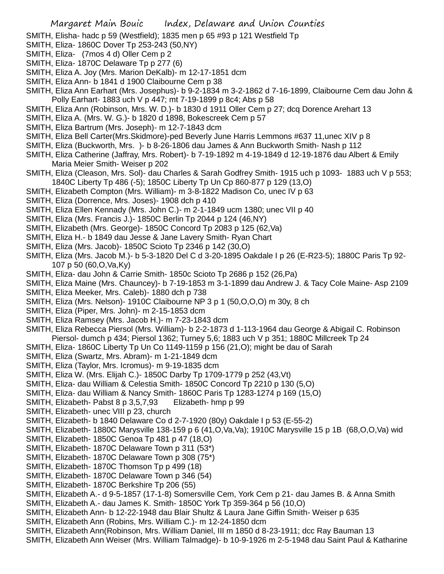- SMITH, Elisha- hadc p 59 (Westfield); 1835 men p 65 #93 p 121 Westfield Tp
- SMITH, Eliza- 1860C Dover Tp 253-243 (50,NY)
- SMITH, Eliza- (7mos 4 d) Oller Cem p 2
- SMITH, Eliza- 1870C Delaware Tp p 277 (6)
- SMITH, Eliza A. Joy (Mrs. Marion DeKalb)- m 12-17-1851 dcm
- SMITH, Eliza Ann- b 1841 d 1900 Claibourne Cem p 38
- SMITH, Eliza Ann Earhart (Mrs. Josephus)- b 9-2-1834 m 3-2-1862 d 7-16-1899, Claibourne Cem dau John & Polly Earhart- 1883 uch V p 447; mt 7-19-1899 p 8c4; Abs p 58
- SMITH, Eliza Ann (Robinson, Mrs. W. D.)- b 1830 d 1911 Oller Cem p 27; dcq Dorence Arehart 13
- SMITH, Eliza A. (Mrs. W. G.)- b 1820 d 1898, Bokescreek Cem p 57
- SMITH, Eliza Bartrum (Mrs. Joseph)- m 12-7-1843 dcm
- SMITH, Eliza Bell Carter(Mrs.Skidmore)-ped Beverly June Harris Lemmons #637 11,unec XIV p 8
- SMITH, Eliza (Buckworth, Mrs. )- b 8-26-1806 dau James & Ann Buckworth Smith- Nash p 112
- SMITH, Eliza Catherine (Jaffray, Mrs. Robert)- b 7-19-1892 m 4-19-1849 d 12-19-1876 dau Albert & Emily Maria Meier Smith- Weiser p 202
- SMITH, Eliza (Cleason, Mrs. Sol)- dau Charles & Sarah Godfrey Smith- 1915 uch p 1093- 1883 uch V p 553; 1840C Liberty Tp 486 (-5); 1850C Liberty Tp Un Cp 860-877 p 129 (13,O)
- SMITH, Elizabeth Compton (Mrs. William)- m 3-8-1822 Madison Co, unec IV p 63
- SMITH, Eliza (Dorrence, Mrs. Joses)- 1908 dch p 410
- SMITH, Eliza Ellen Kennady (Mrs. John C.)- m 2-1-1849 ucm 1380; unec VII p 40
- SMITH, Eliza (Mrs. Francis J.)- 1850C Berlin Tp 2044 p 124 (46,NY)
- SMITH, Elizabeth (Mrs. George)- 1850C Concord Tp 2083 p 125 (62,Va)
- SMITH, Eliza H.- b 1849 dau Jesse & Jane Lavery Smith- Ryan Chart
- SMITH, Eliza (Mrs. Jacob)- 1850C Scioto Tp 2346 p 142 (30,O)
- SMITH, Eliza (Mrs. Jacob M.)- b 5-3-1820 Del C d 3-20-1895 Oakdale I p 26 (E-R23-5); 1880C Paris Tp 92- 107 p 50 (60,O,Va,Ky)
- SMITH, Eliza- dau John & Carrie Smith- 1850c Scioto Tp 2686 p 152 (26,Pa)
- SMITH, Eliza Maine (Mrs. Chauncey)- b 7-19-1853 m 3-1-1899 dau Andrew J. & Tacy Cole Maine- Asp 2109
- SMITH, Eliza Meeker, Mrs. Caleb)- 1880 dch p 738
- SMITH, Eliza (Mrs. Nelson)- 1910C Claibourne NP 3 p 1 (50,O,O,O) m 30y, 8 ch
- SMITH, Eliza (Piper, Mrs. John)- m 2-15-1853 dcm
- SMITH, Eliza Ramsey (Mrs. Jacob H.)- m 7-23-1843 dcm
- SMITH, Eliza Rebecca Piersol (Mrs. William)- b 2-2-1873 d 1-113-1964 dau George & Abigail C. Robinson Piersol- dumch p 434; Piersol 1362; Turney 5,6; 1883 uch V p 351; 1880C Millcreek Tp 24
- SMITH, Eliza- 1860C Liberty Tp Un Co 1149-1159 p 156 (21,O); might be dau of Sarah
- SMITH, Eliza (Swartz, Mrs. Abram)- m 1-21-1849 dcm
- SMITH, Eliza (Taylor, Mrs. Icromus)- m 9-19-1835 dcm
- SMITH, Eliza W. (Mrs. Elijah C.)- 1850C Darby Tp 1709-1779 p 252 (43,Vt)
- SMITH, Eliza- dau William & Celestia Smith- 1850C Concord Tp 2210 p 130 (5,O)
- SMITH, Eliza- dau William & Nancy Smith- 1860C Paris Tp 1283-1274 p 169 (15,O)
- SMITH, Elizabeth- Pabst 8 p 3,5,7,93 Elizabeth- hmp p 99
- SMITH, Elizabeth- unec VIII p 23, church
- SMITH, Elizabeth- b 1840 Delaware Co d 2-7-1920 (80y) Oakdale I p 53 (E-55-2)
- SMITH, Elizabeth- 1880C Marysville 138-159 p 6 (41,O,Va,Va); 1910C Marysville 15 p 1B (68,O,O,Va) wid
- SMITH, Elizabeth- 1850C Genoa Tp 481 p 47 (18,O)
- SMITH, Elizabeth- 1870C Delaware Town p 311 (53\*)
- SMITH, Elizabeth- 1870C Delaware Town p 308 (75\*)
- SMITH, Elizabeth- 1870C Thomson Tp p 499 (18)
- SMITH, Elizabeth- 1870C Delaware Town p 346 (54)
- SMITH, Elizabeth- 1870C Berkshire Tp 206 (55)
- SMITH, Elizabeth A.- d 9-5-1857 (17-1-8) Somersville Cem, York Cem p 21- dau James B. & Anna Smith
- SMITH, Elizabeth A.- dau James K. Smith- 1850C York Tp 359-364 p 56 (10,O)
- SMITH, Elizabeth Ann- b 12-22-1948 dau Blair Shultz & Laura Jane Giffin Smith- Weiser p 635
- SMITH, Elizabeth Ann (Robins, Mrs. William C.)- m 12-24-1850 dcm
- SMITH, Elizabeth Ann(Robinson, Mrs. William Daniel, III m 1850 d 8-23-1911; dcc Ray Bauman 13
- SMITH, Elizabeth Ann Weiser (Mrs. William Talmadge)- b 10-9-1926 m 2-5-1948 dau Saint Paul & Katharine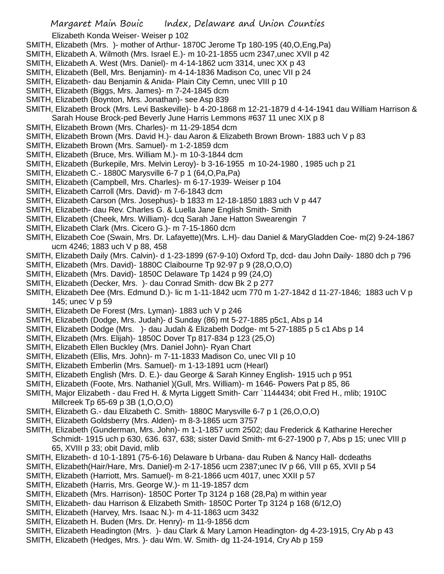Elizabeth Konda Weiser- Weiser p 102

- SMITH, Elizabeth (Mrs. )- mother of Arthur- 1870C Jerome Tp 180-195 (40,O,Eng,Pa)
- SMITH, Elizabeth A. Wilmoth (Mrs. Israel E.)- m 10-21-1855 ucm 2347,unec XVII p 42
- SMITH, Elizabeth A. West (Mrs. Daniel)- m 4-14-1862 ucm 3314, unec XX p 43
- SMITH, Elizabeth (Bell, Mrs. Benjamin)- m 4-14-1836 Madison Co, unec VII p 24
- SMITH, Elizabeth- dau Benjamin & Anida- Plain City Cemn, unec VIII p 10
- SMITH, Elizabeth (Biggs, Mrs. James)- m 7-24-1845 dcm
- SMITH, Elizabeth (Boynton, Mrs. Jonathan)- see Asp 839
- SMITH, Elizabeth Brock (Mrs. Levi Baskeville)- b 4-20-1868 m 12-21-1879 d 4-14-1941 dau William Harrison & Sarah House Brock-ped Beverly June Harris Lemmons #637 11 unec XIX p 8
- SMITH, Elizabeth Brown (Mrs. Charles)- m 11-29-1854 dcm
- SMITH, Elizabeth Brown (Mrs. David H.)- dau Aaron & Elizabeth Brown Brown- 1883 uch V p 83
- SMITH, Elizabeth Brown (Mrs. Samuel)- m 1-2-1859 dcm
- SMITH, Elizabeth (Bruce, Mrs. William M.)- m 10-3-1844 dcm
- SMITH, Elizabeth (Burkepile, Mrs. Melvin Leroy)- b 3-16-1955 m 10-24-1980 , 1985 uch p 21
- SMITH, Elizabeth C.- 1880C Marysville 6-7 p 1 (64,O,Pa,Pa)
- SMITH, Elizabeth (Campbell, Mrs. Charles)- m 6-17-1939- Weiser p 104
- SMITH, Elizabeth Carroll (Mrs. David)- m 7-6-1843 dcm
- SMITH, Elizabeth Carson (Mrs. Josephus)- b 1833 m 12-18-1850 1883 uch V p 447
- SMITH, Elizabeth- dau Rev. Charles G. & Luella Jane English Smith- Smith
- SMITH, Elizabeth (Cheek, Mrs. William)- dcq Sarah Jane Hatton Swearengin 7
- SMITH, Elizabeth Clark (Mrs. Cicero G.)- m 7-15-1860 dcm
- SMITH, Elizabeth Coe (Swain, Mrs. Dr. Lafayette)(Mrs. L.H)- dau Daniel & MaryGladden Coe- m(2) 9-24-1867 ucm 4246; 1883 uch V p 88, 458
- SMITH, Elizabeth Daily (Mrs. Calvin)- d 1-23-1899 (67-9-10) Oxford Tp, dcd- dau John Daily- 1880 dch p 796
- SMITH, Elizabeth (Mrs. David)- 1880C Claibourne Tp 92-97 p 9 (28,O,O,O)
- SMITH, Elizabeth (Mrs. David)- 1850C Delaware Tp 1424 p 99 (24,O)
- SMITH, Elizabeth (Decker, Mrs. )- dau Conrad Smith- dcw Bk 2 p 277
- SMITH, Elizabeth Dee (Mrs. Edmund D.)- lic m 1-11-1842 ucm 770 m 1-27-1842 d 11-27-1846; 1883 uch V p 145; unec V p 59
- SMITH, Elizabeth De Forest (Mrs. Lyman)- 1883 uch V p 246
- SMITH, Elizabeth (Dodge, Mrs. Judah)- d Sunday (86) mt 5-27-1885 p5c1, Abs p 14
- SMITH, Elizabeth Dodge (Mrs. )- dau Judah & Elizabeth Dodge- mt 5-27-1885 p 5 c1 Abs p 14
- SMITH, Elizabeth (Mrs. Elijah)- 1850C Dover Tp 817-834 p 123 (25,O)
- SMITH, Elizabeth Ellen Buckley (Mrs. Daniel John)- Ryan Chart
- SMITH, Elizabeth (Ellis, Mrs. John)- m 7-11-1833 Madison Co, unec VII p 10
- SMITH, Elizabeth Emberlin (Mrs. Samuel)- m 1-13-1891 ucm (Hearl)
- SMITH, Elizabeth English (Mrs. D. E.)- dau George & Sarah Kinney English- 1915 uch p 951
- SMITH, Elizabeth (Foote, Mrs. Nathaniel )(Gull, Mrs. William)- m 1646- Powers Pat p 85, 86
- SMITH, Major Elizabeth dau Fred H. & Myrta Liggett Smith- Carr `1144434; obit Fred H., mlib; 1910C Millcreek Tp 65-69 p 3B (1,O,O,O)
- SMITH, Elizabeth G.- dau Elizabeth C. Smith- 1880C Marysville 6-7 p 1 (26,O,O,O)
- SMITH, Elizabeth Goldsberry (Mrs. Alden)- m 8-3-1865 ucm 3757
- SMITH, Elizabeth (Gunderman, Mrs. John)- m 1-1-1857 ucm 2502; dau Frederick & Katharine Herecher Schmidt- 1915 uch p 630, 636. 637, 638; sister David Smith- mt 6-27-1900 p 7, Abs p 15; unec VIII p 65, XVIII p 33; obit David, mlib
- SMITH, Elizabeth- d 10-1-1891 (75-6-16) Delaware b Urbana- dau Ruben & Nancy Hall- dcdeaths
- SMITH, Elizabeth(Hair/Hare, Mrs. Daniel)-m 2-17-1856 ucm 2387;unec IV p 66, VIII p 65, XVII p 54
- SMITH, Elizabeth (Harriott, Mrs. Samuel)- m 8-21-1866 ucm 4017, unec XXII p 57
- SMITH, Elizabeth (Harris, Mrs. George W.)- m 11-19-1857 dcm
- SMITH, Elizabeth (Mrs. Harrison)- 1850C Porter Tp 3124 p 168 (28,Pa) m within year
- SMITH, Elizabeth- dau Harrison & Elizabeth Smith- 1850C Porter Tp 3124 p 168 (6/12,O)
- SMITH, Elizabeth (Harvey, Mrs. Isaac N.)- m 4-11-1863 ucm 3432
- SMITH, Elizabeth H. Buden (Mrs. Dr. Henry)- m 11-9-1856 dcm
- SMITH, Elizabeth Headington (Mrs. )- dau Clark & Mary Lamon Headington- dg 4-23-1915, Cry Ab p 43
- SMITH, Elizabeth (Hedges, Mrs. )- dau Wm. W. Smith- dg 11-24-1914, Cry Ab p 159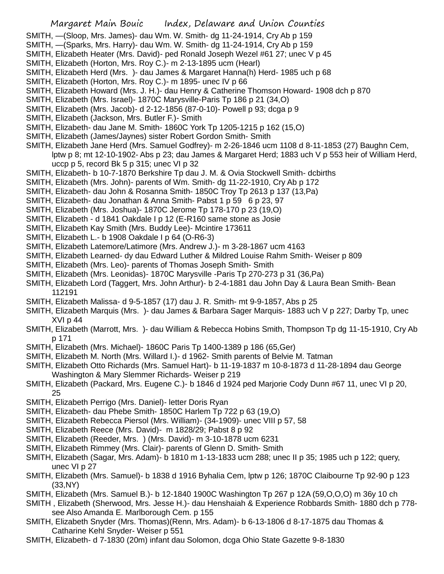- SMITH, —(Sloop, Mrs. James)- dau Wm. W. Smith- dg 11-24-1914, Cry Ab p 159
- SMITH, —(Sparks, Mrs. Harry)- dau Wm. W. Smith- dg 11-24-1914, Cry Ab p 159
- SMITH, Elizabeth Heater (Mrs. David)- ped Ronald Joseph Wezel #61 27; unec V p 45
- SMITH, Elizabeth (Horton, Mrs. Roy C.)- m 2-13-1895 ucm (Hearl)
- SMITH, Elizabeth Herd (Mrs. )- dau James & Margaret Hanna(h) Herd- 1985 uch p 68
- SMITH, Elizabeth (Horton, Mrs. Roy C.)- m 1895- unec IV p 66
- SMITH, Elizabeth Howard (Mrs. J. H.)- dau Henry & Catherine Thomson Howard- 1908 dch p 870
- SMITH, Elizabeth (Mrs. Israel)- 1870C Marysville-Paris Tp 186 p 21 (34,O)
- SMITH, Elizabeth (Mrs. Jacob)- d 2-12-1856 (87-0-10)- Powell p 93; dcga p 9
- SMITH, Elizabeth (Jackson, Mrs. Butler F.)- Smith
- SMITH, Elizabeth- dau Jane M. Smith- 1860C York Tp 1205-1215 p 162 (15,O)
- SMITH, Elizabeth (James/Jaynes) sister Robert Gordon Smith- Smith
- SMITH, Elizabeth Jane Herd (Mrs. Samuel Godfrey)- m 2-26-1846 ucm 1108 d 8-11-1853 (27) Baughn Cem, lptw p 8; mt 12-10-1902- Abs p 23; dau James & Margaret Herd; 1883 uch V p 553 heir of William Herd, uccp p 5, record Bk 5 p 315; unec VI p 32
- SMITH, Elizabeth- b 10-7-1870 Berkshire Tp dau J. M. & Ovia Stockwell Smith- dcbirths
- SMITH, Elizabeth (Mrs. John)- parents of Wm. Smith- dg 11-22-1910, Cry Ab p 172
- SMITH, Elizabeth- dau John & Rosanna Smith- 1850C Troy Tp 2613 p 137 (13,Pa)
- SMITH, Elizabeth- dau Jonathan & Anna Smith- Pabst 1 p 59 6 p 23, 97
- SMITH, Elizabeth (Mrs. Joshua)- 1870C Jerome Tp 178-170 p 23 (19,O)
- SMITH, Elizabeth d 1841 Oakdale I p 12 (E-R160 same stone as Josie
- SMITH, Elizabeth Kay Smith (Mrs. Buddy Lee)- Mcintire 173611
- SMITH, Elizabeth L.- b 1908 Oakdale I p 64 (O-R6-3)
- SMITH, Elizabeth Latemore/Latimore (Mrs. Andrew J.)- m 3-28-1867 ucm 4163
- SMITH, Elizabeth Learned- dy dau Edward Luther & Mildred Louise Rahm Smith- Weiser p 809
- SMITH, Elizabeth (Mrs. Leo)- parents of Thomas Joseph Smith- Smith
- SMITH, Elizabeth (Mrs. Leonidas)- 1870C Marysville -Paris Tp 270-273 p 31 (36,Pa)
- SMITH, Elizabeth Lord (Taggert, Mrs. John Arthur)- b 2-4-1881 dau John Day & Laura Bean Smith- Bean 112191
- SMITH, Elizabeth Malissa- d 9-5-1857 (17) dau J. R. Smith- mt 9-9-1857, Abs p 25
- SMITH, Elizabeth Marquis (Mrs. )- dau James & Barbara Sager Marquis- 1883 uch V p 227; Darby Tp, unec XVI p 44
- SMITH, Elizabeth (Marrott, Mrs. )- dau William & Rebecca Hobins Smith, Thompson Tp dg 11-15-1910, Cry Ab p 171
- SMITH, Elizabeth (Mrs. Michael)- 1860C Paris Tp 1400-1389 p 186 (65,Ger)
- SMITH, Elizabeth M. North (Mrs. Willard I.)- d 1962- Smith parents of Belvie M. Tatman
- SMITH, Elizabeth Otto Richards (Mrs. Samuel Hart)- b 11-19-1837 m 10-8-1873 d 11-28-1894 dau George Washington & Mary Slemmer Richards- Weiser p 219
- SMITH, Elizabeth (Packard, Mrs. Eugene C.)- b 1846 d 1924 ped Marjorie Cody Dunn #67 11, unec VI p 20, 25
- SMITH, Elizabeth Perrigo (Mrs. Daniel)- letter Doris Ryan
- SMITH, Elizabeth- dau Phebe Smith- 1850C Harlem Tp 722 p 63 (19,O)
- SMITH, Elizabeth Rebecca Piersol (Mrs. William)- (34-1909)- unec VIII p 57, 58
- SMITH, Elizabeth Reece (Mrs. David)- m 1828/29; Pabst 8 p 92
- SMITH, Elizabeth (Reeder, Mrs. ) (Mrs. David)- m 3-10-1878 ucm 6231
- SMITH, Elizabeth Rimmey (Mrs. Clair)- parents of Glenn D. Smith- Smith
- SMITH, Elizabeth (Sagar, Mrs. Adam)- b 1810 m 1-13-1833 ucm 288; unec II p 35; 1985 uch p 122; query, unec VI p 27
- SMITH, Elizabeth (Mrs. Samuel)- b 1838 d 1916 Byhalia Cem, lptw p 126; 1870C Claibourne Tp 92-90 p 123 (33,NY)
- SMITH, Elizabeth (Mrs. Samuel B.)- b 12-1840 1900C Washington Tp 267 p 12A (59,O,O,O) m 36y 10 ch
- SMITH , Elizabeth (Sherwood, Mrs. Jesse H.)- dau Henshaiah & Experience Robbards Smith- 1880 dch p 778 see Also Amanda E. Marlborough Cem. p 155
- SMITH, Elizabeth Snyder (Mrs. Thomas)(Renn, Mrs. Adam)- b 6-13-1806 d 8-17-1875 dau Thomas & Catharine Kehl Snyder- Weiser p 551
- SMITH, Elizabeth- d 7-1830 (20m) infant dau Solomon, dcga Ohio State Gazette 9-8-1830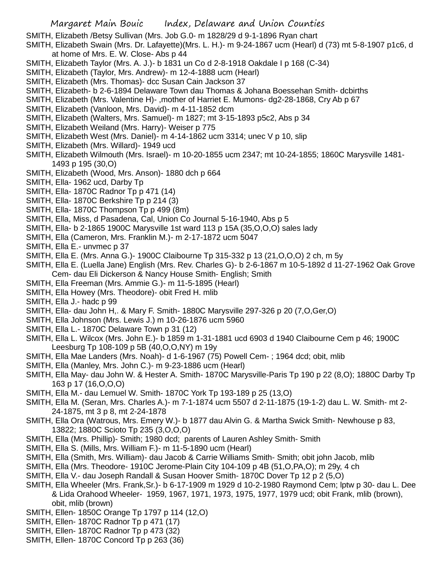SMITH, Elizabeth /Betsy Sullivan (Mrs. Job G.0- m 1828/29 d 9-1-1896 Ryan chart

- SMITH, Elizabeth Swain (Mrs. Dr. Lafayette)(Mrs. L. H.)- m 9-24-1867 ucm (Hearl) d (73) mt 5-8-1907 p1c6, d at home of Mrs. E. W. Close- Abs p 44
- SMITH, Elizabeth Taylor (Mrs. A. J.)- b 1831 un Co d 2-8-1918 Oakdale I p 168 (C-34)
- SMITH, Elizabeth (Taylor, Mrs. Andrew)- m 12-4-1888 ucm (Hearl)
- SMITH, Elizabeth (Mrs. Thomas)- dcc Susan Cain Jackson 37
- SMITH, Elizabeth- b 2-6-1894 Delaware Town dau Thomas & Johana Boessehan Smith- dcbirths
- SMITH, Elizabeth (Mrs. Valentine H)- ,mother of Harriet E. Mumons- dg2-28-1868, Cry Ab p 67
- SMITH, Elizabeth (Vanloon, Mrs. David)- m 4-11-1852 dcm
- SMITH, Elizabeth (Walters, Mrs. Samuel)- m 1827; mt 3-15-1893 p5c2, Abs p 34
- SMITH, Elizabeth Weiland (Mrs. Harry)- Weiser p 775
- SMITH, Elizabeth West (Mrs. Daniel)- m 4-14-1862 ucm 3314; unec V p 10, slip
- SMITH, Elizabeth (Mrs. Willard)- 1949 ucd
- SMITH, Elizabeth Wilmouth (Mrs. Israel)- m 10-20-1855 ucm 2347; mt 10-24-1855; 1860C Marysville 1481- 1493 p 195 (30,O)
- SMITH, Elizabeth (Wood, Mrs. Anson)- 1880 dch p 664
- SMITH, Ella- 1962 ucd, Darby Tp
- SMITH, Ella- 1870C Radnor Tp p 471 (14)
- SMITH, Ella- 1870C Berkshire Tp p 214 (3)
- SMITH, Ella- 1870C Thompson Tp p 499 (8m)
- SMITH, Ella, Miss, d Pasadena, Cal, Union Co Journal 5-16-1940, Abs p 5
- SMITH, Ella- b 2-1865 1900C Marysville 1st ward 113 p 15A (35,O,O,O) sales lady
- SMITH, Ella (Cameron, Mrs. Franklin M.)- m 2-17-1872 ucm 5047
- SMITH, Ella E.- unvmec p 37
- SMITH, Ella E. (Mrs. Anna G.)- 1900C Claibourne Tp 315-332 p 13 (21,O,O,O) 2 ch, m 5y
- SMITH, Ella E. (Luella Jane) English (Mrs. Rev. Charles G)- b 2-6-1867 m 10-5-1892 d 11-27-1962 Oak Grove Cem- dau Eli Dickerson & Nancy House Smith- English; Smith
- SMITH, Ella Freeman (Mrs. Ammie G.)- m 11-5-1895 (Hearl)
- SMITH, Ella Howey (Mrs. Theodore)- obit Fred H. mlib
- SMITH, Ella J.- hadc p 99
- SMITH, Ella- dau John H,. & Mary F. Smith- 1880C Marysville 297-326 p 20 (7,O,Ger,O)
- SMITH, Ella Johnson (Mrs. Lewis J.) m 10-26-1876 ucm 5960
- SMITH, Ella L.- 1870C Delaware Town p 31 (12)
- SMITH, Ella L. Wilcox (Mrs. John E.)- b 1859 m 1-31-1881 ucd 6903 d 1940 Claibourne Cem p 46; 1900C Leesburg Tp 108-109 p 5B (40,O,O,NY) m 19y
- SMITH, Ella Mae Landers (Mrs. Noah)- d 1-6-1967 (75) Powell Cem- ; 1964 dcd; obit, mlib
- SMITH, Ella (Manley, Mrs. John C.)- m 9-23-1886 ucm (Hearl)
- SMITH, Ella May- dau John W. & Hester A. Smith- 1870C Marysville-Paris Tp 190 p 22 (8,O); 1880C Darby Tp 163 p 17 (16,O,O,O)
- SMITH, Ella M.- dau Lemuel W. Smith- 1870C York Tp 193-189 p 25 (13,O)
- SMITH, Ella M. (Seran, Mrs. Charles A.)- m 7-1-1874 ucm 5507 d 2-11-1875 (19-1-2) dau L. W. Smith- mt 2- 24-1875, mt 3 p 8, mt 2-24-1878
- SMITH, Ella Ora (Watrous, Mrs. Emery W.)- b 1877 dau Alvin G. & Martha Swick Smith- Newhouse p 83, 13822; 1880C Scioto Tp 235 (3,O,O,O)
- SMITH, Ella (Mrs. Phillip)- Smith; 1980 dcd; parents of Lauren Ashley Smith- Smith
- SMITH, Ella S. (Mills, Mrs. William F.)- m 11-5-1890 ucm (Hearl)
- SMITH, Ella (Smith, Mrs. William)- dau Jacob & Carrie Williams Smith- Smith; obit john Jacob, mlib
- SMITH, Ella (Mrs. Theodore- 1910C Jerome-Plain City 104-109 p 4B (51,O,PA,O); m 29y, 4 ch
- SMITH, Ella V.- dau Joseph Randall & Susan Hoover Smith- 1870C Dover Tp 12 p 2 (5,O)
- SMITH, Ella Wheeler (Mrs. Frank,Sr.)- b 6-17-1909 m 1929 d 10-2-1980 Raymond Cem; lptw p 30- dau L. Dee & Lida Orahood Wheeler- 1959, 1967, 1971, 1973, 1975, 1977, 1979 ucd; obit Frank, mlib (brown), obit, mlib (brown)
- SMITH, Ellen- 1850C Orange Tp 1797 p 114 (12,O)
- SMITH, Ellen- 1870C Radnor Tp p 471 (17)
- SMITH, Ellen- 1870C Radnor Tp p 473 (32)
- SMITH, Ellen- 1870C Concord Tp p 263 (36)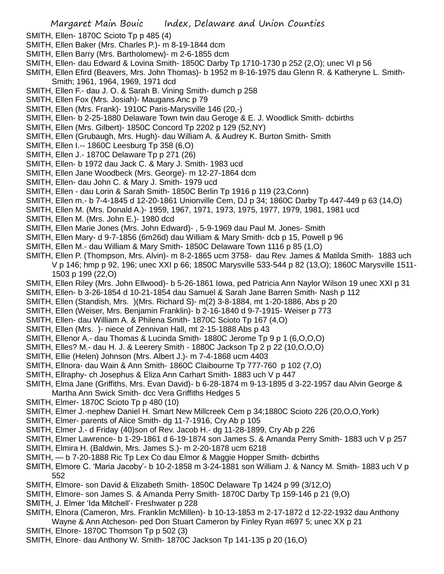- SMITH, Ellen- 1870C Scioto Tp p 485 (4)
- SMITH, Ellen Baker (Mrs. Charles P.)- m 8-19-1844 dcm
- SMITH, Ellen Barry (Mrs. Bartholomew)- m 2-6-1855 dcm
- SMITH, Ellen- dau Edward & Lovina Smith- 1850C Darby Tp 1710-1730 p 252 (2,O); unec VI p 56
- SMITH, Ellen Efird (Beavers, Mrs. John Thomas)- b 1952 m 8-16-1975 dau Glenn R. & Katheryne L. Smith-Smith; 1961, 1964, 1969, 1971 dcd
- SMITH, Ellen F.- dau J. O. & Sarah B. Vining Smith- dumch p 258
- SMITH, Ellen Fox (Mrs. Josiah)- Maugans Anc p 79
- SMITH, Ellen (Mrs. Frank)- 1910C Paris-Marysville 146 (20,-)
- SMITH, Ellen- b 2-25-1880 Delaware Town twin dau Geroge & E. J. Woodlick Smith- dcbirths
- SMITH, Ellen (Mrs. Gilbert)- 1850C Concord Tp 2202 p 129 (52,NY)
- SMITH, Ellen (Grubaugh, Mrs. Hugh)- dau William A. & Audrey K. Burton Smith- Smith
- SMITH, Ellen I.-- 1860C Leesburg Tp 358 (6,O)
- SMITH, Ellen J.- 1870C Delaware Tp p 271 (26)
- SMITH, Ellen- b 1972 dau Jack C. & Mary J. Smith- 1983 ucd
- SMITH, Ellen Jane Woodbeck (Mrs. George)- m 12-27-1864 dcm
- SMITH, Ellen- dau John C. & Mary J. Smith- 1979 ucd
- SMITH, Ellen dau Lorin & Sarah Smith- 1850C Berlin Tp 1916 p 119 (23,Conn)
- SMITH, Ellen m.- b 7-4-1845 d 12-20-1861 Unionville Cem, DJ p 34; 1860C Darby Tp 447-449 p 63 (14,O)
- SMITH, Ellen M. (Mrs. Donald A.)- 1959, 1967, 1971, 1973, 1975, 1977, 1979, 1981, 1981 ucd
- SMITH, Ellen M. (Mrs. John E.)- 1980 dcd
- SMITH, Ellen Marie Jones (Mrs. John Edward)- , 5-9-1969 dau Paul M. Jones- Smith
- SMITH, Ellen Mary- d 9-7-1856 (6m26d) dau William & Mary Smith- dcb p 15, Powell p 96
- SMITH, Ellen M.- dau William & Mary Smith- 1850C Delaware Town 1116 p 85 (1,O)
- SMITH, Ellen P. (Thompson, Mrs. Alvin)- m 8-2-1865 ucm 3758- dau Rev. James & Matilda Smith- 1883 uch V p 146; hmp p 92, 196; unec XXI p 66; 1850C Marysville 533-544 p 82 (13,O); 1860C Marysville 1511- 1503 p 199 (22,O)
- SMITH, Ellen Riley (Mrs. John Ellwood)- b 5-26-1861 Iowa, ped Patricia Ann Naylor Wilson 19 unec XXI p 31
- SMITH, Ellen- b 3-26-1854 d 10-21-1854 dau Samuel & Sarah Jane Barren Smith- Nash p 112
- SMITH, Ellen (Standish, Mrs. )(Mrs. Richard S)- m(2) 3-8-1884, mt 1-20-1886, Abs p 20
- SMITH, Ellen (Weiser, Mrs. Benjamin Franklin)- b 2-16-1840 d 9-7-1915- Weiser p 773
- SMITH, Ellen- dau William A. & Philena Smith- 1870C Scioto Tp 167 (4,O)
- SMITH, Ellen (Mrs. )- niece of Zennivan Hall, mt 2-15-1888 Abs p 43
- SMITH, Ellenor A.- dau Thomas & Lucinda Smith- 1880C Jerome Tp 9 p 1 (6,O,O,O)
- SMITH, Elles? M.- dau H. J. & Leerery Smith 1880C Jackson Tp 2 p 22 (10,O,O,O)
- SMITH, Ellie (Helen) Johnson (Mrs. Albert J.)- m 7-4-1868 ucm 4403
- SMITH, Ellnora- dau Wain & Ann Smith- 1860C Claibourne Tp 777-760 p 102 (7,O)
- SMITH, Ellraphy- ch Josephus & Eliza Ann Carhart Smith- 1883 uch V p 447
- SMITH, Elma Jane (Griffiths, Mrs. Evan David)- b 6-28-1874 m 9-13-1895 d 3-22-1957 dau Alvin George & Martha Ann Swick Smith- dcc Vera Griffiths Hedges 5
- SMITH, Elmer- 1870C Scioto Tp p 480 (10)
- SMITH, Elmer J.-nephew Daniel H. Smart New Millcreek Cem p 34;1880C Scioto 226 (20,O,O,York)
- SMITH, Elmer- parents of Alice Smith- dg 11-7-1916, Cry Ab p 105
- SMITH, Elmer J.- d Friday (40)son of Rev. Jacob H.- dg 11-28-1899, Cry Ab p 226
- SMITH, Elmer Lawrence- b 1-29-1861 d 6-19-1874 son James S. & Amanda Perry Smith- 1883 uch V p 257
- SMITH, Elmira H. (Baldwin, Mrs. James S.)- m 2-20-1878 ucm 6218
- SMITH, b 7-20-1888 Ric Tp Lex Co dau Elmor & Maggie Hopper Smith- dcbirths
- SMITH, Elmore C. 'Maria Jacoby'- b 10-2-1858 m 3-24-1881 son William J. & Nancy M. Smith- 1883 uch V p 552
- SMITH, Elmore- son David & Elizabeth Smith- 1850C Delaware Tp 1424 p 99 (3/12,O)
- SMITH, Elmore- son James S. & Amanda Perry Smith- 1870C Darby Tp 159-146 p 21 (9,O)
- SMITH, J. Elmer 'Ida Mitchell'- Freshwater p 228
- SMITH, Elnora (Cameron, Mrs. Franklin McMillen)- b 10-13-1853 m 2-17-1872 d 12-22-1932 dau Anthony
- Wayne & Ann Atcheson- ped Don Stuart Cameron by Finley Ryan #697 5; unec XX p 21
- SMITH, Elnore- 1870C Thomson Tp p 502 (3)
- SMITH, Elnore- dau Anthony W. Smith- 1870C Jackson Tp 141-135 p 20 (16,O)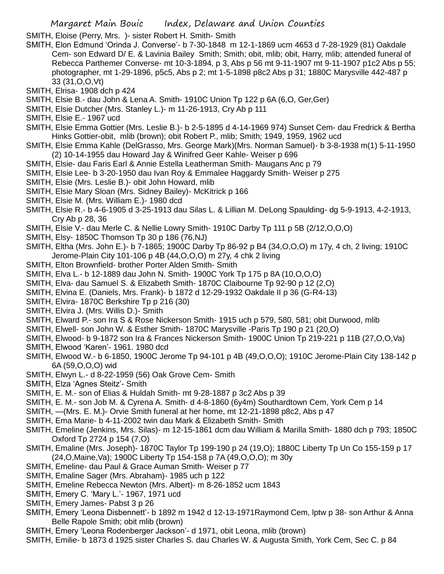SMITH, Eloise (Perry, Mrs. )- sister Robert H. Smith- Smith

- SMITH, Elon Edmund 'Orinda J. Converse'- b 7-30-1848 m 12-1-1869 ucm 4653 d 7-28-1929 (81) Oakdale Cem- son Edward D/ E. & Lavinia Bailey Smith; Smith; obit, mlib; obit, Harry, mlib; attended funeral of Rebecca Parthemer Converse- mt 10-3-1894, p 3, Abs p 56 mt 9-11-1907 mt 9-11-1907 p1c2 Abs p 55; photographer, mt 1-29-1896, p5c5, Abs p 2; mt 1-5-1898 p8c2 Abs p 31; 1880C Marysville 442-487 p 33 (31,O,O,Vt)
- SMITH, Elrisa- 1908 dch p 424
- SMITH, Elsie B.- dau John & Lena A. Smith- 1910C Union Tp 122 p 6A (6,O, Ger,Ger)
- SMITH, Elsie Dutcher (Mrs. Stanley L.)- m 11-26-1913, Cry Ab p 111
- SMITH, Elsie E.- 1967 ucd
- SMITH, Elsie Emma Gottier (Mrs. Leslie B.)- b 2-5-1895 d 4-14-1969 974) Sunset Cem- dau Fredrick & Bertha Hinks Gottier-obit, mlib (brown); obit Robert P., mlib; Smith; 1949, 1959, 1962 ucd
- SMITH, Elsie Emma Kahle (DelGrasso, Mrs. George Mark)(Mrs. Norman Samuel)- b 3-8-1938 m(1) 5-11-1950 (2) 10-14-1955 dau Howard Jay & Winifred Geer Kahle- Weiser p 696
- SMITH, Elsie- dau Faris Earl & Annie Estella Leatherman Smith- Maugans Anc p 79
- SMITH, Elsie Lee- b 3-20-1950 dau Ivan Roy & Emmalee Haggardy Smith- Weiser p 275
- SMITH, Elsie (Mrs. Leslie B.)- obit John Howard, mlib
- SMITH, Elsie Mary Sloan (Mrs. Sidney Bailey)- McKitrick p 166
- SMITH, Elsie M. (Mrs. William E.)- 1980 dcd
- SMITH, Elsie R.- b 4-6-1905 d 3-25-1913 dau Silas L. & Lillian M. DeLong Spaulding- dg 5-9-1913, 4-2-1913, Cry Ab p 28, 36
- SMITH, Elsie V.- dau Merle C. & Nellie Lowry Smith- 1910C Darby Tp 111 p 5B (2/12,O,O,O)
- SMITH, Elsy- 1850C Thomson Tp 30 p 186 (76,NJ)
- SMITH, Eltha (Mrs. John E.)- b 7-1865; 1900C Darby Tp 86-92 p B4 (34,O,O,O) m 17y, 4 ch, 2 living; 1910C Jerome-Plain City 101-106 p 4B (44,O,O,O) m 27y, 4 chk 2 living
- SMITH, Elton Brownfield- brother Porter Alden Smith- Smith
- SMITH, Elva L.- b 12-1889 dau John N. Smith- 1900C York Tp 175 p 8A (10,O,O,O)
- SMITH, Elva- dau Samuel S. & Elizabeth Smith- 1870C Claibourne Tp 92-90 p 12 (2,O)
- SMITH, Elvina E. (Daniels, Mrs. Frank)- b 1872 d 12-29-1932 Oakdale II p 36 (G-R4-13)
- SMITH, Elvira- 1870C Berkshire Tp p 216 (30)
- SMITH, Elvira J. (Mrs. Willis D.)- Smith
- SMITH, Elward P.- son Ira S & Rose Nickerson Smith- 1915 uch p 579, 580, 581; obit Durwood, mlib
- SMITH, Elwell- son John W. & Esther Smith- 1870C Marysville -Paris Tp 190 p 21 (20,O)
- SMITH, Elwood- b 9-1872 son Ira & Frances Nickerson Smith- 1900C Union Tp 219-221 p 11B (27,O,O,Va)
- SMITH, Elwood 'Karen'- 1961. 1980 dcd
- SMITH, Elwood W.- b 6-1850, 1900C Jerome Tp 94-101 p 4B (49,O,O,O); 1910C Jerome-Plain City 138-142 p 6A (59,O,O,O) wid
- SMITH, Elwyn L.- d 8-22-1959 (56) Oak Grove Cem- Smith
- SMITH, Elza 'Agnes Steitz'- Smith
- SMITH, E. M.- son of Elias & Huldah Smith- mt 9-28-1887 p 3c2 Abs p 39
- SMITH, E. M.- son Job M. & Cyrena A. Smith- d 4-8-1860 (6y4m) Southardtown Cem, York Cem p 14
- SMITH, —(Mrs. E. M.)- Orvie Smith funeral at her home, mt 12-21-1898 p8c2, Abs p 47
- SMITH, Ema Marie- b 4-11-2002 twin dau Mark & Elizabeth Smith- Smith
- SMITH, Emeline (Jenkins, Mrs. Silas)- m 12-15-1861 dcm dau William & Marilla Smith- 1880 dch p 793; 1850C Oxford Tp 2724 p 154 (7,O)
- SMITH, Emaline (Mrs. Joseph)- 1870C Taylor Tp 199-190 p 24 (19,O); 1880C Liberty Tp Un Co 155-159 p 17 (24,O,Maine,Va); 1900C Liberty Tp 154-158 p 7A (49,O,O,O); m 30y
- SMITH, Emeline- dau Paul & Grace Auman Smith- Weiser p 77
- SMITH, Emaline Sager (Mrs. Abraham)- 1985 uch p 122
- SMITH, Emeline Rebecca Newton (Mrs. Albert)- m 8-26-1852 ucm 1843
- SMITH, Emery C. 'Mary L.'- 1967, 1971 ucd
- SMITH, Emery James- Pabst 3 p 26
- SMITH, Emery 'Leona Disbennett'- b 1892 m 1942 d 12-13-1971Raymond Cem, lptw p 38- son Arthur & Anna Belle Rapole Smith; obit mlib (brown)
- SMITH, Emery 'Leona Rodenberger Jackson'- d 1971, obit Leona, mlib (brown)
- SMITH, Emilie- b 1873 d 1925 sister Charles S. dau Charles W. & Augusta Smith, York Cem, Sec C. p 84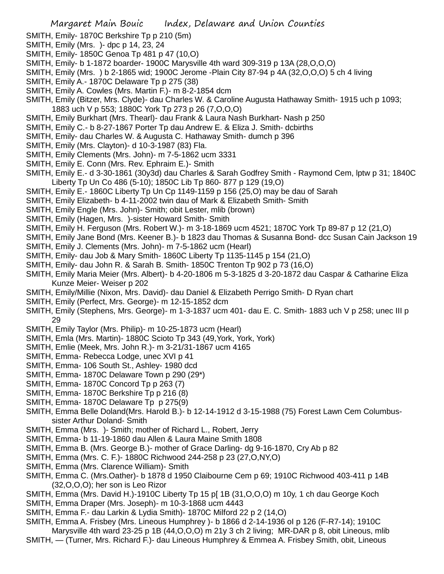- SMITH, Emily- 1870C Berkshire Tp p 210 (5m)
- SMITH, Emily (Mrs. )- dpc p 14, 23, 24
- SMITH, Emily- 1850C Genoa Tp 481 p 47 (10,O)
- SMITH, Emily- b 1-1872 boarder- 1900C Marysville 4th ward 309-319 p 13A (28,O,O,O)
- SMITH, Emily (Mrs. ) b 2-1865 wid; 1900C Jerome -Plain City 87-94 p 4A (32,O,O,O) 5 ch 4 living
- SMITH, Emily A.- 1870C Delaware Tp p 275 (38)
- SMITH, Emily A. Cowles (Mrs. Martin F.)- m 8-2-1854 dcm
- SMITH, Emily (Bitzer, Mrs. Clyde)- dau Charles W. & Caroline Augusta Hathaway Smith- 1915 uch p 1093; 1883 uch V p 553; 1880C York Tp 273 p 26 (7,O,O,O)
- SMITH, Emily Burkhart (Mrs. Thearl)- dau Frank & Laura Nash Burkhart- Nash p 250
- SMITH, Emily C.- b 8-27-1867 Porter Tp dau Andrew E. & Eliza J. Smith- dcbirths
- SMITH, Emily- dau Charles W. & Augusta C. Hathaway Smith- dumch p 396
- SMITH, Emily (Mrs. Clayton)- d 10-3-1987 (83) Fla.
- SMITH, Emily Clements (Mrs. John)- m 7-5-1862 ucm 3331
- SMITH, Emily E. Conn (Mrs. Rev. Ephraim E.)- Smith
- SMITH, Emily E.- d 3-30-1861 (30y3d) dau Charles & Sarah Godfrey Smith Raymond Cem, lptw p 31; 1840C Liberty Tp Un Co 486 (5-10); 1850C Lib Tp 860- 877 p 129 (19,O)
- SMITH, Emily E.- 1860C Liberty Tp Un Cp 1149-1159 p 156 (25,O) may be dau of Sarah
- SMITH, Emily Elizabeth- b 4-11-2002 twin dau of Mark & Elizabeth Smith- Smith
- SMITH, Emily Engle (Mrs. John)- Smith; obit Lester, mlib (brown)
- SMITH, Emily (Hagen, Mrs. )-sister Howard Smith- Smith
- SMITH, Emily H. Ferguson (Mrs. Robert W.)- m 3-18-1869 ucm 4521; 1870C York Tp 89-87 p 12 (21,O)
- SMITH, Emily Jane Bond (Mrs. Keener B.)- b 1823 dau Thomas & Susanna Bond- dcc Susan Cain Jackson 19
- SMITH, Emily J. Clements (Mrs. John)- m 7-5-1862 ucm (Hearl)
- SMITH, Emily- dau Job & Mary Smith- 1860C Liberty Tp 1135-1145 p 154 (21,O)
- SMITH, Emily- dau John R. & Sarah B. Smith- 1850C Trenton Tp 902 p 73 (16,O)
- SMITH, Emily Maria Meier (Mrs. Albert)- b 4-20-1806 m 5-3-1825 d 3-20-1872 dau Caspar & Catharine Eliza Kunze Meier- Weiser p 202
- SMITH, Emily/Millie (Nixon, Mrs. David)- dau Daniel & Elizabeth Perrigo Smith- D Ryan chart
- SMITH, Emily (Perfect, Mrs. George)- m 12-15-1852 dcm
- SMITH, Emily (Stephens, Mrs. George)- m 1-3-1837 ucm 401- dau E. C. Smith- 1883 uch V p 258; unec III p 29
- SMITH, Emily Taylor (Mrs. Philip)- m 10-25-1873 ucm (Hearl)
- SMITH, Emla (Mrs. Martin)- 1880C Scioto Tp 343 (49,York, York, York)
- SMITH, Emlie (Meek, Mrs. John R.)- m 3-21/31-1867 ucm 4165
- SMITH, Emma- Rebecca Lodge, unec XVI p 41
- SMITH, Emma- 106 South St., Ashley- 1980 dcd
- SMITH, Emma- 1870C Delaware Town p 290 (29\*)
- SMITH, Emma- 1870C Concord Tp p 263 (7)
- SMITH, Emma- 1870C Berkshire Tp p 216 (8)
- SMITH, Emma- 1870C Delaware Tp p 275(9)
- SMITH, Emma Belle Doland(Mrs. Harold B.)- b 12-14-1912 d 3-15-1988 (75) Forest Lawn Cem Columbussister Arthur Doland- Smith
- SMITH, Emma (Mrs. )- Smith; mother of Richard L., Robert, Jerry
- SMITH, Emma- b 11-19-1860 dau Allen & Laura Maine Smith 1808
- SMITH, Emma B. (Mrs. George B.)- mother of Grace Darling- dg 9-16-1870, Cry Ab p 82
- SMITH, Emma (Mrs. C. F.)- 1880C Richwood 244-258 p 23 (27,O,NY,O)
- SMITH, Emma (Mrs. Clarence William)- Smith
- SMITH, Emma C. (Mrs.Oather)- b 1878 d 1950 Claibourne Cem p 69; 1910C Richwood 403-411 p 14B (32,O,O,O); her son is Leo Rizor
- SMITH, Emma (Mrs. David H.)-1910C Liberty Tp 15 p[ 1B (31,O,O,O) m 10y, 1 ch dau George Koch
- SMITH, Emma Draper (Mrs. Joseph)- m 10-3-1868 ucm 4443
- SMITH, Emma F.- dau Larkin & Lydia Smith)- 1870C Milford 22 p 2 (14,O)
- SMITH, Emma A. Frisbey (Mrs. Lineous Humphrey )- b 1866 d 2-14-1936 oI p 126 (F-R7-14); 1910C Marysville 4th ward 23-25 p 1B (44, O, O, O) m 21y 3 ch 2 living; MR-DAR p 8, obit Lineous, mlib
- SMITH, (Turner, Mrs. Richard F.)- dau Lineous Humphrey & Emmea A. Frisbey Smith, obit, Lineous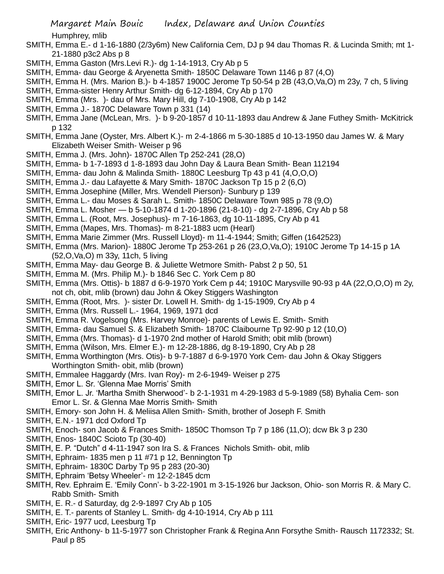Humphrey, mlib

- SMITH, Emma E.- d 1-16-1880 (2/3y6m) New California Cem, DJ p 94 dau Thomas R. & Lucinda Smith; mt 1- 21-1880 p3c2 Abs p 8
- SMITH, Emma Gaston (Mrs.Levi R.)- dg 1-14-1913, Cry Ab p 5
- SMITH, Emma- dau George & Aryenetta Smith- 1850C Delaware Town 1146 p 87 (4,O)
- SMITH, Emma H. (Mrs. Marion B.)- b 4-1857 1900C Jerome Tp 50-54 p 2B (43,O,Va,O) m 23y, 7 ch, 5 living
- SMITH, Emma-sister Henry Arthur Smith- dg 6-12-1894, Cry Ab p 170
- SMITH, Emma (Mrs. )- dau of Mrs. Mary Hill, dg 7-10-1908, Cry Ab p 142
- SMITH, Emma J.- 1870C Delaware Town p 331 (14)
- SMITH, Emma Jane (McLean, Mrs. )- b 9-20-1857 d 10-11-1893 dau Andrew & Jane Futhey Smith- McKitrick p 132
- SMITH, Emma Jane (Oyster, Mrs. Albert K.)- m 2-4-1866 m 5-30-1885 d 10-13-1950 dau James W. & Mary Elizabeth Weiser Smith- Weiser p 96
- SMITH, Emma J. (Mrs. John)- 1870C Allen Tp 252-241 (28,O)
- SMITH, Emma- b 1-7-1893 d 1-8-1893 dau John Day & Laura Bean Smith- Bean 112194
- SMITH, Emma- dau John & Malinda Smith- 1880C Leesburg Tp 43 p 41 (4,O,O,O)
- SMITH, Emma J.- dau Lafayette & Mary Smith- 1870C Jackson Tp 15 p 2 (6,O)
- SMITH, Emma Josephine (Miller, Mrs. Wendell Pierson)- Sunbury p 139
- SMITH, Emma L.- dau Moses & Sarah L. Smith- 1850C Delaware Town 985 p 78 (9,O)
- SMITH, Emma L. Mosher b 5-10-1874 d 1-20-1896 (21-8-10) dg 2-7-1896, Cry Ab p 58
- SMITH, Emma L. (Root, Mrs. Josephus)- m 7-16-1863, dg 10-11-1895, Cry Ab p 41
- SMITH, Emma (Mapes, Mrs. Thomas)- m 8-21-1883 ucm (Hearl)
- SMITH, Emma Marie Zimmer (Mrs. Russell Lloyd)- m 11-4-1944; Smith; Giffen (1642523)
- SMITH, Emma (Mrs. Marion)- 1880C Jerome Tp 253-261 p 26 (23,O,Va,O); 1910C Jerome Tp 14-15 p 1A (52,O,Va,O) m 33y, 11ch, 5 living
- SMITH, Emma May- dau George B. & Juliette Wetmore Smith- Pabst 2 p 50, 51
- SMITH, Emma M. (Mrs. Philip M.)- b 1846 Sec C. York Cem p 80
- SMITH, Emma (Mrs. Ottis)- b 1887 d 6-9-1970 York Cem p 44; 1910C Marysville 90-93 p 4A (22,O,O,O) m 2y, not ch, obit, mlib (brown) dau John & Okey Stiggers Washington
- SMITH, Emma (Root, Mrs. )- sister Dr. Lowell H. Smith- dg 1-15-1909, Cry Ab p 4
- SMITH, Emma (Mrs. Russell L.- 1964, 1969, 1971 dcd
- SMITH, Emma R. Vogelsong (Mrs. Harvey Monroe)- parents of Lewis E. Smith- Smith
- SMITH, Emma- dau Samuel S. & Elizabeth Smith- 1870C Claibourne Tp 92-90 p 12 (10,O)
- SMITH, Emma (Mrs. Thomas)- d 1-1970 2nd mother of Harold Smith; obit mlib (brown)
- SMITH, Emma (Wilson, Mrs. Elmer E.)- m 12-28-1886, dg 8-19-1890, Cry Ab p 28
- SMITH, Emma Worthington (Mrs. Otis)- b 9-7-1887 d 6-9-1970 York Cem- dau John & Okay Stiggers Worthington Smith- obit, mlib (brown)
- SMITH, Emmalee Haggardy (Mrs. Ivan Roy)- m 2-6-1949- Weiser p 275
- SMITH, Emor L. Sr. 'Glenna Mae Morris' Smith
- SMITH, Emor L. Jr. 'Martha Smith Sherwood'- b 2-1-1931 m 4-29-1983 d 5-9-1989 (58) Byhalia Cem- son Emor L. Sr. & Glenna Mae Morris Smith- Smith
- SMITH, Emory- son John H. & Meliisa Allen Smith- Smith, brother of Joseph F. Smith
- SMITH, E.N.- 1971 dcd Oxford Tp
- SMITH, Enoch- son Jacob & Frances Smith- 1850C Thomson Tp 7 p 186 (11,O); dcw Bk 3 p 230
- SMITH, Enos- 1840C Scioto Tp (30-40)
- SMITH, E. P. "Dutch" d 4-11-1947 son Ira S. & Frances Nichols Smith- obit, mlib
- SMITH, Ephraim- 1835 men p 11 #71 p 12, Bennington Tp
- SMITH, Ephraim- 1830C Darby Tp 95 p 283 (20-30)
- SMITH, Ephraim 'Betsy Wheeler'- m 12-2-1845 dcm
- SMITH, Rev. Ephraim E. 'Emily Conn'- b 3-22-1901 m 3-15-1926 bur Jackson, Ohio- son Morris R. & Mary C. Rabb Smith- Smith
- SMITH, E. R.- d Saturday, dg 2-9-1897 Cry Ab p 105
- SMITH, E. T.- parents of Stanley L. Smith- dg 4-10-1914, Cry Ab p 111
- SMITH, Eric- 1977 ucd, Leesburg Tp
- SMITH, Eric Anthony- b 11-5-1977 son Christopher Frank & Regina Ann Forsythe Smith- Rausch 1172332; St. Paul p 85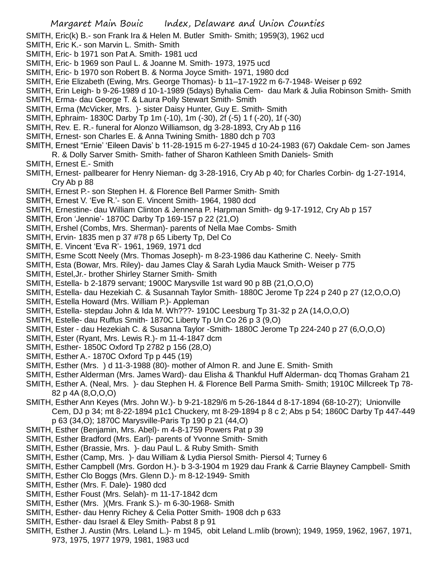SMITH, Eric(k) B.- son Frank Ira & Helen M. Butler Smith- Smith; 1959(3), 1962 ucd

- SMITH, Eric K.- son Marvin L. Smith- Smith
- SMITH, Eric- b 1971 son Pat A. Smith- 1981 ucd
- SMITH, Eric- b 1969 son Paul L. & Joanne M. Smith- 1973, 1975 ucd
- SMITH, Eric- b 1970 son Robert B. & Norma Joyce Smith- 1971, 1980 dcd
- SMITH, Erie Elizabeth (Ewing, Mrs. George Thomas)- b 11–17-1922 m 6-7-1948- Weiser p 692
- SMITH, Erin Leigh- b 9-26-1989 d 10-1-1989 (5days) Byhalia Cem- dau Mark & Julia Robinson Smith- Smith
- SMITH, Erma- dau George T. & Laura Polly Stewart Smith- Smith
- SMITH, Erma (McVicker, Mrs. )- sister Daisy Hunter, Guy E. Smith- Smith
- SMITH, Ephraim- 1830C Darby Tp 1m (-10), 1m (-30), 2f (-5) 1 f (-20), 1f (-30)
- SMITH, Rev. E. R.- funeral for Alonzo Williamson, dg 3-28-1893, Cry Ab p 116
- SMITH, Ernest- son Charles E. & Anna Twining Smith- 1880 dch p 703
- SMITH, Ernest "Ernie' 'Eileen Davis' b 11-28-1915 m 6-27-1945 d 10-24-1983 (67) Oakdale Cem- son James R. & Dolly Sarver Smith- Smith- father of Sharon Kathleen Smith Daniels- Smith
- SMITH, Ernest E.- Smith
- SMITH, Ernest- pallbearer for Henry Nieman- dg 3-28-1916, Cry Ab p 40; for Charles Corbin- dg 1-27-1914, Cry Ab p 88
- SMITH, Ernest P.- son Stephen H. & Florence Bell Parmer Smith- Smith
- SMITH, Ernest V. 'Eve R.'- son E. Vincent Smith- 1964, 1980 dcd
- SMITH, Ernestine- dau William Clinton & Jennena P. Harpman Smith- dg 9-17-1912, Cry Ab p 157
- SMITH, Eron 'Jennie'- 1870C Darby Tp 169-157 p 22 (21,O)
- SMITH, Ershel (Combs, Mrs. Sherman)- parents of Nella Mae Combs- Smith
- SMITH, Ervin- 1835 men p 37 #78 p 65 Liberty Tp, Del Co
- SMITH, E. Vincent 'Eva R'- 1961, 1969, 1971 dcd
- SMITH, Esme Scott Neely (Mrs. Thomas Joseph)- m 8-23-1986 dau Katherine C. Neely- Smith
- SMITH, Esta (Bowar, Mrs. Riley)- dau James Clay & Sarah Lydia Mauck Smith- Weiser p 775
- SMITH, Estel,Jr.- brother Shirley Starner Smith- Smith
- SMITH, Estella- b 2-1879 servant; 1900C Marysville 1st ward 90 p 8B (21,O,O,O)
- SMITH, Estella- dau Hezekiah C. & Susannah Taylor Smith- 1880C Jerome Tp 224 p 240 p 27 (12,O,O,O)
- SMITH, Estella Howard (Mrs. William P.)- Appleman
- SMITH, Estella- stepdau John & Ida M. Wh???- 1910C Leesburg Tp 31-32 p 2A (14,O,O,O)
- SMITH, Estelle- dau Ruffus Smith- 1870C Liberty Tp Un Co 26 p 3 (9,O)
- SMITH, Ester dau Hezekiah C. & Susanna Taylor -Smith- 1880C Jerome Tp 224-240 p 27 (6,O,O,O)
- SMITH, Ester (Ryant, Mrs. Lewis R.)- m 11-4-1847 dcm
- SMITH, Esther- 1850C Oxford Tp 2782 p 156 (28,O)
- SMITH, Esther A.- 1870C Oxford Tp p 445 (19)
- SMITH, Esther (Mrs. ) d 11-3-1988 (80)- mother of Almon R. and June E. Smith- Smith
- SMITH, Esther Alderman (Mrs. James Ward)- dau Elisha & Thankful Huff Alderman- dcq Thomas Graham 21
- SMITH, Esther A. (Neal, Mrs. )- dau Stephen H. & Florence Bell Parma Smith- Smith; 1910C Millcreek Tp 78- 82 p 4A (8,O,O,O)
- SMITH, Esther Ann Keyes (Mrs. John W.)- b 9-21-1829/6 m 5-26-1844 d 8-17-1894 (68-10-27); Unionville Cem, DJ p 34; mt 8-22-1894 p1c1 Chuckery, mt 8-29-1894 p 8 c 2; Abs p 54; 1860C Darby Tp 447-449 p 63 (34,O); 1870C Marysville-Paris Tp 190 p 21 (44,O)
- SMITH, Esther (Benjamin, Mrs. Abel)- m 4-8-1759 Powers Pat p 39
- SMITH, Esther Bradford (Mrs. Earl)- parents of Yvonne Smith- Smith
- SMITH, Esther (Brassie, Mrs. )- dau Paul L. & Ruby Smith- Smith
- SMITH, Esther (Camp, Mrs. )- dau William & Lydia Piersol Smith- Piersol 4; Turney 6
- SMITH, Esther Campbell (Mrs. Gordon H.)- b 3-3-1904 m 1929 dau Frank & Carrie Blayney Campbell- Smith
- SMITH, Esther Clo Boggs (Mrs. Glenn D.)- m 8-12-1949- Smith
- SMITH, Esther (Mrs. F. Dale)- 1980 dcd
- SMITH, Esther Foust (Mrs. Selah)- m 11-17-1842 dcm
- SMITH, Esther (Mrs. )(Mrs. Frank S.)- m 6-30-1968- Smith
- SMITH, Esther- dau Henry Richey & Celia Potter Smith- 1908 dch p 633
- SMITH, Esther- dau Israel & Eley Smith- Pabst 8 p 91
- SMITH, Esther J. Austin (Mrs. Leland L.)- m 1945, obit Leland L.mlib (brown); 1949, 1959, 1962, 1967, 1971, 973, 1975, 1977 1979, 1981, 1983 ucd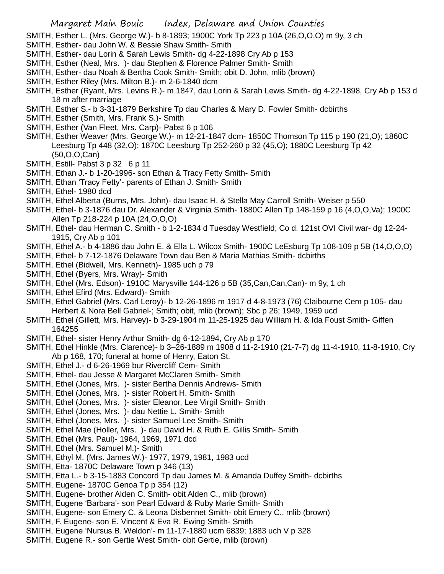SMITH, Esther L. (Mrs. George W.)- b 8-1893; 1900C York Tp 223 p 10A (26,O,O,O) m 9y, 3 ch

- SMITH, Esther- dau John W. & Bessie Shaw Smith- Smith
- SMITH, Esther- dau Lorin & Sarah Lewis Smith- dg 4-22-1898 Cry Ab p 153
- SMITH, Esther (Neal, Mrs. )- dau Stephen & Florence Palmer Smith- Smith
- SMITH, Esther- dau Noah & Bertha Cook Smith- Smith; obit D. John, mlib (brown)
- SMITH, Esther Riley (Mrs. Milton B.)- m 2-6-1840 dcm
- SMITH, Esther (Ryant, Mrs. Levins R.)- m 1847, dau Lorin & Sarah Lewis Smith- dg 4-22-1898, Cry Ab p 153 d 18 m after marriage
- SMITH, Esther S.- b 3-31-1879 Berkshire Tp dau Charles & Mary D. Fowler Smith- dcbirths
- SMITH, Esther (Smith, Mrs. Frank S.)- Smith
- SMITH, Esther (Van Fleet, Mrs. Carp)- Pabst 6 p 106
- SMITH, Esther Weaver (Mrs. George W.)- m 12-21-1847 dcm- 1850C Thomson Tp 115 p 190 (21,O); 1860C Leesburg Tp 448 (32,O); 1870C Leesburg Tp 252-260 p 32 (45,O); 1880C Leesburg Tp 42 (50,O,O,Can)
- SMITH, Estill- Pabst 3 p 32 6 p 11
- SMITH, Ethan J.- b 1-20-1996- son Ethan & Tracy Fetty Smith- Smith
- SMITH, Ethan 'Tracy Fetty'- parents of Ethan J. Smith- Smith
- SMITH, Ethel- 1980 dcd
- SMITH, Ethel Alberta (Burns, Mrs. John)- dau Isaac H. & Stella May Carroll Smith- Weiser p 550
- SMITH, Ethel- b 3-1876 dau Dr. Alexander & Virginia Smith- 1880C Allen Tp 148-159 p 16 (4,O,O,Va); 1900C Allen Tp 218-224 p 10A (24,O,O,O)
- SMITH, Ethel- dau Herman C. Smith b 1-2-1834 d Tuesday Westfield; Co d. 121st OVI Civil war- dg 12-24- 1915, Cry Ab p 101
- SMITH, Ethel A.- b 4-1886 dau John E. & Ella L. Wilcox Smith- 1900C LeEsburg Tp 108-109 p 5B (14,O,O,O)
- SMITH, Ethel- b 7-12-1876 Delaware Town dau Ben & Maria Mathias Smith- dcbirths
- SMITH, Ethel (Bidwell, Mrs. Kenneth)- 1985 uch p 79
- SMITH, Ethel (Byers, Mrs. Wray)- Smith
- SMITH, Ethel (Mrs. Edson)- 1910C Marysville 144-126 p 5B (35,Can,Can,Can)- m 9y, 1 ch
- SMITH, Ethel Efird (Mrs. Edward)- Smith
- SMITH, Ethel Gabriel (Mrs. Carl Leroy)- b 12-26-1896 m 1917 d 4-8-1973 (76) Claibourne Cem p 105- dau Herbert & Nora Bell Gabriel-; Smith; obit, mlib (brown); Sbc p 26; 1949, 1959 ucd
- SMITH, Ethel (Gillett, Mrs. Harvey)- b 3-29-1904 m 11-25-1925 dau William H. & Ida Foust Smith- Giffen 164255
- SMITH, Ethel- sister Henry Arthur Smith- dg 6-12-1894, Cry Ab p 170
- SMITH, Ethel Hinkle (Mrs. Clarence)- b 3–26-1889 m 1908 d 11-2-1910 (21-7-7) dg 11-4-1910, 11-8-1910, Cry Ab p 168, 170; funeral at home of Henry, Eaton St.
- SMITH, Ethel J.- d 6-26-1969 bur Rivercliff Cem- Smith
- SMITH, Ethel- dau Jesse & Margaret McClaren Smith- Smith
- SMITH, Ethel (Jones, Mrs. )- sister Bertha Dennis Andrews- Smith
- SMITH, Ethel (Jones, Mrs. )- sister Robert H. Smith- Smith
- SMITH, Ethel (Jones, Mrs. )- sister Eleanor, Lee Virgil Smith- Smith
- SMITH, Ethel (Jones, Mrs. )- dau Nettie L. Smith- Smith
- SMITH, Ethel (Jones, Mrs. )- sister Samuel Lee Smith- Smith
- SMITH, Ethel Mae (Holler, Mrs. )- dau David H. & Ruth E. Gillis Smith- Smith
- SMITH, Ethel (Mrs. Paul)- 1964, 1969, 1971 dcd
- SMITH, Ethel (Mrs. Samuel M.)- Smith
- SMITH, Ethyl M. (Mrs. James W.)- 1977, 1979, 1981, 1983 ucd
- SMITH, Etta- 1870C Delaware Town p 346 (13)
- SMITH, Etta L.- b 3-15-1883 Concord Tp dau James M. & Amanda Duffey Smith- dcbirths
- SMITH, Eugene- 1870C Genoa Tp p 354 (12)
- SMITH, Eugene- brother Alden C. Smith- obit Alden C., mlib (brown)
- SMITH, Eugene 'Barbara'- son Pearl Edward & Ruby Marie Smith- Smith
- SMITH, Eugene- son Emery C. & Leona Disbennet Smith- obit Emery C., mlib (brown)
- SMITH, F. Eugene- son E. Vincent & Eva R. Ewing Smith- Smith
- SMITH, Eugene 'Nursus B. Weldon'- m 11-17-1880 ucm 6839; 1883 uch V p 328
- SMITH, Eugene R.- son Gertie West Smith- obit Gertie, mlib (brown)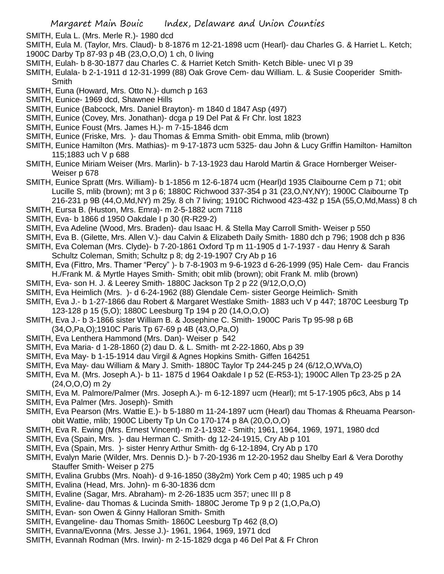- SMITH, Eula L. (Mrs. Merle R.)- 1980 dcd
- SMITH, Eula M. (Taylor, Mrs. Claud)- b 8-1876 m 12-21-1898 ucm (Hearl)- dau Charles G. & Harriet L. Ketch; 1900C Darby Tp 87-93 p 4B (23,O,O,O) 1 ch, 0 living
- SMITH, Eulah- b 8-30-1877 dau Charles C. & Harriet Ketch Smith- Ketch Bible- unec VI p 39
- SMITH, Eulala- b 2-1-1911 d 12-31-1999 (88) Oak Grove Cem- dau William. L. & Susie Cooperider Smith-**Smith**
- SMITH, Euna (Howard, Mrs. Otto N.)- dumch p 163
- SMITH, Eunice- 1969 dcd, Shawnee Hills
- SMITH, Eunice (Babcock, Mrs. Daniel Brayton)- m 1840 d 1847 Asp (497)
- SMITH, Eunice (Covey, Mrs. Jonathan)- dcga p 19 Del Pat & Fr Chr. lost 1823
- SMITH, Eunice Foust (Mrs. James H.)- m 7-15-1846 dcm
- SMITH, Eunice (Friske, Mrs. )- dau Thomas & Emma Smith- obit Emma, mlib (brown)
- SMITH, Eunice Hamilton (Mrs. Mathias)- m 9-17-1873 ucm 5325- dau John & Lucy Griffin Hamilton- Hamilton 115;1883 uch V p 688
- SMITH, Eunice Miriam Weiser (Mrs. Marlin)- b 7-13-1923 dau Harold Martin & Grace Hornberger Weiser-Weiser p 678
- SMITH, Eunice Spratt (Mrs. William)- b 1-1856 m 12-6-1874 ucm (Hearl)d 1935 Claibourne Cem p 71; obit Lucille S, mlib (brown); mt 3 p 6; 1880C Richwood 337-354 p 31 (23,O,NY,NY); 1900C Claibourne Tp 216-231 p 9B (44,O,Md,NY) m 25y. 8 ch 7 living; 1910C Richwood 423-432 p 15A (55,O,Md,Mass) 8 ch
- SMITH, Eursa B. (Huston, Mrs. Emra)- m 2-5-1882 ucm 7118
- SMITH, Eva- b 1866 d 1950 Oakdale I p 30 (R-R29-2)
- SMITH, Eva Adeline (Wood, Mrs. Braden)- dau Isaac H. & Stella May Carroll Smith- Weiser p 550
- SMITH, Eva B. (Gilette, Mrs. Allen V.)- dau Calvin & Elizabeth Daily Smith- 1880 dch p 796; 1908 dch p 836
- SMITH, Eva Coleman (Mrs. Clyde)- b 7-20-1861 Oxford Tp m 11-1905 d 1-7-1937 dau Henry & Sarah Schultz Coleman, Smith; Schultz p 8; dg 2-19-1907 Cry Ab p 16
- SMITH, Eva (Fittro, Mrs. Thamer "Percy" )- b 7-8-1903 m 9-6-1923 d 6-26-1999 (95) Hale Cem- dau Francis H./Frank M. & Myrtle Hayes Smith- Smith; obit mlib (brown); obit Frank M. mlib (brown)
- SMITH, Eva- son H. J. & Leerey Smith- 1880C Jackson Tp 2 p 22 (9/12,O,O,O)
- SMITH, Eva Heimlich (Mrs. )- d 6-24-1962 (88) Glendale Cem- sister George Heimlich- Smith
- SMITH, Eva J.- b 1-27-1866 dau Robert & Margaret Westlake Smith- 1883 uch V p 447; 1870C Leesburg Tp 123-128 p 15 (5,O); 1880C Leesburg Tp 194 p 20 (14,O,O,O)
- SMITH, Eva J.- b 3-1866 sister William B. & Josephine C. Smith- 1900C Paris Tp 95-98 p 6B (34,O,Pa,O);1910C Paris Tp 67-69 p 4B (43,O,Pa,O)
- SMITH, Eva Lenthera Hammond (Mrs. Dan)- Weiser p 542
- SMITH, Eva Maria- d 1-28-1860 (2) dau D. & L. Smith- mt 2-22-1860, Abs p 39
- SMITH, Eva May- b 1-15-1914 dau Virgil & Agnes Hopkins Smith- Giffen 164251
- SMITH, Eva May- dau William & Mary J. Smith- 1880C Taylor Tp 244-245 p 24 (6/12,O,WVa,O)
- SMITH, Eva M. (Mrs. Joseph A.)- b 11- 1875 d 1964 Oakdale I p 52 (E-R53-1); 1900C Allen Tp 23-25 p 2A (24,O,O,O) m 2y
- SMITH, Eva M. Palmore/Palmer (Mrs. Joseph A.)- m 6-12-1897 ucm (Hearl); mt 5-17-1905 p6c3, Abs p 14
- SMITH, Eva Palmer (Mrs. Joseph)- Smith
- SMITH, Eva Pearson (Mrs. Wattie E.)- b 5-1880 m 11-24-1897 ucm (Hearl) dau Thomas & Rheuama Pearsonobit Wattie, mlib; 1900C Liberty Tp Un Co 170-174 p 8A (20,O,O,O)
- SMITH, Eva R. Ewing (Mrs. Ernest Vincent)- m 2-1-1932 Smith; 1961, 1964, 1969, 1971, 1980 dcd
- SMITH, Eva (Spain, Mrs. )- dau Herman C. Smith- dg 12-24-1915, Cry Ab p 101
- SMITH, Eva (Spain, Mrs. )- sister Henry Arthur Smith- dg 6-12-1894, Cry Ab p 170
- SMITH, Evalyn Marie (Wilder, Mrs. Dennis D.)- b 7-20-1936 m 12-20-1952 dau Shelby Earl & Vera Dorothy Stauffer Smith- Weiser p 275
- SMITH, Evalina Grubbs (Mrs. Noah)- d 9-16-1850 (38y2m) York Cem p 40; 1985 uch p 49
- SMITH, Evalina (Head, Mrs. John)- m 6-30-1836 dcm
- SMITH, Evaline (Sagar, Mrs. Abraham)- m 2-26-1835 ucm 357; unec III p 8
- SMITH, Evaline- dau Thomas & Lucinda Smith- 1880C Jerome Tp 9 p 2 (1,O,Pa,O)
- SMITH, Evan- son Owen & Ginny Halloran Smith- Smith
- SMITH, Evangeline- dau Thomas Smith- 1860C Leesburg Tp 462 (8,O)
- SMITH, Evanna/Evonna (Mrs. Jesse J.)- 1961, 1964, 1969, 1971 dcd
- SMITH, Evannah Rodman (Mrs. Irwin)- m 2-15-1829 dcga p 46 Del Pat & Fr Chron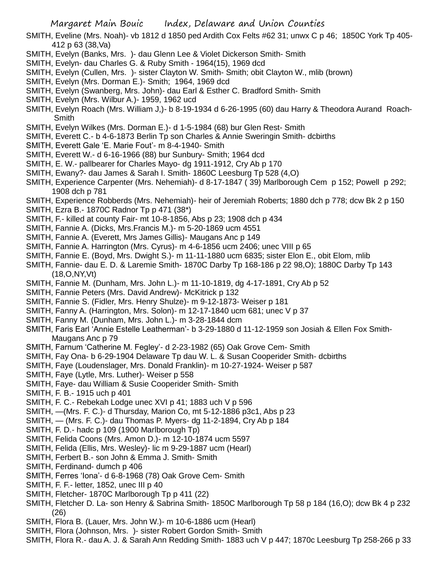- SMITH, Eveline (Mrs. Noah)- vb 1812 d 1850 ped Ardith Cox Felts #62 31; unwx C p 46; 1850C York Tp 405- 412 p 63 (38,Va)
- SMITH, Evelyn (Banks, Mrs. )- dau Glenn Lee & Violet Dickerson Smith- Smith
- SMITH, Evelyn- dau Charles G. & Ruby Smith 1964(15), 1969 dcd
- SMITH, Evelyn (Cullen, Mrs. )- sister Clayton W. Smith- Smith; obit Clayton W., mlib (brown)
- SMITH, Evelyn (Mrs. Dorman E.)- Smith; 1964, 1969 dcd
- SMITH, Evelyn (Swanberg, Mrs. John)- dau Earl & Esther C. Bradford Smith- Smith
- SMITH, Evelyn (Mrs. Wilbur A.)- 1959, 1962 ucd
- SMITH, Evelyn Roach (Mrs. William J,)- b 8-19-1934 d 6-26-1995 (60) dau Harry & Theodora Aurand Roach-Smith
- SMITH, Evelyn Wilkes (Mrs. Dorman E.)- d 1-5-1984 (68) bur Glen Rest- Smith
- SMITH, Everett C.- b 4-6-1873 Berlin Tp son Charles & Annie Sweringin Smith- dcbirths
- SMITH, Everett Gale 'E. Marie Fout'- m 8-4-1940- Smith
- SMITH, Everett W.- d 6-16-1966 (88) bur Sunbury- Smith; 1964 dcd
- SMITH, E. W.- pallbearer for Charles Mayo- dg 1911-1912, Cry Ab p 170
- SMITH, Ewany?- dau James & Sarah I. Smith- 1860C Leesburg Tp 528 (4,O)
- SMITH, Experience Carpenter (Mrs. Nehemiah)- d 8-17-1847 ( 39) Marlborough Cem p 152; Powell p 292; 1908 dch p 781
- SMITH, Experience Robberds (Mrs. Nehemiah)- heir of Jeremiah Roberts; 1880 dch p 778; dcw Bk 2 p 150
- SMITH, Ezra B.- 1870C Radnor Tp p 471 (38\*)
- SMITH, F.- killed at county Fair- mt 10-8-1856, Abs p 23; 1908 dch p 434
- SMITH, Fannie A. (Dicks, Mrs.Francis M.)- m 5-20-1869 ucm 4551
- SMITH, Fannie A. (Everett, Mrs James Gillis)- Maugans Anc p 149
- SMITH, Fannie A. Harrington (Mrs. Cyrus)- m 4-6-1856 ucm 2406; unec VIII p 65
- SMITH, Fannie E. (Boyd, Mrs. Dwight S.)- m 11-11-1880 ucm 6835; sister Elon E., obit Elom, mlib
- SMITH, Fannie- dau E. D. & Laremie Smith- 1870C Darby Tp 168-186 p 22 98,O); 1880C Darby Tp 143 (18,O,NY,Vt)
- SMITH, Fannie M. (Dunham, Mrs. John L.)- m 11-10-1819, dg 4-17-1891, Cry Ab p 52
- SMITH, Fannie Peters (Mrs. David Andrew)- McKitrick p 132
- SMITH, Fannie S. (Fidler, Mrs. Henry Shulze)- m 9-12-1873- Weiser p 181
- SMITH, Fanny A. (Harrington, Mrs. Solon)- m 12-17-1840 ucm 681; unec V p 37
- SMITH, Fanny M. (Dunham, Mrs. John L.)- m 3-28-1844 dcm
- SMITH, Faris Earl 'Annie Estelle Leatherman'- b 3-29-1880 d 11-12-1959 son Josiah & Ellen Fox Smith-Maugans Anc p 79
- SMITH, Farnum 'Catherine M. Fegley'- d 2-23-1982 (65) Oak Grove Cem- Smith
- SMITH, Fay Ona- b 6-29-1904 Delaware Tp dau W. L. & Susan Cooperider Smith- dcbirths
- SMITH, Faye (Loudenslager, Mrs. Donald Franklin)- m 10-27-1924- Weiser p 587
- SMITH, Faye (Lytle, Mrs. Luther)- Weiser p 558
- SMITH, Faye- dau William & Susie Cooperider Smith- Smith
- SMITH, F. B.- 1915 uch p 401
- SMITH, F. C.- Rebekah Lodge unec XVI p 41; 1883 uch V p 596
- SMITH, —(Mrs. F. C.)- d Thursday, Marion Co, mt 5-12-1886 p3c1, Abs p 23
- SMITH, (Mrs. F. C.)- dau Thomas P. Myers- dg 11-2-1894, Cry Ab p 184
- SMITH, F. D.- hadc p 109 (1900 Marlborough Tp)
- SMITH, Felida Coons (Mrs. Amon D.)- m 12-10-1874 ucm 5597
- SMITH, Felida (Ellis, Mrs. Wesley)- lic m 9-29-1887 ucm (Hearl)
- SMITH, Ferbert B.- son John & Emma J. Smith- Smith
- SMITH, Ferdinand- dumch p 406
- SMITH, Ferres 'Iona'- d 6-8-1968 (78) Oak Grove Cem- Smith
- SMITH, F. F.- letter, 1852, unec III p 40
- SMITH, Fletcher- 1870C Marlborough Tp p 411 (22)
- SMITH, Fletcher D. La- son Henry & Sabrina Smith- 1850C Marlborough Tp 58 p 184 (16,O); dcw Bk 4 p 232 (26)
- SMITH, Flora B. (Lauer, Mrs. John W.)- m 10-6-1886 ucm (Hearl)
- SMITH, Flora (Johnson, Mrs. )- sister Robert Gordon Smith- Smith
- SMITH, Flora R.- dau A. J. & Sarah Ann Redding Smith- 1883 uch V p 447; 1870c Leesburg Tp 258-266 p 33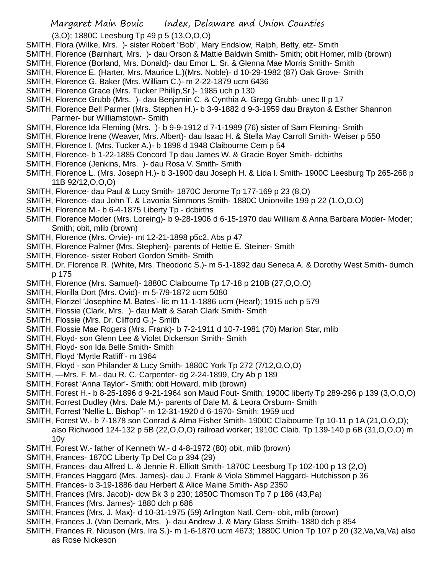(3,O); 1880C Leesburg Tp 49 p 5 (13,O,O,O)

- SMITH, Flora (Wilke, Mrs. )- sister Robert "Bob", Mary Endslow, Ralph, Betty, etz- Smith
- SMITH, Florence (Barnhart, Mrs. )- dau Orson & Mattie Baldwin Smith- Smith; obit Homer, mlib (brown)
- SMITH, Florence (Borland, Mrs. Donald)- dau Emor L. Sr. & Glenna Mae Morris Smith- Smith
- SMITH, Florence E. (Harter, Mrs. Maurice L.)(Mrs. Noble)- d 10-29-1982 (87) Oak Grove- Smith
- SMITH, Florence G. Baker (Mrs. William C.)- m 2-22-1879 ucm 6436
- SMITH, Florence Grace (Mrs. Tucker Phillip,Sr.)- 1985 uch p 130
- SMITH, Florence Grubb (Mrs. )- dau Benjamin C. & Cynthia A. Gregg Grubb- unec II p 17
- SMITH, Florence Bell Parmer (Mrs. Stephen H.)- b 3-9-1882 d 9-3-1959 dau Brayton & Esther Shannon Parmer- bur Williamstown- Smith
- SMITH, Florence Ida Fleming (Mrs. )- b 9-9-1912 d 7-1-1989 (76) sister of Sam Fleming- Smith
- SMITH, Florence Irene (Weaver, Mrs. Albert)- dau Isaac H. & Stella May Carroll Smith- Weiser p 550
- SMITH, Florence I. (Mrs. Tucker A.)- b 1898 d 1948 Claibourne Cem p 54
- SMITH, Florence- b 1-22-1885 Concord Tp dau James W. & Gracie Boyer Smith- dcbirths
- SMITH, Florence (Jenkins, Mrs. )- dau Rosa V. Smith- Smith
- SMITH, Florence L. (Mrs. Joseph H.)- b 3-1900 dau Joseph H. & Lida l. Smith- 1900C Leesburg Tp 265-268 p 11B 92/12,O,O,O)
- SMITH, Florence- dau Paul & Lucy Smith- 1870C Jerome Tp 177-169 p 23 (8,O)
- SMITH, Florence- dau John T. & Lavonia Simmons Smith- 1880C Unionville 199 p 22 (1,O,O,O)
- SMITH, Florence M.- b 6-4-1875 Liberty Tp dcbirths
- SMITH, Florence Moder (Mrs. Loreing)- b 9-28-1906 d 6-15-1970 dau William & Anna Barbara Moder- Moder; Smith; obit, mlib (brown)
- SMITH, Florence (Mrs. Orvie)- mt 12-21-1898 p5c2, Abs p 47
- SMITH, Florence Palmer (Mrs. Stephen)- parents of Hettie E. Steiner- Smith
- SMITH, Florence- sister Robert Gordon Smith- Smith
- SMITH, Dr. Florence R. (White, Mrs. Theodoric S.)- m 5-1-1892 dau Seneca A. & Dorothy West Smith- dumch p 175
- SMITH, Florence (Mrs. Samuel)- 1880C Claibourne Tp 17-18 p 210B (27,O,O,O)
- SMITH, Florilla Dort (Mrs. Ovid)- m 5-7/9-1872 ucm 5080
- SMITH, Florizel 'Josephine M. Bates'- lic m 11-1-1886 ucm (Hearl); 1915 uch p 579
- SMITH, Flossie (Clark, Mrs. )- dau Matt & Sarah Clark Smith- Smith
- SMITH, Flossie (Mrs. Dr. Clifford G.)- Smith
- SMITH, Flossie Mae Rogers (Mrs. Frank)- b 7-2-1911 d 10-7-1981 (70) Marion Star, mlib
- SMITH, Floyd- son Glenn Lee & Violet Dickerson Smith- Smith
- SMITH, Floyd- son Ida Belle Smith- Smith
- SMITH, Floyd 'Myrtle Ratliff'- m 1964
- SMITH, Floyd son Philander & Lucy Smith- 1880C York Tp 272 (7/12,O,O,O)
- SMITH, —Mrs. F. M.- dau R. C. Carpenter- dg 2-24-1899, Cry Ab p 189
- SMITH, Forest 'Anna Taylor'- Smith; obit Howard, mlib (brown)
- SMITH, Forest H.- b 8-25-1896 d 9-21-1964 son Maud Fout- Smith; 1900C liberty Tp 289-296 p 139 (3,O,O,O)
- SMITH, Forrest Dudley (Mrs. Dale M.)- parents of Dale M. & Leora Orsburn- Smith
- SMITH, Forrest 'Nellie L. Bishop''- m 12-31-1920 d 6-1970- Smith; 1959 ucd
- SMITH, Forest W.- b 7-1878 son Conrad & Alma Fisher Smith- 1900C Claibourne Tp 10-11 p 1A (21,O,O,O); also Richwood 124-132 p 5B (22,O,O,O) railroad worker; 1910C Claib. Tp 139-140 p 6B (31,O,O,O) m 10y
- SMITH, Forest W.- father of Kenneth W.- d 4-8-1972 (80) obit, mlib (brown)
- SMITH, Frances- 1870C Liberty Tp Del Co p 394 (29)
- SMITH, Frances- dau Alfred L. & Jennie R. Elliott Smith- 1870C Leesburg Tp 102-100 p 13 (2,O)
- SMITH, Frances Haggard (Mrs. James)- dau J. Frank & Viola Stimmel Haggard- Hutchisson p 36
- SMITH, Frances- b 3-19-1886 dau Herbert & Alice Maine Smith- Asp 2350
- SMITH, Frances (Mrs. Jacob)- dcw Bk 3 p 230; 1850C Thomson Tp 7 p 186 (43,Pa)
- SMITH, Frances (Mrs. James)- 1880 dch p 686
- SMITH, Frances (Mrs. J. Max)- d 10-31-1975 (59) Arlington Natl. Cem- obit, mlib (brown)
- SMITH, Frances J. (Van Demark, Mrs. )- dau Andrew J. & Mary Glass Smith- 1880 dch p 854
- SMITH, Frances R. Nicuson (Mrs. Ira S.)- m 1-6-1870 ucm 4673; 1880C Union Tp 107 p 20 (32,Va,Va,Va) also as Rose Nickeson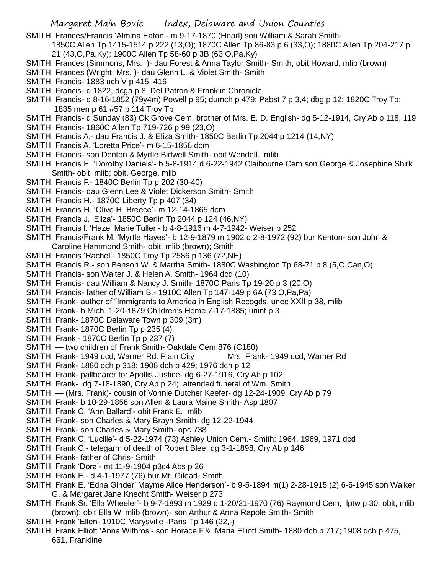SMITH, Frances/Francis 'Almina Eaton'- m 9-17-1870 (Hearl) son William & Sarah Smith-

- 1850C Allen Tp 1415-1514 p 222 (13,O); 1870C Allen Tp 86-83 p 6 (33,O); 1880C Allen Tp 204-217 p 21 (43,O,Pa,Ky); 1900C Allen Tp 58-60 p 3B (63,O,Pa,Ky)
- SMITH, Frances (Simmons, Mrs. )- dau Forest & Anna Taylor Smith- Smith; obit Howard, mlib (brown)
- SMITH, Frances (Wright, Mrs. )- dau Glenn L. & Violet Smith- Smith
- SMITH, Francis- 1883 uch V p 415, 416
- SMITH, Francis- d 1822, dcga p 8, Del Patron & Franklin Chronicle
- SMITH, Francis- d 8-16-1852 (79y4m) Powell p 95; dumch p 479; Pabst 7 p 3,4; dbg p 12; 1820C Troy Tp; 1835 men p 61 #57 p 114 Troy Tp
- SMITH, Francis- d Sunday (83) Ok Grove Cem. brother of Mrs. E. D. English- dg 5-12-1914, Cry Ab p 118, 119
- SMITH, Francis- 1860C Allen Tp 719-726 p 99 (23,O)
- SMITH, Francis A.- dau Francis J. & Eliza Smith- 1850C Berlin Tp 2044 p 1214 (14,NY)
- SMITH, Francis A. 'Loretta Price'- m 6-15-1856 dcm
- SMITH, Francis- son Denton & Myrtle Bidwell Smith- obit Wendell. mlib
- SMITH, Francis E. 'Dorothy Daniels'- b 5-8-1914 d 6-22-1942 Claibourne Cem son George & Josephine Shirk Smith- obit, mlib; obit, George, mlib
- SMITH, Francis F.- 1840C Berlin Tp p 202 (30-40)
- SMITH, Francis- dau Glenn Lee & Violet Dickerson Smith- Smith
- SMITH, Francis H.- 1870C Liberty Tp p 407 (34)
- SMITH, Francis H. 'Olive H. Breece'- m 12-14-1865 dcm
- SMITH, Francis J. 'Eliza'- 1850C Berlin Tp 2044 p 124 (46,NY)
- SMITH, Francis l. 'Hazel Marie Tuller'- b 4-8-1916 m 4-7-1942- Weiser p 252
- SMITH, Francis/Frank M. 'Myrtle Hayes'- b 12-9-1879 m 1902 d 2-8-1972 (92) bur Kenton- son John & Caroline Hammond Smith- obit, mlib (brown); Smith
- SMITH, Francis 'Rachel'- 1850C Troy Tp 2586 p 136 (72,NH)
- SMITH, Francis R.- son Benson W. & Martha Smith- 1880C Washington Tp 68-71 p 8 (5,O,Can,O)
- SMITH, Francis- son Walter J. & Helen A. Smith- 1964 dcd (10)
- SMITH, Francis- dau William & Nancy J. Smith- 1870C Paris Tp 19-20 p 3 (20,O)
- SMITH, Francis- father of William B.- 1910C Allen Tp 147-149 p 6A (73,O,Pa,Pa)
- SMITH, Frank- author of "Immigrants to America in English Recogds, unec XXII p 38, mlib
- SMITH, Frank- b Mich. 1-20-1879 Children's Home 7-17-1885; uninf p 3
- SMITH, Frank- 1870C Delaware Town p 309 (3m)
- SMITH, Frank- 1870C Berlin Tp p 235 (4)
- SMITH, Frank 1870C Berlin Tp p 237 (7)
- SMITH, two children of Frank Smith- Oakdale Cem 876 (C180)
- SMITH, Frank- 1949 ucd, Warner Rd. Plain City Mrs. Frank- 1949 ucd, Warner Rd
- SMITH, Frank- 1880 dch p 318; 1908 dch p 429; 1976 dch p 12
- SMITH, Frank- pallbearer for Apollis Justice- dg 6-27-1916, Cry Ab p 102
- SMITH, Frank- dg 7-18-1890, Cry Ab p 24; attended funeral of Wm. Smith
- SMITH, (Mrs. Frank)- cousin of Vonnie Dutcher Keefer- dg 12-24-1909, Cry Ab p 79
- SMITH, Frank- b 10-29-1856 son Allen & Laura Maine Smith- Asp 1807
- SMITH, Frank C. 'Ann Ballard'- obit Frank E., mlib
- SMITH, Frank- son Charles & Mary Brayn Smith- dg 12-22-1944
- SMITH, Frank- son Charles & Mary Smith- opc 738
- SMITH, Frank C. 'Lucille'- d 5-22-1974 (73) Ashley Union Cem.- Smith; 1964, 1969, 1971 dcd
- SMITH, Frank C.- telegarm of death of Robert Blee, dg 3-1-1898, Cry Ab p 146
- SMITH, Frank- father of Chris- Smith
- SMITH, Frank 'Dora'- mt 11-9-1904 p3c4 Abs p 26
- SMITH, Frank E.- d 4-1-1977 (76) bur Mt. Gilead- Smith
- SMITH, Frank E. 'Edna Ginder''Mayme Alice Henderson'- b 9-5-1894 m(1) 2-28-1915 (2) 6-6-1945 son Walker G. & Margaret Jane Knecht Smith- Weiser p 273
- SMITH, Frank,Sr. 'Ella Wheeler'- b 9-7-1893 m 1929 d 1-20/21-1970 (76) Raymond Cem, lptw p 30; obit, mlib (brown); obit Ella W, mlib (brown)- son Arthur & Anna Rapole Smith- Smith
- SMITH, Frank 'Ellen- 1910C Marysville -Paris Tp 146 (22,-)
- SMITH, Frank Elliott 'Anna Withros'- son Horace F.& Maria Elliott Smith- 1880 dch p 717; 1908 dch p 475, 661, Frankline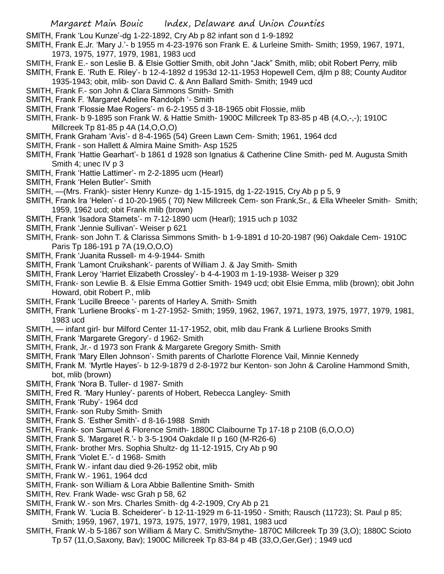- SMITH, Frank 'Lou Kunze'-dg 1-22-1892, Cry Ab p 82 infant son d 1-9-1892
- SMITH, Frank E.Jr. 'Mary J.'- b 1955 m 4-23-1976 son Frank E. & Lurleine Smith- Smith; 1959, 1967, 1971, 1973, 1975, 1977, 1979, 1981, 1983 ucd
- SMITH, Frank E.- son Leslie B. & Elsie Gottier Smith, obit John "Jack" Smith, mlib; obit Robert Perry, mlib
- SMITH, Frank E. 'Ruth E. Riley'- b 12-4-1892 d 1953d 12-11-1953 Hopewell Cem, djlm p 88; County Auditor 1935-1943; obit, mlib- son David C. & Ann Ballard Smith- Smith; 1949 ucd
- SMITH, Frank F.- son John & Clara Simmons Smith- Smith
- SMITH, Frank F. 'Margaret Adeline Randolph '- Smith
- SMITH, Frank 'Flossie Mae Rogers'- m 6-2-1955 d 3-18-1965 obit Flossie, mlib
- SMITH, Frank- b 9-1895 son Frank W. & Hattie Smith- 1900C Millcreek Tp 83-85 p 4B (4,O,-,-); 1910C Millcreek Tp 81-85 p 4A (14,O,O,O)
- SMITH, Frank Graham 'Avis'- d 8-4-1965 (54) Green Lawn Cem- Smith; 1961, 1964 dcd
- SMITH, Frank son Hallett & Almira Maine Smith- Asp 1525
- SMITH, Frank 'Hattie Gearhart'- b 1861 d 1928 son Ignatius & Catherine Cline Smith- ped M. Augusta Smith Smith 4; unec IV p 3
- SMITH, Frank 'Hattie Lattimer'- m 2-2-1895 ucm (Hearl)
- SMITH, Frank 'Helen Butler'- Smith
- SMITH, —(Mrs. Frank)- sister Henry Kunze- dg 1-15-1915, dg 1-22-1915, Cry Ab p p 5, 9
- SMITH, Frank Ira 'Helen'- d 10-20-1965 ( 70) New Millcreek Cem- son Frank,Sr., & Ella Wheeler Smith- Smith; 1959, 1962 ucd; obit Frank mlib (brown)
- SMITH, Frank 'Isadora Stamets'- m 7-12-1890 ucm (Hearl); 1915 uch p 1032
- SMITH, Frank 'Jennie Sullivan'- Weiser p 621
- SMITH, Frank- son John T. & Clarissa Simmons Smith- b 1-9-1891 d 10-20-1987 (96) Oakdale Cem- 1910C Paris Tp 186-191 p 7A (19,O,O,O)
- SMITH, Frank 'Juanita Russell- m 4-9-1944- Smith
- SMITH, Frank 'Lamont Cruikshank'- parents of William J. & Jay Smith- Smith
- SMITH, Frank Leroy 'Harriet Elizabeth Crossley'- b 4-4-1903 m 1-19-1938- Weiser p 329
- SMITH, Frank- son Lewlie B. & Elsie Emma Gottier Smith- 1949 ucd; obit Elsie Emma, mlib (brown); obit John Howard, obit Robert P., mlib
- SMITH, Frank 'Lucille Breece '- parents of Harley A. Smith- Smith
- SMITH, Frank 'Lurliene Brooks'- m 1-27-1952- Smith; 1959, 1962, 1967, 1971, 1973, 1975, 1977, 1979, 1981, 1983 ucd
- SMITH, infant girl- bur Milford Center 11-17-1952, obit, mlib dau Frank & Lurliene Brooks Smith
- SMITH, Frank 'Margarete Gregory'- d 1962- Smith
- SMITH, Frank, Jr.- d 1973 son Frank & Margarete Gregory Smith- Smith
- SMITH, Frank 'Mary Ellen Johnson'- Smith parents of Charlotte Florence Vail, Minnie Kennedy
- SMITH, Frank M. 'Myrtle Hayes'- b 12-9-1879 d 2-8-1972 bur Kenton- son John & Caroline Hammond Smith, bot, mlib (brown)
- SMITH, Frank 'Nora B. Tuller- d 1987- Smith
- SMITH, Fred R. 'Mary Hunley'- parents of Hobert, Rebecca Langley- Smith
- SMITH, Frank 'Ruby'- 1964 dcd
- SMITH, Frank- son Ruby Smith- Smith
- SMITH, Frank S. 'Esther Smith'- d 8-16-1988 Smith
- SMITH, Frank- son Samuel & Florence Smith- 1880C Claibourne Tp 17-18 p 210B (6,O,O,O)
- SMITH, Frank S. 'Margaret R.'- b 3-5-1904 Oakdale II p 160 (M-R26-6)
- SMITH, Frank- brother Mrs. Sophia Shultz- dg 11-12-1915, Cry Ab p 90
- SMITH, Frank 'Violet E.'- d 1968- Smith
- SMITH, Frank W.- infant dau died 9-26-1952 obit, mlib
- SMITH, Frank W.- 1961, 1964 dcd
- SMITH, Frank- son William & Lora Abbie Ballentine Smith- Smith
- SMITH, Rev. Frank Wade- wsc Grah p 58, 62
- SMITH, Frank W.- son Mrs. Charles Smith- dg 4-2-1909, Cry Ab p 21
- SMITH, Frank W. 'Lucia B. Scheiderer'- b 12-11-1929 m 6-11-1950 Smith; Rausch (11723); St. Paul p 85; Smith; 1959, 1967, 1971, 1973, 1975, 1977, 1979, 1981, 1983 ucd
- SMITH, Frank W.-b 5-1867 son William & Mary C. Smith/Smythe- 1870C Millcreek Tp 39 (3,O); 1880C Scioto Tp 57 (11,O,Saxony, Bav); 1900C Millcreek Tp 83-84 p 4B (33,O,Ger,Ger) ; 1949 ucd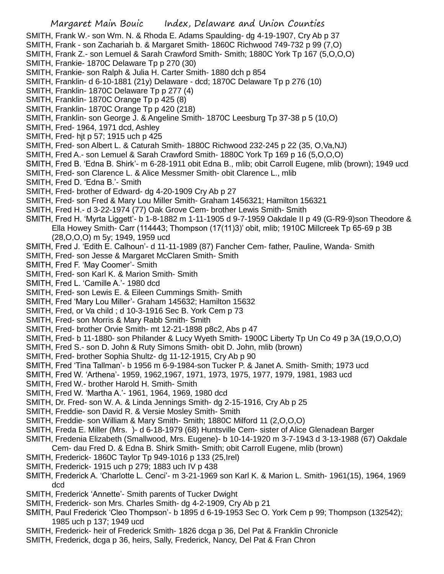- SMITH, Frank W.- son Wm. N. & Rhoda E. Adams Spaulding- dg 4-19-1907, Cry Ab p 37
- SMITH, Frank son Zachariah b. & Margaret Smith- 1860C Richwood 749-732 p 99 (7,O)
- SMITH, Frank Z.- son Lemuel & Sarah Crawford Smith- Smith; 1880C York Tp 167 (5,O,O,O)
- SMITH, Frankie- 1870C Delaware Tp p 270 (30)
- SMITH, Frankie- son Ralph & Julia H. Carter Smith- 1880 dch p 854
- SMITH, Franklin- d 6-10-1881 (21y) Delaware dcd; 1870C Delaware Tp p 276 (10)
- SMITH, Franklin- 1870C Delaware Tp p 277 (4)
- SMITH, Franklin- 1870C Orange Tp p 425 (8)
- SMITH, Franklin- 1870C Orange Tp p 420 (218)
- SMITH, Franklin- son George J. & Angeline Smith- 1870C Leesburg Tp 37-38 p 5 (10,O)
- SMITH, Fred- 1964, 1971 dcd, Ashley
- SMITH, Fred- hjt p 57; 1915 uch p 425
- SMITH, Fred- son Albert L. & Caturah Smith- 1880C Richwood 232-245 p 22 (35, O,Va,NJ)
- SMITH, Fred A.- son Lemuel & Sarah Crawford Smith- 1880C York Tp 169 p 16 (5,O,O,O)
- SMITH, Fred B. 'Edna B. Shirk'- m 6-28-1911 obit Edna B., mlib; obit Carroll Eugene, mlib (brown); 1949 ucd
- SMITH, Fred- son Clarence L. & Alice Messmer Smith- obit Clarence L., mlib
- SMITH, Fred D. 'Edna B.'- Smith
- SMITH, Fred- brother of Edward- dg 4-20-1909 Cry Ab p 27
- SMITH, Fred- son Fred & Mary Lou Miller Smith- Graham 1456321; Hamilton 156321
- SMITH, Fred H.- d 3-22-1974 (77) Oak Grove Cem- brother Lewis Smith- Smith
- SMITH, Fred H. 'Myrta Liggett'- b 1-8-1882 m 1-11-1905 d 9-7-1959 Oakdale II p 49 (G-R9-9)son Theodore & Ella Howey Smith- Carr (114443; Thompson (17(11)3)' obit, mlib; 1910C Millcreek Tp 65-69 p 3B (28,O,O,O) m 5y; 1949, 1959 ucd
- SMITH, Fred J. 'Edith E. Calhoun'- d 11-11-1989 (87) Fancher Cem- father, Pauline, Wanda- Smith
- SMITH, Fred- son Jesse & Margaret McClaren Smith- Smith
- SMITH, Fred F. 'May Coomer'- Smith
- SMITH, Fred- son Karl K. & Marion Smith- Smith
- SMITH, Fred L. 'Camille A.'- 1980 dcd
- SMITH, Fred- son Lewis E. & Eileen Cummings Smith- Smith
- SMITH, Fred 'Mary Lou Miller'- Graham 145632; Hamilton 15632
- SMITH, Fred, or Va child ; d 10-3-1916 Sec B. York Cem p 73
- SMITH, Fred- son Morris & Mary Rabb Smith- Smith
- SMITH, Fred- brother Orvie Smith- mt 12-21-1898 p8c2, Abs p 47
- SMITH, Fred- b 11-1880- son Philander & Lucy Wyeth Smith- 1900C Liberty Tp Un Co 49 p 3A (19,O,O,O)
- SMITH, Fred S.- son D. John & Ruty Simons Smith- obit D. John, mlib (brown)
- SMITH, Fred- brother Sophia Shultz- dg 11-12-1915, Cry Ab p 90
- SMITH, Fred 'Tina Tallman'- b 1956 m 6-9-1984-son Tucker P. & Janet A. Smith- Smith; 1973 ucd
- SMITH, Fred W. 'Arthena'- 1959, 1962,1967, 1971, 1973, 1975, 1977, 1979, 1981, 1983 ucd
- SMITH, Fred W.- brother Harold H. Smith- Smith
- SMITH, Fred W. 'Martha A.'- 1961, 1964, 1969, 1980 dcd
- SMITH, Dr. Fred- son W. A. & Linda Jennings Smith- dg 2-15-1916, Cry Ab p 25
- SMITH, Freddie- son David R. & Versie Mosley Smith- Smith
- SMITH, Freddie- son William & Mary Smith- Smith; 1880C Milford 11 (2,O,O,O)
- SMITH, Freda E. Miller (Mrs. )- d 6-18-1979 (68) Huntsville Cem- sister of Alice Glenadean Barger
- SMITH, Fredenia Elizabeth (Smallwood, Mrs. Eugene)- b 10-14-1920 m 3-7-1943 d 3-13-1988 (67) Oakdale Cem- dau Fred D. & Edna B. Shirk Smith- Smith; obit Carroll Eugene, mlib (brown)
- SMITH, Frederick- 1860C Taylor Tp 949-1016 p 133 (25,Irel)
- SMITH, Frederick- 1915 uch p 279; 1883 uch IV p 438
- SMITH, Frederick A. 'Charlotte L. Cenci'- m 3-21-1969 son Karl K. & Marion L. Smith- 1961(15), 1964, 1969 dcd
- SMITH, Frederick 'Annette'- Smith parents of Tucker Dwight
- SMITH, Frederick- son Mrs. Charles Smith- dg 4-2-1909, Cry Ab p 21
- SMITH, Paul Frederick 'Cleo Thompson'- b 1895 d 6-19-1953 Sec O. York Cem p 99; Thompson (132542); 1985 uch p 137; 1949 ucd
- SMITH, Frederick- heir of Frederick Smith- 1826 dcga p 36, Del Pat & Franklin Chronicle
- SMITH, Frederick, dcga p 36, heirs, Sally, Frederick, Nancy, Del Pat & Fran Chron